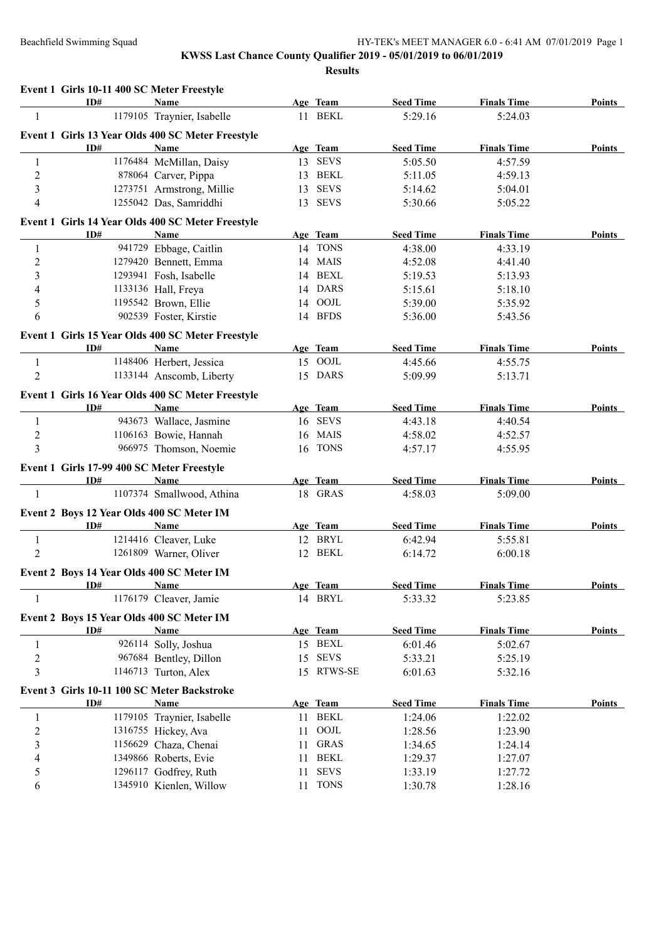|                          | Event 1 Girls 10-11 400 SC Meter Freestyle  |                                                   |    |             |                  |                    |               |
|--------------------------|---------------------------------------------|---------------------------------------------------|----|-------------|------------------|--------------------|---------------|
|                          | ID#                                         | Name                                              |    | Age Team    | <b>Seed Time</b> | <b>Finals Time</b> | <b>Points</b> |
| -1                       |                                             | 1179105 Traynier, Isabelle                        |    | 11 BEKL     | 5:29.16          | 5:24.03            |               |
|                          |                                             | Event 1 Girls 13 Year Olds 400 SC Meter Freestyle |    |             |                  |                    |               |
|                          | ID#                                         | Name                                              |    | Age Team    | <b>Seed Time</b> | <b>Finals Time</b> | Points        |
| 1                        |                                             | 1176484 McMillan, Daisy                           |    | 13 SEVS     | 5:05.50          | 4:57.59            |               |
| $\overline{c}$           |                                             | 878064 Carver, Pippa                              | 13 | <b>BEKL</b> | 5:11.05          | 4:59.13            |               |
| $\mathfrak{Z}$           |                                             | 1273751 Armstrong, Millie                         | 13 | <b>SEVS</b> | 5:14.62          | 5:04.01            |               |
| 4                        |                                             | 1255042 Das, Samriddhi                            | 13 | <b>SEVS</b> | 5:30.66          | 5:05.22            |               |
|                          |                                             | Event 1 Girls 14 Year Olds 400 SC Meter Freestyle |    |             |                  |                    |               |
|                          | ID#                                         | Name                                              |    | Age Team    | <b>Seed Time</b> | <b>Finals Time</b> | <b>Points</b> |
| 1                        |                                             | 941729 Ebbage, Caitlin                            |    | 14 TONS     | 4:38.00          | 4:33.19            |               |
| $\sqrt{2}$               |                                             | 1279420 Bennett, Emma                             |    | 14 MAIS     | 4:52.08          | 4:41.40            |               |
| 3                        |                                             | 1293941 Fosh, Isabelle                            | 14 | <b>BEXL</b> | 5:19.53          | 5:13.93            |               |
| 4                        |                                             | 1133136 Hall, Freya                               | 14 | <b>DARS</b> | 5:15.61          | 5:18.10            |               |
| 5                        |                                             | 1195542 Brown, Ellie                              | 14 | $\rm{OOJL}$ | 5:39.00          | 5:35.92            |               |
| 6                        |                                             | 902539 Foster, Kirstie                            |    | 14 BFDS     | 5:36.00          | 5:43.56            |               |
|                          |                                             | Event 1 Girls 15 Year Olds 400 SC Meter Freestyle |    |             |                  |                    |               |
|                          | ID#                                         | <b>Name</b>                                       |    | Age Team    | <b>Seed Time</b> | <b>Finals Time</b> | <b>Points</b> |
| $\mathbf{1}$             |                                             | 1148406 Herbert, Jessica                          |    | 15 OOJL     | 4:45.66          | 4:55.75            |               |
| $\overline{2}$           |                                             | 1133144 Anscomb, Liberty                          |    | 15 DARS     | 5:09.99          | 5:13.71            |               |
|                          |                                             |                                                   |    |             |                  |                    |               |
|                          |                                             | Event 1 Girls 16 Year Olds 400 SC Meter Freestyle |    |             |                  |                    |               |
|                          | ID#                                         | Name                                              |    | Age Team    | <b>Seed Time</b> | <b>Finals Time</b> | <b>Points</b> |
| 1                        |                                             | 943673 Wallace, Jasmine                           |    | 16 SEVS     | 4:43.18          | 4:40.54            |               |
| $\sqrt{2}$               |                                             | 1106163 Bowie, Hannah                             |    | 16 MAIS     | 4:58.02          | 4:52.57            |               |
| 3                        |                                             | 966975 Thomson, Noemie                            |    | 16 TONS     | 4:57.17          | 4:55.95            |               |
|                          | Event 1 Girls 17-99 400 SC Meter Freestyle  |                                                   |    |             |                  |                    |               |
|                          | ID#                                         | Name                                              |    | Age Team    | <b>Seed Time</b> | <b>Finals Time</b> | Points        |
| $\mathbf{1}$             |                                             | 1107374 Smallwood, Athina                         |    | 18 GRAS     | 4:58.03          | 5:09.00            |               |
|                          | Event 2 Boys 12 Year Olds 400 SC Meter IM   |                                                   |    |             |                  |                    |               |
|                          | ID#                                         | Name                                              |    | Age Team    | <b>Seed Time</b> | <b>Finals Time</b> | Points        |
| $\mathbf{1}$             |                                             | 1214416 Cleaver, Luke                             |    | 12 BRYL     | 6:42.94          | 5:55.81            |               |
| $\overline{2}$           |                                             | 1261809 Warner, Oliver                            |    | 12 BEKL     | 6:14.72          | 6:00.18            |               |
|                          | Event 2 Boys 14 Year Olds 400 SC Meter IM   |                                                   |    |             |                  |                    |               |
|                          | ID#                                         | Name                                              |    | Age Team    | <b>Seed Time</b> | <b>Finals Time</b> | <b>Points</b> |
| 1                        | 1176179                                     | Cleaver, Jamie                                    |    | 14 BRYL     | 5:33.32          | 5:23.85            |               |
|                          |                                             |                                                   |    |             |                  |                    |               |
|                          | Event 2 Boys 15 Year Olds 400 SC Meter IM   |                                                   |    |             |                  |                    |               |
|                          | ID#                                         | <b>Name</b>                                       |    | Age Team    | <b>Seed Time</b> | <b>Finals Time</b> | <b>Points</b> |
| $\mathbf{1}$             |                                             | 926114 Solly, Joshua                              |    | 15 BEXL     | 6:01.46          | 5:02.67            |               |
| $\boldsymbol{2}$         |                                             | 967684 Bentley, Dillon                            | 15 | <b>SEVS</b> | 5:33.21          | 5:25.19            |               |
| 3                        |                                             | 1146713 Turton, Alex                              | 15 | RTWS-SE     | 6:01.63          | 5:32.16            |               |
|                          | Event 3 Girls 10-11 100 SC Meter Backstroke |                                                   |    |             |                  |                    |               |
|                          | ID#                                         | Name                                              |    | Age Team    | <b>Seed Time</b> | <b>Finals Time</b> | <b>Points</b> |
| 1                        |                                             | 1179105 Traynier, Isabelle                        |    | 11 BEKL     | 1:24.06          | 1:22.02            |               |
| $\overline{\mathbf{c}}$  |                                             | 1316755 Hickey, Ava                               | 11 | OOJL        | 1:28.56          | 1:23.90            |               |
| $\mathfrak{Z}$           |                                             | 1156629 Chaza, Chenai                             | 11 | <b>GRAS</b> | 1:34.65          | 1:24.14            |               |
| $\overline{\mathcal{L}}$ |                                             | 1349866 Roberts, Evie                             | 11 | <b>BEKL</b> | 1:29.37          | 1:27.07            |               |
| 5                        |                                             | 1296117 Godfrey, Ruth                             | 11 | <b>SEVS</b> | 1:33.19          | 1:27.72            |               |
| 6                        |                                             | 1345910 Kienlen, Willow                           | 11 | <b>TONS</b> | 1:30.78          | 1:28.16            |               |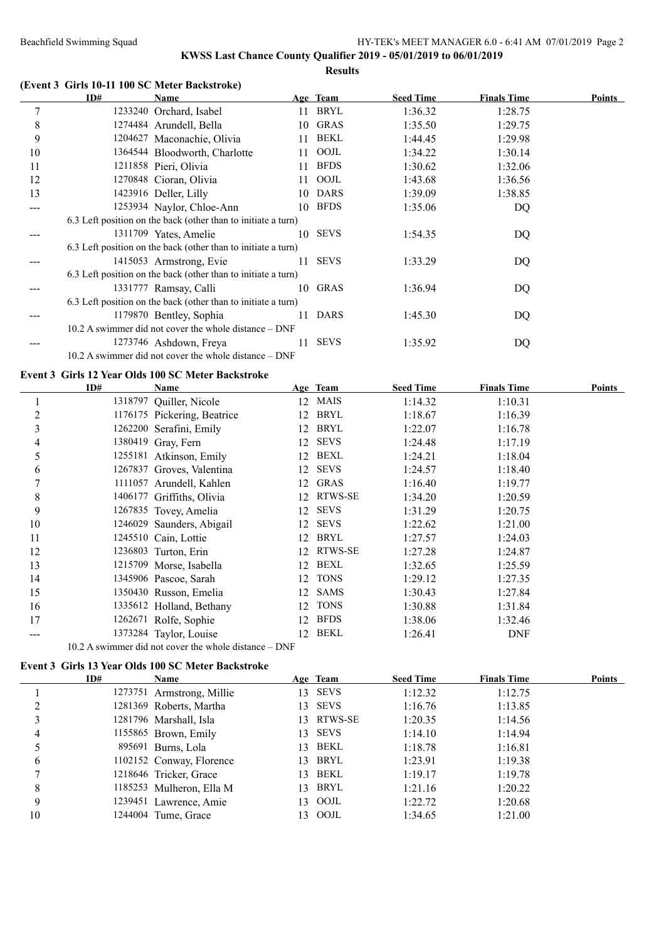**Results**

|    |     | (Event 3 Girls 10-11 100 SC Meter Backstroke)                 |    |             |                  |                    |               |
|----|-----|---------------------------------------------------------------|----|-------------|------------------|--------------------|---------------|
|    | ID# | Name                                                          |    | Age Team    | <b>Seed Time</b> | <b>Finals Time</b> | <b>Points</b> |
| 7  |     | 1233240 Orchard, Isabel                                       | 11 | BRYL        | 1:36.32          | 1:28.75            |               |
| 8  |     | 1274484 Arundell, Bella                                       | 10 | <b>GRAS</b> | 1:35.50          | 1:29.75            |               |
| 9  |     | 1204627 Maconachie, Olivia                                    | 11 | BEKL        | 1:44.45          | 1:29.98            |               |
| 10 |     | 1364544 Bloodworth, Charlotte                                 | 11 | OOJL        | 1:34.22          | 1:30.14            |               |
| 11 |     | 1211858 Pieri, Olivia                                         | 11 | <b>BFDS</b> | 1:30.62          | 1:32.06            |               |
| 12 |     | 1270848 Cioran, Olivia                                        | 11 | OOJL        | 1:43.68          | 1:36.56            |               |
| 13 |     | 1423916 Deller, Lilly                                         | 10 | <b>DARS</b> | 1:39.09          | 1:38.85            |               |
|    |     | 1253934 Naylor, Chloe-Ann                                     | 10 | <b>BFDS</b> | 1:35.06          | DQ                 |               |
|    |     | 6.3 Left position on the back (other than to initiate a turn) |    |             |                  |                    |               |
|    |     | 1311709 Yates, Amelie                                         | 10 | <b>SEVS</b> | 1:54.35          | DQ                 |               |
|    |     | 6.3 Left position on the back (other than to initiate a turn) |    |             |                  |                    |               |
|    |     | 1415053 Armstrong, Evie                                       | 11 | <b>SEVS</b> | 1:33.29          | DQ                 |               |
|    |     | 6.3 Left position on the back (other than to initiate a turn) |    |             |                  |                    |               |
|    |     | 1331777 Ramsay, Calli                                         | 10 | GRAS        | 1:36.94          | DQ                 |               |
|    |     | 6.3 Left position on the back (other than to initiate a turn) |    |             |                  |                    |               |
|    |     | 1179870 Bentley, Sophia                                       | 11 | <b>DARS</b> | 1:45.30          | DQ                 |               |
|    |     | 10.2 A swimmer did not cover the whole distance – DNF         |    |             |                  |                    |               |
|    |     | 1273746 Ashdown, Freya                                        | 11 | <b>SEVS</b> | 1:35.92          | DQ                 |               |
|    |     | 10.2 A swimmer did not cover the whole distance – DNF         |    |             |                  |                    |               |

#### **Event 3 Girls 12 Year Olds 100 SC Meter Backstroke**

|    | ID# | Name                        |    | Age Team    | <b>Seed Time</b> | <b>Finals Time</b> | Points |
|----|-----|-----------------------------|----|-------------|------------------|--------------------|--------|
|    |     | 1318797 Quiller, Nicole     | 12 | <b>MAIS</b> | 1:14.32          | 1:10.31            |        |
| 2  |     | 1176175 Pickering, Beatrice | 12 | BRYL        | 1:18.67          | 1:16.39            |        |
| 3  |     | 1262200 Serafini, Emily     | 12 | BRYL        | 1:22.07          | 1:16.78            |        |
| 4  |     | 1380419 Gray, Fern          | 12 | <b>SEVS</b> | 1:24.48          | 1:17.19            |        |
| 5  |     | 1255181 Atkinson, Emily     | 12 | BEXL        | 1:24.21          | 1:18.04            |        |
| 6  |     | 1267837 Groves, Valentina   | 12 | <b>SEVS</b> | 1:24.57          | 1:18.40            |        |
|    |     | 1111057 Arundell, Kahlen    | 12 | <b>GRAS</b> | 1:16.40          | 1:19.77            |        |
| 8  |     | 1406177 Griffiths, Olivia   | 12 | RTWS-SE     | 1:34.20          | 1:20.59            |        |
| 9  |     | 1267835 Tovey, Amelia       | 12 | <b>SEVS</b> | 1:31.29          | 1:20.75            |        |
| 10 |     | 1246029 Saunders, Abigail   | 12 | <b>SEVS</b> | 1:22.62          | 1:21.00            |        |
| 11 |     | 1245510 Cain, Lottie        | 12 | BRYL        | 1:27.57          | 1:24.03            |        |
| 12 |     | 1236803 Turton, Erin        | 12 | RTWS-SE     | 1:27.28          | 1:24.87            |        |
| 13 |     | 1215709 Morse, Isabella     | 12 | BEXL        | 1:32.65          | 1:25.59            |        |
| 14 |     | 1345906 Pascoe, Sarah       | 12 | <b>TONS</b> | 1:29.12          | 1:27.35            |        |
| 15 |     | 1350430 Russon, Emelia      | 12 | <b>SAMS</b> | 1:30.43          | 1:27.84            |        |
| 16 |     | 1335612 Holland, Bethany    | 12 | <b>TONS</b> | 1:30.88          | 1:31.84            |        |
| 17 |     | 1262671 Rolfe, Sophie       | 12 | <b>BFDS</b> | 1:38.06          | 1:32.46            |        |
|    |     | 1373284 Taylor, Louise      | 12 | <b>BEKL</b> | 1:26.41          | <b>DNF</b>         |        |

10.2 A swimmer did not cover the whole distance – DNF

# **Event 3 Girls 13 Year Olds 100 SC Meter Backstroke**

|    | ID# | Name                      |     | Age Team    | <b>Seed Time</b> | <b>Finals Time</b> | Points |
|----|-----|---------------------------|-----|-------------|------------------|--------------------|--------|
|    |     | 1273751 Armstrong, Millie | 13  | <b>SEVS</b> | 1:12.32          | 1:12.75            |        |
|    |     | 1281369 Roberts, Martha   | 13. | <b>SEVS</b> | 1:16.76          | 1:13.85            |        |
|    |     | 1281796 Marshall, Isla    |     | 13 RTWS-SE  | 1:20.35          | 1:14.56            |        |
| 4  |     | 1155865 Brown, Emily      |     | 13 SEVS     | 1:14.10          | 1:14.94            |        |
|    |     | 895691 Burns, Lola        |     | 13 BEKL     | 1:18.78          | 1:16.81            |        |
| 6  |     | 1102152 Conway, Florence  |     | 13 BRYL     | 1:23.91          | 1:19.38            |        |
|    |     | 1218646 Tricker, Grace    |     | 13 BEKL     | 1:19.17          | 1:19.78            |        |
| 8  |     | 1185253 Mulheron, Ella M  | 13  | BRYL        | 1:21.16          | 1:20.22            |        |
| 9  |     | 1239451 Lawrence, Amie    | 13  | OOJL        | 1:22.72          | 1:20.68            |        |
| 10 |     | 1244004 Tume, Grace       | 13  | OOJL        | 1:34.65          | 1:21.00            |        |
|    |     |                           |     |             |                  |                    |        |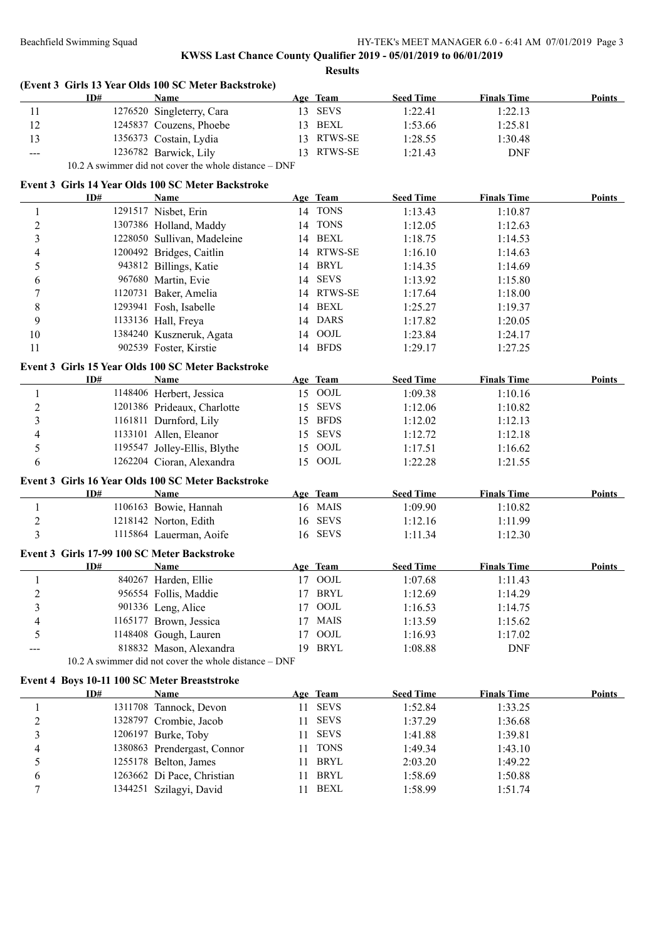## **KWSS Last Chance County Qualifier 2019 - 05/01/2019 to 06/01/2019 Results**

#### **(Event 3 Girls 13 Year Olds 100 SC Meter Backstroke)**

|      | ID# | Name                                                     |            | Age Team    | <b>Seed Time</b> | <b>Finals Time</b> | Points |
|------|-----|----------------------------------------------------------|------------|-------------|------------------|--------------------|--------|
|      |     | 1276520 Singleterry, Cara                                | $\sqrt{3}$ | <b>SEVS</b> | 1:22.41          | 1:22.13            |        |
|      |     | 1245837 Couzens, Phoebe                                  |            | BEXL        | 1:53.66          | 1:25.81            |        |
|      |     | 1356373 Costain, Lydia                                   |            | 13 RTWS-SE  | l:28.55          | 1:30.48            |        |
| $--$ |     | 1236782 Barwick, Lily                                    |            | 13 RTWS-SE  | 1:21.43          | DNF                |        |
|      |     | $10.2$ A guimmar did not cover the whole distance $\Box$ |            |             |                  |                    |        |

10.2 A swimmer did not cover the whole distance – DNF

#### **Event 3 Girls 14 Year Olds 100 SC Meter Backstroke**

|                         | ID#                                                 | Name                                                  |    | Age Team    | <b>Seed Time</b> | <b>Finals Time</b> | <b>Points</b> |
|-------------------------|-----------------------------------------------------|-------------------------------------------------------|----|-------------|------------------|--------------------|---------------|
| $\mathbf{1}$            |                                                     | 1291517 Nisbet, Erin                                  |    | 14 TONS     | 1:13.43          | 1:10.87            |               |
| $\overline{2}$          |                                                     | 1307386 Holland, Maddy                                |    | 14 TONS     | 1:12.05          | 1:12.63            |               |
| $\overline{\mathbf{3}}$ |                                                     | 1228050 Sullivan, Madeleine                           |    | 14 BEXL     | 1:18.75          | 1:14.53            |               |
| $\overline{4}$          |                                                     | 1200492 Bridges, Caitlin                              |    | 14 RTWS-SE  | 1:16.10          | 1:14.63            |               |
| 5                       |                                                     | 943812 Billings, Katie                                |    | 14 BRYL     | 1:14.35          | 1:14.69            |               |
| 6                       |                                                     | 967680 Martin, Evie                                   |    | 14 SEVS     | 1:13.92          | 1:15.80            |               |
| $\boldsymbol{7}$        |                                                     | 1120731 Baker, Amelia                                 |    | 14 RTWS-SE  | 1:17.64          | 1:18.00            |               |
| 8                       |                                                     | 1293941 Fosh, Isabelle                                | 14 | <b>BEXL</b> | 1:25.27          | 1:19.37            |               |
| 9                       |                                                     | 1133136 Hall, Freya                                   |    | 14 DARS     | 1:17.82          | 1:20.05            |               |
| 10                      |                                                     | 1384240 Kuszneruk, Agata                              | 14 | OOJL        | 1:23.84          | 1:24.17            |               |
| 11                      |                                                     | 902539 Foster, Kirstie                                |    | 14 BFDS     | 1:29.17          | 1:27.25            |               |
|                         |                                                     | Event 3 Girls 15 Year Olds 100 SC Meter Backstroke    |    |             |                  |                    |               |
|                         | ID#                                                 | Name                                                  |    | Age Team    | <b>Seed Time</b> | <b>Finals Time</b> | Points        |
| $\mathbf{1}$            |                                                     | 1148406 Herbert, Jessica                              |    | 15 OOJL     | 1:09.38          | 1:10.16            |               |
| $\overline{2}$          |                                                     | 1201386 Prideaux, Charlotte                           |    | 15 SEVS     | 1:12.06          | 1:10.82            |               |
| $\overline{\mathbf{3}}$ |                                                     | 1161811 Durnford, Lily                                |    | 15 BFDS     | 1:12.02          | 1:12.13            |               |
| $\overline{4}$          |                                                     | 1133101 Allen, Eleanor                                | 15 | <b>SEVS</b> | 1:12.72          | 1:12.18            |               |
| $\mathfrak s$           |                                                     | 1195547 Jolley-Ellis, Blythe                          | 15 | OOJL        | 1:17.51          | 1:16.62            |               |
| 6                       |                                                     | 1262204 Cioran, Alexandra                             |    | 15 OOJL     | 1:22.28          | 1:21.55            |               |
|                         |                                                     | Event 3 Girls 16 Year Olds 100 SC Meter Backstroke    |    |             |                  |                    |               |
|                         | ID#                                                 | Name                                                  |    | Age Team    | <b>Seed Time</b> | <b>Finals Time</b> | Points        |
| $\mathbf{1}$            |                                                     | 1106163 Bowie, Hannah                                 |    | 16 MAIS     | 1:09.90          | 1:10.82            |               |
| $\overline{c}$          |                                                     | 1218142 Norton, Edith                                 |    | 16 SEVS     | 1:12.16          | 1:11.99            |               |
| $\overline{3}$          |                                                     | 1115864 Lauerman, Aoife                               |    | 16 SEVS     | 1:11.34          | 1:12.30            |               |
|                         | Event 3 Girls 17-99 100 SC Meter Backstroke         |                                                       |    |             |                  |                    |               |
|                         | ID#                                                 | Name                                                  |    | Age Team    | <b>Seed Time</b> | <b>Finals Time</b> | Points        |
| $\mathbf{1}$            |                                                     | 840267 Harden, Ellie                                  |    | 17 OOJL     | 1:07.68          | 1:11.43            |               |
| $\boldsymbol{2}$        |                                                     | 956554 Follis, Maddie                                 |    | 17 BRYL     | 1:12.69          | 1:14.29            |               |
| $\overline{3}$          |                                                     | 901336 Leng, Alice                                    | 17 | $\rm{OOL}$  | 1:16.53          | 1:14.75            |               |
| $\overline{4}$          |                                                     | 1165177 Brown, Jessica                                | 17 | <b>MAIS</b> | 1:13.59          | 1:15.62            |               |
| 5                       |                                                     | 1148408 Gough, Lauren                                 | 17 | $\rm{OOL}$  | 1:16.93          | 1:17.02            |               |
|                         |                                                     | 818832 Mason, Alexandra                               | 19 | <b>BRYL</b> | 1:08.88          | <b>DNF</b>         |               |
|                         |                                                     | 10.2 A swimmer did not cover the whole distance - DNF |    |             |                  |                    |               |
|                         |                                                     |                                                       |    |             |                  |                    |               |
|                         | Event 4 Boys 10-11 100 SC Meter Breaststroke<br>ID# | Name                                                  |    | Age Team    | <b>Seed Time</b> | <b>Finals Time</b> | Points        |
| $\mathbf{1}$            |                                                     | 1311708 Tannock, Devon                                |    | 11 SEVS     | 1:52.84          | 1:33.25            |               |
| $\overline{c}$          |                                                     | 1328797 Crombie, Jacob                                |    | 11 SEVS     | 1:37.29          | 1:36.68            |               |
| $\overline{\mathbf{3}}$ |                                                     | 1206197 Burke, Toby                                   | 11 | <b>SEVS</b> | 1:41.88          | 1:39.81            |               |
| $\overline{4}$          |                                                     | 1380863 Prendergast, Connor                           | 11 | <b>TONS</b> | 1:49.34          | 1:43.10            |               |
|                         |                                                     |                                                       |    |             |                  |                    |               |

 1255178 Belton, James 11 BRYL 2:03.20 1:49.22 6 1263662 Di Pace, Christian 11 BRYL 1:58.69 1:50.88 7 1344251 Szilagyi, David 11 BEXL 1:58.99 1:51.74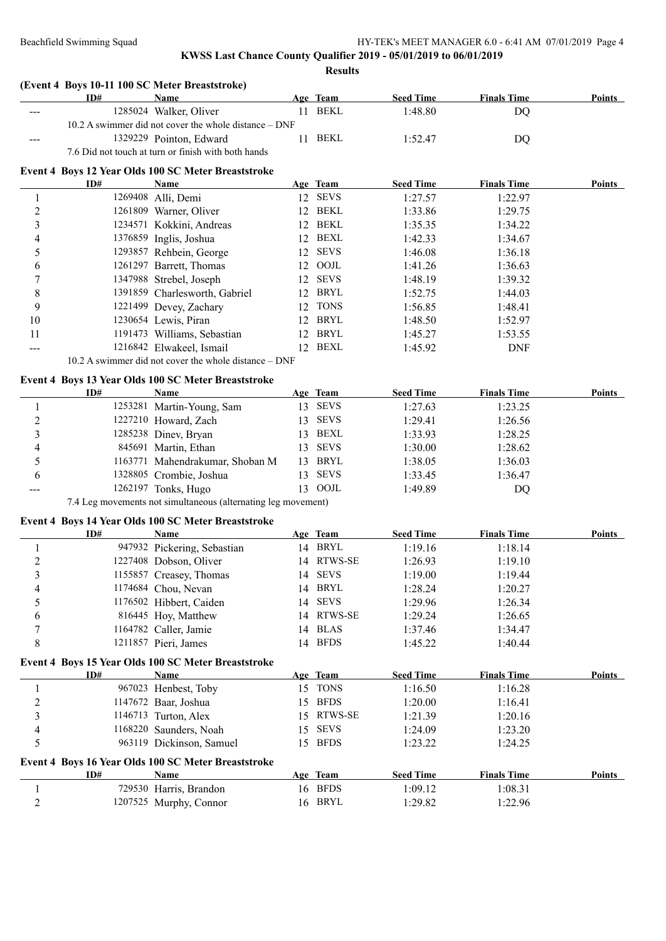| ID# | Name                                                |                                                                                                                                                                                                                                                                                                                                                                                                                                                                                                                                                                                                                                                                                                                                                                                                                                                                                                                                                                                                                                                                                                                                                                                                                                                                   |                                                                                                                      | <b>Seed Time</b>                                                                                                                                                                                                                                                                                                                                                                                                                                                                                     | <b>Finals Time</b>                                                                   | <b>Points</b>                                                                   |
|-----|-----------------------------------------------------|-------------------------------------------------------------------------------------------------------------------------------------------------------------------------------------------------------------------------------------------------------------------------------------------------------------------------------------------------------------------------------------------------------------------------------------------------------------------------------------------------------------------------------------------------------------------------------------------------------------------------------------------------------------------------------------------------------------------------------------------------------------------------------------------------------------------------------------------------------------------------------------------------------------------------------------------------------------------------------------------------------------------------------------------------------------------------------------------------------------------------------------------------------------------------------------------------------------------------------------------------------------------|----------------------------------------------------------------------------------------------------------------------|------------------------------------------------------------------------------------------------------------------------------------------------------------------------------------------------------------------------------------------------------------------------------------------------------------------------------------------------------------------------------------------------------------------------------------------------------------------------------------------------------|--------------------------------------------------------------------------------------|---------------------------------------------------------------------------------|
|     |                                                     |                                                                                                                                                                                                                                                                                                                                                                                                                                                                                                                                                                                                                                                                                                                                                                                                                                                                                                                                                                                                                                                                                                                                                                                                                                                                   |                                                                                                                      | 1:48.80                                                                                                                                                                                                                                                                                                                                                                                                                                                                                              | <b>DQ</b>                                                                            |                                                                                 |
|     |                                                     |                                                                                                                                                                                                                                                                                                                                                                                                                                                                                                                                                                                                                                                                                                                                                                                                                                                                                                                                                                                                                                                                                                                                                                                                                                                                   |                                                                                                                      |                                                                                                                                                                                                                                                                                                                                                                                                                                                                                                      |                                                                                      |                                                                                 |
|     |                                                     |                                                                                                                                                                                                                                                                                                                                                                                                                                                                                                                                                                                                                                                                                                                                                                                                                                                                                                                                                                                                                                                                                                                                                                                                                                                                   |                                                                                                                      | 1:52.47                                                                                                                                                                                                                                                                                                                                                                                                                                                                                              | DQ                                                                                   |                                                                                 |
|     |                                                     |                                                                                                                                                                                                                                                                                                                                                                                                                                                                                                                                                                                                                                                                                                                                                                                                                                                                                                                                                                                                                                                                                                                                                                                                                                                                   |                                                                                                                      |                                                                                                                                                                                                                                                                                                                                                                                                                                                                                                      |                                                                                      |                                                                                 |
|     |                                                     |                                                                                                                                                                                                                                                                                                                                                                                                                                                                                                                                                                                                                                                                                                                                                                                                                                                                                                                                                                                                                                                                                                                                                                                                                                                                   |                                                                                                                      |                                                                                                                                                                                                                                                                                                                                                                                                                                                                                                      |                                                                                      |                                                                                 |
| ID# | Name                                                |                                                                                                                                                                                                                                                                                                                                                                                                                                                                                                                                                                                                                                                                                                                                                                                                                                                                                                                                                                                                                                                                                                                                                                                                                                                                   |                                                                                                                      | <b>Seed Time</b>                                                                                                                                                                                                                                                                                                                                                                                                                                                                                     | <b>Finals Time</b>                                                                   | Points                                                                          |
|     |                                                     |                                                                                                                                                                                                                                                                                                                                                                                                                                                                                                                                                                                                                                                                                                                                                                                                                                                                                                                                                                                                                                                                                                                                                                                                                                                                   |                                                                                                                      |                                                                                                                                                                                                                                                                                                                                                                                                                                                                                                      |                                                                                      |                                                                                 |
|     |                                                     |                                                                                                                                                                                                                                                                                                                                                                                                                                                                                                                                                                                                                                                                                                                                                                                                                                                                                                                                                                                                                                                                                                                                                                                                                                                                   |                                                                                                                      | 1:33.86                                                                                                                                                                                                                                                                                                                                                                                                                                                                                              | 1:29.75                                                                              |                                                                                 |
|     |                                                     |                                                                                                                                                                                                                                                                                                                                                                                                                                                                                                                                                                                                                                                                                                                                                                                                                                                                                                                                                                                                                                                                                                                                                                                                                                                                   |                                                                                                                      | 1:35.35                                                                                                                                                                                                                                                                                                                                                                                                                                                                                              | 1:34.22                                                                              |                                                                                 |
|     |                                                     |                                                                                                                                                                                                                                                                                                                                                                                                                                                                                                                                                                                                                                                                                                                                                                                                                                                                                                                                                                                                                                                                                                                                                                                                                                                                   |                                                                                                                      | 1:42.33                                                                                                                                                                                                                                                                                                                                                                                                                                                                                              | 1:34.67                                                                              |                                                                                 |
|     |                                                     |                                                                                                                                                                                                                                                                                                                                                                                                                                                                                                                                                                                                                                                                                                                                                                                                                                                                                                                                                                                                                                                                                                                                                                                                                                                                   |                                                                                                                      | 1:46.08                                                                                                                                                                                                                                                                                                                                                                                                                                                                                              | 1:36.18                                                                              |                                                                                 |
|     |                                                     |                                                                                                                                                                                                                                                                                                                                                                                                                                                                                                                                                                                                                                                                                                                                                                                                                                                                                                                                                                                                                                                                                                                                                                                                                                                                   |                                                                                                                      |                                                                                                                                                                                                                                                                                                                                                                                                                                                                                                      | 1:36.63                                                                              |                                                                                 |
|     |                                                     |                                                                                                                                                                                                                                                                                                                                                                                                                                                                                                                                                                                                                                                                                                                                                                                                                                                                                                                                                                                                                                                                                                                                                                                                                                                                   |                                                                                                                      | 1:48.19                                                                                                                                                                                                                                                                                                                                                                                                                                                                                              | 1:39.32                                                                              |                                                                                 |
|     |                                                     |                                                                                                                                                                                                                                                                                                                                                                                                                                                                                                                                                                                                                                                                                                                                                                                                                                                                                                                                                                                                                                                                                                                                                                                                                                                                   |                                                                                                                      | 1:52.75                                                                                                                                                                                                                                                                                                                                                                                                                                                                                              | 1:44.03                                                                              |                                                                                 |
|     |                                                     |                                                                                                                                                                                                                                                                                                                                                                                                                                                                                                                                                                                                                                                                                                                                                                                                                                                                                                                                                                                                                                                                                                                                                                                                                                                                   |                                                                                                                      | 1:56.85                                                                                                                                                                                                                                                                                                                                                                                                                                                                                              | 1:48.41                                                                              |                                                                                 |
|     |                                                     |                                                                                                                                                                                                                                                                                                                                                                                                                                                                                                                                                                                                                                                                                                                                                                                                                                                                                                                                                                                                                                                                                                                                                                                                                                                                   |                                                                                                                      | 1:48.50                                                                                                                                                                                                                                                                                                                                                                                                                                                                                              | 1:52.97                                                                              |                                                                                 |
|     |                                                     |                                                                                                                                                                                                                                                                                                                                                                                                                                                                                                                                                                                                                                                                                                                                                                                                                                                                                                                                                                                                                                                                                                                                                                                                                                                                   |                                                                                                                      | 1:45.27                                                                                                                                                                                                                                                                                                                                                                                                                                                                                              |                                                                                      |                                                                                 |
|     |                                                     |                                                                                                                                                                                                                                                                                                                                                                                                                                                                                                                                                                                                                                                                                                                                                                                                                                                                                                                                                                                                                                                                                                                                                                                                                                                                   |                                                                                                                      | 1:45.92                                                                                                                                                                                                                                                                                                                                                                                                                                                                                              | <b>DNF</b>                                                                           |                                                                                 |
|     |                                                     |                                                                                                                                                                                                                                                                                                                                                                                                                                                                                                                                                                                                                                                                                                                                                                                                                                                                                                                                                                                                                                                                                                                                                                                                                                                                   |                                                                                                                      |                                                                                                                                                                                                                                                                                                                                                                                                                                                                                                      |                                                                                      |                                                                                 |
|     |                                                     |                                                                                                                                                                                                                                                                                                                                                                                                                                                                                                                                                                                                                                                                                                                                                                                                                                                                                                                                                                                                                                                                                                                                                                                                                                                                   |                                                                                                                      |                                                                                                                                                                                                                                                                                                                                                                                                                                                                                                      |                                                                                      |                                                                                 |
| ID# | <b>Name</b>                                         |                                                                                                                                                                                                                                                                                                                                                                                                                                                                                                                                                                                                                                                                                                                                                                                                                                                                                                                                                                                                                                                                                                                                                                                                                                                                   |                                                                                                                      | <b>Seed Time</b>                                                                                                                                                                                                                                                                                                                                                                                                                                                                                     | <b>Finals Time</b>                                                                   | <b>Points</b>                                                                   |
|     |                                                     |                                                                                                                                                                                                                                                                                                                                                                                                                                                                                                                                                                                                                                                                                                                                                                                                                                                                                                                                                                                                                                                                                                                                                                                                                                                                   |                                                                                                                      | 1:27.63                                                                                                                                                                                                                                                                                                                                                                                                                                                                                              | 1:23.25                                                                              |                                                                                 |
|     |                                                     |                                                                                                                                                                                                                                                                                                                                                                                                                                                                                                                                                                                                                                                                                                                                                                                                                                                                                                                                                                                                                                                                                                                                                                                                                                                                   |                                                                                                                      | 1:29.41                                                                                                                                                                                                                                                                                                                                                                                                                                                                                              | 1:26.56                                                                              |                                                                                 |
|     |                                                     |                                                                                                                                                                                                                                                                                                                                                                                                                                                                                                                                                                                                                                                                                                                                                                                                                                                                                                                                                                                                                                                                                                                                                                                                                                                                   |                                                                                                                      | 1:33.93                                                                                                                                                                                                                                                                                                                                                                                                                                                                                              | 1:28.25                                                                              |                                                                                 |
|     |                                                     |                                                                                                                                                                                                                                                                                                                                                                                                                                                                                                                                                                                                                                                                                                                                                                                                                                                                                                                                                                                                                                                                                                                                                                                                                                                                   |                                                                                                                      | 1:30.00                                                                                                                                                                                                                                                                                                                                                                                                                                                                                              | 1:28.62                                                                              |                                                                                 |
|     |                                                     |                                                                                                                                                                                                                                                                                                                                                                                                                                                                                                                                                                                                                                                                                                                                                                                                                                                                                                                                                                                                                                                                                                                                                                                                                                                                   |                                                                                                                      | 1:38.05                                                                                                                                                                                                                                                                                                                                                                                                                                                                                              | 1:36.03                                                                              |                                                                                 |
|     |                                                     |                                                                                                                                                                                                                                                                                                                                                                                                                                                                                                                                                                                                                                                                                                                                                                                                                                                                                                                                                                                                                                                                                                                                                                                                                                                                   |                                                                                                                      |                                                                                                                                                                                                                                                                                                                                                                                                                                                                                                      |                                                                                      |                                                                                 |
|     |                                                     |                                                                                                                                                                                                                                                                                                                                                                                                                                                                                                                                                                                                                                                                                                                                                                                                                                                                                                                                                                                                                                                                                                                                                                                                                                                                   |                                                                                                                      |                                                                                                                                                                                                                                                                                                                                                                                                                                                                                                      |                                                                                      |                                                                                 |
|     |                                                     |                                                                                                                                                                                                                                                                                                                                                                                                                                                                                                                                                                                                                                                                                                                                                                                                                                                                                                                                                                                                                                                                                                                                                                                                                                                                   |                                                                                                                      |                                                                                                                                                                                                                                                                                                                                                                                                                                                                                                      |                                                                                      |                                                                                 |
|     |                                                     |                                                                                                                                                                                                                                                                                                                                                                                                                                                                                                                                                                                                                                                                                                                                                                                                                                                                                                                                                                                                                                                                                                                                                                                                                                                                   |                                                                                                                      |                                                                                                                                                                                                                                                                                                                                                                                                                                                                                                      |                                                                                      |                                                                                 |
| ID# | <b>Name</b>                                         |                                                                                                                                                                                                                                                                                                                                                                                                                                                                                                                                                                                                                                                                                                                                                                                                                                                                                                                                                                                                                                                                                                                                                                                                                                                                   |                                                                                                                      | <b>Seed Time</b>                                                                                                                                                                                                                                                                                                                                                                                                                                                                                     | <b>Finals Time</b>                                                                   | Points                                                                          |
|     |                                                     |                                                                                                                                                                                                                                                                                                                                                                                                                                                                                                                                                                                                                                                                                                                                                                                                                                                                                                                                                                                                                                                                                                                                                                                                                                                                   |                                                                                                                      | 1:19.16                                                                                                                                                                                                                                                                                                                                                                                                                                                                                              | 1:18.14                                                                              |                                                                                 |
|     |                                                     |                                                                                                                                                                                                                                                                                                                                                                                                                                                                                                                                                                                                                                                                                                                                                                                                                                                                                                                                                                                                                                                                                                                                                                                                                                                                   |                                                                                                                      | 1:26.93                                                                                                                                                                                                                                                                                                                                                                                                                                                                                              | 1:19.10                                                                              |                                                                                 |
|     |                                                     |                                                                                                                                                                                                                                                                                                                                                                                                                                                                                                                                                                                                                                                                                                                                                                                                                                                                                                                                                                                                                                                                                                                                                                                                                                                                   |                                                                                                                      | 1:19.00                                                                                                                                                                                                                                                                                                                                                                                                                                                                                              | 1:19.44                                                                              |                                                                                 |
|     |                                                     |                                                                                                                                                                                                                                                                                                                                                                                                                                                                                                                                                                                                                                                                                                                                                                                                                                                                                                                                                                                                                                                                                                                                                                                                                                                                   |                                                                                                                      |                                                                                                                                                                                                                                                                                                                                                                                                                                                                                                      |                                                                                      |                                                                                 |
|     |                                                     |                                                                                                                                                                                                                                                                                                                                                                                                                                                                                                                                                                                                                                                                                                                                                                                                                                                                                                                                                                                                                                                                                                                                                                                                                                                                   |                                                                                                                      |                                                                                                                                                                                                                                                                                                                                                                                                                                                                                                      |                                                                                      |                                                                                 |
|     |                                                     | 14                                                                                                                                                                                                                                                                                                                                                                                                                                                                                                                                                                                                                                                                                                                                                                                                                                                                                                                                                                                                                                                                                                                                                                                                                                                                |                                                                                                                      |                                                                                                                                                                                                                                                                                                                                                                                                                                                                                                      |                                                                                      |                                                                                 |
|     |                                                     |                                                                                                                                                                                                                                                                                                                                                                                                                                                                                                                                                                                                                                                                                                                                                                                                                                                                                                                                                                                                                                                                                                                                                                                                                                                                   |                                                                                                                      |                                                                                                                                                                                                                                                                                                                                                                                                                                                                                                      |                                                                                      |                                                                                 |
|     |                                                     |                                                                                                                                                                                                                                                                                                                                                                                                                                                                                                                                                                                                                                                                                                                                                                                                                                                                                                                                                                                                                                                                                                                                                                                                                                                                   |                                                                                                                      | 1:45.22                                                                                                                                                                                                                                                                                                                                                                                                                                                                                              | 1:40.44                                                                              |                                                                                 |
|     |                                                     |                                                                                                                                                                                                                                                                                                                                                                                                                                                                                                                                                                                                                                                                                                                                                                                                                                                                                                                                                                                                                                                                                                                                                                                                                                                                   |                                                                                                                      |                                                                                                                                                                                                                                                                                                                                                                                                                                                                                                      |                                                                                      |                                                                                 |
| ID# | <b>Name</b>                                         |                                                                                                                                                                                                                                                                                                                                                                                                                                                                                                                                                                                                                                                                                                                                                                                                                                                                                                                                                                                                                                                                                                                                                                                                                                                                   |                                                                                                                      | <b>Seed Time</b>                                                                                                                                                                                                                                                                                                                                                                                                                                                                                     | <b>Finals Time</b>                                                                   | <b>Points</b>                                                                   |
|     |                                                     |                                                                                                                                                                                                                                                                                                                                                                                                                                                                                                                                                                                                                                                                                                                                                                                                                                                                                                                                                                                                                                                                                                                                                                                                                                                                   |                                                                                                                      | 1:16.50                                                                                                                                                                                                                                                                                                                                                                                                                                                                                              | 1:16.28                                                                              |                                                                                 |
|     |                                                     |                                                                                                                                                                                                                                                                                                                                                                                                                                                                                                                                                                                                                                                                                                                                                                                                                                                                                                                                                                                                                                                                                                                                                                                                                                                                   |                                                                                                                      | 1:20.00                                                                                                                                                                                                                                                                                                                                                                                                                                                                                              | 1:16.41                                                                              |                                                                                 |
|     |                                                     | 15                                                                                                                                                                                                                                                                                                                                                                                                                                                                                                                                                                                                                                                                                                                                                                                                                                                                                                                                                                                                                                                                                                                                                                                                                                                                | RTWS-SE                                                                                                              | 1:21.39                                                                                                                                                                                                                                                                                                                                                                                                                                                                                              | 1:20.16                                                                              |                                                                                 |
|     |                                                     | 15                                                                                                                                                                                                                                                                                                                                                                                                                                                                                                                                                                                                                                                                                                                                                                                                                                                                                                                                                                                                                                                                                                                                                                                                                                                                | <b>SEVS</b>                                                                                                          | 1:24.09                                                                                                                                                                                                                                                                                                                                                                                                                                                                                              | 1:23.20                                                                              |                                                                                 |
|     |                                                     | 15                                                                                                                                                                                                                                                                                                                                                                                                                                                                                                                                                                                                                                                                                                                                                                                                                                                                                                                                                                                                                                                                                                                                                                                                                                                                |                                                                                                                      | 1:23.22                                                                                                                                                                                                                                                                                                                                                                                                                                                                                              | 1:24.25                                                                              |                                                                                 |
|     | Event 4 Boys 16 Year Olds 100 SC Meter Breaststroke |                                                                                                                                                                                                                                                                                                                                                                                                                                                                                                                                                                                                                                                                                                                                                                                                                                                                                                                                                                                                                                                                                                                                                                                                                                                                   |                                                                                                                      |                                                                                                                                                                                                                                                                                                                                                                                                                                                                                                      |                                                                                      |                                                                                 |
|     |                                                     |                                                                                                                                                                                                                                                                                                                                                                                                                                                                                                                                                                                                                                                                                                                                                                                                                                                                                                                                                                                                                                                                                                                                                                                                                                                                   |                                                                                                                      |                                                                                                                                                                                                                                                                                                                                                                                                                                                                                                      |                                                                                      |                                                                                 |
| ID# | <b>Name</b>                                         |                                                                                                                                                                                                                                                                                                                                                                                                                                                                                                                                                                                                                                                                                                                                                                                                                                                                                                                                                                                                                                                                                                                                                                                                                                                                   |                                                                                                                      |                                                                                                                                                                                                                                                                                                                                                                                                                                                                                                      |                                                                                      | <b>Points</b>                                                                   |
|     | 729530 Harris, Brandon                              |                                                                                                                                                                                                                                                                                                                                                                                                                                                                                                                                                                                                                                                                                                                                                                                                                                                                                                                                                                                                                                                                                                                                                                                                                                                                   | Age Team<br>16 BFDS                                                                                                  | <b>Seed Time</b><br>1:09.12                                                                                                                                                                                                                                                                                                                                                                                                                                                                          | <b>Finals Time</b><br>1:08.31                                                        |                                                                                 |
|     |                                                     | (Event 4 Boys 10-11 100 SC Meter Breaststroke)<br>1285024 Walker, Oliver<br>1329229 Pointon, Edward<br>7.6 Did not touch at turn or finish with both hands<br>Event 4 Boys 12 Year Olds 100 SC Meter Breaststroke<br>1269408 Alli, Demi<br>1261809 Warner, Oliver<br>1234571 Kokkini, Andreas<br>1376859 Inglis, Joshua<br>1293857 Rehbein, George<br>1261297 Barrett, Thomas<br>1347988 Strebel, Joseph<br>1391859 Charlesworth, Gabriel<br>1221499 Devey, Zachary<br>1230654 Lewis, Piran<br>1191473 Williams, Sebastian<br>1216842 Elwakeel, Ismail<br>Event 4 Boys 13 Year Olds 100 SC Meter Breaststroke<br>1253281 Martin-Young, Sam<br>1227210 Howard, Zach<br>1285238 Diney, Bryan<br>845691 Martin, Ethan<br>1163771 Mahendrakumar, Shoban M<br>1328805 Crombie, Joshua<br>1262197 Tonks, Hugo<br>Event 4 Boys 14 Year Olds 100 SC Meter Breaststroke<br>947932 Pickering, Sebastian<br>1227408 Dobson, Oliver<br>1155857 Creasey, Thomas<br>1174684 Chou, Nevan<br>1176502 Hibbert, Caiden<br>816445 Hoy, Matthew<br>1164782 Caller, Jamie<br>1211857 Pieri, James<br>Event 4 Boys 15 Year Olds 100 SC Meter Breaststroke<br>967023 Henbest, Toby<br>1147672 Baar, Joshua<br>1146713 Turton, Alex<br>1168220 Saunders, Noah<br>963119 Dickinson, Samuel | 10.2 A swimmer did not cover the whole distance - DNF<br>10.2 A swimmer did not cover the whole distance – DNF<br>14 | Age Team<br>11 BEKL<br>11 BEKL<br>Age Team<br>12 SEVS<br>12 BEKL<br>12 BEKL<br>12 BEXL<br>12 SEVS<br>12 OOJL<br>12 SEVS<br>12 BRYL<br>12 TONS<br>12 BRYL<br>12 BRYL<br>12 BEXL<br>Age Team<br>13 SEVS<br>13 SEVS<br>13 BEXL<br>13 SEVS<br>13 BRYL<br>13 SEVS<br>13 OOJL<br>7.4 Leg movements not simultaneous (alternating leg movement)<br>Age Team<br>14 BRYL<br>14 RTWS-SE<br>14 SEVS<br>14 BRYL<br><b>SEVS</b><br>RTWS-SE<br>14 BLAS<br>14 BFDS<br>Age Team<br>15 TONS<br>15 BFDS<br><b>BFDS</b> | 1:27.57<br>1:41.26<br>1:33.45<br>1:49.89<br>1:28.24<br>1:29.96<br>1:29.24<br>1:37.46 | 1:22.97<br>1:53.55<br>1:36.47<br>DQ<br>1:20.27<br>1:26.34<br>1:26.65<br>1:34.47 |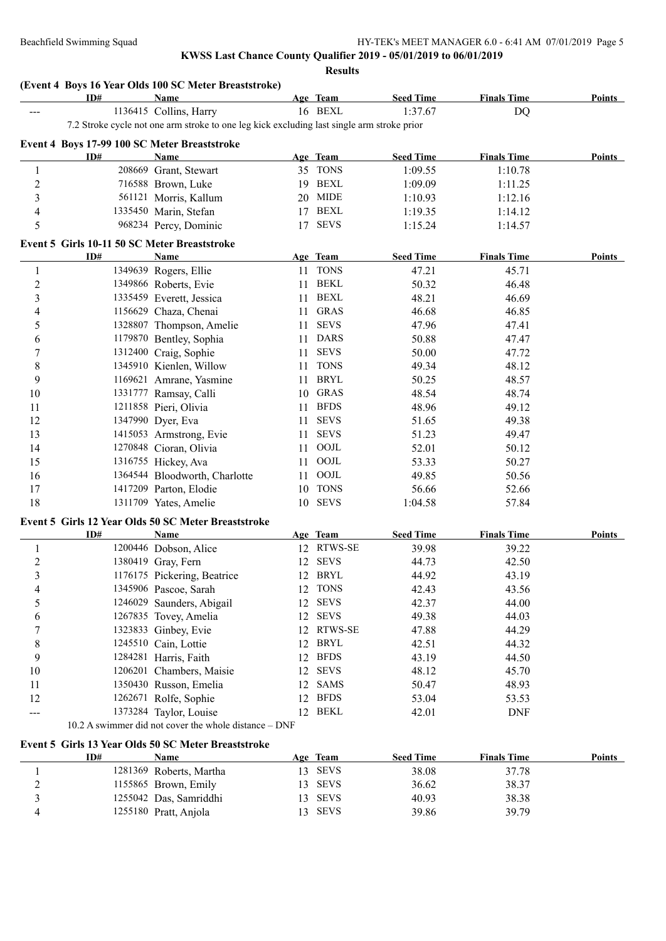**Results**

|                         | ID#                                          | <b>Name</b>                                                                                |    | Age Team    | <b>Seed Time</b> | <b>Finals Time</b> | Points        |
|-------------------------|----------------------------------------------|--------------------------------------------------------------------------------------------|----|-------------|------------------|--------------------|---------------|
| ---                     |                                              | 1136415 Collins, Harry                                                                     |    | 16 BEXL     | 1:37.67          | DQ                 |               |
|                         |                                              | 7.2 Stroke cycle not one arm stroke to one leg kick excluding last single arm stroke prior |    |             |                  |                    |               |
|                         |                                              | Event 4 Boys 17-99 100 SC Meter Breaststroke                                               |    |             |                  |                    |               |
|                         | ID#                                          | <b>Name</b>                                                                                |    | Age Team    | <b>Seed Time</b> | <b>Finals Time</b> | <b>Points</b> |
| 1                       |                                              | 208669 Grant, Stewart                                                                      |    | 35 TONS     | 1:09.55          | 1:10.78            |               |
| $\boldsymbol{2}$        |                                              | 716588 Brown, Luke                                                                         |    | 19 BEXL     | 1:09.09          | 1:11.25            |               |
| $\overline{\mathbf{3}}$ |                                              | 561121 Morris, Kallum                                                                      |    | 20 MIDE     | 1:10.93          | 1:12.16            |               |
| 4                       |                                              | 1335450 Marin, Stefan                                                                      |    | 17 BEXL     | 1:19.35          | 1:14.12            |               |
| 5                       |                                              | 968234 Percy, Dominic                                                                      | 17 | <b>SEVS</b> | 1:15.24          | 1:14.57            |               |
|                         |                                              |                                                                                            |    |             |                  |                    |               |
|                         | Event 5 Girls 10-11 50 SC Meter Breaststroke |                                                                                            |    |             |                  |                    |               |
|                         | ID#                                          | Name                                                                                       |    | Age Team    | <b>Seed Time</b> | <b>Finals Time</b> | Points        |
| 1                       |                                              | 1349639 Rogers, Ellie                                                                      |    | 11 TONS     | 47.21            | 45.71              |               |
| $\overline{c}$          |                                              | 1349866 Roberts, Evie                                                                      | 11 | BEKL        | 50.32            | 46.48              |               |
| 3                       |                                              | 1335459 Everett, Jessica                                                                   |    | 11 BEXL     | 48.21            | 46.69              |               |
| 4                       |                                              | 1156629 Chaza, Chenai                                                                      |    | 11 GRAS     | 46.68            | 46.85              |               |
| 5                       |                                              | 1328807 Thompson, Amelie                                                                   | 11 | <b>SEVS</b> | 47.96            | 47.41              |               |
| 6                       |                                              | 1179870 Bentley, Sophia                                                                    | 11 | <b>DARS</b> | 50.88            | 47.47              |               |
| 7                       |                                              | 1312400 Craig, Sophie                                                                      | 11 | <b>SEVS</b> | 50.00            | 47.72              |               |
| 8                       |                                              | 1345910 Kienlen, Willow                                                                    | 11 | <b>TONS</b> | 49.34            | 48.12              |               |
| 9                       |                                              | 1169621 Amrane, Yasmine                                                                    | 11 | <b>BRYL</b> | 50.25            | 48.57              |               |
| 10                      |                                              | 1331777 Ramsay, Calli                                                                      |    | 10 GRAS     | 48.54            | 48.74              |               |
| 11                      |                                              | 1211858 Pieri, Olivia                                                                      | 11 | <b>BFDS</b> | 48.96            | 49.12              |               |
| 12                      |                                              | 1347990 Dyer, Eva                                                                          | 11 | <b>SEVS</b> | 51.65            | 49.38              |               |
| 13                      |                                              | 1415053 Armstrong, Evie                                                                    | 11 | <b>SEVS</b> | 51.23            | 49.47              |               |
| 14                      |                                              | 1270848 Cioran, Olivia                                                                     | 11 | OOJL        | 52.01            | 50.12              |               |
| 15                      |                                              | 1316755 Hickey, Ava                                                                        |    | 11 OOJL     | 53.33            | 50.27              |               |
| 16                      |                                              | 1364544 Bloodworth, Charlotte                                                              |    | 11 OOJL     | 49.85            | 50.56              |               |
| 17                      |                                              | 1417209 Parton, Elodie                                                                     |    | 10 TONS     | 56.66            | 52.66              |               |
| 18                      |                                              | 1311709 Yates, Amelie                                                                      |    | 10 SEVS     | 1:04.58          | 57.84              |               |
|                         |                                              | Event 5 Girls 12 Year Olds 50 SC Meter Breaststroke                                        |    |             |                  |                    |               |
|                         | ID#                                          | Name                                                                                       |    | Age Team    | <b>Seed Time</b> | <b>Finals Time</b> | <b>Points</b> |
| $\mathbf{1}$            |                                              | 1200446 Dobson, Alice                                                                      |    | 12 RTWS-SE  | 39.98            | 39.22              |               |
| $\overline{c}$          |                                              | 1380419 Gray, Fern                                                                         | 12 | <b>SEVS</b> | 44.73            | 42.50              |               |
| 3                       |                                              | 1176175 Pickering, Beatrice                                                                |    | 12 BRYL     | 44.92            | 43.19              |               |
| 4                       |                                              | 1345906 Pascoe, Sarah                                                                      |    | 12 TONS     | 42.43            | 43.56              |               |
| 5                       |                                              | 1246029 Saunders, Abigail                                                                  | 12 | <b>SEVS</b> | 42.37            | 44.00              |               |
| 6                       |                                              | 1267835 Tovey, Amelia                                                                      |    | 12 SEVS     | 49.38            | 44.03              |               |
| 7                       |                                              | 1323833 Ginbey, Evie                                                                       |    | 12 RTWS-SE  | 47.88            | 44.29              |               |
| 8                       |                                              | 1245510 Cain, Lottie                                                                       |    | 12 BRYL     | 42.51            | 44.32              |               |
| 9                       |                                              | 1284281 Harris, Faith                                                                      |    | 12 BFDS     | 43.19            | 44.50              |               |
| 10                      |                                              | 1206201 Chambers, Maisie                                                                   |    | 12 SEVS     | 48.12            | 45.70              |               |
| 11                      |                                              | 1350430 Russon, Emelia                                                                     |    | 12 SAMS     | 50.47            | 48.93              |               |
| 12                      |                                              | 1262671 Rolfe, Sophie                                                                      | 12 | <b>BFDS</b> | 53.04            | 53.53              |               |
|                         |                                              | 1373284 Taylor, Louise                                                                     |    | 12 BEKL     | 42.01            | <b>DNF</b>         |               |
| ---                     |                                              | 10.2 A swimmer did not cover the whole distance - DNF                                      |    |             |                  |                    |               |
|                         |                                              |                                                                                            |    |             |                  |                    |               |
|                         |                                              | Event 5 Girls 13 Year Olds 50 SC Meter Breaststroke                                        |    |             |                  |                    |               |
|                         | ID#                                          | Name                                                                                       |    | Age Team    | <b>Seed Time</b> | <b>Finals Time</b> | <b>Points</b> |

| LD# | Name                    | Age | Team        | <b>Seed Time</b> | Finals Time | Points |
|-----|-------------------------|-----|-------------|------------------|-------------|--------|
|     | 1281369 Roberts, Martha |     | SEVS        | 38.08            | 37.78       |        |
|     | 1155865 Brown, Emily    |     | 13 SEVS     | 36.62            | 38.37       |        |
|     | 1255042 Das, Samriddhi  |     | 13 SEVS     | 40.93            | 38.38       |        |
|     | 1255180 Pratt, Anjola   |     | <b>SEVS</b> | 39.86            | 39.79       |        |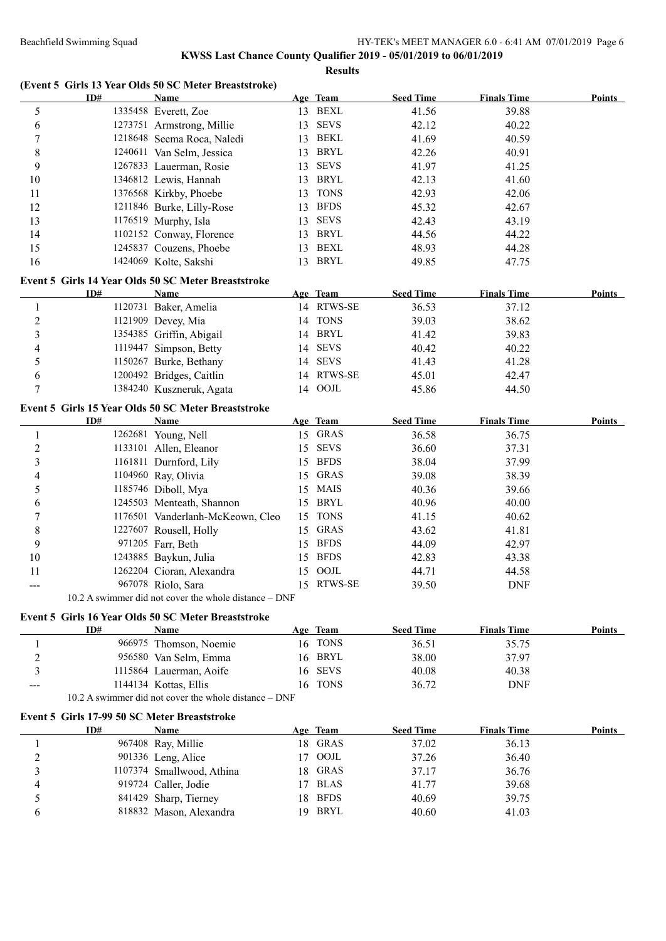# **KWSS Last Chance County Qualifier 2019 - 05/01/2019 to 06/01/2019**

**Results**

|                         | ID#                                          | (Event 5 Girls 13 Year Olds 50 SC Meter Breaststroke)<br><b>Name</b> |    | Age Team               | <b>Seed Time</b> | <b>Finals Time</b> | <b>Points</b> |
|-------------------------|----------------------------------------------|----------------------------------------------------------------------|----|------------------------|------------------|--------------------|---------------|
| 5                       |                                              | 1335458 Everett, Zoe                                                 |    | 13 BEXL                | 41.56            | 39.88              |               |
| 6                       |                                              | 1273751 Armstrong, Millie                                            | 13 | <b>SEVS</b>            | 42.12            | 40.22              |               |
| $\boldsymbol{7}$        |                                              | 1218648 Seema Roca, Naledi                                           | 13 | BEKL                   | 41.69            | 40.59              |               |
| $\,8\,$                 |                                              | 1240611 Van Selm, Jessica                                            | 13 | <b>BRYL</b>            | 42.26            | 40.91              |               |
| 9                       |                                              | 1267833 Lauerman, Rosie                                              | 13 | <b>SEVS</b>            | 41.97            | 41.25              |               |
| 10                      |                                              | 1346812 Lewis, Hannah                                                | 13 | BRYL                   | 42.13            | 41.60              |               |
| 11                      |                                              | 1376568 Kirkby, Phoebe                                               | 13 | <b>TONS</b>            | 42.93            | 42.06              |               |
| 12                      |                                              | 1211846 Burke, Lilly-Rose                                            | 13 | <b>BFDS</b>            | 45.32            | 42.67              |               |
| 13                      |                                              | 1176519 Murphy, Isla                                                 | 13 | <b>SEVS</b>            | 42.43            | 43.19              |               |
| 14                      |                                              | 1102152 Conway, Florence                                             |    | 13 BRYL                | 44.56            | 44.22              |               |
| 15                      |                                              | 1245837 Couzens, Phoebe                                              |    | 13 BEXL                | 48.93            | 44.28              |               |
|                         |                                              |                                                                      |    | 13 BRYL                |                  |                    |               |
| 16                      |                                              | 1424069 Kolte, Sakshi                                                |    |                        | 49.85            | 47.75              |               |
|                         |                                              | Event 5 Girls 14 Year Olds 50 SC Meter Breaststroke                  |    |                        |                  |                    |               |
|                         | ID#                                          | <u>Name</u>                                                          |    | Age Team               | <b>Seed Time</b> | <b>Finals Time</b> | Points        |
| $\mathbf{1}$            |                                              | 1120731 Baker, Amelia                                                |    | 14 RTWS-SE             | 36.53            | 37.12              |               |
| $\overline{c}$          |                                              | 1121909 Devey, Mia                                                   | 14 | <b>TONS</b>            | 39.03            | 38.62              |               |
| 3                       |                                              | 1354385 Griffin, Abigail                                             |    | 14 BRYL                | 41.42            | 39.83              |               |
| 4                       |                                              | 1119447 Simpson, Betty                                               | 14 | <b>SEVS</b>            | 40.42            | 40.22              |               |
| 5                       |                                              | 1150267 Burke, Bethany                                               | 14 | <b>SEVS</b>            | 41.43            | 41.28              |               |
| 6                       |                                              | 1200492 Bridges, Caitlin                                             |    | 14 RTWS-SE             | 45.01            | 42.47              |               |
| 7                       |                                              | 1384240 Kuszneruk, Agata                                             |    | 14 OOJL                | 45.86            | 44.50              |               |
|                         |                                              | Event 5 Girls 15 Year Olds 50 SC Meter Breaststroke                  |    |                        |                  |                    |               |
|                         | ID#                                          | Name                                                                 |    | Age Team               | <b>Seed Time</b> | <b>Finals Time</b> | <b>Points</b> |
| 1                       |                                              | 1262681 Young, Nell                                                  |    | 15 GRAS                | 36.58            | 36.75              |               |
| $\overline{c}$          |                                              | 1133101 Allen, Eleanor                                               | 15 | <b>SEVS</b>            | 36.60            | 37.31              |               |
| $\overline{\mathbf{3}}$ |                                              | 1161811 Durnford, Lily                                               | 15 | <b>BFDS</b>            | 38.04            | 37.99              |               |
| 4                       |                                              | 1104960 Ray, Olivia                                                  | 15 | <b>GRAS</b>            | 39.08            | 38.39              |               |
| 5                       |                                              | 1185746 Diboll, Mya                                                  |    | 15 MAIS                | 40.36            | 39.66              |               |
| 6                       |                                              | 1245503 Menteath, Shannon                                            |    | 15 BRYL                | 40.96            | 40.00              |               |
| 7                       |                                              | 1176501 Vanderlanh-McKeown, Cleo                                     | 15 | <b>TONS</b>            | 41.15            | 40.62              |               |
| 8                       |                                              |                                                                      | 15 | <b>GRAS</b>            | 43.62            | 41.81              |               |
|                         |                                              | 1227607 Rousell, Holly                                               |    | <b>BFDS</b>            |                  |                    |               |
| 9                       |                                              | 971205 Farr, Beth                                                    | 15 |                        | 44.09            | 42.97              |               |
| 10                      |                                              | 1243885 Baykun, Julia                                                | 15 | <b>BFDS</b>            | 42.83            | 43.38              |               |
| 11                      |                                              | 1262204 Cioran, Alexandra                                            |    | 15 OOJL                | 44.71            | 44.58              |               |
| ---                     |                                              | 967078 Riolo, Sara                                                   |    | 15 RTWS-SE             | 39.50            | DNF                |               |
|                         |                                              | 10.2 A swimmer did not cover the whole distance - DNF                |    |                        |                  |                    |               |
|                         |                                              | Event 5 Girls 16 Year Olds 50 SC Meter Breaststroke                  |    |                        |                  |                    |               |
|                         | ID#                                          | Name                                                                 |    | Age Team               | <b>Seed Time</b> | <b>Finals Time</b> | <b>Points</b> |
| 1                       |                                              | 966975 Thomson, Noemie                                               |    | 16 TONS                | 36.51            | 35.75              |               |
| 2                       |                                              | 956580 Van Selm, Emma                                                |    | 16 BRYL                | 38.00            | 37.97              |               |
| 3                       |                                              | 1115864 Lauerman, Aoife                                              | 16 | <b>SEVS</b>            | 40.08            | 40.38              |               |
|                         |                                              | 1144134 Kottas, Ellis                                                |    | 16 TONS                | 36.72            | <b>DNF</b>         |               |
|                         |                                              | 10.2 A swimmer did not cover the whole distance - DNF                |    |                        |                  |                    |               |
|                         | Event 5 Girls 17-99 50 SC Meter Breaststroke |                                                                      |    |                        |                  |                    |               |
|                         | ID#                                          | Name                                                                 |    | Age Team               | <b>Seed Time</b> | <b>Finals Time</b> | Points        |
| 1                       |                                              | 967408 Ray, Millie                                                   |    | 18 GRAS                | 37.02            | 36.13              |               |
| 2                       |                                              | 901336 Leng, Alice                                                   | 17 | OOJL                   | 37.26            | 36.40              |               |
|                         |                                              | 1107374 Smallwood, Athina                                            |    | 18 GRAS                | 37.17            | 36.76              |               |
|                         |                                              | 919724 Caller, Jodie                                                 | 17 | <b>BLAS</b>            | 41.77            | 39.68              |               |
| 3                       |                                              |                                                                      |    |                        | 40.69            | 39.75              |               |
| 4                       |                                              |                                                                      |    |                        |                  |                    |               |
| 5<br>6                  |                                              | 841429 Sharp, Tierney<br>818832 Mason, Alexandra                     | 18 | <b>BFDS</b><br>19 BRYL | 40.60            | 41.03              |               |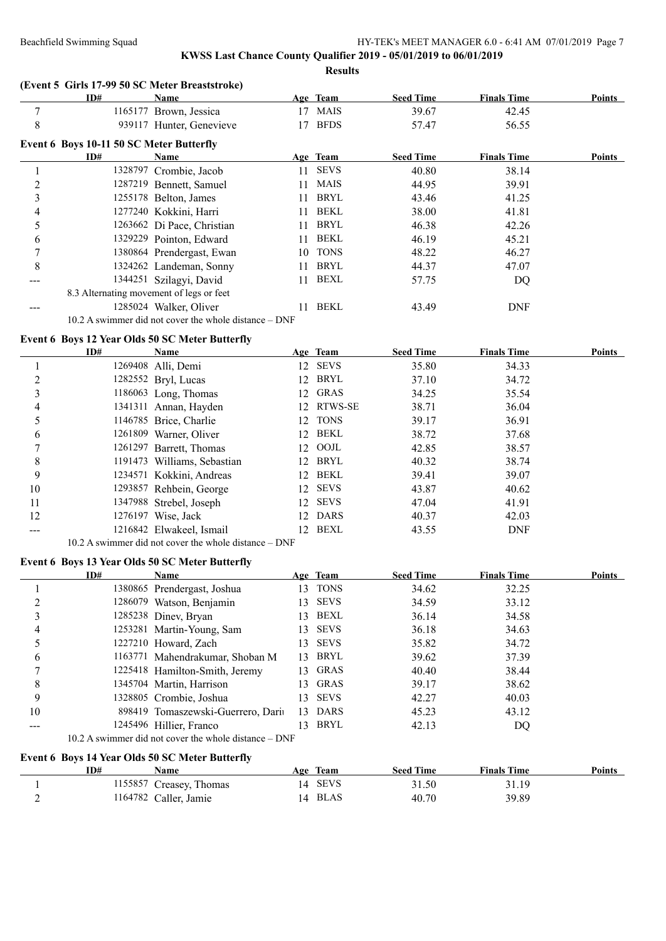## **KWSS Last Chance County Qualifier 2019 - 05/01/2019 to 06/01/2019 Results**

**(Event 5 Girls 17-99 50 SC Meter Breaststroke)**

|                | ID#                                      | Name                                                  |    | Age Team    | <b>Seed Time</b> | <b>Finals Time</b> | <b>Points</b> |
|----------------|------------------------------------------|-------------------------------------------------------|----|-------------|------------------|--------------------|---------------|
|                |                                          | 1165177 Brown, Jessica                                | 17 | <b>MAIS</b> | 39.67            | 42.45              |               |
| 8              |                                          | 939117 Hunter, Genevieve                              |    | <b>BFDS</b> | 57.47            | 56.55              |               |
|                | Event 6 Boys 10-11 50 SC Meter Butterfly |                                                       |    |             |                  |                    |               |
|                | ID#                                      | Name                                                  |    | Age Team    | <b>Seed Time</b> | <b>Finals Time</b> | Points        |
|                |                                          | 1328797 Crombie, Jacob                                | 11 | <b>SEVS</b> | 40.80            | 38.14              |               |
| $\overline{2}$ |                                          | 1287219 Bennett, Samuel                               |    | MAIS        | 44.95            | 39.91              |               |
| 3              |                                          | 1255178 Belton, James                                 | 11 | BRYL        | 43.46            | 41.25              |               |
| 4              |                                          | 1277240 Kokkini, Harri                                | 11 | <b>BEKL</b> | 38.00            | 41.81              |               |
| 5              |                                          | 1263662 Di Pace, Christian                            | 11 | <b>BRYL</b> | 46.38            | 42.26              |               |
| 6              |                                          | 1329229 Pointon, Edward                               | 11 | <b>BEKL</b> | 46.19            | 45.21              |               |
| 7              |                                          | 1380864 Prendergast, Ewan                             | 10 | <b>TONS</b> | 48.22            | 46.27              |               |
| 8              |                                          | 1324262 Landeman, Sonny                               | 11 | BRYL        | 44.37            | 47.07              |               |
|                |                                          | 1344251 Szilagyi, David                               | 11 | BEXL        | 57.75            | DQ                 |               |
|                | 8.3 Alternating movement of legs or feet |                                                       |    |             |                  |                    |               |
|                |                                          | 1285024 Walker, Oliver                                |    | <b>BEKL</b> | 43.49            | <b>DNF</b>         |               |
|                |                                          | 10.2 A swimmer did not cover the whole distance – DNF |    |             |                  |                    |               |

## **Event 6 Boys 12 Year Olds 50 SC Meter Butterfly**

|    | ID# | <b>Name</b>                 |     | Age Team    | <b>Seed Time</b> | <b>Finals Time</b> | Points |
|----|-----|-----------------------------|-----|-------------|------------------|--------------------|--------|
|    |     | 1269408 Alli, Demi          | 12  | SEVS        | 35.80            | 34.33              |        |
|    |     | 1282552 Bryl, Lucas         | 12. | <b>BRYL</b> | 37.10            | 34.72              |        |
|    |     | 1186063 Long, Thomas        | 12  | GRAS        | 34.25            | 35.54              |        |
| 4  |     | 1341311 Annan, Hayden       |     | 12 RTWS-SE  | 38.71            | 36.04              |        |
|    |     | 1146785 Brice, Charlie      | 12  | <b>TONS</b> | 39.17            | 36.91              |        |
| 6  |     | 1261809 Warner, Oliver      | 12  | BEKL        | 38.72            | 37.68              |        |
|    |     | 1261297 Barrett, Thomas     | 12  | OOJL        | 42.85            | 38.57              |        |
| 8  |     | 1191473 Williams, Sebastian | 12  | BRYL        | 40.32            | 38.74              |        |
| 9  |     | 1234571 Kokkini, Andreas    | 12  | BEKL        | 39.41            | 39.07              |        |
| 10 |     | 1293857 Rehbein, George     | 12  | <b>SEVS</b> | 43.87            | 40.62              |        |
| 11 |     | 1347988 Strebel, Joseph     | 12  | <b>SEVS</b> | 47.04            | 41.91              |        |
| 12 |     | 1276197 Wise, Jack          | 12  | <b>DARS</b> | 40.37            | 42.03              |        |
|    |     | 1216842 Elwakeel, Ismail    | 12  | BEXL        | 43.55            | <b>DNF</b>         |        |

10.2 A swimmer did not cover the whole distance – DNF

## **Event 6 Boys 13 Year Olds 50 SC Meter Butterfly**

|    | ID# | <b>Name</b>                                               |     | Age Team    | <b>Seed Time</b> | <b>Finals Time</b> | Points |
|----|-----|-----------------------------------------------------------|-----|-------------|------------------|--------------------|--------|
|    |     | 1380865 Prendergast, Joshua                               | 13. | <b>TONS</b> | 34.62            | 32.25              |        |
| ◠  |     | 1286079 Watson, Benjamin                                  | 13. | <b>SEVS</b> | 34.59            | 33.12              |        |
| 3  |     | 1285238 Diney, Bryan                                      | 13. | BEXL        | 36.14            | 34.58              |        |
| 4  |     | 1253281 Martin-Young, Sam                                 | 13. | <b>SEVS</b> | 36.18            | 34.63              |        |
|    |     | 1227210 Howard, Zach                                      | 13. | <b>SEVS</b> | 35.82            | 34.72              |        |
| 6  |     | 1163771 Mahendrakumar, Shoban M                           | 13. | BRYL        | 39.62            | 37.39              |        |
|    |     | 1225418 Hamilton-Smith, Jeremy                            | 13. | <b>GRAS</b> | 40.40            | 38.44              |        |
| 8  |     | 1345704 Martin, Harrison                                  | 13. | <b>GRAS</b> | 39.17            | 38.62              |        |
| 9  |     | 1328805 Crombie, Joshua                                   | 13. | <b>SEVS</b> | 42.27            | 40.03              |        |
| 10 |     | 898419 Tomaszewski-Guerrero, Dari                         | 13. | <b>DARS</b> | 45.23            | 43.12              |        |
|    |     | 1245496 Hillier, Franco                                   | 13. | <b>BRYL</b> | 42.13            | DQ                 |        |
|    |     | $10.2$ A swimmer did not cover the whole distance $-$ DNF |     |             |                  |                    |        |

## **Event 6 Boys 14 Year Olds 50 SC Meter Butterfly**

| ID# | Name                    | Age           | <b>Team</b> | <b>Seed Time</b> | <b>Finals Time</b> | <b>Points</b> |
|-----|-------------------------|---------------|-------------|------------------|--------------------|---------------|
|     | 1155857 Creasey, Thomas |               | 14 SEVS     | 31.50            | 31.19              |               |
|     | 1164782 Caller, Jamie   | $\mathbf{14}$ | BLAS        | 40.70            | 39.89              |               |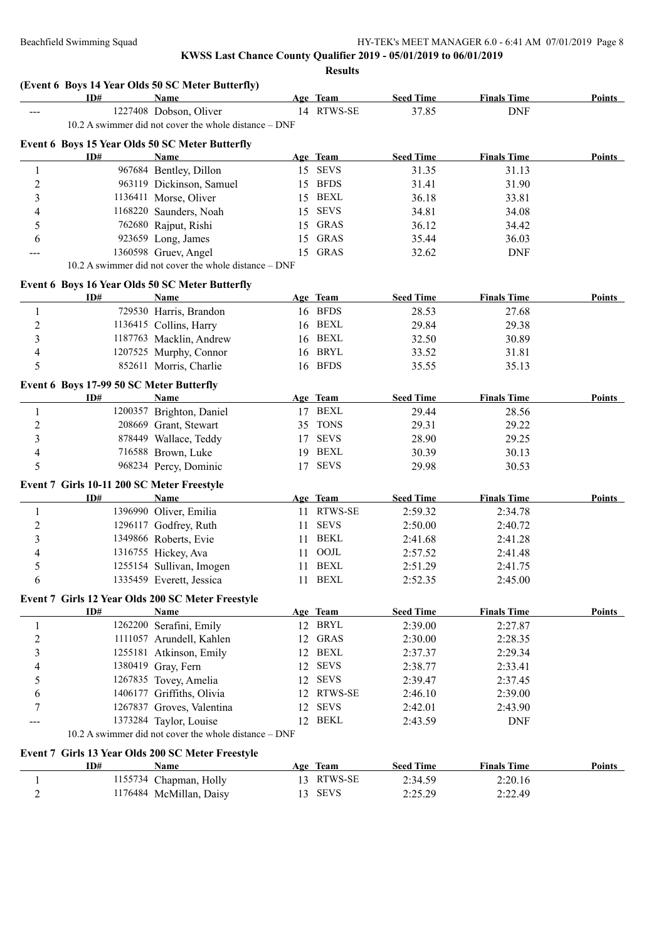**Results**

|                | ID#                                        | <b>Name</b>                                                    |    | Age Team    | <b>Seed Time</b> | <b>Finals Time</b> | Points        |
|----------------|--------------------------------------------|----------------------------------------------------------------|----|-------------|------------------|--------------------|---------------|
| ---            |                                            | 1227408 Dobson, Oliver                                         |    | 14 RTWS-SE  | 37.85            | <b>DNF</b>         |               |
|                |                                            | 10.2 A swimmer did not cover the whole distance - DNF          |    |             |                  |                    |               |
|                |                                            |                                                                |    |             |                  |                    |               |
|                | ID#                                        | Event 6 Boys 15 Year Olds 50 SC Meter Butterfly<br><b>Name</b> |    | Age Team    | <b>Seed Time</b> | <b>Finals Time</b> | <b>Points</b> |
| 1              |                                            | 967684 Bentley, Dillon                                         |    | 15 SEVS     | 31.35            | 31.13              |               |
| $\overline{c}$ |                                            | 963119 Dickinson, Samuel                                       |    | 15 BFDS     | 31.41            | 31.90              |               |
| 3              |                                            | 1136411 Morse, Oliver                                          |    | 15 BEXL     | 36.18            | 33.81              |               |
|                |                                            | 1168220 Saunders, Noah                                         |    | 15 SEVS     |                  |                    |               |
| 4              |                                            |                                                                |    |             | 34.81            | 34.08              |               |
| 5              |                                            | 762680 Rajput, Rishi                                           | 15 | GRAS        | 36.12            | 34.42              |               |
| 6              |                                            | 923659 Long, James                                             | 15 | GRAS        | 35.44            | 36.03              |               |
| ---            |                                            | 1360598 Gruev, Angel                                           |    | 15 GRAS     | 32.62            | <b>DNF</b>         |               |
|                |                                            | 10.2 A swimmer did not cover the whole distance - DNF          |    |             |                  |                    |               |
|                |                                            | Event 6 Boys 16 Year Olds 50 SC Meter Butterfly                |    |             |                  |                    |               |
|                | ID#                                        | Name                                                           |    | Age Team    | <b>Seed Time</b> | <b>Finals Time</b> | Points        |
| 1              |                                            | 729530 Harris, Brandon                                         |    | 16 BFDS     | 28.53            | 27.68              |               |
| 2              |                                            | 1136415 Collins, Harry                                         |    | 16 BEXL     | 29.84            | 29.38              |               |
| 3              |                                            | 1187763 Macklin, Andrew                                        |    | 16 BEXL     | 32.50            | 30.89              |               |
| 4              |                                            | 1207525 Murphy, Connor                                         |    | 16 BRYL     | 33.52            | 31.81              |               |
| 5              |                                            | 852611 Morris, Charlie                                         |    | 16 BFDS     | 35.55            | 35.13              |               |
|                | Event 6 Boys 17-99 50 SC Meter Butterfly   |                                                                |    |             |                  |                    |               |
|                | ID#                                        | Name                                                           |    | Age Team    | <b>Seed Time</b> | <b>Finals Time</b> | Points        |
| 1              |                                            | 1200357 Brighton, Daniel                                       |    | 17 BEXL     | 29.44            | 28.56              |               |
| 2              |                                            | 208669 Grant, Stewart                                          | 35 | <b>TONS</b> | 29.31            | 29.22              |               |
| 3              |                                            | 878449 Wallace, Teddy                                          | 17 | <b>SEVS</b> | 28.90            | 29.25              |               |
| 4              |                                            | 716588 Brown, Luke                                             | 19 | BEXL        | 30.39            | 30.13              |               |
| 5              |                                            | 968234 Percy, Dominic                                          |    | 17 SEVS     | 29.98            | 30.53              |               |
|                |                                            |                                                                |    |             |                  |                    |               |
|                | Event 7 Girls 10-11 200 SC Meter Freestyle |                                                                |    |             |                  |                    |               |
|                | ID#                                        | <b>Name</b>                                                    |    | Age Team    | <b>Seed Time</b> | <b>Finals Time</b> | <b>Points</b> |
| 1              |                                            | 1396990 Oliver, Emilia                                         | 11 | RTWS-SE     | 2:59.32          | 2:34.78            |               |
| 2              |                                            | 1296117 Godfrey, Ruth                                          | 11 | <b>SEVS</b> | 2:50.00          | 2:40.72            |               |
| 3              |                                            | 1349866 Roberts, Evie                                          | 11 | BEKL        | 2:41.68          | 2:41.28            |               |
| 4              |                                            | 1316755 Hickey, Ava                                            | 11 | OOJL        | 2:57.52          | 2:41.48            |               |
| 5              |                                            | 1255154 Sullivan, Imogen                                       | 11 | BEXL        | 2:51.29          | 2:41.75            |               |
| 6              |                                            | 1335459 Everett, Jessica                                       |    | 11 BEXL     | 2:52.35          | 2:45.00            |               |
|                |                                            | Event 7 Girls 12 Year Olds 200 SC Meter Freestyle              |    |             |                  |                    |               |
|                | ID#                                        | Name                                                           |    | Age Team    | <b>Seed Time</b> | <b>Finals Time</b> | <b>Points</b> |
| $\mathbf{1}$   |                                            | 1262200 Serafini, Emily                                        |    | 12 BRYL     | 2:39.00          | 2:27.87            |               |
| $\overline{c}$ |                                            | 1111057 Arundell, Kahlen                                       | 12 | GRAS        | 2:30.00          | 2:28.35            |               |
| 3              |                                            | 1255181 Atkinson, Emily                                        | 12 | BEXL        | 2:37.37          | 2:29.34            |               |
| 4              |                                            | 1380419 Gray, Fern                                             | 12 | <b>SEVS</b> | 2:38.77          | 2:33.41            |               |
| 5              |                                            | 1267835 Tovey, Amelia                                          | 12 | <b>SEVS</b> | 2:39.47          | 2:37.45            |               |
| 6              |                                            | 1406177 Griffiths, Olivia                                      |    | 12 RTWS-SE  | 2:46.10          | 2:39.00            |               |
| 7              |                                            | 1267837 Groves, Valentina                                      | 12 | <b>SEVS</b> | 2:42.01          | 2:43.90            |               |
|                |                                            | 1373284 Taylor, Louise                                         |    | 12 BEKL     | 2:43.59          | <b>DNF</b>         |               |
|                |                                            | 10.2 A swimmer did not cover the whole distance – DNF          |    |             |                  |                    |               |
|                |                                            |                                                                |    |             |                  |                    |               |
|                |                                            | Event 7 Girls 13 Year Olds 200 SC Meter Freestyle              |    |             |                  |                    |               |
|                | ID#                                        | <b>Name</b>                                                    |    | Age Team    | <b>Seed Time</b> | <b>Finals Time</b> | <b>Points</b> |
| 1              |                                            | 1155734 Chapman, Holly                                         |    | 13 RTWS-SE  | 2:34.59          | 2:20.16            |               |
| $\mathfrak{2}$ |                                            | 1176484 McMillan, Daisy                                        |    | 13 SEVS     | 2:25.29          | 2:22.49            |               |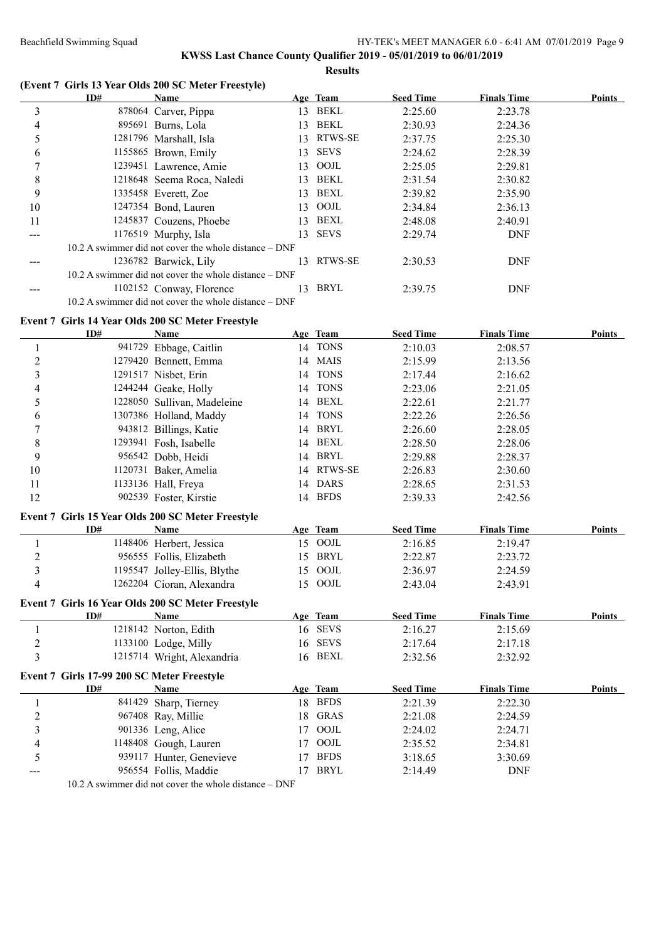# **KWSS Last Chance County Qualifier 2019 - 05/01/2019 to 06/01/2019**

**Results**

|    | ID# | Name                                                      |     | Age Team    | <b>Seed Time</b> | <b>Finals Time</b> | <b>Points</b> |
|----|-----|-----------------------------------------------------------|-----|-------------|------------------|--------------------|---------------|
| 3  |     | 878064 Carver, Pippa                                      | 13. | BEKL        | 2:25.60          | 2:23.78            |               |
| 4  |     | 895691 Burns, Lola                                        | 13. | BEKL        | 2:30.93          | 2:24.36            |               |
| 5  |     | 1281796 Marshall, Isla                                    | 13. | RTWS-SE     | 2:37.75          | 2:25.30            |               |
| 6  |     | 1155865 Brown, Emily                                      | 13. | <b>SEVS</b> | 2:24.62          | 2:28.39            |               |
|    |     | 1239451 Lawrence, Amie                                    | 13. | OOJL        | 2:25.05          | 2:29.81            |               |
| 8  |     | 1218648 Seema Roca, Naledi                                | 13. | BEKL        | 2:31.54          | 2:30.82            |               |
| 9  |     | 1335458 Everett, Zoe                                      | 13. | BEXL        | 2:39.82          | 2:35.90            |               |
| 10 |     | 1247354 Bond, Lauren                                      | 13  | OOJL        | 2:34.84          | 2:36.13            |               |
| 11 |     | 1245837 Couzens, Phoebe                                   | 13. | BEXL        | 2:48.08          | 2:40.91            |               |
|    |     | 1176519 Murphy, Isla                                      | 13. | <b>SEVS</b> | 2:29.74          | <b>DNF</b>         |               |
|    |     | 10.2 A swimmer did not cover the whole distance – DNF     |     |             |                  |                    |               |
|    |     | 1236782 Barwick, Lily                                     | 13  | RTWS-SE     | 2:30.53          | <b>DNF</b>         |               |
|    |     | $10.2$ A swimmer did not cover the whole distance $-$ DNF |     |             |                  |                    |               |
|    |     | 1102152 Conway, Florence                                  | 13. | BRYL        | 2:39.75          | <b>DNF</b>         |               |
|    |     | 10.2 A swimmer did not cover the whole distance – DNF     |     |             |                  |                    |               |
|    |     |                                                           |     |             |                  |                    |               |

## **Event 7 Girls 14 Year Olds 200 SC Meter Freestyle**

|                         | ID#                                        | Name                                              |             | Age Team    | <b>Seed Time</b> | <b>Finals Time</b> | <b>Points</b> |
|-------------------------|--------------------------------------------|---------------------------------------------------|-------------|-------------|------------------|--------------------|---------------|
| 1                       |                                            | 941729 Ebbage, Caitlin                            |             | 14 TONS     | 2:10.03          | 2:08.57            |               |
| $\overline{c}$          |                                            | 1279420 Bennett, Emma                             |             | 14 MAIS     | 2:15.99          | 2:13.56            |               |
| $\overline{3}$          |                                            | 1291517 Nisbet, Erin                              |             | 14 TONS     | 2:17.44          | 2:16.62            |               |
| $\overline{4}$          |                                            | 1244244 Geake, Holly                              |             | 14 TONS     | 2:23.06          | 2:21.05            |               |
| 5                       |                                            | 1228050 Sullivan, Madeleine                       |             | 14 BEXL     | 2:22.61          | 2:21.77            |               |
| 6                       |                                            | 1307386 Holland, Maddy                            |             | 14 TONS     | 2:22.26          | 2:26.56            |               |
| $\overline{7}$          |                                            | 943812 Billings, Katie                            | 14          | <b>BRYL</b> | 2:26.60          | 2:28.05            |               |
| 8                       |                                            | 1293941 Fosh, Isabelle                            | 14          | <b>BEXL</b> | 2:28.50          | 2:28.06            |               |
| 9                       |                                            | 956542 Dobb, Heidi                                |             | 14 BRYL     | 2:29.88          | 2:28.37            |               |
| 10                      |                                            | 1120731 Baker, Amelia                             | 14          | RTWS-SE     | 2:26.83          | 2:30.60            |               |
| 11                      |                                            | 1133136 Hall, Freya                               |             | 14 DARS     | 2:28.65          | 2:31.53            |               |
| 12                      |                                            | 902539 Foster, Kirstie                            |             | 14 BFDS     | 2:39.33          | 2:42.56            |               |
|                         |                                            | Event 7 Girls 15 Year Olds 200 SC Meter Freestyle |             |             |                  |                    |               |
|                         | ID#                                        | Name                                              |             | Age Team    | <b>Seed Time</b> | <b>Finals Time</b> | <b>Points</b> |
| 1                       |                                            | 1148406 Herbert, Jessica                          |             | 15 OOJL     | 2:16.85          | 2:19.47            |               |
| $\overline{c}$          |                                            | 956555 Follis, Elizabeth                          |             | 15 BRYL     | 2:22.87          | 2:23.72            |               |
| $\overline{\mathbf{3}}$ |                                            | 1195547 Jolley-Ellis, Blythe                      |             | 15 OOJL     | 2:36.97          | 2:24.59            |               |
| $\overline{4}$          |                                            | 1262204 Cioran, Alexandra                         |             | 15 OOJL     | 2:43.04          | 2:43.91            |               |
|                         |                                            | Event 7 Girls 16 Year Olds 200 SC Meter Freestyle |             |             |                  |                    |               |
|                         | ID#                                        | Name                                              |             | Age Team    | <b>Seed Time</b> | <b>Finals Time</b> | Points        |
| 1                       |                                            | 1218142 Norton, Edith                             |             | 16 SEVS     | 2:16.27          | 2:15.69            |               |
| $\overline{c}$          |                                            | 1133100 Lodge, Milly                              |             | 16 SEVS     | 2:17.64          | 2:17.18            |               |
| $\overline{3}$          |                                            | 1215714 Wright, Alexandria                        |             | 16 BEXL     | 2:32.56          | 2:32.92            |               |
|                         | Event 7 Girls 17-99 200 SC Meter Freestyle |                                                   |             |             |                  |                    |               |
|                         | ID#                                        | Name                                              |             | Age Team    | <b>Seed Time</b> | <b>Finals Time</b> | Points        |
| 1                       |                                            | 841429 Sharp, Tierney                             |             | 18 BFDS     | 2:21.39          | 2:22.30            |               |
| $\overline{c}$          |                                            | 967408 Ray, Millie                                |             | 18 GRAS     | 2:21.08          | 2:24.59            |               |
| $\overline{\mathbf{3}}$ |                                            | 901336 Leng, Alice                                | 17          | OOJL        | 2:24.02          | 2:24.71            |               |
| $\overline{4}$          |                                            | 1148408 Gough, Lauren                             | 17          | OOJL        | 2:35.52          | 2:34.81            |               |
| 5                       |                                            | 939117 Hunter, Genevieve                          | 17          | <b>BFDS</b> | 3:18.65          | 3:30.69            |               |
|                         |                                            | 956554 Follis, Maddie                             |             | 17 BRYL     | 2:14.49          | <b>DNF</b>         |               |
|                         |                                            |                                                   | <b>DAIR</b> |             |                  |                    |               |

10.2 A swimmer did not cover the whole distance – DNF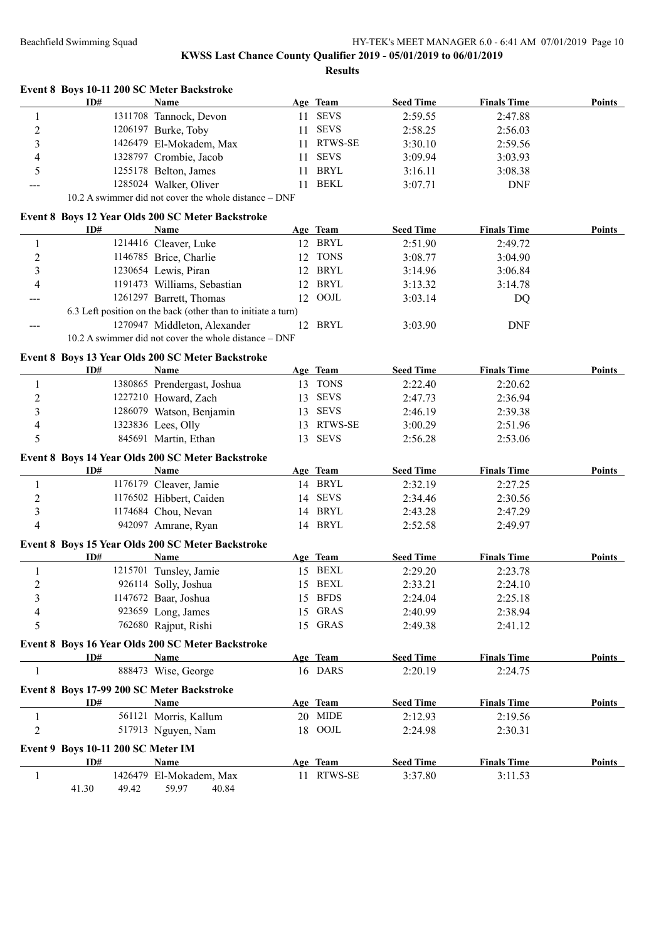|                  | Event 8 Boys 10-11 200 SC Meter Backstroke<br>ID# | <b>Name</b>                                                   |    | Age Team       | <b>Seed Time</b> | <b>Finals Time</b> | <b>Points</b> |
|------------------|---------------------------------------------------|---------------------------------------------------------------|----|----------------|------------------|--------------------|---------------|
| $\mathbf{1}$     |                                                   | 1311708 Tannock, Devon                                        | 11 | <b>SEVS</b>    | 2:59.55          | 2:47.88            |               |
| $\boldsymbol{2}$ |                                                   | 1206197 Burke, Toby                                           | 11 | <b>SEVS</b>    | 2:58.25          | 2:56.03            |               |
| 3                |                                                   | 1426479 El-Mokadem, Max                                       | 11 | <b>RTWS-SE</b> | 3:30.10          | 2:59.56            |               |
| 4                |                                                   | 1328797 Crombie, Jacob                                        | 11 | <b>SEVS</b>    | 3:09.94          | 3:03.93            |               |
| 5                |                                                   | 1255178 Belton, James                                         | 11 | <b>BRYL</b>    | 3:16.11          | 3:08.38            |               |
|                  |                                                   | 1285024 Walker, Oliver                                        | 11 | <b>BEKL</b>    | 3:07.71          | <b>DNF</b>         |               |
|                  |                                                   | 10.2 A swimmer did not cover the whole distance - DNF         |    |                |                  |                    |               |
|                  |                                                   | Event 8 Boys 12 Year Olds 200 SC Meter Backstroke             |    |                |                  |                    |               |
|                  | ID#                                               | Name                                                          |    | Age Team       | <b>Seed Time</b> | <b>Finals Time</b> | <b>Points</b> |
| $\mathbf{1}$     |                                                   | 1214416 Cleaver, Luke                                         |    | 12 BRYL        | 2:51.90          | 2:49.72            |               |
| $\overline{c}$   |                                                   | 1146785 Brice, Charlie                                        |    | 12 TONS        | 3:08.77          | 3:04.90            |               |
| 3                |                                                   | 1230654 Lewis, Piran                                          |    | 12 BRYL        | 3:14.96          | 3:06.84            |               |
| 4                |                                                   | 1191473 Williams, Sebastian                                   |    | 12 BRYL        | 3:13.32          | 3:14.78            |               |
|                  |                                                   | 1261297 Barrett, Thomas                                       |    | 12 OOJL        | 3:03.14          | DQ                 |               |
|                  |                                                   | 6.3 Left position on the back (other than to initiate a turn) |    |                |                  |                    |               |
| ---              |                                                   | 1270947 Middleton, Alexander                                  |    | 12 BRYL        | 3:03.90          | <b>DNF</b>         |               |
|                  |                                                   | 10.2 A swimmer did not cover the whole distance – DNF         |    |                |                  |                    |               |
|                  |                                                   |                                                               |    |                |                  |                    |               |
|                  |                                                   | Event 8 Boys 13 Year Olds 200 SC Meter Backstroke             |    |                |                  |                    |               |
|                  | ID#                                               | Name                                                          |    | Age Team       | <b>Seed Time</b> | <b>Finals Time</b> | <b>Points</b> |
| 1                |                                                   | 1380865 Prendergast, Joshua                                   |    | 13 TONS        | 2:22.40          | 2:20.62            |               |
| $\overline{c}$   |                                                   | 1227210 Howard, Zach                                          | 13 | <b>SEVS</b>    | 2:47.73          | 2:36.94            |               |
| 3                |                                                   | 1286079 Watson, Benjamin                                      | 13 | <b>SEVS</b>    | 2:46.19          | 2:39.38            |               |
| 4                |                                                   | 1323836 Lees, Olly                                            | 13 | RTWS-SE        | 3:00.29          | 2:51.96            |               |
| 5                |                                                   | 845691 Martin, Ethan                                          | 13 | <b>SEVS</b>    | 2:56.28          | 2:53.06            |               |
|                  |                                                   | Event 8 Boys 14 Year Olds 200 SC Meter Backstroke             |    |                |                  |                    |               |
|                  | ID#                                               | Name                                                          |    | Age Team       | <b>Seed Time</b> | <b>Finals Time</b> | <b>Points</b> |
| 1                |                                                   | 1176179 Cleaver, Jamie                                        |    | 14 BRYL        | 2:32.19          | 2:27.25            |               |
| $\overline{c}$   |                                                   | 1176502 Hibbert, Caiden                                       |    | 14 SEVS        | 2:34.46          | 2:30.56            |               |
| 3                |                                                   | 1174684 Chou, Nevan                                           |    | 14 BRYL        | 2:43.28          | 2:47.29            |               |
| 4                |                                                   | 942097 Amrane, Ryan                                           |    | 14 BRYL        | 2:52.58          | 2:49.97            |               |
|                  |                                                   | Event 8 Boys 15 Year Olds 200 SC Meter Backstroke             |    |                |                  |                    |               |
|                  | ID#                                               | Name                                                          |    | Age Team       | <b>Seed Time</b> | <b>Finals Time</b> | Points        |
| 1                |                                                   | 1215701 Tunsley, Jamie                                        |    | 15 BEXL        | 2:29.20          | 2:23.78            |               |
| 2                |                                                   | 926114 Solly, Joshua                                          |    | 15 BEXL        | 2:33.21          | 2:24.10            |               |
| 3                |                                                   | 1147672 Baar, Joshua                                          |    | 15 BFDS        | 2:24.04          | 2:25.18            |               |
| 4                |                                                   | 923659 Long, James                                            |    | 15 GRAS        | 2:40.99          | 2:38.94            |               |
| 5                |                                                   | 762680 Rajput, Rishi                                          |    | 15 GRAS        | 2:49.38          | 2:41.12            |               |
|                  |                                                   |                                                               |    |                |                  |                    |               |
|                  |                                                   | Event 8 Boys 16 Year Olds 200 SC Meter Backstroke             |    |                |                  |                    |               |
|                  | ID#                                               | <b>Name</b>                                                   |    | Age Team       | <b>Seed Time</b> | <b>Finals Time</b> | <b>Points</b> |
| 1                |                                                   | 888473 Wise, George                                           |    | 16 DARS        | 2:20.19          | 2:24.75            |               |
|                  | Event 8 Boys 17-99 200 SC Meter Backstroke        |                                                               |    |                |                  |                    |               |
|                  | ID#                                               | Name                                                          |    | Age Team       | <b>Seed Time</b> | <b>Finals Time</b> | <b>Points</b> |
| 1                |                                                   | 561121 Morris, Kallum                                         |    | 20 MIDE        | 2:12.93          | 2:19.56            |               |
| $\overline{c}$   |                                                   | 517913 Nguyen, Nam                                            |    | 18 OOJL        | 2:24.98          | 2:30.31            |               |
|                  | Event 9 Boys 10-11 200 SC Meter IM                |                                                               |    |                |                  |                    |               |
|                  | ID#                                               | <b>Name</b>                                                   |    | Age Team       | <b>Seed Time</b> | <b>Finals Time</b> | Points        |
|                  |                                                   |                                                               |    |                |                  |                    |               |
| 1                |                                                   | 1426479 El-Mokadem, Max                                       |    | 11 RTWS-SE     | 3:37.80          | 3:11.53            |               |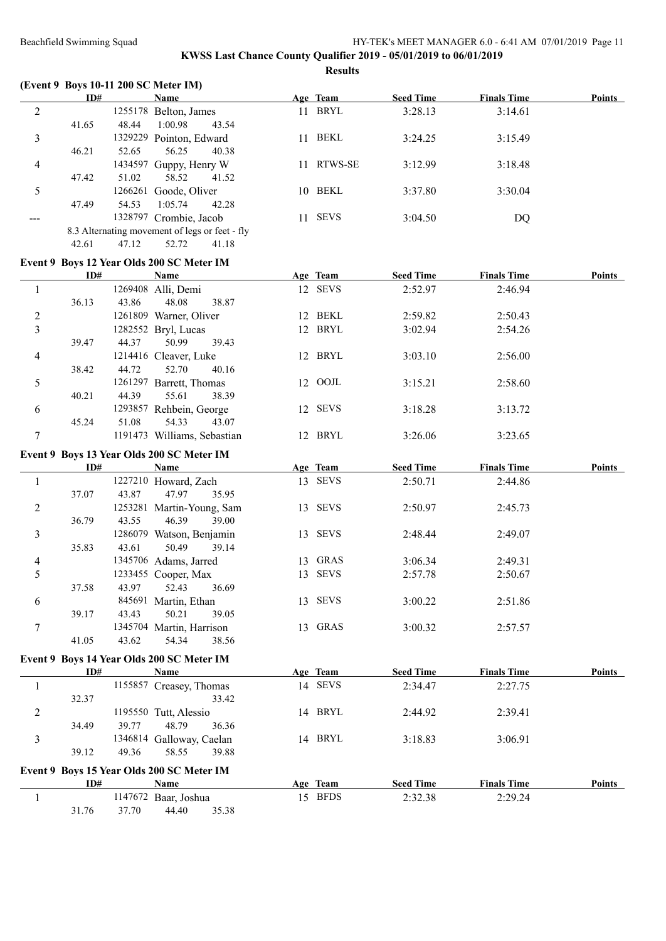|                | ID#   |        | (Event 9 Boys 10-11 200 SC Meter IM)<br>Name   | Age Team   | <b>Seed Time</b> | <b>Finals Time</b> | <b>Points</b> |
|----------------|-------|--------|------------------------------------------------|------------|------------------|--------------------|---------------|
| $\overline{2}$ |       |        | 1255178 Belton, James                          | 11 BRYL    | 3:28.13          | 3:14.61            |               |
|                | 41.65 | 48.44  | 1:00.98<br>43.54                               |            |                  |                    |               |
| 3              |       |        | 1329229 Pointon, Edward                        | 11 BEKL    | 3:24.25          | 3:15.49            |               |
|                | 46.21 | 52.65  | 56.25<br>40.38                                 |            |                  |                    |               |
| 4              |       |        | 1434597 Guppy, Henry W                         | 11 RTWS-SE | 3:12.99          | 3:18.48            |               |
|                | 47.42 | 51.02  | 58.52<br>41.52                                 |            |                  |                    |               |
| 5              |       |        | 1266261 Goode, Oliver                          | 10 BEKL    | 3:37.80          | 3:30.04            |               |
|                | 47.49 | 54.53  | 1:05.74<br>42.28                               |            |                  |                    |               |
| $---$          |       |        | 1328797 Crombie, Jacob                         | 11 SEVS    | 3:04.50          | DQ                 |               |
|                |       |        | 8.3 Alternating movement of legs or feet - fly |            |                  |                    |               |
|                | 42.61 | 47.12  | 52.72<br>41.18                                 |            |                  |                    |               |
|                |       |        |                                                |            |                  |                    |               |
|                |       |        | Event 9 Boys 12 Year Olds 200 SC Meter IM      |            |                  |                    |               |
|                | ID#   |        | <b>Name</b>                                    | Age Team   | <b>Seed Time</b> | <b>Finals Time</b> | Points        |
| $\mathbf{1}$   |       |        | 1269408 Alli, Demi                             | 12 SEVS    | 2:52.97          | 2:46.94            |               |
|                | 36.13 | 43.86  | 48.08<br>38.87                                 |            |                  |                    |               |
| $\overline{c}$ |       |        | 1261809 Warner, Oliver                         | 12 BEKL    | 2:59.82          | 2:50.43            |               |
| 3              |       |        | 1282552 Bryl, Lucas                            | 12 BRYL    | 3:02.94          | 2:54.26            |               |
|                | 39.47 | 44.37  | 50.99<br>39.43                                 |            |                  |                    |               |
| 4              |       |        | 1214416 Cleaver, Luke                          | 12 BRYL    | 3:03.10          | 2:56.00            |               |
|                | 38.42 | 44.72  | 52.70<br>40.16                                 |            |                  |                    |               |
| 5              |       |        | 1261297 Barrett, Thomas                        | 12 OOJL    | 3:15.21          | 2:58.60            |               |
|                | 40.21 | 44.39  | 55.61<br>38.39                                 |            |                  |                    |               |
| 6              |       |        | 1293857 Rehbein, George                        | 12 SEVS    | 3:18.28          | 3:13.72            |               |
|                | 45.24 | 51.08  | 54.33<br>43.07                                 |            |                  |                    |               |
| 7              |       |        | 1191473 Williams, Sebastian                    | 12 BRYL    | 3:26.06          | 3:23.65            |               |
|                |       |        | Event 9 Boys 13 Year Olds 200 SC Meter IM      |            |                  |                    |               |
|                | ID#   |        | <b>Name</b>                                    | Age Team   | <b>Seed Time</b> | <b>Finals Time</b> | Points        |
| $\mathbf{1}$   |       |        | 1227210 Howard, Zach                           | 13 SEVS    | 2:50.71          | 2:44.86            |               |
|                | 37.07 | 43.87  | 47.97<br>35.95                                 |            |                  |                    |               |
| 2              |       |        | 1253281 Martin-Young, Sam                      | 13 SEVS    | 2:50.97          | 2:45.73            |               |
|                | 36.79 | 43.55  | 39.00<br>46.39                                 |            |                  |                    |               |
| 3              |       |        | 1286079 Watson, Benjamin                       | 13 SEVS    | 2:48.44          | 2:49.07            |               |
|                | 35.83 | 43.61  | 50.49<br>39.14                                 |            |                  |                    |               |
| $\overline{4}$ |       |        | 1345706 Adams, Jarred                          | 13 GRAS    | 3:06.34          | 2:49.31            |               |
| 5              |       |        | 1233455 Cooper, Max                            | 13 SEVS    | 2:57.78          | 2:50.67            |               |
|                | 37.58 | 43.97  | 52.43<br>36.69                                 |            |                  |                    |               |
| 6              |       | 845691 | Martin, Ethan                                  | 13 SEVS    | 3:00.22          | 2:51.86            |               |
|                | 39.17 | 43.43  | 50.21<br>39.05                                 |            |                  |                    |               |
| 7              |       |        | 1345704 Martin, Harrison                       | 13 GRAS    | 3:00.32          | 2:57.57            |               |
|                | 41.05 | 43.62  | 54.34<br>38.56                                 |            |                  |                    |               |
|                |       |        | Event 9 Boys 14 Year Olds 200 SC Meter IM      |            |                  |                    |               |
|                | ID#   |        | <b>Name</b>                                    | Age Team   | <b>Seed Time</b> | <b>Finals Time</b> | Points        |
| $\mathbf{1}$   |       |        | 1155857 Creasey, Thomas                        | 14 SEVS    | 2:34.47          | 2:27.75            |               |
|                | 32.37 |        | 33.42                                          |            |                  |                    |               |
| $\overline{2}$ |       |        | 1195550 Tutt, Alessio                          | 14 BRYL    | 2:44.92          | 2:39.41            |               |
|                | 34.49 | 39.77  | 48.79<br>36.36                                 |            |                  |                    |               |
| 3              |       |        | 1346814 Galloway, Caelan                       | 14 BRYL    | 3:18.83          | 3:06.91            |               |
|                | 39.12 | 49.36  | 58.55<br>39.88                                 |            |                  |                    |               |
|                |       |        |                                                |            |                  |                    |               |
|                |       |        | Event 9 Boys 15 Year Olds 200 SC Meter IM      |            |                  |                    |               |
|                | ID#   |        | <b>Name</b>                                    | Age Team   | <b>Seed Time</b> | <b>Finals Time</b> | Points        |
| 1              |       |        | 1147672 Baar, Joshua                           | 15 BFDS    | 2:32.38          | 2:29.24            |               |
|                | 31.76 | 37.70  | 35.38<br>44.40                                 |            |                  |                    |               |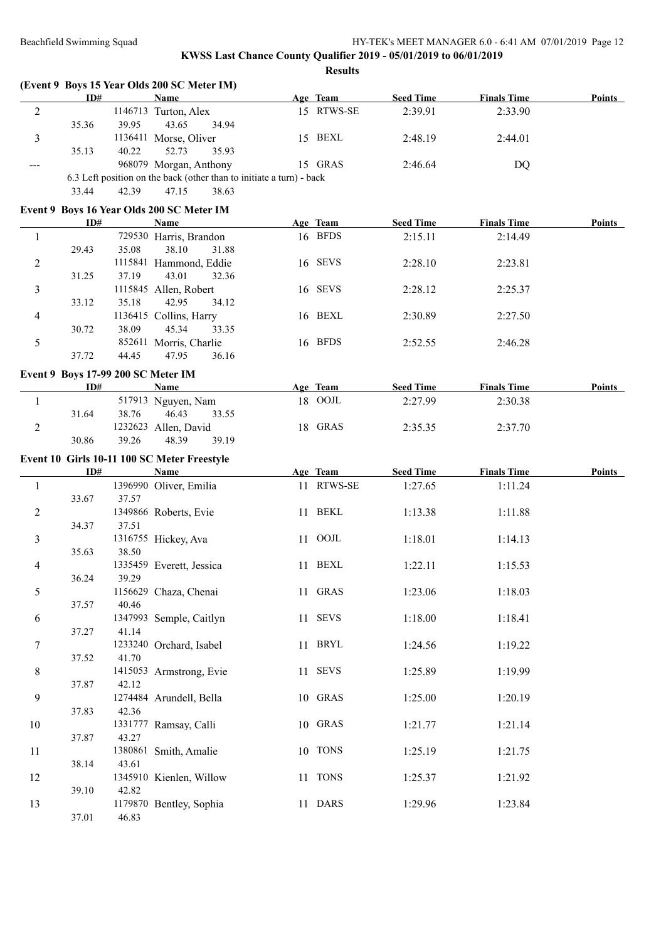|                | ID#                                |       | <b>Name</b>                                                          | Age Team   | <b>Seed Time</b> | <b>Finals Time</b> | <b>Points</b> |
|----------------|------------------------------------|-------|----------------------------------------------------------------------|------------|------------------|--------------------|---------------|
| $\sqrt{2}$     |                                    |       | 1146713 Turton, Alex                                                 | 15 RTWS-SE | 2:39.91          | 2:33.90            |               |
|                | 35.36                              | 39.95 | 43.65<br>34.94                                                       |            |                  |                    |               |
| 3              |                                    |       | 1136411 Morse, Oliver                                                | 15 BEXL    | 2:48.19          | 2:44.01            |               |
|                | 35.13                              | 40.22 | 52.73<br>35.93                                                       |            |                  |                    |               |
| ---            |                                    |       | 968079 Morgan, Anthony                                               | 15 GRAS    | 2:46.64          | <b>DQ</b>          |               |
|                |                                    |       | 6.3 Left position on the back (other than to initiate a turn) - back |            |                  |                    |               |
|                | 33.44                              | 42.39 | 47.15<br>38.63                                                       |            |                  |                    |               |
|                |                                    |       | Event 9 Boys 16 Year Olds 200 SC Meter IM                            |            |                  |                    |               |
|                | ID#                                |       | <b>Name</b>                                                          | Age Team   | <b>Seed Time</b> | <b>Finals Time</b> | <b>Points</b> |
| 1              |                                    |       | 729530 Harris, Brandon                                               | 16 BFDS    | 2:15.11          | 2:14.49            |               |
|                | 29.43                              | 35.08 | 38.10<br>31.88                                                       |            |                  |                    |               |
| $\overline{c}$ |                                    |       | 1115841 Hammond, Eddie                                               | 16 SEVS    | 2:28.10          | 2:23.81            |               |
|                | 31.25                              | 37.19 | 43.01<br>32.36                                                       |            |                  |                    |               |
| 3              |                                    |       | 1115845 Allen, Robert                                                | 16 SEVS    | 2:28.12          | 2:25.37            |               |
|                | 33.12                              | 35.18 | 42.95<br>34.12                                                       |            |                  |                    |               |
| 4              |                                    |       | 1136415 Collins, Harry                                               | 16 BEXL    | 2:30.89          | 2:27.50            |               |
|                | 30.72                              | 38.09 | 45.34<br>33.35                                                       |            |                  |                    |               |
| 5              |                                    |       | 852611 Morris, Charlie                                               | 16 BFDS    | 2:52.55          | 2:46.28            |               |
|                | 37.72                              | 44.45 | 47.95<br>36.16                                                       |            |                  |                    |               |
|                | Event 9 Boys 17-99 200 SC Meter IM |       |                                                                      |            |                  |                    |               |
|                | ID#                                |       | Name                                                                 | Age Team   | <b>Seed Time</b> | <b>Finals Time</b> | <b>Points</b> |
| $\mathbf{1}$   |                                    |       | 517913 Nguyen, Nam                                                   | 18 OOJL    | 2:27.99          | 2:30.38            |               |
|                | 31.64                              | 38.76 | 46.43<br>33.55                                                       |            |                  |                    |               |
| $\overline{2}$ |                                    |       | 1232623 Allen, David                                                 | 18 GRAS    | 2:35.35          | 2:37.70            |               |
|                | 30.86                              | 39.26 | 48.39<br>39.19                                                       |            |                  |                    |               |
|                |                                    |       | Event 10 Girls 10-11 100 SC Meter Freestyle                          |            |                  |                    |               |
|                | ID#                                |       | <b>Name</b>                                                          | Age Team   | <b>Seed Time</b> | <b>Finals Time</b> | <b>Points</b> |
| $\mathbf{1}$   |                                    |       | 1396990 Oliver, Emilia                                               | 11 RTWS-SE | 1:27.65          | 1:11.24            |               |
|                | 33.67                              | 37.57 |                                                                      |            |                  |                    |               |
| 2              |                                    |       | 1349866 Roberts, Evie                                                | 11 BEKL    | 1:13.38          | 1:11.88            |               |
|                | 34.37                              | 37.51 |                                                                      |            |                  |                    |               |
| 3              |                                    |       | 1316755 Hickey, Ava                                                  | 11 OOJL    | 1:18.01          | 1:14.13            |               |
|                | 35.63                              | 38.50 |                                                                      |            |                  |                    |               |
| 4              |                                    |       | 1335459 Everett, Jessica                                             | 11 BEXL    | 1:22.11          | 1:15.53            |               |
|                | 36.24                              | 39.29 |                                                                      |            |                  |                    |               |
| 5              |                                    |       |                                                                      |            |                  |                    |               |
|                |                                    |       |                                                                      | 11 GRAS    |                  |                    |               |
|                | 37.57                              | 40.46 | 1156629 Chaza, Chenai                                                |            | 1:23.06          | 1:18.03            |               |
| 6              |                                    |       | 1347993 Semple, Caitlyn                                              | 11 SEVS    | 1:18.00          | 1:18.41            |               |
|                | 37.27                              | 41.14 |                                                                      |            |                  |                    |               |
| 7              |                                    |       | 1233240 Orchard, Isabel                                              | 11 BRYL    | 1:24.56          | 1:19.22            |               |
|                | 37.52                              | 41.70 |                                                                      |            |                  |                    |               |
| 8              |                                    |       | 1415053 Armstrong, Evie                                              | 11 SEVS    | 1:25.89          | 1:19.99            |               |
|                | 37.87                              | 42.12 |                                                                      |            |                  |                    |               |
| 9              |                                    |       | 1274484 Arundell, Bella                                              | 10 GRAS    | 1:25.00          | 1:20.19            |               |
|                | 37.83                              | 42.36 |                                                                      |            |                  |                    |               |
| 10             |                                    |       | 1331777 Ramsay, Calli                                                | 10 GRAS    | 1:21.77          | 1:21.14            |               |
|                | 37.87                              | 43.27 |                                                                      |            |                  |                    |               |
| 11             |                                    |       | 1380861 Smith, Amalie                                                | 10 TONS    | 1:25.19          | 1:21.75            |               |
|                | 38.14                              | 43.61 |                                                                      |            |                  |                    |               |
| 12             |                                    |       | 1345910 Kienlen, Willow                                              | 11 TONS    | 1:25.37          | 1:21.92            |               |
|                | 39.10                              | 42.82 |                                                                      |            |                  |                    |               |
| 13             | 37.01                              | 46.83 | 1179870 Bentley, Sophia                                              | 11 DARS    | 1:29.96          | 1:23.84            |               |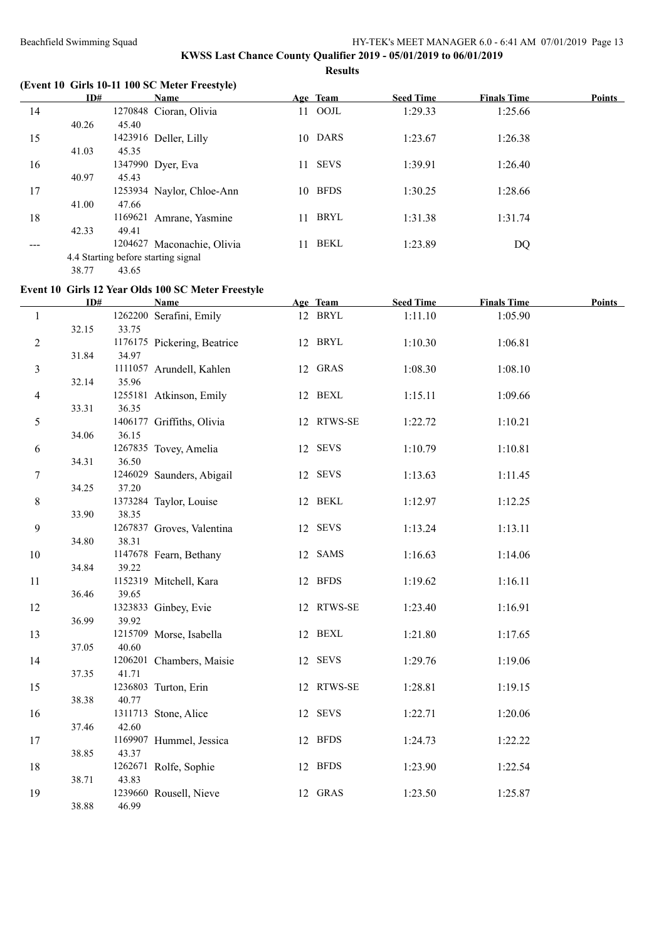# **KWSS Last Chance County Qualifier 2019 - 05/01/2019 to 06/01/2019 Results**

**(Event 10 Girls 10-11 100 SC Meter Freestyle)**

|     | ID#   |         | Name                                |     | Age Team    | <b>Seed Time</b> | <b>Finals Time</b> | <b>Points</b> |
|-----|-------|---------|-------------------------------------|-----|-------------|------------------|--------------------|---------------|
| 14  |       |         | 1270848 Cioran, Olivia              | 11- | OOJL        | 1:29.33          | 1:25.66            |               |
|     | 40.26 | 45.40   |                                     |     |             |                  |                    |               |
| 15  |       |         | 1423916 Deller, Lilly               | 10  | DARS        | 1:23.67          | 1:26.38            |               |
|     | 41.03 | 45.35   |                                     |     |             |                  |                    |               |
| 16  |       |         | 1347990 Dyer, Eva                   | 11  | <b>SEVS</b> | 1:39.91          | 1:26.40            |               |
|     | 40.97 | 45.43   |                                     |     |             |                  |                    |               |
| 17  |       |         | 1253934 Naylor, Chloe-Ann           | 10  | <b>BFDS</b> | 1:30.25          | 1:28.66            |               |
|     | 41.00 | 47.66   |                                     |     |             |                  |                    |               |
| 18  |       | 1169621 | Amrane, Yasmine                     | 11. | BRYL        | 1:31.38          | 1:31.74            |               |
|     | 42.33 | 49.41   |                                     |     |             |                  |                    |               |
| --- |       |         | 1204627 Maconachie, Olivia          | 11  | BEKL        | 1:23.89          | DQ                 |               |
|     |       |         | 4.4 Starting before starting signal |     |             |                  |                    |               |
|     |       |         |                                     |     |             |                  |                    |               |

38.77 43.65

# **Event 10 Girls 12 Year Olds 100 SC Meter Freestyle**

|                | ID#   |       | <b>Name</b>                 | Age Team   | <b>Seed Time</b> | <b>Finals Time</b> | Points |
|----------------|-------|-------|-----------------------------|------------|------------------|--------------------|--------|
| $\mathbf{1}$   |       |       | 1262200 Serafini, Emily     | 12 BRYL    | 1:11.10          | 1:05.90            |        |
|                | 32.15 | 33.75 |                             |            |                  |                    |        |
| $\overline{c}$ |       |       | 1176175 Pickering, Beatrice | 12 BRYL    | 1:10.30          | 1:06.81            |        |
|                | 31.84 | 34.97 |                             |            |                  |                    |        |
| 3              |       |       | 1111057 Arundell, Kahlen    | 12 GRAS    | 1:08.30          | 1:08.10            |        |
|                | 32.14 | 35.96 |                             |            |                  |                    |        |
| $\overline{4}$ |       |       | 1255181 Atkinson, Emily     | 12 BEXL    | 1:15.11          | 1:09.66            |        |
|                | 33.31 | 36.35 |                             |            |                  |                    |        |
| 5              |       |       | 1406177 Griffiths, Olivia   | 12 RTWS-SE | 1:22.72          | 1:10.21            |        |
|                | 34.06 | 36.15 |                             |            |                  |                    |        |
| 6              |       |       | 1267835 Tovey, Amelia       | 12 SEVS    | 1:10.79          | 1:10.81            |        |
|                | 34.31 | 36.50 |                             |            |                  |                    |        |
| 7              |       |       | 1246029 Saunders, Abigail   | 12 SEVS    | 1:13.63          | 1:11.45            |        |
|                | 34.25 | 37.20 |                             |            |                  |                    |        |
| $\,8\,$        |       |       | 1373284 Taylor, Louise      | 12 BEKL    | 1:12.97          | 1:12.25            |        |
|                | 33.90 | 38.35 |                             |            |                  |                    |        |
| 9              |       |       | 1267837 Groves, Valentina   | 12 SEVS    | 1:13.24          | 1:13.11            |        |
|                | 34.80 | 38.31 |                             |            |                  |                    |        |
| 10             |       |       | 1147678 Fearn, Bethany      | 12 SAMS    | 1:16.63          | 1:14.06            |        |
|                | 34.84 | 39.22 |                             |            |                  |                    |        |
| 11             |       |       | 1152319 Mitchell, Kara      | 12 BFDS    | 1:19.62          | 1:16.11            |        |
|                | 36.46 | 39.65 | 1323833 Ginbey, Evie        | 12 RTWS-SE |                  |                    |        |
| 12             | 36.99 | 39.92 |                             |            | 1:23.40          | 1:16.91            |        |
| 13             |       |       | 1215709 Morse, Isabella     | 12 BEXL    | 1:21.80          | 1:17.65            |        |
|                | 37.05 | 40.60 |                             |            |                  |                    |        |
| 14             |       |       | 1206201 Chambers, Maisie    | 12 SEVS    | 1:29.76          | 1:19.06            |        |
|                | 37.35 | 41.71 |                             |            |                  |                    |        |
| 15             |       |       | 1236803 Turton, Erin        | 12 RTWS-SE | 1:28.81          | 1:19.15            |        |
|                | 38.38 | 40.77 |                             |            |                  |                    |        |
| 16             |       |       | 1311713 Stone, Alice        | 12 SEVS    | 1:22.71          | 1:20.06            |        |
|                | 37.46 | 42.60 |                             |            |                  |                    |        |
| 17             |       |       | 1169907 Hummel, Jessica     | 12 BFDS    | 1:24.73          | 1:22.22            |        |
|                | 38.85 | 43.37 |                             |            |                  |                    |        |
| 18             |       |       | 1262671 Rolfe, Sophie       | 12 BFDS    | 1:23.90          | 1:22.54            |        |
|                | 38.71 | 43.83 |                             |            |                  |                    |        |
| 19             |       |       | 1239660 Rousell, Nieve      | 12 GRAS    | 1:23.50          | 1:25.87            |        |
|                | 38.88 | 46.99 |                             |            |                  |                    |        |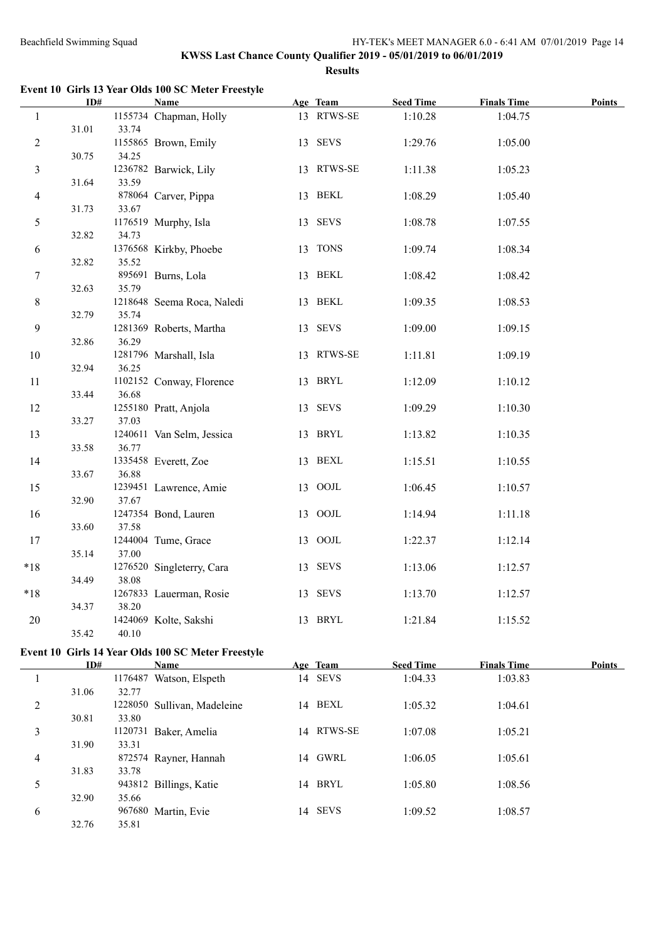**Event 10 Girls 13 Year Olds 100 SC Meter Freestyle**

|                  | ID#   |       | <b>Name</b>                | Age Team   | <b>Seed Time</b> | <b>Finals Time</b> | <b>Points</b> |
|------------------|-------|-------|----------------------------|------------|------------------|--------------------|---------------|
| $\mathbf{1}$     |       |       | 1155734 Chapman, Holly     | 13 RTWS-SE | 1:10.28          | 1:04.75            |               |
|                  | 31.01 | 33.74 |                            |            |                  |                    |               |
| $\sqrt{2}$       |       |       | 1155865 Brown, Emily       | 13 SEVS    | 1:29.76          | 1:05.00            |               |
|                  | 30.75 | 34.25 |                            |            |                  |                    |               |
| $\mathfrak{Z}$   |       |       | 1236782 Barwick, Lily      | 13 RTWS-SE | 1:11.38          | 1:05.23            |               |
|                  | 31.64 | 33.59 |                            |            |                  |                    |               |
| $\overline{4}$   |       |       | 878064 Carver, Pippa       | 13 BEKL    | 1:08.29          | 1:05.40            |               |
|                  | 31.73 | 33.67 |                            |            |                  |                    |               |
| $\sqrt{5}$       |       |       | 1176519 Murphy, Isla       | 13 SEVS    | 1:08.78          | 1:07.55            |               |
|                  | 32.82 | 34.73 |                            |            |                  |                    |               |
| 6                |       |       | 1376568 Kirkby, Phoebe     | 13 TONS    | 1:09.74          | 1:08.34            |               |
|                  | 32.82 | 35.52 |                            |            |                  |                    |               |
| $\tau$           |       |       | 895691 Burns, Lola         | 13 BEKL    | 1:08.42          | 1:08.42            |               |
|                  | 32.63 | 35.79 |                            |            |                  |                    |               |
| 8                |       |       | 1218648 Seema Roca, Naledi | 13 BEKL    | 1:09.35          | 1:08.53            |               |
|                  | 32.79 | 35.74 |                            |            |                  |                    |               |
| $\boldsymbol{9}$ |       |       | 1281369 Roberts, Martha    | 13 SEVS    | 1:09.00          | 1:09.15            |               |
|                  | 32.86 | 36.29 |                            |            |                  |                    |               |
| 10               |       |       | 1281796 Marshall, Isla     | 13 RTWS-SE | 1:11.81          | 1:09.19            |               |
|                  | 32.94 | 36.25 |                            |            |                  |                    |               |
| 11               |       |       | 1102152 Conway, Florence   | 13 BRYL    | 1:12.09          | 1:10.12            |               |
|                  | 33.44 | 36.68 |                            |            |                  |                    |               |
| 12               | 33.27 | 37.03 | 1255180 Pratt, Anjola      | 13 SEVS    | 1:09.29          | 1:10.30            |               |
|                  |       |       |                            | 13 BRYL    |                  |                    |               |
| 13               | 33.58 | 36.77 | 1240611 Van Selm, Jessica  |            | 1:13.82          | 1:10.35            |               |
| 14               |       |       | 1335458 Everett, Zoe       | 13 BEXL    | 1:15.51          | 1:10.55            |               |
|                  | 33.67 | 36.88 |                            |            |                  |                    |               |
| 15               |       |       | 1239451 Lawrence, Amie     | 13 OOJL    | 1:06.45          | 1:10.57            |               |
|                  | 32.90 | 37.67 |                            |            |                  |                    |               |
| 16               |       |       | 1247354 Bond, Lauren       | 13 OOJL    | 1:14.94          | 1:11.18            |               |
|                  | 33.60 | 37.58 |                            |            |                  |                    |               |
| 17               |       |       | 1244004 Tume, Grace        | 13 OOJL    | 1:22.37          | 1:12.14            |               |
|                  | 35.14 | 37.00 |                            |            |                  |                    |               |
| $*18$            |       |       | 1276520 Singleterry, Cara  | 13 SEVS    | 1:13.06          | 1:12.57            |               |
|                  | 34.49 | 38.08 |                            |            |                  |                    |               |
| $*18$            |       |       | 1267833 Lauerman, Rosie    | 13 SEVS    | 1:13.70          | 1:12.57            |               |
|                  | 34.37 | 38.20 |                            |            |                  |                    |               |
| 20               |       |       | 1424069 Kolte, Sakshi      | 13 BRYL    | 1:21.84          | 1:15.52            |               |
|                  | 35.42 | 40.10 |                            |            |                  |                    |               |

## **Event 10 Girls 14 Year Olds 100 SC Meter Freestyle**

|                | ID#   |         | <b>Name</b>                 | Age Team   | <b>Seed Time</b> | <b>Finals Time</b> | Points |
|----------------|-------|---------|-----------------------------|------------|------------------|--------------------|--------|
|                |       | 1176487 | Watson, Elspeth             | 14 SEVS    | 1:04.33          | 1:03.83            |        |
|                | 31.06 | 32.77   |                             |            |                  |                    |        |
| 2              |       |         | 1228050 Sullivan, Madeleine | 14 BEXL    | 1:05.32          | 1:04.61            |        |
|                | 30.81 | 33.80   |                             |            |                  |                    |        |
| 3              |       | 1120731 | Baker, Amelia               | 14 RTWS-SE | 1:07.08          | 1:05.21            |        |
|                | 31.90 | 33.31   |                             |            |                  |                    |        |
| $\overline{4}$ |       |         | 872574 Rayner, Hannah       | 14 GWRL    | 1:06.05          | 1:05.61            |        |
|                | 31.83 | 33.78   |                             |            |                  |                    |        |
| 5              |       |         | 943812 Billings, Katie      | 14 BRYL    | 1:05.80          | 1:08.56            |        |
|                | 32.90 | 35.66   |                             |            |                  |                    |        |
| 6              |       |         | 967680 Martin, Evie         | 14 SEVS    | 1:09.52          | 1:08.57            |        |
|                | 32.76 | 35.81   |                             |            |                  |                    |        |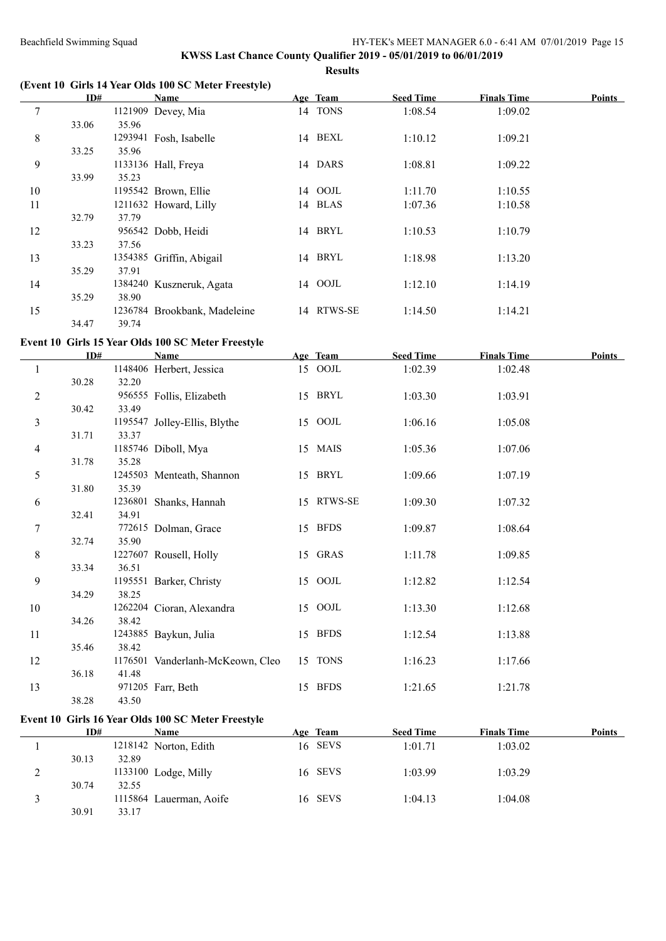# **KWSS Last Chance County Qualifier 2019 - 05/01/2019 to 06/01/2019 Results**

#### **(Event 10 Girls 14 Year Olds 100 SC Meter Freestyle)**

|    | ID#   |         | Name                         | Age Team   | <b>Seed Time</b> | <b>Finals Time</b> | <b>Points</b> |
|----|-------|---------|------------------------------|------------|------------------|--------------------|---------------|
| 7  |       | 1121909 | Devey, Mia                   | 14 TONS    | 1:08.54          | 1:09.02            |               |
|    | 33.06 | 35.96   |                              |            |                  |                    |               |
| 8  |       |         | 1293941 Fosh, Isabelle       | 14 BEXL    | 1:10.12          | 1:09.21            |               |
|    | 33.25 | 35.96   |                              |            |                  |                    |               |
| 9  |       |         | 1133136 Hall, Freya          | 14 DARS    | 1:08.81          | 1:09.22            |               |
|    | 33.99 | 35.23   |                              |            |                  |                    |               |
| 10 |       |         | 1195542 Brown, Ellie         | 14 OOJL    | 1:11.70          | 1:10.55            |               |
| 11 |       |         | 1211632 Howard, Lilly        | 14 BLAS    | 1:07.36          | 1:10.58            |               |
|    | 32.79 | 37.79   |                              |            |                  |                    |               |
| 12 |       |         | 956542 Dobb, Heidi           | 14 BRYL    | 1:10.53          | 1:10.79            |               |
|    | 33.23 | 37.56   |                              |            |                  |                    |               |
| 13 |       |         | 1354385 Griffin, Abigail     | 14 BRYL    | 1:18.98          | 1:13.20            |               |
|    | 35.29 | 37.91   |                              |            |                  |                    |               |
| 14 |       |         | 1384240 Kuszneruk, Agata     | 14 OOJL    | 1:12.10          | 1:14.19            |               |
|    | 35.29 | 38.90   |                              |            |                  |                    |               |
| 15 |       |         | 1236784 Brookbank, Madeleine | 14 RTWS-SE | 1:14.50          | 1:14.21            |               |
|    | 34.47 | 39.74   |                              |            |                  |                    |               |

# **Event 10 Girls 15 Year Olds 100 SC Meter Freestyle**

|                | ID#   |       | <b>Name</b>                      | Age Team   | <b>Seed Time</b> | <b>Finals Time</b> | <b>Points</b> |
|----------------|-------|-------|----------------------------------|------------|------------------|--------------------|---------------|
| -1             |       |       | 1148406 Herbert, Jessica         | 15 OOJL    | 1:02.39          | 1:02.48            |               |
|                | 30.28 | 32.20 |                                  |            |                  |                    |               |
| $\overline{2}$ |       |       | 956555 Follis, Elizabeth         | 15 BRYL    | 1:03.30          | 1:03.91            |               |
|                | 30.42 | 33.49 |                                  |            |                  |                    |               |
| 3              |       |       | 1195547 Jolley-Ellis, Blythe     | 15 OOJL    | 1:06.16          | 1:05.08            |               |
|                | 31.71 | 33.37 |                                  |            |                  |                    |               |
| $\overline{4}$ |       |       | 1185746 Diboll, Mya              | 15 MAIS    | 1:05.36          | 1:07.06            |               |
|                | 31.78 | 35.28 |                                  |            |                  |                    |               |
| 5              |       |       | 1245503 Menteath, Shannon        | 15 BRYL    | 1:09.66          | 1:07.19            |               |
|                | 31.80 | 35.39 |                                  |            |                  |                    |               |
| 6              |       |       | 1236801 Shanks, Hannah           | 15 RTWS-SE | 1:09.30          | 1:07.32            |               |
|                | 32.41 | 34.91 |                                  |            |                  |                    |               |
| 7              |       |       | 772615 Dolman, Grace             | 15 BFDS    | 1:09.87          | 1:08.64            |               |
|                | 32.74 | 35.90 |                                  |            |                  |                    |               |
| 8              |       |       | 1227607 Rousell, Holly           | 15 GRAS    | 1:11.78          | 1:09.85            |               |
|                | 33.34 | 36.51 |                                  |            |                  |                    |               |
| 9              |       |       | 1195551 Barker, Christy          | 15 OOJL    | 1:12.82          | 1:12.54            |               |
|                | 34.29 | 38.25 |                                  |            |                  |                    |               |
| 10             |       |       | 1262204 Cioran, Alexandra        | 15 OOJL    | 1:13.30          | 1:12.68            |               |
|                | 34.26 | 38.42 |                                  |            |                  |                    |               |
| 11             |       |       | 1243885 Baykun, Julia            | 15 BFDS    | 1:12.54          | 1:13.88            |               |
|                | 35.46 | 38.42 |                                  |            |                  |                    |               |
| 12             |       |       | 1176501 Vanderlanh-McKeown, Cleo | 15 TONS    | 1:16.23          | 1:17.66            |               |
|                | 36.18 | 41.48 |                                  |            |                  |                    |               |
| 13             |       |       | 971205 Farr, Beth                | 15 BFDS    | 1:21.65          | 1:21.78            |               |
|                | 38.28 | 43.50 |                                  |            |                  |                    |               |

# **Event 10 Girls 16 Year Olds 100 SC Meter Freestyle**

|   | ID#   |       | Name                    | Age Team | <b>Seed Time</b> | <b>Finals Time</b> | <b>Points</b> |
|---|-------|-------|-------------------------|----------|------------------|--------------------|---------------|
|   |       |       | 1218142 Norton, Edith   | 16 SEVS  | 1:01.71          | 1:03.02            |               |
|   | 30.13 | 32.89 |                         |          |                  |                    |               |
| ∠ |       |       | $1133100$ Lodge, Milly  | 16 SEVS  | 1:03.99          | 1:03.29            |               |
|   | 30.74 | 32.55 |                         |          |                  |                    |               |
|   |       |       | 1115864 Lauerman, Aoife | 16 SEVS  | 1:04.13          | 1:04.08            |               |
|   | 30.91 | 33.17 |                         |          |                  |                    |               |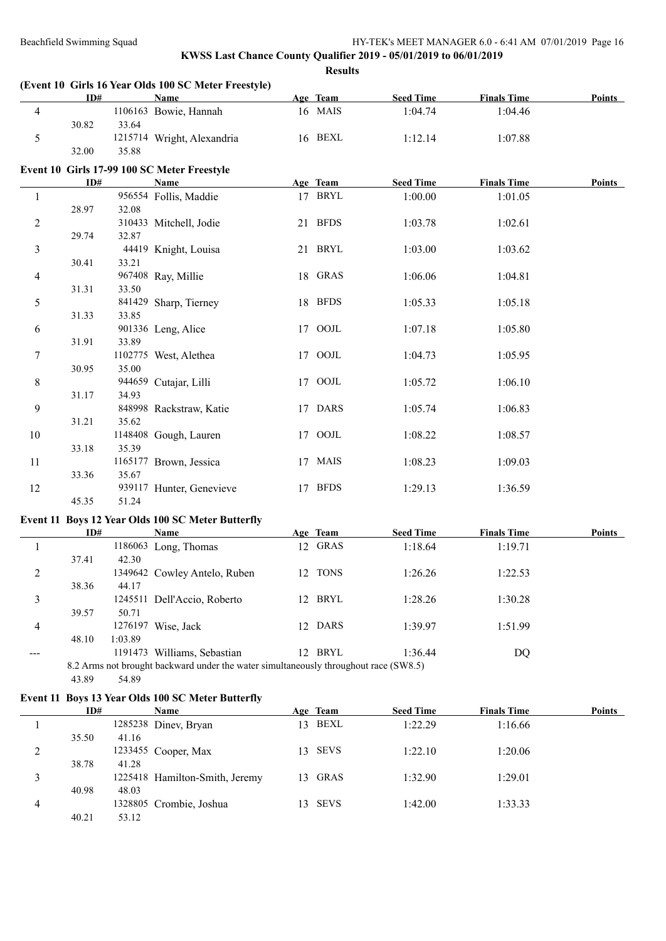# **KWSS Last Chance County Qualifier 2019 - 05/01/2019 to 06/01/2019 Results**

|                |       |         | (Event 10 Girls 16 Year Olds 100 SC Meter Freestyle) |          |                  |                    |        |
|----------------|-------|---------|------------------------------------------------------|----------|------------------|--------------------|--------|
|                | ID#   |         | Name                                                 | Age Team | <b>Seed Time</b> | <b>Finals Time</b> | Points |
| $\overline{4}$ |       |         | 1106163 Bowie, Hannah                                | 16 MAIS  | 1:04.74          | 1:04.46            |        |
|                | 30.82 | 33.64   |                                                      |          |                  |                    |        |
| $\sqrt{5}$     |       |         | 1215714 Wright, Alexandria                           | 16 BEXL  | 1:12.14          | 1:07.88            |        |
|                | 32.00 | 35.88   |                                                      |          |                  |                    |        |
|                |       |         | Event 10 Girls 17-99 100 SC Meter Freestyle          |          |                  |                    |        |
|                | ID#   |         | <b>Name</b>                                          | Age Team | <b>Seed Time</b> | <b>Finals Time</b> | Points |
| $\mathbf{1}$   |       |         | 956554 Follis, Maddie                                | 17 BRYL  | 1:00.00          | 1:01.05            |        |
|                | 28.97 | 32.08   |                                                      |          |                  |                    |        |
| $\overline{2}$ |       |         | 310433 Mitchell, Jodie                               | 21 BFDS  | 1:03.78          | 1:02.61            |        |
|                | 29.74 | 32.87   |                                                      |          |                  |                    |        |
| 3              |       |         | 44419 Knight, Louisa                                 | 21 BRYL  | 1:03.00          | 1:03.62            |        |
|                | 30.41 | 33.21   |                                                      |          |                  |                    |        |
| $\overline{4}$ |       |         | 967408 Ray, Millie                                   | 18 GRAS  | 1:06.06          | 1:04.81            |        |
|                | 31.31 | 33.50   |                                                      |          |                  |                    |        |
| 5              |       |         | 841429 Sharp, Tierney                                | 18 BFDS  | 1:05.33          | 1:05.18            |        |
|                | 31.33 | 33.85   |                                                      |          |                  |                    |        |
| 6              |       |         | 901336 Leng, Alice                                   | 17 OOJL  | 1:07.18          | 1:05.80            |        |
|                | 31.91 | 33.89   |                                                      |          |                  |                    |        |
| $\tau$         |       |         | 1102775 West, Alethea                                | 17 OOJL  | 1:04.73          | 1:05.95            |        |
|                | 30.95 | 35.00   |                                                      |          |                  |                    |        |
| 8              |       |         | 944659 Cutajar, Lilli                                | 17 OOJL  | 1:05.72          | 1:06.10            |        |
|                | 31.17 | 34.93   |                                                      |          |                  |                    |        |
| $\mathfrak{g}$ |       |         | 848998 Rackstraw, Katie                              | 17 DARS  | 1:05.74          | 1:06.83            |        |
|                | 31.21 | 35.62   |                                                      |          |                  |                    |        |
| 10             |       |         | 1148408 Gough, Lauren                                | 17 OOJL  | 1:08.22          | 1:08.57            |        |
|                | 33.18 | 35.39   |                                                      |          |                  |                    |        |
| 11             |       |         | 1165177 Brown, Jessica                               | 17 MAIS  | 1:08.23          | 1:09.03            |        |
|                | 33.36 | 35.67   |                                                      |          |                  |                    |        |
| 12             |       |         | 939117 Hunter, Genevieve                             | 17 BFDS  | 1:29.13          | 1:36.59            |        |
|                | 45.35 | 51.24   |                                                      |          |                  |                    |        |
|                |       |         | Event 11 Boys 12 Year Olds 100 SC Meter Butterfly    |          |                  |                    |        |
|                | ID#   |         | <b>Name</b>                                          | Age Team | <b>Seed Time</b> | <b>Finals Time</b> | Points |
| $\mathbf{1}$   |       |         | 1186063 Long, Thomas                                 | 12 GRAS  | 1:18.64          | 1:19.71            |        |
|                | 37.41 | 42.30   |                                                      |          |                  |                    |        |
| $\overline{2}$ |       |         | 1349642 Cowley Antelo, Ruben                         | 12 TONS  | 1:26.26          | 1:22.53            |        |
|                | 38.36 | 44.17   |                                                      |          |                  |                    |        |
| 3              |       |         | 1245511 Dell'Accio, Roberto                          | 12 BRYL  | 1:28.26          | 1:30.28            |        |
|                | 39.57 | 50.71   |                                                      |          |                  |                    |        |
| $\overline{4}$ |       |         | 1276197 Wise, Jack                                   | 12 DARS  | 1:39.97          | 1:51.99            |        |
|                | 48.10 | 1:03.89 |                                                      |          |                  |                    |        |
|                |       |         | 1191473 Williams, Sebastian                          | 12 BRYL  | 1:36.44          | <b>DQ</b>          |        |

8.2 Arms not brought backward under the water simultaneously throughout race (SW8.5)

# 43.89 54.89

# **Event 11 Boys 13 Year Olds 100 SC Meter Butterfly**

|   | ID#   |       | <b>Name</b>                    |        | Age Team    | <b>Seed Time</b> | <b>Finals Time</b> | <b>Points</b> |
|---|-------|-------|--------------------------------|--------|-------------|------------------|--------------------|---------------|
|   |       |       | 1285238 Diney, Bryan           | 13.    | BEXL        | 1:22.29          | 1:16.66            |               |
|   | 35.50 | 41.16 |                                |        |             |                  |                    |               |
|   |       |       | 1233455 Cooper, Max            |        | 13 SEVS     | 1:22.10          | 1:20.06            |               |
|   | 38.78 | 41.28 |                                |        |             |                  |                    |               |
|   |       |       | 1225418 Hamilton-Smith, Jeremy | $13 -$ | <b>GRAS</b> | 1:32.90          | 1:29.01            |               |
|   | 40.98 | 48.03 |                                |        |             |                  |                    |               |
| 4 |       |       | 1328805 Crombie, Joshua        |        | 13 SEVS     | 1:42.00          | 1:33.33            |               |
|   | 40.21 | 53.12 |                                |        |             |                  |                    |               |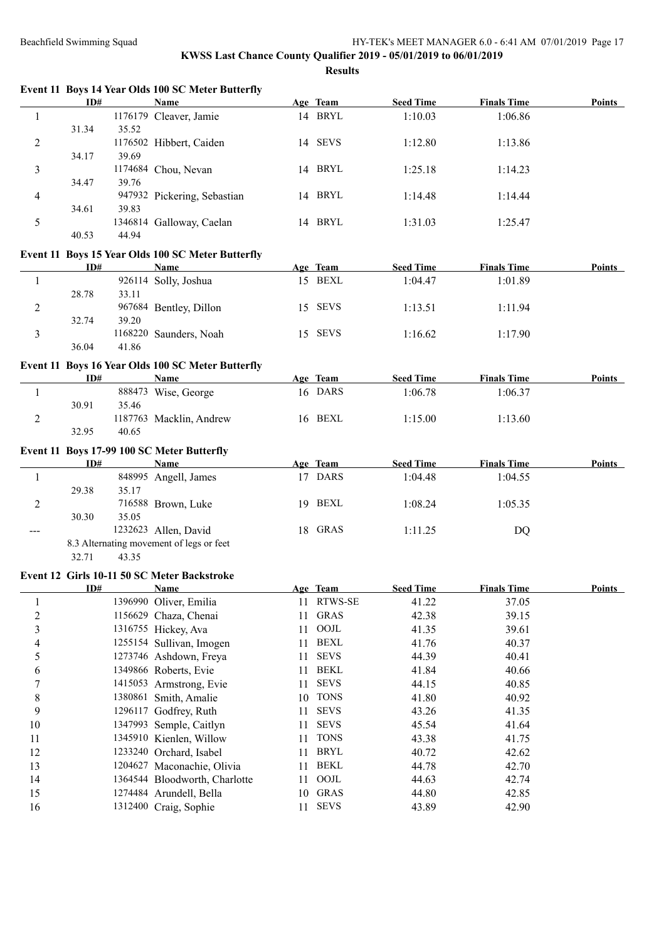|                         |       |         | Event 11 Boys 14 Year Olds 100 SC Meter Butterfly |    |             |                  |                    |               |
|-------------------------|-------|---------|---------------------------------------------------|----|-------------|------------------|--------------------|---------------|
|                         | ID#   |         | Name                                              |    | Age Team    | <b>Seed Time</b> | <b>Finals Time</b> | <b>Points</b> |
| $\mathbf{1}$            |       |         | 1176179 Cleaver, Jamie                            |    | 14 BRYL     | 1:10.03          | 1:06.86            |               |
|                         | 31.34 | 35.52   |                                                   |    |             |                  |                    |               |
| $\overline{c}$          |       |         | 1176502 Hibbert, Caiden                           |    | 14 SEVS     | 1:12.80          | 1:13.86            |               |
|                         | 34.17 | 39.69   |                                                   |    |             |                  |                    |               |
| 3                       |       |         | 1174684 Chou, Nevan                               |    | 14 BRYL     | 1:25.18          | 1:14.23            |               |
|                         | 34.47 | 39.76   |                                                   |    |             |                  |                    |               |
| 4                       |       |         | 947932 Pickering, Sebastian                       |    | 14 BRYL     | 1:14.48          | 1:14.44            |               |
|                         | 34.61 | 39.83   |                                                   |    |             |                  |                    |               |
| 5                       |       |         | 1346814 Galloway, Caelan                          |    | 14 BRYL     | 1:31.03          | 1:25.47            |               |
|                         | 40.53 | 44.94   |                                                   |    |             |                  |                    |               |
|                         |       |         | Event 11 Boys 15 Year Olds 100 SC Meter Butterfly |    |             |                  |                    |               |
|                         | ID#   |         | <b>Name</b>                                       |    | Age Team    | <b>Seed Time</b> | <b>Finals Time</b> | Points        |
| 1                       |       |         | 926114 Solly, Joshua                              |    | 15 BEXL     | 1:04.47          | 1:01.89            |               |
|                         | 28.78 | 33.11   |                                                   |    |             |                  |                    |               |
| $\overline{c}$          |       |         | 967684 Bentley, Dillon                            |    | 15 SEVS     | 1:13.51          | 1:11.94            |               |
|                         | 32.74 | 39.20   |                                                   |    |             |                  |                    |               |
| 3                       |       |         | 1168220 Saunders, Noah                            |    | 15 SEVS     | 1:16.62          | 1:17.90            |               |
|                         | 36.04 | 41.86   |                                                   |    |             |                  |                    |               |
|                         |       |         | Event 11 Boys 16 Year Olds 100 SC Meter Butterfly |    |             |                  |                    |               |
|                         | ID#   |         | Name                                              |    | Age Team    | <b>Seed Time</b> | <b>Finals Time</b> | Points        |
| $\mathbf{1}$            |       |         | 888473 Wise, George                               |    | 16 DARS     | 1:06.78          | 1:06.37            |               |
|                         | 30.91 | 35.46   |                                                   |    |             |                  |                    |               |
| $\mathfrak{2}$          |       |         | 1187763 Macklin, Andrew                           |    | 16 BEXL     | 1:15.00          | 1:13.60            |               |
|                         | 32.95 | 40.65   |                                                   |    |             |                  |                    |               |
|                         |       |         | Event 11 Boys 17-99 100 SC Meter Butterfly        |    |             |                  |                    |               |
|                         | ID#   |         | Name                                              |    | Age Team    | <b>Seed Time</b> | <b>Finals Time</b> | Points        |
| 1                       |       |         | 848995 Angell, James                              |    | 17 DARS     | 1:04.48          | 1:04.55            |               |
|                         | 29.38 | 35.17   |                                                   |    |             |                  |                    |               |
| $\overline{c}$          |       |         | 716588 Brown, Luke                                |    | 19 BEXL     | 1:08.24          | 1:05.35            |               |
|                         | 30.30 | 35.05   |                                                   |    |             |                  |                    |               |
| $\qquad \qquad -$       |       |         | 1232623 Allen, David                              |    | 18 GRAS     | 1:11.25          | <b>DQ</b>          |               |
|                         |       |         | 8.3 Alternating movement of legs or feet          |    |             |                  |                    |               |
|                         | 32.71 | 43.35   |                                                   |    |             |                  |                    |               |
|                         |       |         | Event 12 Girls 10-11 50 SC Meter Backstroke       |    |             |                  |                    |               |
|                         | ID#   |         | <b>Name</b>                                       |    | Age Team    | <b>Seed Time</b> | <b>Finals Time</b> | <b>Points</b> |
| $\mathbf{1}$            |       |         | 1396990 Oliver, Emilia                            |    | 11 RTWS-SE  | 41.22            | 37.05              |               |
| $\overline{c}$          |       |         | 1156629 Chaza, Chenai                             | 11 | <b>GRAS</b> | 42.38            | 39.15              |               |
| $\overline{\mathbf{3}}$ |       |         | 1316755 Hickey, Ava                               | 11 | $\rm{OOJL}$ | 41.35            | 39.61              |               |
| 4                       |       |         | 1255154 Sullivan, Imogen                          | 11 | <b>BEXL</b> | 41.76            | 40.37              |               |
| 5                       |       |         | 1273746 Ashdown, Freya                            | 11 | <b>SEVS</b> | 44.39            | 40.41              |               |
| 6                       |       |         | 1349866 Roberts, Evie                             | 11 | <b>BEKL</b> | 41.84            | 40.66              |               |
| 7                       |       | 1415053 | Armstrong, Evie                                   | 11 | <b>SEVS</b> | 44.15            | 40.85              |               |
| 8                       |       | 1380861 | Smith, Amalie                                     | 10 | <b>TONS</b> | 41.80            | 40.92              |               |
| 9                       |       | 1296117 | Godfrey, Ruth                                     | 11 | <b>SEVS</b> | 43.26            | 41.35              |               |
| 10                      |       |         | 1347993 Semple, Caitlyn                           | 11 | <b>SEVS</b> | 45.54            | 41.64              |               |
| 11                      |       |         | 1345910 Kienlen, Willow                           | 11 | <b>TONS</b> | 43.38            | 41.75              |               |
| 12                      |       |         | 1233240 Orchard, Isabel                           | 11 | <b>BRYL</b> | 40.72            | 42.62              |               |
| 13                      |       |         | 1204627 Maconachie, Olivia                        | 11 | <b>BEKL</b> | 44.78            | 42.70              |               |
| 14                      |       |         | 1364544 Bloodworth, Charlotte                     | 11 | $\rm{OOJL}$ | 44.63            | 42.74              |               |
| 15                      |       |         | 1274484 Arundell, Bella                           | 10 | GRAS        | 44.80            | 42.85              |               |
| 16                      |       |         | 1312400 Craig, Sophie                             | 11 | <b>SEVS</b> | 43.89            | 42.90              |               |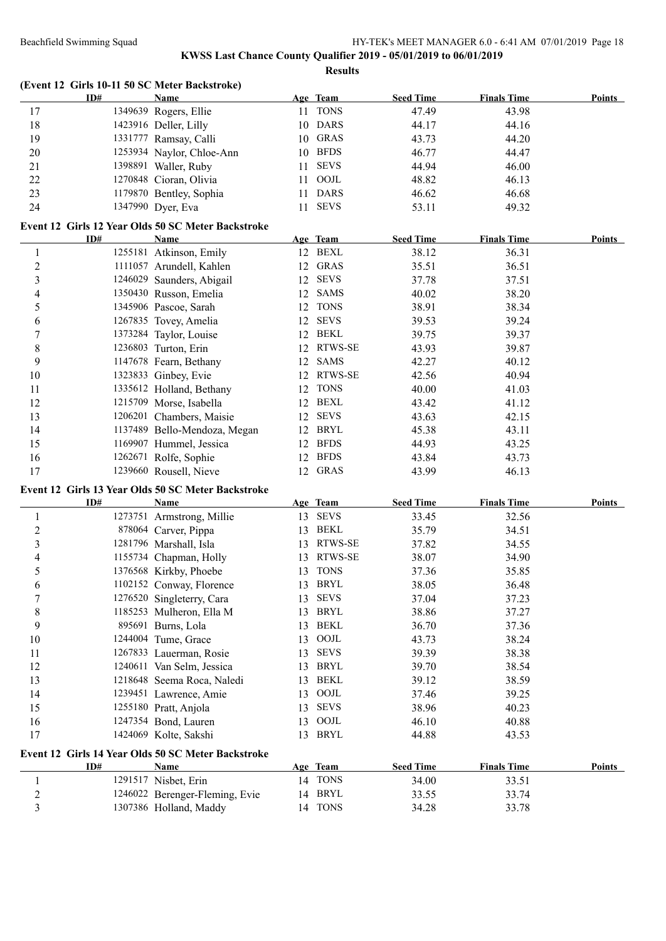|                         | ID# | (Event 12 Girls 10-11 50 SC Meter Backstroke)<br><b>Name</b>      |    | Age Team    | <b>Seed Time</b> | <b>Finals Time</b> | <b>Points</b> |
|-------------------------|-----|-------------------------------------------------------------------|----|-------------|------------------|--------------------|---------------|
| 17                      |     | 1349639 Rogers, Ellie                                             |    | 11 TONS     | 47.49            | 43.98              |               |
| 18                      |     | 1423916 Deller, Lilly                                             |    | 10 DARS     | 44.17            | 44.16              |               |
| 19                      |     | 1331777 Ramsay, Calli                                             |    | 10 GRAS     | 43.73            | 44.20              |               |
| 20                      |     | 1253934 Naylor, Chloe-Ann                                         |    | 10 BFDS     | 46.77            | 44.47              |               |
| 21                      |     | 1398891 Waller, Ruby                                              | 11 | <b>SEVS</b> | 44.94            | 46.00              |               |
| 22                      |     | 1270848 Cioran, Olivia                                            |    | 11 OOJL     | 48.82            | 46.13              |               |
| 23                      |     | 1179870 Bentley, Sophia                                           | 11 | <b>DARS</b> | 46.62            | 46.68              |               |
| 24                      |     | 1347990 Dyer, Eva                                                 |    | 11 SEVS     | 53.11            | 49.32              |               |
|                         |     |                                                                   |    |             |                  |                    |               |
|                         | ID# | Event 12 Girls 12 Year Olds 50 SC Meter Backstroke<br><b>Name</b> |    | Age Team    | <b>Seed Time</b> | <b>Finals Time</b> | <b>Points</b> |
| $\mathbf{1}$            |     | 1255181 Atkinson, Emily                                           |    | 12 BEXL     | 38.12            | 36.31              |               |
| $\overline{c}$          |     | 1111057 Arundell, Kahlen                                          |    | 12 GRAS     | 35.51            | 36.51              |               |
|                         |     |                                                                   |    | 12 SEVS     |                  |                    |               |
| $\mathfrak{Z}$          |     | 1246029 Saunders, Abigail                                         |    |             | 37.78            | 37.51              |               |
| 4                       |     | 1350430 Russon, Emelia                                            |    | 12 SAMS     | 40.02            | 38.20              |               |
| 5                       |     | 1345906 Pascoe, Sarah                                             |    | 12 TONS     | 38.91            | 38.34              |               |
| 6                       |     | 1267835 Tovey, Amelia                                             |    | 12 SEVS     | 39.53            | 39.24              |               |
| $\boldsymbol{7}$        |     | 1373284 Taylor, Louise                                            |    | 12 BEKL     | 39.75            | 39.37              |               |
| 8                       |     | 1236803 Turton, Erin                                              |    | 12 RTWS-SE  | 43.93            | 39.87              |               |
| 9                       |     | 1147678 Fearn, Bethany                                            |    | 12 SAMS     | 42.27            | 40.12              |               |
| 10                      |     | 1323833 Ginbey, Evie                                              |    | 12 RTWS-SE  | 42.56            | 40.94              |               |
| 11                      |     | 1335612 Holland, Bethany                                          |    | 12 TONS     | 40.00            | 41.03              |               |
| 12                      |     | 1215709 Morse, Isabella                                           |    | 12 BEXL     | 43.42            | 41.12              |               |
| 13                      |     | 1206201 Chambers, Maisie                                          | 12 | <b>SEVS</b> | 43.63            | 42.15              |               |
| 14                      |     | 1137489 Bello-Mendoza, Megan                                      | 12 | <b>BRYL</b> | 45.38            | 43.11              |               |
| 15                      |     | 1169907 Hummel, Jessica                                           | 12 | <b>BFDS</b> | 44.93            | 43.25              |               |
| 16                      |     | 1262671 Rolfe, Sophie                                             | 12 | <b>BFDS</b> | 43.84            | 43.73              |               |
| 17                      |     | 1239660 Rousell, Nieve                                            |    | 12 GRAS     | 43.99            | 46.13              |               |
|                         |     | Event 12 Girls 13 Year Olds 50 SC Meter Backstroke                |    |             |                  |                    |               |
|                         | ID# | <b>Name</b>                                                       |    | Age Team    | <b>Seed Time</b> | <b>Finals Time</b> | <b>Points</b> |
| $\mathbf{1}$            |     | 1273751 Armstrong, Millie                                         |    | 13 SEVS     | 33.45            | 32.56              |               |
| $\overline{c}$          |     | 878064 Carver, Pippa                                              |    | 13 BEKL     | 35.79            | 34.51              |               |
| $\overline{\mathbf{3}}$ |     | 1281796 Marshall, Isla                                            | 13 | RTWS-SE     | 37.82            | 34.55              |               |
| $\overline{4}$          |     | 1155734 Chapman, Holly                                            | 13 | RTWS-SE     | 38.07            | 34.90              |               |
| 5                       |     | 1376568 Kirkby, Phoebe                                            | 13 | <b>TONS</b> | 37.36            | 35.85              |               |
| 6                       |     | 1102152 Conway, Florence                                          |    | 13 BRYL     | 38.05            | 36.48              |               |
| $\boldsymbol{7}$        |     | 1276520 Singleterry, Cara                                         | 13 | <b>SEVS</b> | 37.04            | 37.23              |               |
| 8                       |     | 1185253 Mulheron, Ella M                                          | 13 | <b>BRYL</b> | 38.86            | 37.27              |               |
| 9                       |     | 895691 Burns, Lola                                                | 13 | <b>BEKL</b> | 36.70            | 37.36              |               |
| 10                      |     | 1244004 Tume, Grace                                               | 13 | OOJL        | 43.73            | 38.24              |               |
| 11                      |     | 1267833 Lauerman, Rosie                                           | 13 | <b>SEVS</b> | 39.39            | 38.38              |               |
| 12                      |     | 1240611 Van Selm, Jessica                                         | 13 | <b>BRYL</b> | 39.70            | 38.54              |               |
| 13                      |     | 1218648 Seema Roca, Naledi                                        | 13 | <b>BEKL</b> | 39.12            | 38.59              |               |
| 14                      |     | 1239451 Lawrence, Amie                                            | 13 | OOJL        | 37.46            | 39.25              |               |
| 15                      |     | 1255180 Pratt, Anjola                                             | 13 | <b>SEVS</b> | 38.96            | 40.23              |               |
| 16                      |     | 1247354 Bond, Lauren                                              | 13 | OOJL        | 46.10            | 40.88              |               |
| 17                      |     | 1424069 Kolte, Sakshi                                             |    | 13 BRYL     | 44.88            | 43.53              |               |
|                         |     |                                                                   |    |             |                  |                    |               |
|                         | ID# | Event 12 Girls 14 Year Olds 50 SC Meter Backstroke<br><b>Name</b> |    | Age Team    | <b>Seed Time</b> | <b>Finals Time</b> | <b>Points</b> |
| 1                       |     | 1291517 Nisbet, Erin                                              |    | 14 TONS     | 34.00            | 33.51              |               |
| $\overline{\mathbf{c}}$ |     | 1246022 Berenger-Fleming, Evie                                    |    | 14 BRYL     | 33.55            | 33.74              |               |
| 3                       |     | 1307386 Holland, Maddy                                            |    | 14 TONS     | 34.28            | 33.78              |               |
|                         |     |                                                                   |    |             |                  |                    |               |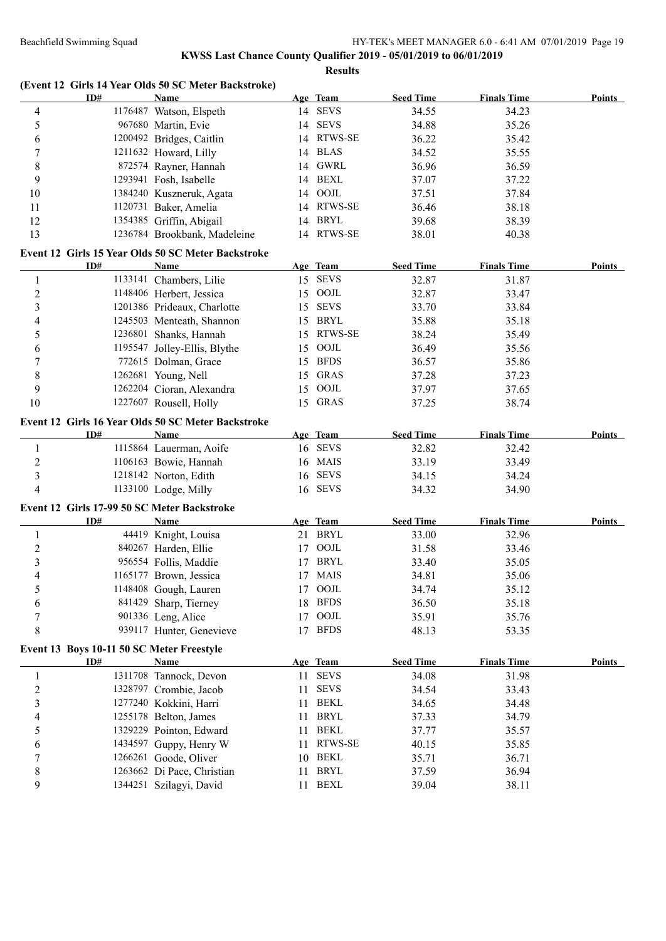|                  |                                           | (Event 12 Girls 14 Year Olds 50 SC Meter Backstroke)  |    |                            |                  |                    |               |
|------------------|-------------------------------------------|-------------------------------------------------------|----|----------------------------|------------------|--------------------|---------------|
|                  | ID#                                       | Name                                                  |    | Age Team                   | <b>Seed Time</b> | <b>Finals Time</b> | Points        |
| 4                |                                           | 1176487 Watson, Elspeth                               |    | 14 SEVS                    | 34.55            | 34.23              |               |
| 5                |                                           | 967680 Martin, Evie                                   | 14 | <b>SEVS</b>                | 34.88            | 35.26              |               |
| 6                |                                           | 1200492 Bridges, Caitlin                              |    | 14 RTWS-SE                 | 36.22            | 35.42              |               |
| 7                |                                           | 1211632 Howard, Lilly                                 |    | 14 BLAS                    | 34.52            | 35.55              |               |
| 8                |                                           | 872574 Rayner, Hannah                                 | 14 | <b>GWRL</b>                | 36.96            | 36.59              |               |
| 9                |                                           | 1293941 Fosh, Isabelle                                |    | 14 BEXL                    | 37.07            | 37.22              |               |
| 10               |                                           | 1384240 Kuszneruk, Agata                              | 14 | OOJL                       | 37.51            | 37.84              |               |
| 11               |                                           | 1120731 Baker, Amelia                                 |    | 14 RTWS-SE                 | 36.46            | 38.18              |               |
| 12               |                                           | 1354385 Griffin, Abigail                              | 14 | BRYL                       | 39.68            | 38.39              |               |
| 13               |                                           | 1236784 Brookbank, Madeleine                          |    | 14 RTWS-SE                 | 38.01            | 40.38              |               |
|                  |                                           | Event 12 Girls 15 Year Olds 50 SC Meter Backstroke    |    |                            |                  |                    |               |
|                  | ID#                                       | <b>Name</b>                                           |    | Age Team                   | <b>Seed Time</b> | <b>Finals Time</b> | <b>Points</b> |
| 1                |                                           | 1133141 Chambers, Lilie                               |    | 15 SEVS                    | 32.87            | 31.87              |               |
| $\boldsymbol{2}$ |                                           | 1148406 Herbert, Jessica                              |    | 15 OOJL                    | 32.87            | 33.47              |               |
| 3                |                                           | 1201386 Prideaux, Charlotte                           |    | 15 SEVS                    | 33.70            | 33.84              |               |
| 4                |                                           | 1245503 Menteath, Shannon                             |    | 15 BRYL                    | 35.88            | 35.18              |               |
| 5                |                                           | 1236801 Shanks, Hannah                                | 15 | RTWS-SE                    | 38.24            | 35.49              |               |
| 6                |                                           | 1195547 Jolley-Ellis, Blythe                          | 15 | OOJL                       | 36.49            | 35.56              |               |
| 7                |                                           | 772615 Dolman, Grace                                  | 15 | <b>BFDS</b>                | 36.57            | 35.86              |               |
| 8                |                                           | 1262681 Young, Nell                                   | 15 | <b>GRAS</b>                | 37.28            | 37.23              |               |
| 9                |                                           | 1262204 Cioran, Alexandra                             | 15 | OOJL                       | 37.97            | 37.65              |               |
| 10               |                                           | 1227607 Rousell, Holly                                |    | 15 GRAS                    | 37.25            | 38.74              |               |
|                  |                                           |                                                       |    |                            |                  |                    |               |
|                  |                                           | Event 12 Girls 16 Year Olds 50 SC Meter Backstroke    |    |                            |                  |                    |               |
|                  | ID#                                       | Name                                                  |    | Age Team                   | <b>Seed Time</b> | <b>Finals Time</b> | Points        |
| $\mathbf{1}$     |                                           | 1115864 Lauerman, Aoife                               |    | 16 SEVS                    | 32.82            | 32.42              |               |
| $\overline{c}$   |                                           | 1106163 Bowie, Hannah                                 |    | 16 MAIS                    | 33.19            | 33.49              |               |
| 3                |                                           | 1218142 Norton, Edith                                 |    | 16 SEVS                    | 34.15            | 34.24              |               |
| $\overline{4}$   |                                           | 1133100 Lodge, Milly                                  |    | 16 SEVS                    | 34.32            | 34.90              |               |
|                  |                                           | Event 12 Girls 17-99 50 SC Meter Backstroke           |    |                            |                  |                    |               |
|                  | ID#                                       | Name                                                  |    | Age Team                   | <b>Seed Time</b> | <b>Finals Time</b> | <b>Points</b> |
| 1                |                                           | 44419 Knight, Louisa                                  |    | 21 BRYL                    | 33.00            | 32.96              |               |
| $\mathbf{2}$     |                                           | 840267 Harden, Ellie                                  | 17 | OOJL                       | 31.58            | 33.46              |               |
| 3                |                                           | 956554 Follis, Maddie                                 |    | 17 BRYL                    | 33.40            | 35.05              |               |
| $\overline{4}$   |                                           | 1165177 Brown, Jessica                                |    | 17 MAIS                    | 34.81            | 35.06              |               |
| 5                |                                           | 1148408 Gough, Lauren                                 |    | 17 OOJL                    | 34.74            | 35.12              |               |
| 6                |                                           | 841429 Sharp, Tierney                                 | 18 | <b>BFDS</b>                | 36.50            | 35.18              |               |
| 7                |                                           | 901336 Leng, Alice                                    | 17 | OOJL                       | 35.91            | 35.76              |               |
| 8                |                                           | 939117 Hunter, Genevieve                              |    | 17 BFDS                    | 48.13            | 53.35              |               |
|                  |                                           |                                                       |    |                            |                  |                    |               |
|                  | Event 13 Boys 10-11 50 SC Meter Freestyle |                                                       |    |                            |                  |                    |               |
|                  | ID#                                       | <b>Name</b>                                           |    | Age Team                   | <b>Seed Time</b> | <b>Finals Time</b> | <b>Points</b> |
| $\mathbf{1}$     |                                           | 1311708 Tannock, Devon                                |    | 11 SEVS                    | 34.08            | 31.98              |               |
| $\mathfrak{2}$   |                                           | 1328797 Crombie, Jacob                                | 11 | <b>SEVS</b>                | 34.54            | 33.43              |               |
| 3                |                                           | 1277240 Kokkini, Harri                                | 11 | <b>BEKL</b>                | 34.65            | 34.48              |               |
| 4                |                                           | 1255178 Belton, James                                 | 11 | <b>BRYL</b>                | 37.33            | 34.79              |               |
| 5                |                                           | 1329229 Pointon, Edward                               | 11 | <b>BEKL</b>                | 37.77            | 35.57              |               |
|                  |                                           |                                                       |    |                            |                  |                    |               |
| 6                |                                           | 1434597 Guppy, Henry W                                | 11 | RTWS-SE                    | 40.15            | 35.85              |               |
| 7                |                                           | 1266261 Goode, Oliver                                 | 10 | <b>BEKL</b>                | 35.71            | 36.71              |               |
| 8<br>9           |                                           | 1263662 Di Pace, Christian<br>1344251 Szilagyi, David | 11 | <b>BRYL</b><br><b>BEXL</b> | 37.59            | 36.94              |               |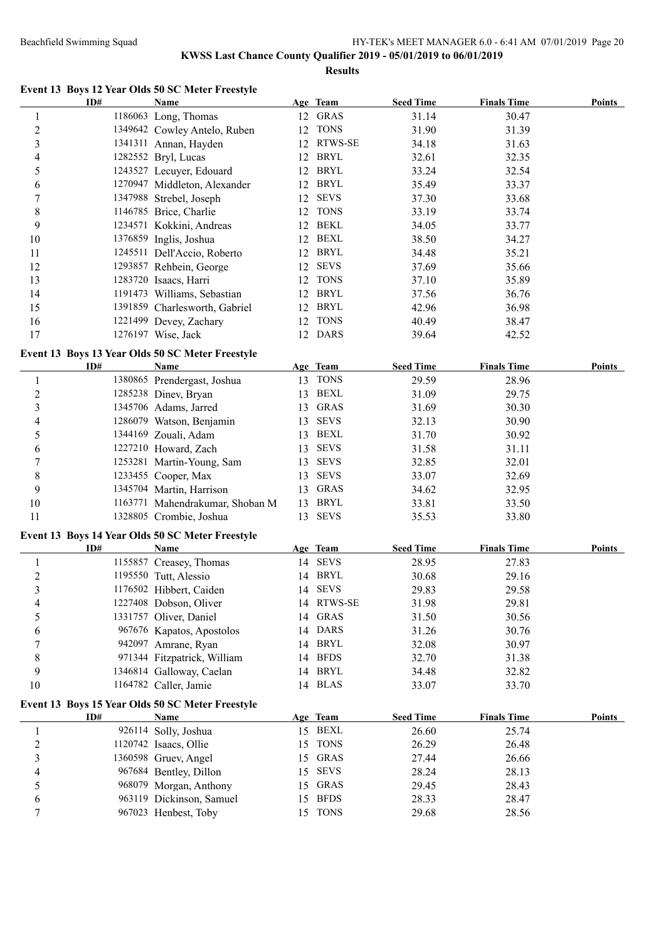# **KWSS Last Chance County Qualifier 2019 - 05/01/2019 to 06/01/2019 Results**

# **Event 13 Boys 12 Year Olds 50 SC Meter Freestyle**

|                         | ID# | <b>Name</b>                                      |    | Age Team            | <b>Seed Time</b> | <b>Finals Time</b> | <b>Points</b> |
|-------------------------|-----|--------------------------------------------------|----|---------------------|------------------|--------------------|---------------|
| 1                       |     | 1186063 Long, Thomas                             |    | 12 GRAS             | 31.14            | 30.47              |               |
| $\boldsymbol{2}$        |     | 1349642 Cowley Antelo, Ruben                     |    | 12 TONS             | 31.90            | 31.39              |               |
| $\mathfrak{Z}$          |     | 1341311 Annan, Hayden                            |    | 12 RTWS-SE          | 34.18            | 31.63              |               |
| 4                       |     | 1282552 Bryl, Lucas                              |    | 12 BRYL             | 32.61            | 32.35              |               |
| 5                       |     | 1243527 Lecuyer, Edouard                         |    | 12 BRYL             | 33.24            | 32.54              |               |
| 6                       |     | 1270947 Middleton, Alexander                     |    | 12 BRYL             | 35.49            | 33.37              |               |
| $\boldsymbol{7}$        |     | 1347988 Strebel, Joseph                          | 12 | <b>SEVS</b>         | 37.30            | 33.68              |               |
| 8                       |     | 1146785 Brice, Charlie                           |    | 12 TONS             | 33.19            | 33.74              |               |
| 9                       |     | 1234571 Kokkini, Andreas                         |    | 12 BEKL             | 34.05            | 33.77              |               |
| 10                      |     | 1376859 Inglis, Joshua                           |    | 12 BEXL             | 38.50            | 34.27              |               |
| 11                      |     | 1245511 Dell'Accio, Roberto                      |    | 12 BRYL             | 34.48            | 35.21              |               |
| 12                      |     | 1293857 Rehbein, George                          | 12 | <b>SEVS</b>         | 37.69            | 35.66              |               |
| 13                      |     | 1283720 Isaacs, Harri                            | 12 | <b>TONS</b>         | 37.10            | 35.89              |               |
|                         |     |                                                  |    | <b>BRYL</b>         |                  |                    |               |
| 14                      |     | 1191473 Williams, Sebastian                      | 12 | <b>BRYL</b>         | 37.56            | 36.76              |               |
| 15                      |     | 1391859 Charlesworth, Gabriel                    | 12 |                     | 42.96            | 36.98              |               |
| 16                      |     | 1221499 Devey, Zachary                           | 12 | <b>TONS</b>         | 40.49            | 38.47              |               |
| 17                      |     | 1276197 Wise, Jack                               |    | 12 DARS             | 39.64            | 42.52              |               |
|                         |     | Event 13 Boys 13 Year Olds 50 SC Meter Freestyle |    |                     |                  |                    |               |
|                         | ID# | Name                                             |    | Age Team            | <b>Seed Time</b> | <b>Finals Time</b> | <b>Points</b> |
| $\mathbf{1}$            |     | 1380865 Prendergast, Joshua                      |    | 13 TONS             | 29.59            | 28.96              |               |
| $\overline{c}$          |     | 1285238 Dinev, Bryan                             | 13 | <b>BEXL</b>         | 31.09            | 29.75              |               |
| $\overline{\mathbf{3}}$ |     | 1345706 Adams, Jarred                            | 13 | <b>GRAS</b>         | 31.69            | 30.30              |               |
| $\overline{4}$          |     | 1286079 Watson, Benjamin                         | 13 | <b>SEVS</b>         | 32.13            | 30.90              |               |
| 5                       |     | 1344169 Zouali, Adam                             | 13 | BEXL                | 31.70            | 30.92              |               |
| 6                       |     | 1227210 Howard, Zach                             | 13 | <b>SEVS</b>         | 31.58            | 31.11              |               |
| $\boldsymbol{7}$        |     | 1253281 Martin-Young, Sam                        | 13 | <b>SEVS</b>         | 32.85            | 32.01              |               |
| 8                       |     | 1233455 Cooper, Max                              | 13 | <b>SEVS</b>         | 33.07            | 32.69              |               |
| 9                       |     | 1345704 Martin, Harrison                         | 13 | GRAS                | 34.62            | 32.95              |               |
| 10                      |     | 1163771 Mahendrakumar, Shoban M                  | 13 | <b>BRYL</b>         | 33.81            | 33.50              |               |
| 11                      |     | 1328805 Crombie, Joshua                          |    | 13 SEVS             | 35.53            | 33.80              |               |
|                         |     |                                                  |    |                     |                  |                    |               |
|                         |     | Event 13 Boys 14 Year Olds 50 SC Meter Freestyle |    |                     | <b>Seed Time</b> |                    |               |
|                         | ID# | <b>Name</b>                                      |    | Age Team<br>14 SEVS |                  | <b>Finals Time</b> | <b>Points</b> |
| $\mathbf{1}$            |     | 1155857 Creasey, Thomas<br>1195550 Tutt, Alessio |    | 14 BRYL             | 28.95            | 27.83              |               |
| $\overline{c}$          |     |                                                  |    |                     | 30.68            | 29.16              |               |
| $\overline{\mathbf{3}}$ |     | 1176502 Hibbert, Caiden                          |    | 14 SEVS             | 29.83            | 29.58              |               |
| 4                       |     | 1227408 Dobson, Oliver                           | 14 | RTWS-SE             | 31.98            | 29.81              |               |
| 5                       |     | 1331757 Oliver, Daniel                           |    | 14 GRAS             | 31.50            | 30.56              |               |
| 6                       |     | 967676 Kapatos, Apostolos                        |    | 14 DARS             | 31.26            | 30.76              |               |
| 7                       |     | 942097 Amrane, Ryan                              |    | 14 BRYL             | 32.08            | 30.97              |               |
| 8                       |     | 971344 Fitzpatrick, William                      | 14 | <b>BFDS</b>         | 32.70            | 31.38              |               |
| 9                       |     | 1346814 Galloway, Caelan                         |    | 14 BRYL             | 34.48            | 32.82              |               |
| 10                      |     | 1164782 Caller, Jamie                            |    | 14 BLAS             | 33.07            | 33.70              |               |
|                         |     | Event 13 Boys 15 Year Olds 50 SC Meter Freestyle |    |                     |                  |                    |               |
|                         | ID# | <b>Name</b>                                      |    | Age Team            | <b>Seed Time</b> | <b>Finals Time</b> | <b>Points</b> |
| 1                       |     | 926114 Solly, Joshua                             |    | 15 BEXL             | 26.60            | 25.74              |               |
| $\overline{2}$          |     | 1120742 Isaacs, Ollie                            | 15 | <b>TONS</b>         | 26.29            | 26.48              |               |
| 3                       |     | 1360598 Gruev, Angel                             | 15 | GRAS                | 27.44            | 26.66              |               |
| 4                       |     | 967684 Bentley, Dillon                           | 15 | <b>SEVS</b>         | 28.24            | 28.13              |               |
| 5                       |     | 968079 Morgan, Anthony                           | 15 | GRAS                | 29.45            | 28.43              |               |
| 6                       |     | 963119 Dickinson, Samuel                         | 15 | <b>BFDS</b>         | 28.33            | 28.47              |               |
| $\tau$                  |     | 967023 Henbest, Toby                             |    | 15 TONS             | 29.68            | 28.56              |               |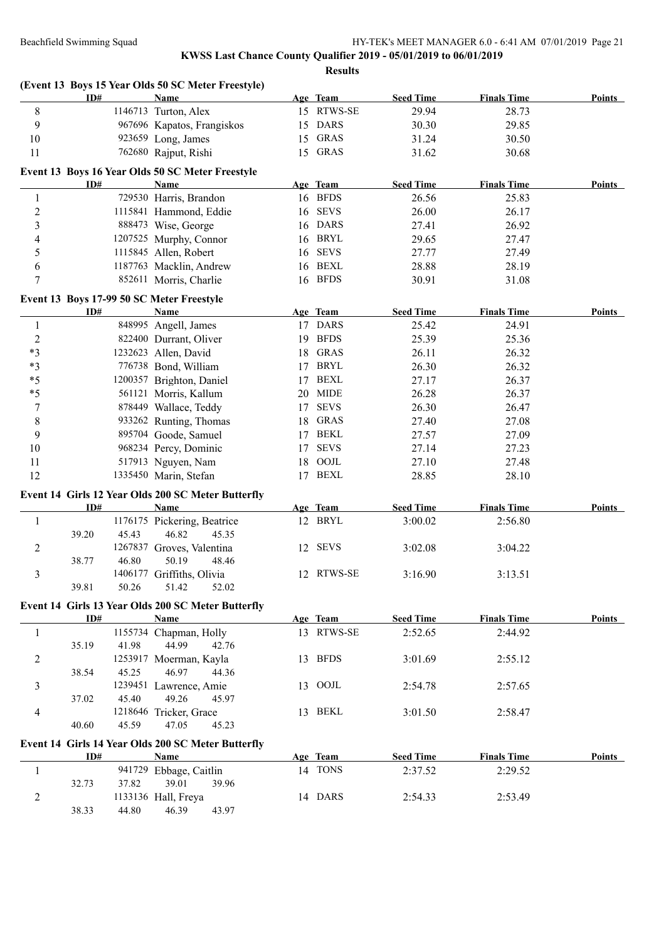|                         |                                           | (Event 13 Boys 15 Year Olds 50 SC Meter Freestyle) |    |             |                  |                    |               |
|-------------------------|-------------------------------------------|----------------------------------------------------|----|-------------|------------------|--------------------|---------------|
|                         | ID#                                       | <b>Name</b>                                        |    | Age Team    | <b>Seed Time</b> | <b>Finals Time</b> | <b>Points</b> |
| 8                       |                                           | 1146713 Turton, Alex                               |    | 15 RTWS-SE  | 29.94            | 28.73              |               |
| 9                       |                                           | 967696 Kapatos, Frangiskos                         | 15 | <b>DARS</b> | 30.30            | 29.85              |               |
| 10                      |                                           | 923659 Long, James                                 | 15 | GRAS        | 31.24            | 30.50              |               |
| 11                      |                                           | 762680 Rajput, Rishi                               |    | 15 GRAS     | 31.62            | 30.68              |               |
|                         |                                           | Event 13 Boys 16 Year Olds 50 SC Meter Freestyle   |    |             |                  |                    |               |
|                         | ID#                                       | Name                                               |    | Age Team    | <b>Seed Time</b> | <b>Finals Time</b> | <b>Points</b> |
| $\mathbf{1}$            |                                           | 729530 Harris, Brandon                             |    | 16 BFDS     | 26.56            | 25.83              |               |
| $\overline{c}$          |                                           | 1115841 Hammond, Eddie                             |    | 16 SEVS     | 26.00            | 26.17              |               |
| $\overline{\mathbf{3}}$ |                                           | 888473 Wise, George                                | 16 | <b>DARS</b> | 27.41            | 26.92              |               |
| 4                       |                                           | 1207525 Murphy, Connor                             | 16 | BRYL        | 29.65            | 27.47              |               |
| 5                       |                                           | 1115845 Allen, Robert                              | 16 | SEVS        | 27.77            | 27.49              |               |
| 6                       |                                           | 1187763 Macklin, Andrew                            | 16 | BEXL        | 28.88            | 28.19              |               |
| 7                       |                                           | 852611 Morris, Charlie                             | 16 | <b>BFDS</b> | 30.91            | 31.08              |               |
|                         | Event 13 Boys 17-99 50 SC Meter Freestyle |                                                    |    |             |                  |                    |               |
|                         | ID#                                       | Name                                               |    | Age Team    | <b>Seed Time</b> | <b>Finals Time</b> | <b>Points</b> |
| 1                       |                                           | 848995 Angell, James                               |    | 17 DARS     | 25.42            | 24.91              |               |
| $\boldsymbol{2}$        |                                           | 822400 Durrant, Oliver                             | 19 | <b>BFDS</b> | 25.39            | 25.36              |               |
| $*3$                    |                                           | 1232623 Allen, David                               | 18 | <b>GRAS</b> | 26.11            | 26.32              |               |
| $*3$                    |                                           | 776738 Bond, William                               | 17 | <b>BRYL</b> | 26.30            | 26.32              |               |
| $*5$                    |                                           | 1200357 Brighton, Daniel                           | 17 | <b>BEXL</b> | 27.17            | 26.37              |               |
| $*5$                    |                                           | 561121 Morris, Kallum                              | 20 | <b>MIDE</b> | 26.28            | 26.37              |               |
| 7                       |                                           | 878449 Wallace, Teddy                              | 17 | <b>SEVS</b> | 26.30            | 26.47              |               |
| 8                       |                                           | 933262 Runting, Thomas                             | 18 | <b>GRAS</b> | 27.40            | 27.08              |               |
| 9                       |                                           | 895704 Goode, Samuel                               | 17 | BEKL        | 27.57            | 27.09              |               |
| 10                      |                                           | 968234 Percy, Dominic                              | 17 | <b>SEVS</b> | 27.14            | 27.23              |               |
| 11                      |                                           | 517913 Nguyen, Nam                                 | 18 | OOJL        | 27.10            | 27.48              |               |
| 12                      |                                           | 1335450 Marin, Stefan                              |    | 17 BEXL     | 28.85            | 28.10              |               |
|                         |                                           | Event 14 Girls 12 Year Olds 200 SC Meter Butterfly |    |             |                  |                    |               |
|                         | ID#                                       | <b>Name</b>                                        |    | Age Team    | <b>Seed Time</b> | <b>Finals Time</b> | Points        |
| 1                       |                                           | 1176175 Pickering, Beatrice                        |    | 12 BRYL     | 3:00.02          | 2:56.80            |               |
|                         | 45.43<br>39.20                            | 46.82<br>45.35                                     |    |             |                  |                    |               |
| 2                       |                                           | 1267837 Groves, Valentina                          |    | 12 SEVS     | 3:02.08          | 3:04.22            |               |
|                         | 46.80<br>38.77                            | 50.19<br>48.46                                     |    |             |                  |                    |               |
| 3                       |                                           | 1406177 Griffiths, Olivia                          |    | 12 RTWS-SE  | 3:16.90          | 3:13.51            |               |
|                         | 39.81<br>50.26                            | 51.42<br>52.02                                     |    |             |                  |                    |               |
|                         |                                           | Event 14 Girls 13 Year Olds 200 SC Meter Butterfly |    |             |                  |                    |               |
|                         | ID#                                       | <b>Name</b>                                        |    | Age Team    | <b>Seed Time</b> | <b>Finals Time</b> | Points        |
| $\mathbf{1}$            |                                           | 1155734 Chapman, Holly                             |    | 13 RTWS-SE  | 2:52.65          | 2:44.92            |               |
|                         | 35.19<br>41.98                            | 44.99<br>42.76                                     |    |             |                  |                    |               |
| 2                       |                                           | 1253917 Moerman, Kayla                             |    | 13 BFDS     | 3:01.69          | 2:55.12            |               |
|                         | 38.54<br>45.25                            | 46.97<br>44.36                                     |    |             |                  |                    |               |
| 3                       |                                           | 1239451 Lawrence, Amie                             |    | 13 OOJL     | 2:54.78          | 2:57.65            |               |
|                         | 45.40<br>37.02                            | 49.26<br>45.97                                     |    |             |                  |                    |               |
| 4                       |                                           | 1218646 Tricker, Grace                             |    | 13 BEKL     | 3:01.50          | 2:58.47            |               |
|                         | 40.60<br>45.59                            | 47.05<br>45.23                                     |    |             |                  |                    |               |
|                         |                                           | Event 14 Girls 14 Year Olds 200 SC Meter Butterfly |    |             |                  |                    |               |
|                         | ID#                                       | <b>Name</b>                                        |    | Age Team    | <b>Seed Time</b> | <b>Finals Time</b> | Points        |
| 1                       |                                           | 941729 Ebbage, Caitlin                             |    | 14 TONS     | 2:37.52          | 2:29.52            |               |
|                         | 32.73<br>37.82                            | 39.01<br>39.96                                     |    |             |                  |                    |               |
| 2                       |                                           | 1133136 Hall, Freya                                |    | 14 DARS     | 2:54.33          | 2:53.49            |               |
|                         | 38.33<br>44.80                            | 46.39<br>43.97                                     |    |             |                  |                    |               |
|                         |                                           |                                                    |    |             |                  |                    |               |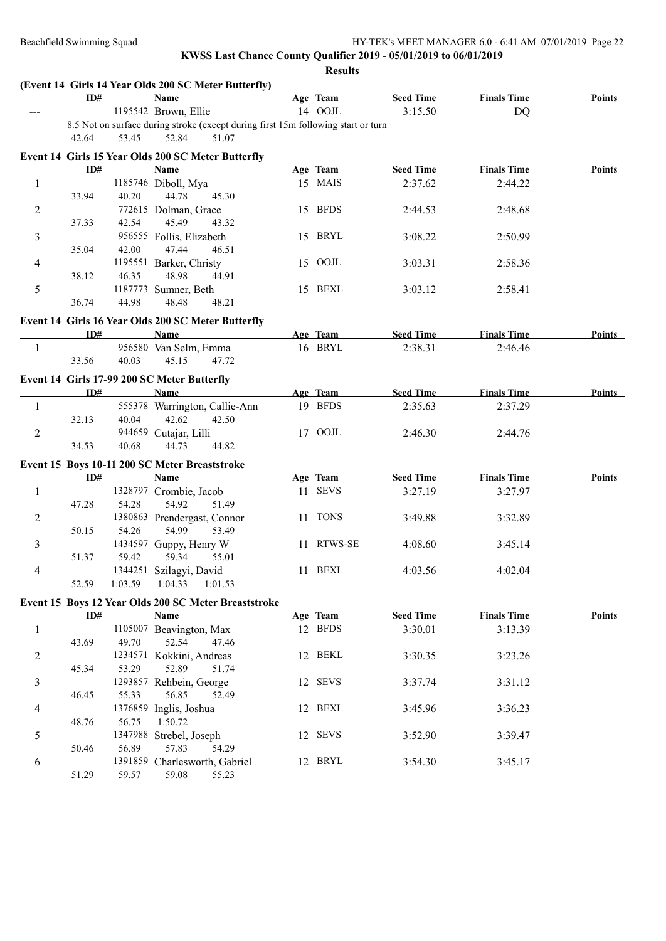|                | ID#   |       | <b>Name</b>                                                                       | Age Team   | <b>Seed Time</b> | <b>Finals Time</b> | <b>Points</b> |
|----------------|-------|-------|-----------------------------------------------------------------------------------|------------|------------------|--------------------|---------------|
|                |       |       | 1195542 Brown, Ellie                                                              | 14 OOJL    | 3:15.50          | <b>DQ</b>          |               |
|                |       |       | 8.5 Not on surface during stroke (except during first 15m following start or turn |            |                  |                    |               |
|                | 42.64 | 53.45 | 52.84<br>51.07                                                                    |            |                  |                    |               |
|                |       |       | Event 14 Girls 15 Year Olds 200 SC Meter Butterfly                                |            |                  |                    |               |
|                | ID#   |       | <b>Name</b>                                                                       | Age Team   | <b>Seed Time</b> | <b>Finals Time</b> | Points        |
| 1              |       |       | 1185746 Diboll, Mya                                                               | 15 MAIS    | 2:37.62          | 2:44.22            |               |
|                | 33.94 | 40.20 | 44.78<br>45.30                                                                    |            |                  |                    |               |
| 2              |       |       | 772615 Dolman, Grace                                                              | 15 BFDS    | 2:44.53          | 2:48.68            |               |
|                | 37.33 | 42.54 | 45.49<br>43.32                                                                    |            |                  |                    |               |
| 3              |       |       | 956555 Follis, Elizabeth                                                          | 15 BRYL    | 3:08.22          | 2:50.99            |               |
|                | 35.04 | 42.00 | 47.44<br>46.51                                                                    |            |                  |                    |               |
| 4              |       |       | 1195551 Barker, Christy                                                           | 15 OOJL    | 3:03.31          | 2:58.36            |               |
|                | 38.12 | 46.35 | 48.98<br>44.91                                                                    |            |                  |                    |               |
| 5              |       |       | 1187773 Sumner, Beth                                                              | 15 BEXL    | 3:03.12          | 2:58.41            |               |
|                | 36.74 | 44.98 | 48.48<br>48.21                                                                    |            |                  |                    |               |
|                |       |       | Event 14 Girls 16 Year Olds 200 SC Meter Butterfly                                |            |                  |                    |               |
|                | ID#   |       | Name                                                                              | Age Team   | <b>Seed Time</b> | <b>Finals Time</b> | Points        |
| $\mathbf{1}$   |       |       | 956580 Van Selm, Emma                                                             | 16 BRYL    | 2:38.31          | 2:46.46            |               |
|                | 33.56 | 40.03 | 45.15<br>47.72                                                                    |            |                  |                    |               |
|                |       |       |                                                                                   |            |                  |                    |               |
|                |       |       | Event 14 Girls 17-99 200 SC Meter Butterfly                                       |            |                  |                    |               |
|                | ID#   |       | Name                                                                              | Age Team   | <b>Seed Time</b> | <b>Finals Time</b> | Points        |
| 1              |       |       | 555378 Warrington, Callie-Ann                                                     | 19 BFDS    | 2:35.63          | 2:37.29            |               |
|                | 32.13 | 40.04 | 42.62<br>42.50                                                                    |            |                  |                    |               |
| $\overline{2}$ |       |       | 944659 Cutajar, Lilli                                                             | 17 OOJL    | 2:46.30          | 2:44.76            |               |
|                | 34.53 | 40.68 | 44.82<br>44.73                                                                    |            |                  |                    |               |
|                |       |       | Event 15 Boys 10-11 200 SC Meter Breaststroke                                     |            |                  |                    |               |
|                | ID#   |       | Name                                                                              | Age Team   | <b>Seed Time</b> | <b>Finals Time</b> | <b>Points</b> |
| 1              |       |       | 1328797 Crombie, Jacob                                                            | 11 SEVS    | 3:27.19          | 3:27.97            |               |
|                | 47.28 | 54.28 | 54.92<br>51.49                                                                    |            |                  |                    |               |
| $\overline{c}$ |       |       | 1380863 Prendergast, Connor                                                       | 11 TONS    | 3:49.88          | 3:32.89            |               |
|                | 50.15 | 54.26 | 54.99<br>53.49                                                                    |            |                  |                    |               |
| 3              |       |       | 1434597 Guppy, Henry W                                                            | 11 RTWS-SE | 4:08.60          | 3:45.14            |               |
|                | 51.37 | 59.42 | 59.34<br>55.01                                                                    |            |                  |                    |               |
| 4              |       |       | 1344251 Szilagyi, David                                                           | 11 BEXL    | 4:03.56          | 4:02.04            |               |
|                | 52.59 |       | 1:03.59  1:04.33  1:01.53                                                         |            |                  |                    |               |
|                |       |       | Event 15 Boys 12 Year Olds 200 SC Meter Breaststroke                              |            |                  |                    |               |
|                | ID#   |       | Name                                                                              | Age Team   | <b>Seed Time</b> | <b>Finals Time</b> | <b>Points</b> |
| $\mathbf{1}$   |       |       | 1105007 Beavington, Max                                                           | 12 BFDS    | 3:30.01          | 3:13.39            |               |
|                | 43.69 | 49.70 | 52.54<br>47.46                                                                    |            |                  |                    |               |
| $\overline{c}$ |       |       | 1234571 Kokkini, Andreas                                                          | 12 BEKL    | 3:30.35          | 3:23.26            |               |
|                | 45.34 | 53.29 | 52.89<br>51.74                                                                    |            |                  |                    |               |
| 3              |       |       | 1293857 Rehbein, George                                                           | 12 SEVS    | 3:37.74          | 3:31.12            |               |
|                | 46.45 | 55.33 | 56.85<br>52.49                                                                    |            |                  |                    |               |
| 4              |       |       | 1376859 Inglis, Joshua                                                            | 12 BEXL    | 3:45.96          | 3:36.23            |               |
|                | 48.76 | 56.75 | 1:50.72                                                                           |            |                  |                    |               |
|                |       |       | 1347988 Strebel, Joseph                                                           | 12 SEVS    | 3:52.90          | 3:39.47            |               |
| 5              |       |       |                                                                                   |            |                  |                    |               |
|                | 50.46 | 56.89 | 57.83<br>54.29                                                                    |            |                  |                    |               |
| 6              |       |       | 1391859 Charlesworth, Gabriel                                                     | 12 BRYL    | 3:54.30          | 3:45.17            |               |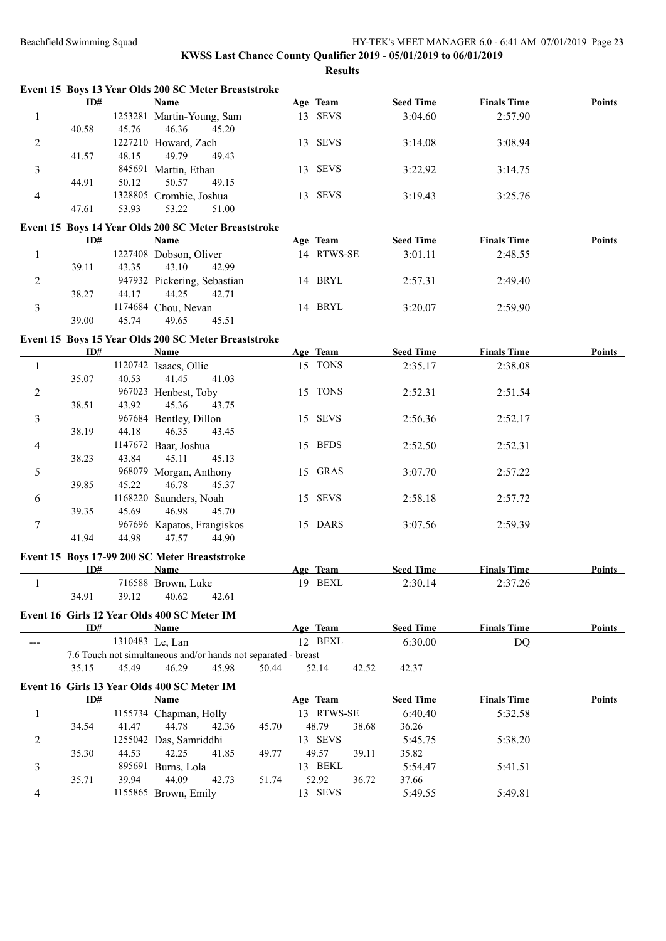#### **KWSS Last Chance County Qualifier 2019 - 05/01/2019 to 06/01/2019 Results**

|   |       |         |                         | Event 15 Boys 13 Year Olds 200 SC Meter Breaststroke |            |             |                  |                    |               |
|---|-------|---------|-------------------------|------------------------------------------------------|------------|-------------|------------------|--------------------|---------------|
|   | ID#   |         | <b>Name</b>             |                                                      |            | Age Team    | <b>Seed Time</b> | <b>Finals Time</b> | <b>Points</b> |
|   |       | 1253281 | Martin-Young, Sam       |                                                      | 13.        | <b>SEVS</b> | 3:04.60          | 2:57.90            |               |
|   | 40.58 | 45.76   | 46.36                   | 45.20                                                |            |             |                  |                    |               |
| 2 |       |         | 1227210 Howard, Zach    |                                                      | $\sqrt{3}$ | <b>SEVS</b> | 3:14.08          | 3:08.94            |               |
|   | 41.57 | 48.15   | 49.79                   | 49.43                                                |            |             |                  |                    |               |
|   |       | 845691  | Martin, Ethan           |                                                      | l 3.       | <b>SEVS</b> | 3:22.92          | 3:14.75            |               |
|   | 44.91 | 50.12   | 50.57                   | 49.15                                                |            |             |                  |                    |               |
| 4 |       |         | 1328805 Crombie, Joshua |                                                      | l 3.       | <b>SEVS</b> | 3:19.43          | 3:25.76            |               |
|   | 47.61 | 53.93   | 53.22                   | 51.00                                                |            |             |                  |                    |               |

# **Event 15 Boys 14 Year Olds 200 SC Meter Breaststroke**

| ID#   |       | Name                        |       | Age Team   | <b>Seed Time</b> | <b>Finals Time</b> | <b>Points</b> |
|-------|-------|-----------------------------|-------|------------|------------------|--------------------|---------------|
|       |       | 1227408 Dobson, Oliver      |       | 14 RTWS-SE | 3:01.11          | 2:48.55            |               |
| 39.11 | 43.35 | 43.10                       | 42.99 |            |                  |                    |               |
|       |       | 947932 Pickering, Sebastian |       | 14 BRYL    | 2:57.31          | 2:49.40            |               |
| 38.27 | 44.17 | 44.25                       | 42.71 |            |                  |                    |               |
|       |       | 1174684 Chou, Nevan         | 14    | BRYL       | 3:20.07          | 2:59.90            |               |
| 39.00 | 45.74 | 49.65                       | 45.51 |            |                  |                    |               |

## **Event 15 Boys 15 Year Olds 200 SC Meter Breaststroke**

|                | ID#   |         | Name                                                                                                                             |       |                                                                | Age Team |       | <b>Seed Time</b> | <b>Finals Time</b> | <b>Points</b> |
|----------------|-------|---------|----------------------------------------------------------------------------------------------------------------------------------|-------|----------------------------------------------------------------|----------|-------|------------------|--------------------|---------------|
| 1              |       | 1120742 | Isaacs, Ollie                                                                                                                    |       |                                                                | 15 TONS  |       | 2:35.17          | 2:38.08            |               |
|                | 35.07 | 40.53   | 41.45                                                                                                                            | 41.03 |                                                                |          |       |                  |                    |               |
| $\mathbf{2}$   |       |         | 967023 Henbest, Toby                                                                                                             |       |                                                                | 15 TONS  |       | 2:52.31          | 2:51.54            |               |
|                | 38.51 | 43.92   | 45.36                                                                                                                            | 43.75 |                                                                |          |       |                  |                    |               |
| 3              |       |         | 967684 Bentley, Dillon                                                                                                           |       |                                                                | 15 SEVS  |       | 2:56.36          | 2:52.17            |               |
|                | 38.19 | 44.18   | 46.35                                                                                                                            | 43.45 |                                                                |          |       |                  |                    |               |
| $\overline{4}$ |       |         | 1147672 Baar, Joshua                                                                                                             |       |                                                                | 15 BFDS  |       | 2:52.50          | 2:52.31            |               |
|                | 38.23 | 43.84   | 45.11                                                                                                                            | 45.13 |                                                                |          |       |                  |                    |               |
| 5              |       |         | 968079 Morgan, Anthony                                                                                                           |       |                                                                | 15 GRAS  |       | 3:07.70          | 2:57.22            |               |
|                | 39.85 | 45.22   | 46.78                                                                                                                            | 45.37 |                                                                |          |       |                  |                    |               |
| 6              |       |         | 1168220 Saunders, Noah                                                                                                           |       |                                                                | 15 SEVS  |       | 2:58.18          | 2:57.72            |               |
|                | 39.35 | 45.69   | 46.98                                                                                                                            | 45.70 |                                                                |          |       |                  |                    |               |
| 7              |       |         | 967696 Kapatos, Frangiskos                                                                                                       |       |                                                                | 15 DARS  |       | 3:07.56          | 2:59.39            |               |
|                | 41.94 | 44.98   | 47.57                                                                                                                            | 44.90 |                                                                |          |       |                  |                    |               |
|                |       |         | Event 15 Boys 17-99 200 SC Meter Breaststroke                                                                                    |       |                                                                |          |       |                  |                    |               |
|                | ID#   |         | Name                                                                                                                             |       |                                                                | Age Team |       | <b>Seed Time</b> | <b>Finals Time</b> | <b>Points</b> |
| 1              |       |         | 716588 Brown, Luke                                                                                                               |       |                                                                | 19 BEXL  |       | 2:30.14          | 2:37.26            |               |
|                | 34.91 | 39.12   | 40.62                                                                                                                            | 42.61 |                                                                |          |       |                  |                    |               |
|                |       |         | Event 16 Girls 12 Year Olds 400 SC Meter IM                                                                                      |       |                                                                |          |       |                  |                    |               |
|                | ID#   |         | Name                                                                                                                             |       |                                                                | Age Team |       | <b>Seed Time</b> | <b>Finals Time</b> | Points        |
|                |       |         | 1310483 Le, Lan                                                                                                                  |       |                                                                | 12 BEXL  |       | 6:30.00          | DQ                 |               |
|                |       |         |                                                                                                                                  |       | 7.6 Touch not simultaneous and/or hands not separated - breast |          |       |                  |                    |               |
|                | 35.15 | 45.49   | 46.29                                                                                                                            | 45.98 | 50.44                                                          | 52.14    | 42.52 | 42.37            |                    |               |
|                |       |         | $F_{\text{const}}$ 16 $G_{\text{sub}}$ 12 $V_{\text{max}}$ $\Omega$ 14 $\beta$ 00 $\Omega$ $\Omega$ $M_{\text{max}}$ $\text{IM}$ |       |                                                                |          |       |                  |                    |               |

#### **Event 16 Girls 13 Year Olds 400 SC Meter IM**

| ID#                    |       | Name                   |       |       | Age Team           |       | <b>Seed Time</b> | <b>Finals Time</b> | <b>Points</b> |
|------------------------|-------|------------------------|-------|-------|--------------------|-------|------------------|--------------------|---------------|
| 1155734 Chapman, Holly |       |                        |       |       | 13 RTWS-SE         |       | 6:40.40          | 5:32.58            |               |
| 34.54                  | 41.47 | 44.78                  | 42.36 | 45.70 | 48.79              | 38.68 | 36.26            |                    |               |
|                        |       | 1255042 Das, Samriddhi |       |       | 13 SEVS            |       | 5:45.75          | 5:38.20            |               |
| 35.30                  | 44.53 | 42.25                  | 41.85 | 49.77 | 49.57              | 39.11 | 35.82            |                    |               |
|                        |       | 895691 Burns, Lola     |       |       | 13 BEKL            |       | 5:54.47          | 5:41.51            |               |
| 35.71                  | 39.94 | 44.09                  | 42.73 | 51.74 | 52.92              | 36.72 | 37.66            |                    |               |
|                        |       | 1155865 Brown, Emily   |       |       | <b>SEVS</b><br>13. |       | 5:49.55          | 5:49.81            |               |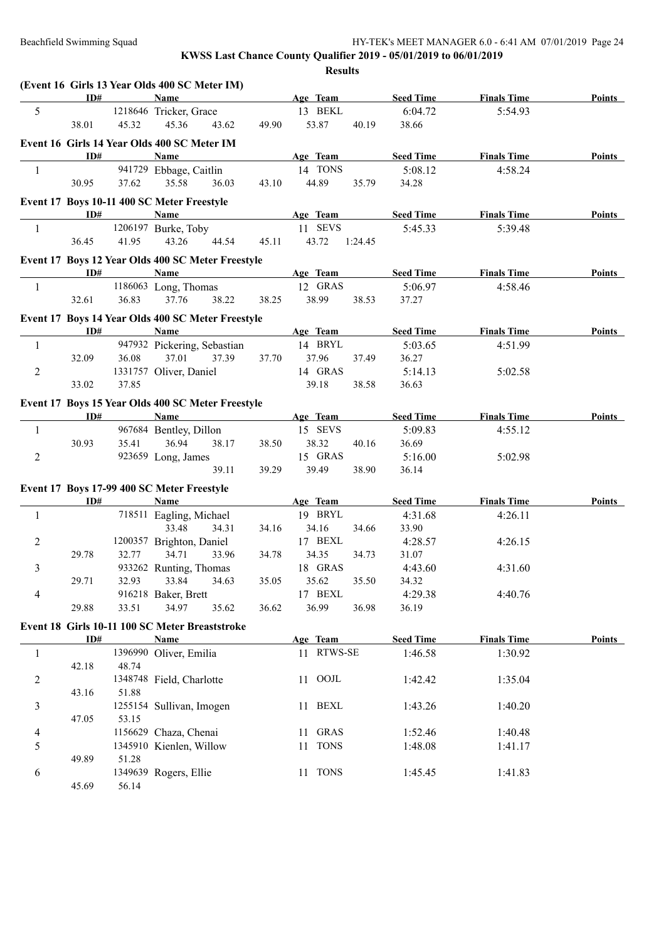|                |       |       | (Event 16 Girls 13 Year Olds 400 SC Meter IM)     |       |            |         |                  |                    |               |
|----------------|-------|-------|---------------------------------------------------|-------|------------|---------|------------------|--------------------|---------------|
|                | ID#   |       | <b>Name</b>                                       |       | Age Team   |         | <b>Seed Time</b> | <b>Finals Time</b> | <b>Points</b> |
| 5              |       |       | 1218646 Tricker, Grace                            |       | 13 BEKL    |         | 6:04.72          | 5:54.93            |               |
|                | 38.01 | 45.32 | 45.36<br>43.62                                    | 49.90 | 53.87      | 40.19   | 38.66            |                    |               |
|                |       |       | Event 16 Girls 14 Year Olds 400 SC Meter IM       |       |            |         |                  |                    |               |
|                | ID#   |       | Name                                              |       | Age Team   |         | <b>Seed Time</b> | <b>Finals Time</b> | Points        |
| $\mathbf{1}$   |       |       | 941729 Ebbage, Caitlin                            |       | 14 TONS    |         | 5:08.12          | 4:58.24            |               |
|                | 30.95 | 37.62 | 35.58<br>36.03                                    | 43.10 | 44.89      | 35.79   | 34.28            |                    |               |
|                |       |       | Event 17 Boys 10-11 400 SC Meter Freestyle        |       |            |         |                  |                    |               |
|                | ID#   |       | <b>Name</b>                                       |       | Age Team   |         | <b>Seed Time</b> | <b>Finals Time</b> | <b>Points</b> |
| $\mathbf{1}$   |       |       | 1206197 Burke, Toby                               |       | 11 SEVS    |         | 5:45.33          | 5:39.48            |               |
|                | 36.45 | 41.95 | 43.26<br>44.54                                    | 45.11 | 43.72      | 1:24.45 |                  |                    |               |
|                |       |       | Event 17 Boys 12 Year Olds 400 SC Meter Freestyle |       |            |         |                  |                    |               |
|                | ID#   |       | <b>Name</b>                                       |       | Age Team   |         | <b>Seed Time</b> | <b>Finals Time</b> | <b>Points</b> |
| 1              |       |       | 1186063 Long, Thomas                              |       | 12 GRAS    |         | 5:06.97          | 4:58.46            |               |
|                | 32.61 | 36.83 | 37.76<br>38.22                                    | 38.25 | 38.99      | 38.53   | 37.27            |                    |               |
|                |       |       | Event 17 Boys 14 Year Olds 400 SC Meter Freestyle |       |            |         |                  |                    |               |
|                | ID#   |       | Name                                              |       | Age Team   |         | <b>Seed Time</b> | <b>Finals Time</b> | <b>Points</b> |
| 1              |       |       | 947932 Pickering, Sebastian                       |       | 14 BRYL    |         | 5:03.65          | 4:51.99            |               |
|                | 32.09 | 36.08 | 37.01<br>37.39                                    | 37.70 | 37.96      | 37.49   | 36.27            |                    |               |
| $\sqrt{2}$     |       |       | 1331757 Oliver, Daniel                            |       | 14 GRAS    |         | 5:14.13          | 5:02.58            |               |
|                | 33.02 | 37.85 |                                                   |       | 39.18      | 38.58   | 36.63            |                    |               |
|                |       |       | Event 17 Boys 15 Year Olds 400 SC Meter Freestyle |       |            |         |                  |                    |               |
|                | ID#   |       | <b>Name</b>                                       |       | Age Team   |         | <b>Seed Time</b> | <b>Finals Time</b> | <b>Points</b> |
| 1              |       |       | 967684 Bentley, Dillon                            |       | 15 SEVS    |         | 5:09.83          | 4:55.12            |               |
|                | 30.93 | 35.41 | 36.94<br>38.17                                    | 38.50 | 38.32      | 40.16   | 36.69            |                    |               |
| $\overline{2}$ |       |       | 923659 Long, James                                |       | 15 GRAS    |         | 5:16.00          | 5:02.98            |               |
|                |       |       | 39.11                                             | 39.29 | 39.49      | 38.90   | 36.14            |                    |               |
|                |       |       | Event 17 Boys 17-99 400 SC Meter Freestyle        |       |            |         |                  |                    |               |
|                | ID#   |       | Name                                              |       | Age Team   |         | <b>Seed Time</b> | <b>Finals Time</b> | <b>Points</b> |
| 1              |       |       | 718511 Eagling, Michael                           |       | 19 BRYL    |         | 4:31.68          | 4:26.11            |               |
|                |       |       | 33.48<br>34.31                                    | 34.16 | 34.16      | 34.66   | 33.90            |                    |               |
| $\overline{c}$ |       |       | 1200357 Brighton, Daniel                          |       | 17 BEXL    |         | 4:28.57          | 4:26.15            |               |
|                | 29.78 | 32.77 | 34.71<br>33.96                                    | 34.78 | 34.35      | 34.73   | 31.07            |                    |               |
| 3              |       |       | 933262 Runting, Thomas                            |       | 18 GRAS    |         | 4:43.60          | 4:31.60            |               |
|                | 29.71 | 32.93 | 33.84<br>34.63                                    | 35.05 | 35.62      | 35.50   | 34.32            |                    |               |
| 4              |       |       | 916218 Baker, Brett                               |       | 17 BEXL    |         | 4:29.38          | 4:40.76            |               |
|                | 29.88 | 33.51 | 34.97<br>35.62                                    | 36.62 | 36.99      | 36.98   | 36.19            |                    |               |
|                |       |       | Event 18 Girls 10-11 100 SC Meter Breaststroke    |       |            |         |                  |                    |               |
|                | ID#   |       | Name                                              |       | Age Team   |         | <b>Seed Time</b> | <b>Finals Time</b> | <b>Points</b> |
| $\mathbf{1}$   |       |       | 1396990 Oliver, Emilia                            |       | 11 RTWS-SE |         | 1:46.58          | 1:30.92            |               |
|                | 42.18 | 48.74 |                                                   |       |            |         |                  |                    |               |
| $\overline{2}$ |       |       | 1348748 Field, Charlotte                          |       | 11 OOJL    |         | 1:42.42          | 1:35.04            |               |
|                | 43.16 | 51.88 |                                                   |       |            |         |                  |                    |               |
| 3              |       |       | 1255154 Sullivan, Imogen                          |       | 11 BEXL    |         | 1:43.26          | 1:40.20            |               |
|                | 47.05 | 53.15 |                                                   |       |            |         |                  |                    |               |
| 4              |       |       | 1156629 Chaza, Chenai                             |       | 11 GRAS    |         | 1:52.46          | 1:40.48            |               |
| 5              |       |       | 1345910 Kienlen, Willow                           |       | 11 TONS    |         | 1:48.08          | 1:41.17            |               |
|                | 49.89 | 51.28 |                                                   |       |            |         |                  |                    |               |
| 6              |       |       | 1349639 Rogers, Ellie                             |       | 11 TONS    |         | 1:45.45          | 1:41.83            |               |
|                | 45.69 | 56.14 |                                                   |       |            |         |                  |                    |               |
|                |       |       |                                                   |       |            |         |                  |                    |               |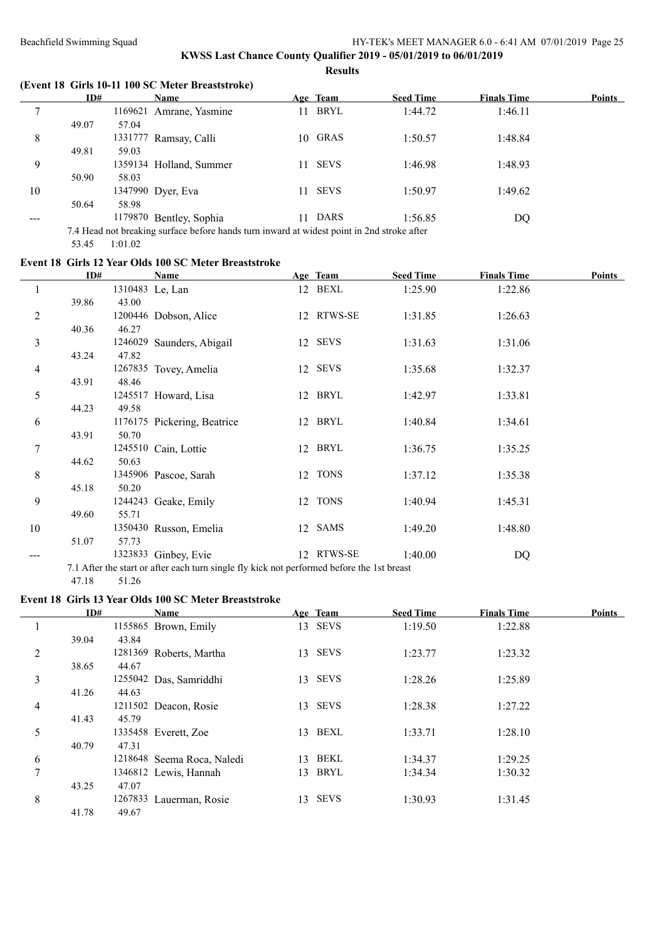## **KWSS Last Chance County Qualifier 2019 - 05/01/2019 to 06/01/2019 Results**

**(Event 18 Girls 10-11 100 SC Meter Breaststroke)**

|     | ID#   |         | Name                                                                                       |     | Age Team    | <b>Seed Time</b> | <b>Finals Time</b> | <b>Points</b> |
|-----|-------|---------|--------------------------------------------------------------------------------------------|-----|-------------|------------------|--------------------|---------------|
|     |       | 1169621 | Amrane, Yasmine                                                                            | 11. | BRYL        | 1:44.72          | 1:46.11            |               |
|     | 49.07 | 57.04   |                                                                                            |     |             |                  |                    |               |
| 8   |       | 1331777 | Ramsay, Calli                                                                              | 10. | GRAS        | 1:50.57          | 1:48.84            |               |
|     | 49.81 | 59.03   |                                                                                            |     |             |                  |                    |               |
| 9   |       |         | 1359134 Holland, Summer                                                                    | 11. | <b>SEVS</b> | 1:46.98          | 1:48.93            |               |
|     | 50.90 | 58.03   |                                                                                            |     |             |                  |                    |               |
| 10  |       |         | 1347990 Dyer, Eva                                                                          | 11  | <b>SEVS</b> | 1:50.97          | 1:49.62            |               |
|     | 50.64 | 58.98   |                                                                                            |     |             |                  |                    |               |
| --- |       |         | 1179870 Bentley, Sophia                                                                    | 11  | <b>DARS</b> | 1:56.85          | DQ                 |               |
|     |       |         | 7.4 Head not breaking surface before hands turn inward at widest point in 2nd stroke after |     |             |                  |                    |               |
|     |       |         |                                                                                            |     |             |                  |                    |               |

# 53.45 1:01.02

# **Event 18 Girls 12 Year Olds 100 SC Meter Breaststroke**

|                | ID#   |         | Name                                                                                       |    | Age Team    | <b>Seed Time</b> | <b>Finals Time</b> | <b>Points</b> |
|----------------|-------|---------|--------------------------------------------------------------------------------------------|----|-------------|------------------|--------------------|---------------|
|                |       |         | 1310483 Le, Lan                                                                            |    | 12 BEXL     | 1:25.90          | 1:22.86            |               |
|                | 39.86 | 43.00   |                                                                                            |    |             |                  |                    |               |
| $\overline{c}$ |       |         | 1200446 Dobson, Alice                                                                      |    | 12 RTWS-SE  | 1:31.85          | 1:26.63            |               |
|                | 40.36 | 46.27   |                                                                                            |    |             |                  |                    |               |
| 3              |       | 1246029 | Saunders, Abigail                                                                          |    | 12 SEVS     | 1:31.63          | 1:31.06            |               |
|                | 43.24 | 47.82   |                                                                                            |    |             |                  |                    |               |
| 4              |       |         | 1267835 Tovey, Amelia                                                                      |    | 12 SEVS     | 1:35.68          | 1:32.37            |               |
|                | 43.91 | 48.46   |                                                                                            |    |             |                  |                    |               |
| 5              |       |         | 1245517 Howard, Lisa                                                                       |    | 12 BRYL     | 1:42.97          | 1:33.81            |               |
|                | 44.23 | 49.58   |                                                                                            |    |             |                  |                    |               |
| 6              |       |         | 1176175 Pickering, Beatrice                                                                |    | 12 BRYL     | 1:40.84          | 1:34.61            |               |
|                | 43.91 | 50.70   |                                                                                            |    |             |                  |                    |               |
| 7              |       |         | 1245510 Cain, Lottie                                                                       |    | 12 BRYL     | 1:36.75          | 1:35.25            |               |
|                | 44.62 | 50.63   |                                                                                            |    |             |                  |                    |               |
| 8              |       |         | 1345906 Pascoe, Sarah                                                                      | 12 | <b>TONS</b> | 1:37.12          | 1:35.38            |               |
|                | 45.18 | 50.20   |                                                                                            |    |             |                  |                    |               |
| 9              |       |         | 1244243 Geake, Emily                                                                       |    | 12 TONS     | 1:40.94          | 1:45.31            |               |
|                | 49.60 | 55.71   |                                                                                            |    |             |                  |                    |               |
| 10             |       |         | 1350430 Russon, Emelia                                                                     |    | 12 SAMS     | 1:49.20          | 1:48.80            |               |
|                | 51.07 | 57.73   |                                                                                            |    |             |                  |                    |               |
|                |       |         | 1323833 Ginbey, Evie                                                                       |    | 12 RTWS-SE  | 1:40.00          | DQ                 |               |
|                |       |         | 7.1 After the start or after each turn single fly kick not performed before the 1st breast |    |             |                  |                    |               |

47.18 51.26

# **Event 18 Girls 13 Year Olds 100 SC Meter Breaststroke**

|   | ID#   |         | Name                       |    | Age Team    | <b>Seed Time</b> | <b>Finals Time</b> | Points |
|---|-------|---------|----------------------------|----|-------------|------------------|--------------------|--------|
|   |       |         | 1155865 Brown, Emily       | 13 | <b>SEVS</b> | 1:19.50          | 1:22.88            |        |
|   | 39.04 | 43.84   |                            |    |             |                  |                    |        |
| 2 |       |         | 1281369 Roberts, Martha    | 13 | <b>SEVS</b> | 1:23.77          | 1:23.32            |        |
|   | 38.65 | 44.67   |                            |    |             |                  |                    |        |
| 3 |       |         | 1255042 Das, Samriddhi     | 13 | <b>SEVS</b> | 1:28.26          | 1:25.89            |        |
|   | 41.26 | 44.63   |                            |    |             |                  |                    |        |
| 4 |       |         | 1211502 Deacon, Rosie      | 13 | <b>SEVS</b> | 1:28.38          | 1:27.22            |        |
|   | 41.43 | 45.79   |                            |    |             |                  |                    |        |
| 5 |       |         | 1335458 Everett, Zoe       | 13 | BEXL        | 1:33.71          | 1:28.10            |        |
|   | 40.79 | 47.31   |                            |    |             |                  |                    |        |
| 6 |       |         | 1218648 Seema Roca, Naledi | 13 | <b>BEKL</b> | 1:34.37          | 1:29.25            |        |
| 7 |       |         | 1346812 Lewis, Hannah      | 13 | BRYL        | 1:34.34          | 1:30.32            |        |
|   | 43.25 | 47.07   |                            |    |             |                  |                    |        |
| 8 |       | 1267833 | Lauerman, Rosie            | 13 | <b>SEVS</b> | 1:30.93          | 1:31.45            |        |
|   | 41.78 | 49.67   |                            |    |             |                  |                    |        |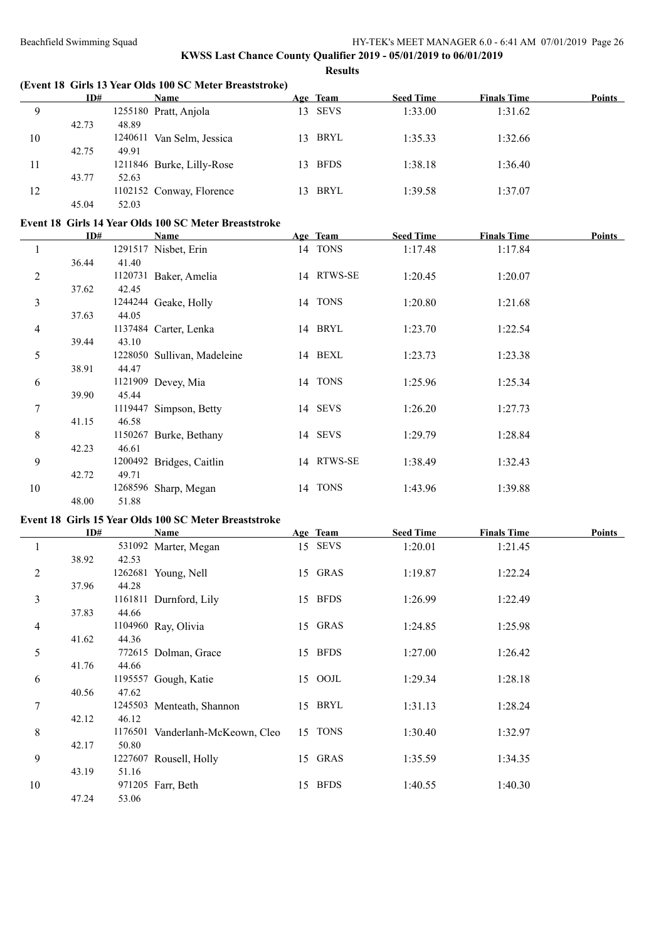## **KWSS Last Chance County Qualifier 2019 - 05/01/2019 to 06/01/2019 Results**

|    |       |         | (Event 18 Girls 13 Year Olds 100 SC Meter Breaststroke) |     |             |                  |                    |               |
|----|-------|---------|---------------------------------------------------------|-----|-------------|------------------|--------------------|---------------|
|    | ID#   |         | <b>Name</b>                                             |     | Age Team    | <b>Seed Time</b> | <b>Finals Time</b> | <b>Points</b> |
| 9  |       |         | 1255180 Pratt, Anjola                                   | 13  | <b>SEVS</b> | 1:33.00          | 1:31.62            |               |
|    | 42.73 | 48.89   |                                                         |     |             |                  |                    |               |
| 10 |       | 1240611 | Van Selm, Jessica                                       | 13. | BRYL        | 1:35.33          | 1:32.66            |               |
|    | 42.75 | 49.91   |                                                         |     |             |                  |                    |               |
| 11 |       |         | 1211846 Burke, Lilly-Rose                               | 13  | <b>BFDS</b> | 1:38.18          | 1:36.40            |               |
|    | 43.77 | 52.63   |                                                         |     |             |                  |                    |               |
| 12 |       |         | 1102152 Conway, Florence                                | 13  | <b>BRYL</b> | 1:39.58          | 1:37.07            |               |
|    | 45.04 | 52.03   |                                                         |     |             |                  |                    |               |

#### **Event 18 Girls 14 Year Olds 100 SC Meter Breaststroke**

|    | ID#   |         | Name                        | Age Team   | <b>Seed Time</b> | <b>Finals Time</b> | <b>Points</b> |
|----|-------|---------|-----------------------------|------------|------------------|--------------------|---------------|
|    |       |         | 1291517 Nisbet, Erin        | 14 TONS    | 1:17.48          | 1:17.84            |               |
|    | 36.44 | 41.40   |                             |            |                  |                    |               |
| 2  |       | 1120731 | Baker, Amelia               | 14 RTWS-SE | 1:20.45          | 1:20.07            |               |
|    | 37.62 | 42.45   |                             |            |                  |                    |               |
| 3  |       |         | 1244244 Geake, Holly        | 14 TONS    | 1:20.80          | 1:21.68            |               |
|    | 37.63 | 44.05   |                             |            |                  |                    |               |
| 4  |       |         | 1137484 Carter, Lenka       | 14 BRYL    | 1:23.70          | 1:22.54            |               |
|    | 39.44 | 43.10   |                             |            |                  |                    |               |
| 5  |       |         | 1228050 Sullivan, Madeleine | 14 BEXL    | 1:23.73          | 1:23.38            |               |
|    | 38.91 | 44.47   |                             |            |                  |                    |               |
| 6  |       |         | 1121909 Devey, Mia          | 14 TONS    | 1:25.96          | 1:25.34            |               |
|    | 39.90 | 45.44   |                             |            |                  |                    |               |
| 7  |       |         | 1119447 Simpson, Betty      | 14 SEVS    | 1:26.20          | 1:27.73            |               |
|    | 41.15 | 46.58   |                             |            |                  |                    |               |
| 8  |       |         | 1150267 Burke, Bethany      | 14 SEVS    | 1:29.79          | 1:28.84            |               |
|    | 42.23 | 46.61   |                             |            |                  |                    |               |
| 9  |       |         | 1200492 Bridges, Caitlin    | 14 RTWS-SE | 1:38.49          | 1:32.43            |               |
|    | 42.72 | 49.71   |                             |            |                  |                    |               |
| 10 |       |         | 1268596 Sharp, Megan        | 14 TONS    | 1:43.96          | 1:39.88            |               |
|    | 48.00 | 51.88   |                             |            |                  |                    |               |

#### **Event 18 Girls 15 Year Olds 100 SC Meter Breaststroke**

|    | ID#   |       | Name                             | Age Team | <b>Seed Time</b> | <b>Finals Time</b> | <b>Points</b> |
|----|-------|-------|----------------------------------|----------|------------------|--------------------|---------------|
| 1  |       |       | 531092 Marter, Megan             | 15 SEVS  | 1:20.01          | 1:21.45            |               |
|    | 38.92 | 42.53 |                                  |          |                  |                    |               |
| 2  |       |       | 1262681 Young, Nell              | 15 GRAS  | 1:19.87          | 1:22.24            |               |
|    | 37.96 | 44.28 |                                  |          |                  |                    |               |
| 3  |       |       | 1161811 Durnford, Lily           | 15 BFDS  | 1:26.99          | 1:22.49            |               |
|    | 37.83 | 44.66 |                                  |          |                  |                    |               |
| 4  |       |       | 1104960 Ray, Olivia              | 15 GRAS  | 1:24.85          | 1:25.98            |               |
|    | 41.62 | 44.36 |                                  |          |                  |                    |               |
| 5  |       |       | 772615 Dolman, Grace             | 15 BFDS  | 1:27.00          | 1:26.42            |               |
|    | 41.76 | 44.66 |                                  |          |                  |                    |               |
| 6  |       |       | 1195557 Gough, Katie             | 15 OOJL  | 1:29.34          | 1:28.18            |               |
|    | 40.56 | 47.62 |                                  |          |                  |                    |               |
| 7  |       |       | 1245503 Menteath, Shannon        | 15 BRYL  | 1:31.13          | 1:28.24            |               |
|    | 42.12 | 46.12 |                                  |          |                  |                    |               |
| 8  |       |       | 1176501 Vanderlanh-McKeown, Cleo | 15 TONS  | 1:30.40          | 1:32.97            |               |
|    | 42.17 | 50.80 |                                  |          |                  |                    |               |
| 9  |       |       | 1227607 Rousell, Holly           | 15 GRAS  | 1:35.59          | 1:34.35            |               |
|    | 43.19 | 51.16 |                                  |          |                  |                    |               |
| 10 |       |       | 971205 Farr, Beth                | 15 BFDS  | 1:40.55          | 1:40.30            |               |
|    | 47.24 | 53.06 |                                  |          |                  |                    |               |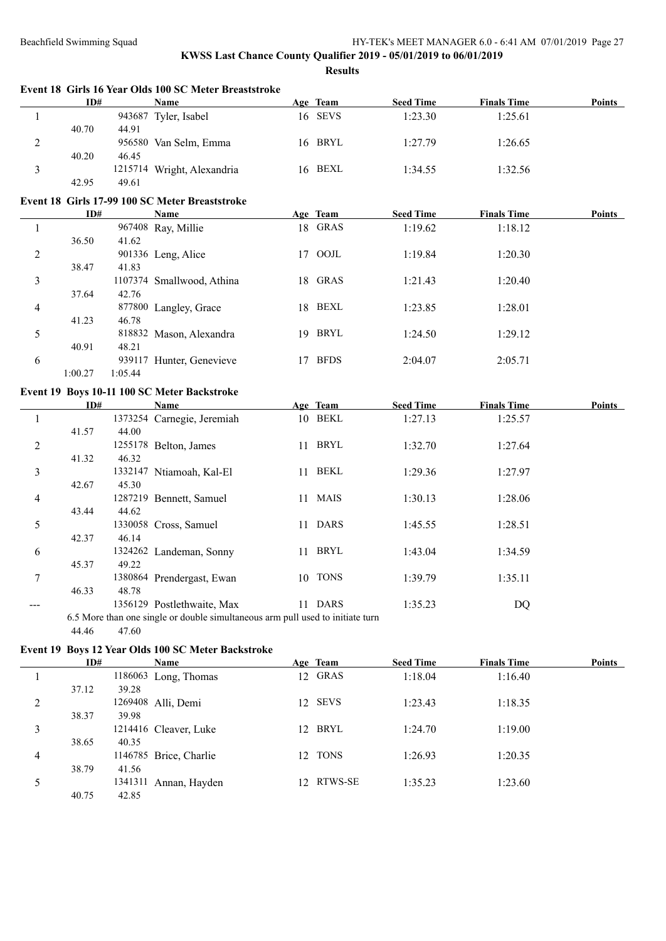40.75 42.85

#### Beachfield Swimming Squad HY-TEK's MEET MANAGER 6.0 - 6:41 AM 07/01/2019 Page 27

|                | ID#     |         | Event 18 Girls 16 Year Olds 100 SC Meter Breaststroke<br><b>Name</b>           | Age Team   | <b>Seed Time</b> | <b>Finals Time</b> | <b>Points</b> |
|----------------|---------|---------|--------------------------------------------------------------------------------|------------|------------------|--------------------|---------------|
| 1              |         |         | 943687 Tyler, Isabel                                                           | 16 SEVS    | 1:23.30          | 1:25.61            |               |
|                | 40.70   | 44.91   |                                                                                |            |                  |                    |               |
| $\overline{2}$ |         |         | 956580 Van Selm, Emma                                                          | 16 BRYL    | 1:27.79          | 1:26.65            |               |
|                | 40.20   | 46.45   |                                                                                |            |                  |                    |               |
| 3              |         |         | 1215714 Wright, Alexandria                                                     | 16 BEXL    | 1:34.55          | 1:32.56            |               |
|                | 42.95   | 49.61   |                                                                                |            |                  |                    |               |
|                |         |         |                                                                                |            |                  |                    |               |
|                |         |         | Event 18 Girls 17-99 100 SC Meter Breaststroke                                 |            |                  |                    |               |
|                | ID#     |         | Name                                                                           | Age Team   | <b>Seed Time</b> | <b>Finals Time</b> | <b>Points</b> |
| 1              |         |         | 967408 Ray, Millie                                                             | 18 GRAS    | 1:19.62          | 1:18.12            |               |
|                | 36.50   | 41.62   |                                                                                |            |                  |                    |               |
| 2              |         |         | 901336 Leng, Alice                                                             | 17 OOJL    | 1:19.84          | 1:20.30            |               |
|                | 38.47   | 41.83   |                                                                                |            |                  |                    |               |
| 3              |         |         | 1107374 Smallwood, Athina                                                      | 18 GRAS    | 1:21.43          | 1:20.40            |               |
|                | 37.64   | 42.76   |                                                                                |            |                  |                    |               |
| 4              |         |         | 877800 Langley, Grace                                                          | 18 BEXL    | 1:23.85          | 1:28.01            |               |
|                | 41.23   | 46.78   |                                                                                |            |                  |                    |               |
| 5              |         |         | 818832 Mason, Alexandra                                                        | 19 BRYL    | 1:24.50          | 1:29.12            |               |
|                | 40.91   | 48.21   |                                                                                |            |                  |                    |               |
| 6              |         |         | 939117 Hunter, Genevieve                                                       | 17 BFDS    | 2:04.07          | 2:05.71            |               |
|                | 1:00.27 | 1:05.44 |                                                                                |            |                  |                    |               |
|                |         |         | Event 19 Boys 10-11 100 SC Meter Backstroke                                    |            |                  |                    |               |
|                | ID#     |         | Name                                                                           | Age Team   | <b>Seed Time</b> | <b>Finals Time</b> | Points        |
|                |         |         |                                                                                | 10 BEKL    | 1:27.13          |                    |               |
| $\mathbf{1}$   |         |         | 1373254 Carnegie, Jeremiah                                                     |            |                  | 1:25.57            |               |
|                | 41.57   | 44.00   |                                                                                |            |                  |                    |               |
| $\overline{c}$ |         |         | 1255178 Belton, James                                                          | 11 BRYL    | 1:32.70          | 1:27.64            |               |
|                | 41.32   | 46.32   |                                                                                |            |                  |                    |               |
| 3              |         |         | 1332147 Ntiamoah, Kal-El                                                       | 11 BEKL    | 1:29.36          | 1:27.97            |               |
|                | 42.67   | 45.30   |                                                                                |            |                  |                    |               |
| 4              |         |         | 1287219 Bennett, Samuel                                                        | 11 MAIS    | 1:30.13          | 1:28.06            |               |
|                | 43.44   | 44.62   |                                                                                |            |                  |                    |               |
| 5              |         |         | 1330058 Cross, Samuel                                                          | 11 DARS    | 1:45.55          | 1:28.51            |               |
|                | 42.37   | 46.14   |                                                                                |            |                  |                    |               |
| 6              |         |         | 1324262 Landeman, Sonny                                                        | 11 BRYL    | 1:43.04          | 1:34.59            |               |
|                | 45.37   | 49.22   |                                                                                |            |                  |                    |               |
| 7              |         |         | 1380864 Prendergast, Ewan                                                      | 10 TONS    | 1:39.79          | 1:35.11            |               |
|                | 46.33   | 48.78   |                                                                                |            |                  |                    |               |
|                |         |         | 1356129 Postlethwaite, Max                                                     | 11 DARS    | 1:35.23          | <b>DQ</b>          |               |
|                |         |         | 6.5 More than one single or double simultaneous arm pull used to initiate turn |            |                  |                    |               |
|                | 44.46   | 47.60   |                                                                                |            |                  |                    |               |
|                |         |         | Event 19 Boys 12 Year Olds 100 SC Meter Backstroke                             |            |                  |                    |               |
|                | ID#     |         | Name                                                                           | Age Team   | <b>Seed Time</b> | <b>Finals Time</b> | Points        |
|                |         |         |                                                                                | 12 GRAS    | 1:18.04          | 1:16.40            |               |
| 1              |         |         | 1186063 Long, Thomas                                                           |            |                  |                    |               |
|                | 37.12   | 39.28   |                                                                                |            |                  |                    |               |
| 2              |         |         | 1269408 Alli, Demi                                                             | 12 SEVS    | 1:23.43          | 1:18.35            |               |
|                | 38.37   | 39.98   |                                                                                |            |                  |                    |               |
| 3              |         |         | 1214416 Cleaver, Luke                                                          | 12 BRYL    | 1:24.70          | 1:19.00            |               |
|                | 38.65   | 40.35   |                                                                                |            |                  |                    |               |
| 4              |         |         | 1146785 Brice, Charlie                                                         | 12 TONS    | 1:26.93          | 1:20.35            |               |
|                | 38.79   | 41.56   |                                                                                |            |                  |                    |               |
| 5              |         |         | 1341311 Annan, Hayden                                                          | 12 RTWS-SE | 1:35.23          | 1:23.60            |               |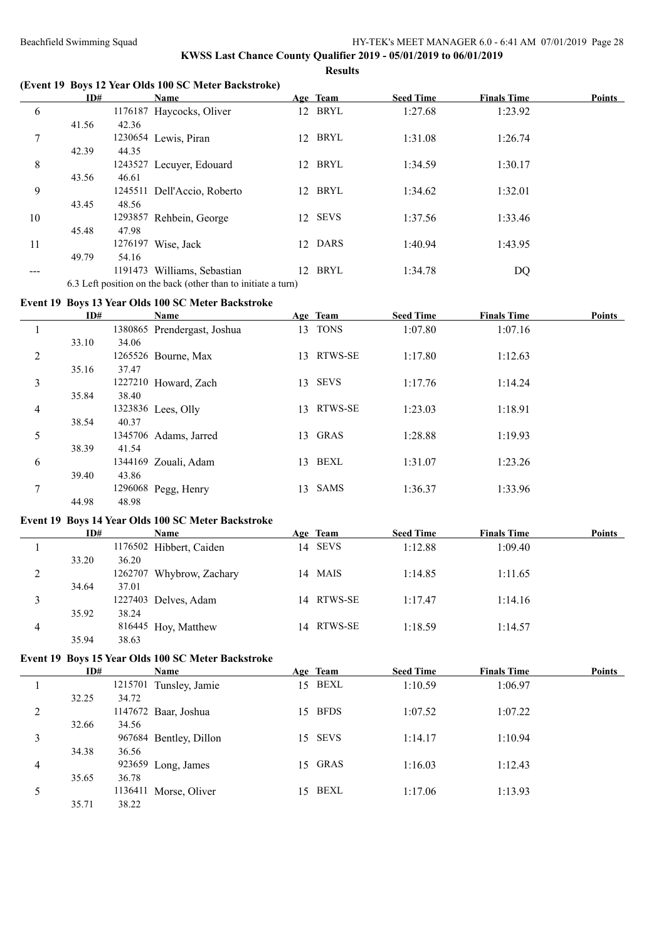## **KWSS Last Chance County Qualifier 2019 - 05/01/2019 to 06/01/2019 Results**

# **(Event 19 Boys 12 Year Olds 100 SC Meter Backstroke)**

|     | ID#   |         | <b>Name</b>                                                   |    | Age Team | <b>Seed Time</b> | <b>Finals Time</b> | <b>Points</b> |
|-----|-------|---------|---------------------------------------------------------------|----|----------|------------------|--------------------|---------------|
| 6   |       |         | 1176187 Haycocks, Oliver                                      |    | 12 BRYL  | 1:27.68          | 1:23.92            |               |
|     | 41.56 | 42.36   |                                                               |    |          |                  |                    |               |
| 7   |       |         | 1230654 Lewis, Piran                                          | 12 | BRYL     | 1:31.08          | 1:26.74            |               |
|     | 42.39 | 44.35   |                                                               |    |          |                  |                    |               |
| 8   |       |         | 1243527 Lecuyer, Edouard                                      | 12 | BRYL     | 1:34.59          | 1:30.17            |               |
|     | 43.56 | 46.61   |                                                               |    |          |                  |                    |               |
| 9   |       |         | 1245511 Dell'Accio, Roberto                                   | 12 | BRYL     | 1:34.62          | 1:32.01            |               |
|     | 43.45 | 48.56   |                                                               |    |          |                  |                    |               |
| 10  |       |         | 1293857 Rehbein, George                                       |    | 12 SEVS  | 1:37.56          | 1:33.46            |               |
|     | 45.48 | 47.98   |                                                               |    |          |                  |                    |               |
| 11  |       | 1276197 | Wise, Jack                                                    | 12 | DARS     | 1:40.94          | 1:43.95            |               |
|     | 49.79 | 54.16   |                                                               |    |          |                  |                    |               |
| --- |       | 1191473 | Williams, Sebastian                                           | 12 | BRYL     | 1:34.78          | DQ                 |               |
|     |       |         | 6.3 Left position on the back (other than to initiate a turn) |    |          |                  |                    |               |

## **Event 19 Boys 13 Year Olds 100 SC Meter Backstroke**

|               | ID#   |         | Name                        |     | Age Team    | <b>Seed Time</b> | <b>Finals Time</b> | <b>Points</b> |
|---------------|-------|---------|-----------------------------|-----|-------------|------------------|--------------------|---------------|
|               |       |         | 1380865 Prendergast, Joshua | 13  | <b>TONS</b> | 1:07.80          | 1:07.16            |               |
|               | 33.10 | 34.06   |                             |     |             |                  |                    |               |
| 2             |       |         | 1265526 Bourne, Max         | 13  | RTWS-SE     | 1:17.80          | 1:12.63            |               |
|               | 35.16 | 37.47   |                             |     |             |                  |                    |               |
| 3             |       |         | 1227210 Howard, Zach        | 13  | <b>SEVS</b> | 1:17.76          | 1:14.24            |               |
|               | 35.84 | 38.40   |                             |     |             |                  |                    |               |
| 4             |       |         | 1323836 Lees, Olly          | 13. | RTWS-SE     | 1:23.03          | 1:18.91            |               |
|               | 38.54 | 40.37   |                             |     |             |                  |                    |               |
| 5             |       |         | 1345706 Adams, Jarred       | 13  | GRAS        | 1:28.88          | 1:19.93            |               |
|               | 38.39 | 41.54   |                             |     |             |                  |                    |               |
| 6             |       | 1344169 | Zouali, Adam                | 13  | BEXL        | 1:31.07          | 1:23.26            |               |
|               | 39.40 | 43.86   |                             |     |             |                  |                    |               |
| $\mathcal{I}$ |       |         | 1296068 Pegg, Henry         | 13  | <b>SAMS</b> | 1:36.37          | 1:33.96            |               |
|               | 44.98 | 48.98   |                             |     |             |                  |                    |               |

#### **Event 19 Boys 14 Year Olds 100 SC Meter Backstroke**

|                   | ID#   |         | Name                    | Age Team   | <b>Seed Time</b> | <b>Finals Time</b> | <b>Points</b> |
|-------------------|-------|---------|-------------------------|------------|------------------|--------------------|---------------|
|                   |       |         | 1176502 Hibbert, Caiden | 14 SEVS    | 1:12.88          | 1:09.40            |               |
|                   | 33.20 | 36.20   |                         |            |                  |                    |               |
| <sup>2</sup><br>∠ |       | 1262707 | Whybrow, Zachary        | 14 MAIS    | 1:14.85          | 1:11.65            |               |
|                   | 34.64 | 37.01   |                         |            |                  |                    |               |
|                   |       |         | 1227403 Delves, Adam    | 14 RTWS-SE | 1:17.47          | 1:14.16            |               |
|                   | 35.92 | 38.24   |                         |            |                  |                    |               |
| 4                 |       |         | 816445 Hoy, Matthew     | 14 RTWS-SE | 1:18.59          | 1:14.57            |               |
|                   | 35.94 | 38.63   |                         |            |                  |                    |               |

# **Event 19 Boys 15 Year Olds 100 SC Meter Backstroke**

|                | ID#   | <b>Name</b>               |     | Age Team    | <b>Seed Time</b> | <b>Finals Time</b> | <b>Points</b> |
|----------------|-------|---------------------------|-----|-------------|------------------|--------------------|---------------|
|                |       | 1215701 Tunsley, Jamie    | 15  | BEXL        | 1:10.59          | 1:06.97            |               |
|                | 32.25 | 34.72                     |     |             |                  |                    |               |
| 2              |       | 1147672 Baar, Joshua      | 15. | <b>BFDS</b> | 1:07.52          | 1:07.22            |               |
|                | 32.66 | 34.56                     |     |             |                  |                    |               |
| 3              |       | 967684<br>Bentley, Dillon | 15. | <b>SEVS</b> | 1:14.17          | 1:10.94            |               |
|                | 34.38 | 36.56                     |     |             |                  |                    |               |
| $\overline{4}$ |       | 923659 Long, James        |     | 15 GRAS     | 1:16.03          | 1:12.43            |               |
|                | 35.65 | 36.78                     |     |             |                  |                    |               |
| 5              |       | 1136411 Morse, Oliver     | 15. | BEXL        | 1:17.06          | 1:13.93            |               |
|                | 35.71 | 38.22                     |     |             |                  |                    |               |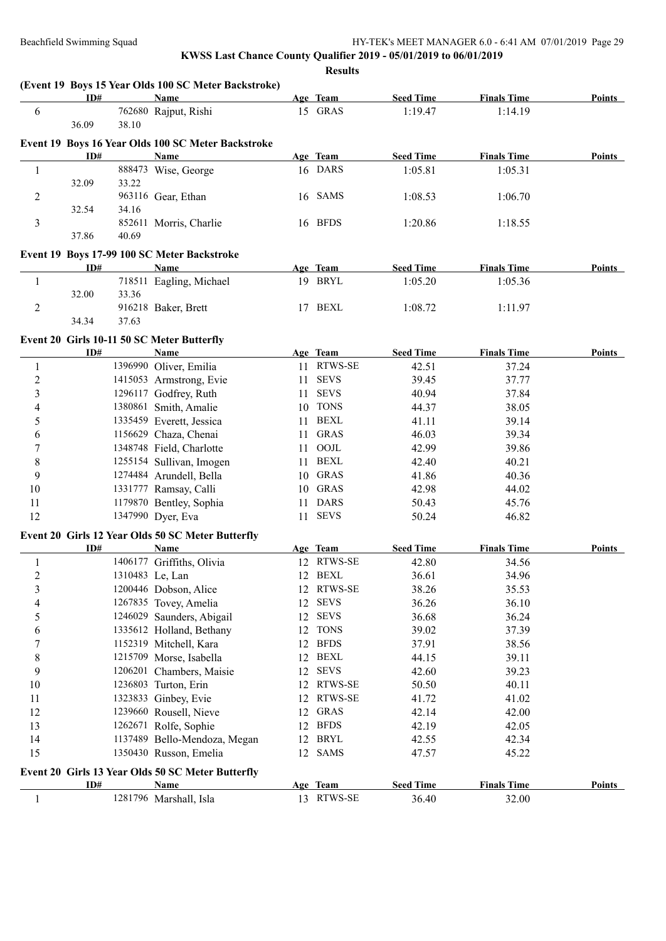|                  | ID#   |                 | <b>Name</b>                                        |    | Age Team                   | <b>Seed Time</b> | <b>Finals Time</b> | <b>Points</b> |
|------------------|-------|-----------------|----------------------------------------------------|----|----------------------------|------------------|--------------------|---------------|
| 6                |       |                 | 762680 Rajput, Rishi                               |    | 15 GRAS                    | 1:19.47          | 1:14.19            |               |
|                  | 36.09 | 38.10           |                                                    |    |                            |                  |                    |               |
|                  |       |                 | Event 19 Boys 16 Year Olds 100 SC Meter Backstroke |    |                            |                  |                    |               |
|                  | ID#   |                 | <b>Name</b>                                        |    | Age Team                   | <b>Seed Time</b> | <b>Finals Time</b> | Points        |
| 1                |       |                 | 888473 Wise, George                                |    | 16 DARS                    | 1:05.81          | 1:05.31            |               |
|                  | 32.09 | 33.22           |                                                    |    |                            |                  |                    |               |
| 2                |       |                 | 963116 Gear, Ethan                                 |    | 16 SAMS                    | 1:08.53          | 1:06.70            |               |
|                  | 32.54 | 34.16           |                                                    |    |                            |                  |                    |               |
| 3                |       |                 | 852611 Morris, Charlie                             |    | 16 BFDS                    | 1:20.86          | 1:18.55            |               |
|                  | 37.86 | 40.69           |                                                    |    |                            |                  |                    |               |
|                  |       |                 | Event 19 Boys 17-99 100 SC Meter Backstroke        |    |                            |                  |                    |               |
|                  | ID#   |                 | Name                                               |    | Age Team                   | <b>Seed Time</b> | <b>Finals Time</b> | <b>Points</b> |
| $\mathbf{1}$     |       |                 | 718511 Eagling, Michael                            |    | 19 BRYL                    | 1:05.20          | 1:05.36            |               |
|                  | 32.00 | 33.36           |                                                    |    |                            |                  |                    |               |
| $\overline{c}$   |       |                 | 916218 Baker, Brett                                |    | 17 BEXL                    | 1:08.72          | 1:11.97            |               |
|                  | 34.34 | 37.63           |                                                    |    |                            |                  |                    |               |
|                  |       |                 | Event 20 Girls 10-11 50 SC Meter Butterfly         |    |                            |                  |                    |               |
|                  | ID#   |                 | <b>Name</b>                                        |    | Age Team                   | <b>Seed Time</b> | <b>Finals Time</b> | <b>Points</b> |
| 1                |       |                 | 1396990 Oliver, Emilia                             |    | 11 RTWS-SE                 | 42.51            | 37.24              |               |
| $\boldsymbol{2}$ |       |                 | 1415053 Armstrong, Evie                            | 11 | <b>SEVS</b>                | 39.45            | 37.77              |               |
| 3                |       |                 | 1296117 Godfrey, Ruth                              | 11 | <b>SEVS</b>                | 40.94            | 37.84              |               |
| 4                |       |                 | 1380861 Smith, Amalie                              |    | 10 TONS                    | 44.37            | 38.05              |               |
| 5                |       |                 | 1335459 Everett, Jessica                           | 11 | BEXL                       | 41.11            | 39.14              |               |
| 6                |       |                 | 1156629 Chaza, Chenai                              | 11 | <b>GRAS</b>                | 46.03            | 39.34              |               |
| 7                |       |                 | 1348748 Field, Charlotte                           | 11 | OOJL                       | 42.99            | 39.86              |               |
| 8                |       |                 | 1255154 Sullivan, Imogen                           | 11 | <b>BEXL</b>                | 42.40            | 40.21              |               |
| 9                |       |                 | 1274484 Arundell, Bella                            |    | 10 GRAS                    | 41.86            | 40.36              |               |
| 10               |       |                 | 1331777 Ramsay, Calli                              |    | 10 GRAS                    | 42.98            | 44.02              |               |
| 11               |       |                 | 1179870 Bentley, Sophia                            | 11 | <b>DARS</b>                | 50.43            | 45.76              |               |
| 12               |       |                 | 1347990 Dyer, Eva                                  |    | 11 SEVS                    | 50.24            | 46.82              |               |
|                  |       |                 |                                                    |    |                            |                  |                    |               |
|                  |       |                 | Event 20 Girls 12 Year Olds 50 SC Meter Butterfly  |    |                            |                  |                    |               |
|                  | ID#   |                 | Name                                               |    | Age Team                   | <b>Seed Time</b> | <b>Finals Time</b> | <b>Points</b> |
| 1                |       |                 | 1406177 Griffiths, Olivia                          |    | 12 RTWS-SE                 | 42.80            | 34.56              |               |
| $\overline{2}$   |       | 1310483 Le, Lan |                                                    |    | 12 BEXL                    | 36.61            | 34.96              |               |
| $\mathfrak{Z}$   |       |                 | 1200446 Dobson, Alice                              |    | 12 RTWS-SE                 | 38.26            | 35.53              |               |
| 4                |       |                 | 1267835 Tovey, Amelia                              | 12 | <b>SEVS</b>                | 36.26            | 36.10              |               |
| 5                |       |                 | 1246029 Saunders, Abigail                          | 12 | <b>SEVS</b>                | 36.68            | 36.24              |               |
| 6                |       |                 | 1335612 Holland, Bethany                           | 12 | <b>TONS</b>                | 39.02            | 37.39              |               |
| 7                |       |                 | 1152319 Mitchell, Kara                             | 12 | <b>BFDS</b><br><b>BEXL</b> | 37.91            | 38.56              |               |
| 8<br>9           |       |                 | 1215709 Morse, Isabella                            | 12 | <b>SEVS</b>                | 44.15            | 39.11              |               |
|                  |       |                 | 1206201 Chambers, Maisie                           | 12 | RTWS-SE                    | 42.60            | 39.23              |               |
| 10               |       |                 | 1236803 Turton, Erin<br>1323833 Ginbey, Evie       | 12 | RTWS-SE                    | 50.50<br>41.72   | 40.11              |               |
| 11               |       |                 | 1239660 Rousell, Nieve                             | 12 | <b>GRAS</b>                |                  | 41.02              |               |
| 12<br>13         |       |                 | 1262671 Rolfe, Sophie                              | 12 | <b>BFDS</b>                | 42.14<br>42.19   | 42.00              |               |
|                  |       |                 |                                                    | 12 | <b>BRYL</b>                |                  | 42.05              |               |
| 14<br>15         |       |                 | 1137489 Bello-Mendoza, Megan                       | 12 | <b>SAMS</b>                | 42.55            | 42.34              |               |
|                  |       |                 | 1350430 Russon, Emelia                             | 12 |                            | 47.57            | 45.22              |               |
|                  |       |                 | Event 20 Girls 13 Year Olds 50 SC Meter Butterfly  |    |                            |                  |                    |               |
|                  | ID#   |                 | <b>Name</b>                                        |    | Age Team                   | <b>Seed Time</b> | <b>Finals Time</b> | <b>Points</b> |
| $\mathbf{1}$     |       |                 | 1281796 Marshall, Isla                             |    | 13 RTWS-SE                 | 36.40            | 32.00              |               |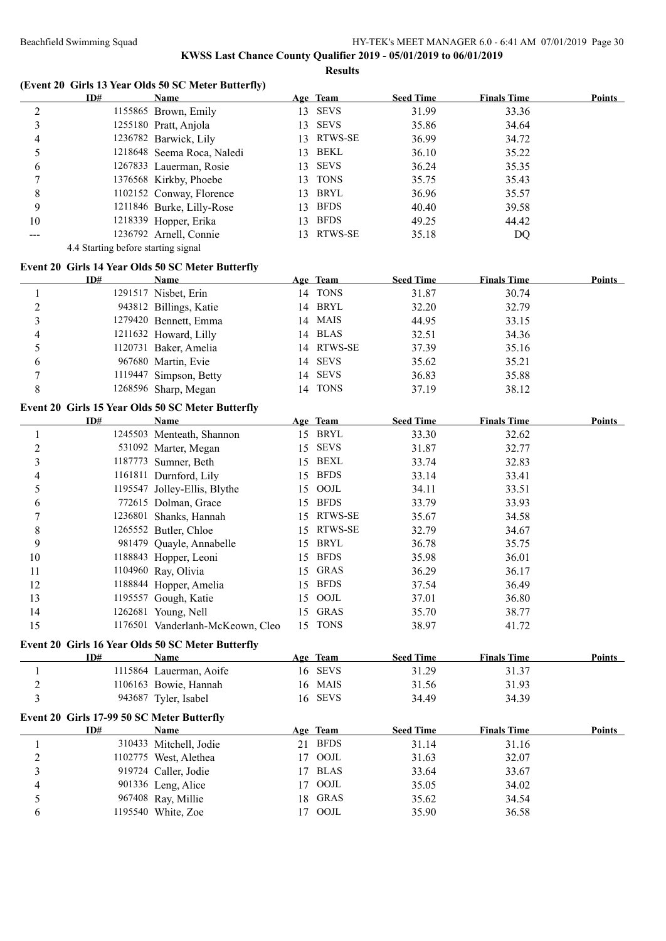|                |                                            | (Event 20 Girls 13 Year Olds 50 SC Meter Butterfly) |    |             |                  |                    |               |
|----------------|--------------------------------------------|-----------------------------------------------------|----|-------------|------------------|--------------------|---------------|
|                | ID#                                        | Name                                                |    | Age Team    | <b>Seed Time</b> | <b>Finals Time</b> | Points        |
| $\overline{c}$ |                                            | 1155865 Brown, Emily                                |    | 13 SEVS     | 31.99            | 33.36              |               |
| 3              |                                            | 1255180 Pratt, Anjola                               |    | 13 SEVS     | 35.86            | 34.64              |               |
| 4              |                                            | 1236782 Barwick, Lily                               |    | 13 RTWS-SE  | 36.99            | 34.72              |               |
| 5              |                                            | 1218648 Seema Roca, Naledi                          |    | 13 BEKL     | 36.10            | 35.22              |               |
| 6              |                                            | 1267833 Lauerman, Rosie                             |    | 13 SEVS     | 36.24            | 35.35              |               |
| 7              |                                            | 1376568 Kirkby, Phoebe                              |    | 13 TONS     | 35.75            | 35.43              |               |
| 8              |                                            | 1102152 Conway, Florence                            |    | 13 BRYL     | 36.96            | 35.57              |               |
| 9              |                                            | 1211846 Burke, Lilly-Rose                           | 13 | <b>BFDS</b> | 40.40            | 39.58              |               |
| 10             |                                            | 1218339 Hopper, Erika                               |    | 13 BFDS     | 49.25            | 44.42              |               |
| ---            |                                            | 1236792 Arnell, Connie                              |    | 13 RTWS-SE  | 35.18            | DQ                 |               |
|                | 4.4 Starting before starting signal        |                                                     |    |             |                  |                    |               |
|                |                                            | Event 20 Girls 14 Year Olds 50 SC Meter Butterfly   |    |             |                  |                    |               |
|                | ID#                                        | <b>Name</b>                                         |    | Age Team    | <b>Seed Time</b> | <b>Finals Time</b> | <b>Points</b> |
| 1              |                                            | 1291517 Nisbet, Erin                                |    | 14 TONS     | 31.87            | 30.74              |               |
| $\overline{2}$ |                                            | 943812 Billings, Katie                              |    | 14 BRYL     | 32.20            | 32.79              |               |
| 3              |                                            | 1279420 Bennett, Emma                               |    | 14 MAIS     | 44.95            | 33.15              |               |
| 4              |                                            | 1211632 Howard, Lilly                               |    | 14 BLAS     | 32.51            | 34.36              |               |
| 5              |                                            | 1120731 Baker, Amelia                               |    | 14 RTWS-SE  | 37.39            | 35.16              |               |
| 6              |                                            | 967680 Martin, Evie                                 | 14 | <b>SEVS</b> | 35.62            | 35.21              |               |
| 7              |                                            | 1119447 Simpson, Betty                              | 14 | <b>SEVS</b> | 36.83            | 35.88              |               |
| 8              |                                            | 1268596 Sharp, Megan                                |    | 14 TONS     | 37.19            | 38.12              |               |
|                |                                            | Event 20 Girls 15 Year Olds 50 SC Meter Butterfly   |    |             |                  |                    |               |
|                | ID#                                        | <b>Name</b>                                         |    | Age Team    | <b>Seed Time</b> | <b>Finals Time</b> | <b>Points</b> |
| $\mathbf{1}$   |                                            | 1245503 Menteath, Shannon                           |    | 15 BRYL     | 33.30            | 32.62              |               |
| $\overline{c}$ |                                            | 531092 Marter, Megan                                |    | 15 SEVS     | 31.87            | 32.77              |               |
| 3              |                                            | 1187773 Sumner, Beth                                |    | 15 BEXL     | 33.74            | 32.83              |               |
| 4              |                                            | 1161811 Durnford, Lily                              |    | 15 BFDS     | 33.14            | 33.41              |               |
| 5              |                                            | 1195547 Jolley-Ellis, Blythe                        |    | 15 OOJL     | 34.11            | 33.51              |               |
| 6              |                                            | 772615 Dolman, Grace                                |    | 15 BFDS     | 33.79            | 33.93              |               |
| 7              |                                            | 1236801 Shanks, Hannah                              |    | 15 RTWS-SE  | 35.67            | 34.58              |               |
| 8              |                                            | 1265552 Butler, Chloe                               |    | 15 RTWS-SE  | 32.79            | 34.67              |               |
| 9              |                                            | 981479 Quayle, Annabelle                            |    | 15 BRYL     | 36.78            | 35.75              |               |
| 10             |                                            | 1188843 Hopper, Leoni                               | 15 | <b>BFDS</b> | 35.98            | 36.01              |               |
| 11             |                                            | 1104960 Ray, Olivia                                 |    | 15 GRAS     | 36.29            | 36.17              |               |
| 12             |                                            |                                                     |    | 15 BFDS     |                  | 36.49              |               |
| 13             |                                            | 1188844 Hopper, Amelia<br>1195557 Gough, Katie      | 15 | OOJL        | 37.54<br>37.01   | 36.80              |               |
| 14             |                                            | 1262681 Young, Nell                                 | 15 | <b>GRAS</b> | 35.70            | 38.77              |               |
| 15             |                                            | 1176501 Vanderlanh-McKeown, Cleo                    |    | 15 TONS     | 38.97            | 41.72              |               |
|                |                                            |                                                     |    |             |                  |                    |               |
|                |                                            | Event 20 Girls 16 Year Olds 50 SC Meter Butterfly   |    |             |                  |                    |               |
|                | ID#                                        | <b>Name</b>                                         |    | Age Team    | <b>Seed Time</b> | <b>Finals Time</b> | <b>Points</b> |
| $\mathbf{1}$   |                                            | 1115864 Lauerman, Aoife                             |    | 16 SEVS     | 31.29            | 31.37              |               |
| $\overline{c}$ |                                            | 1106163 Bowie, Hannah                               |    | 16 MAIS     | 31.56            | 31.93              |               |
| 3              |                                            | 943687 Tyler, Isabel                                |    | 16 SEVS     | 34.49            | 34.39              |               |
|                | Event 20 Girls 17-99 50 SC Meter Butterfly |                                                     |    |             |                  |                    |               |
|                | ID#                                        | <b>Name</b>                                         |    | Age Team    | <b>Seed Time</b> | <b>Finals Time</b> | <b>Points</b> |
| $\mathbf{1}$   |                                            | 310433 Mitchell, Jodie                              |    | 21 BFDS     | 31.14            | 31.16              |               |
| $\overline{c}$ |                                            | 1102775 West, Alethea                               | 17 | OOJL        | 31.63            | 32.07              |               |
| $\mathfrak{Z}$ |                                            | 919724 Caller, Jodie                                | 17 | <b>BLAS</b> | 33.64            | 33.67              |               |
| 4              |                                            | 901336 Leng, Alice                                  | 17 | $\rm{OOL}$  | 35.05            | 34.02              |               |
| 5              |                                            | 967408 Ray, Millie                                  | 18 | <b>GRAS</b> | 35.62            | 34.54              |               |
| 6              |                                            | 1195540 White, Zoe                                  |    | 17 OOJL     | 35.90            | 36.58              |               |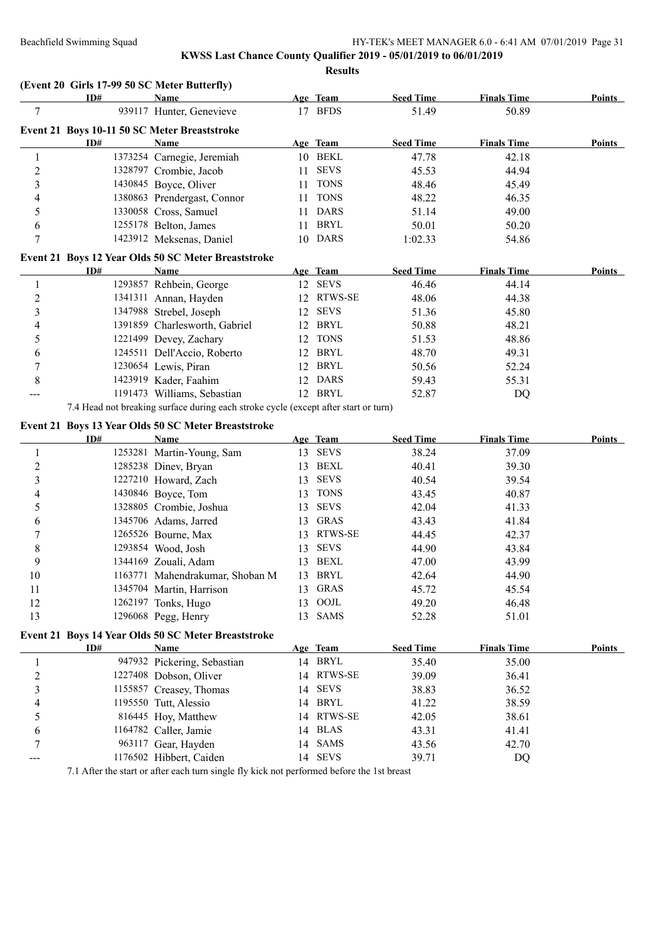## **KWSS Last Chance County Qualifier 2019 - 05/01/2019 to 06/01/2019 Results**

# **(Event 20 Girls 17-99 50 SC Meter Butterfly)**

|                          | ID# | <b>Name</b>                                                                         |    | Age Team    | <b>Seed Time</b> | <b>Finals Time</b> | <b>Points</b> |
|--------------------------|-----|-------------------------------------------------------------------------------------|----|-------------|------------------|--------------------|---------------|
| 7                        |     | 939117 Hunter, Genevieve                                                            |    | 17 BFDS     | 51.49            | 50.89              |               |
|                          |     | Event 21 Boys 10-11 50 SC Meter Breaststroke                                        |    |             |                  |                    |               |
|                          | ID# | Name                                                                                |    | Age Team    | <b>Seed Time</b> | <b>Finals Time</b> | Points        |
| 1                        |     | 1373254 Carnegie, Jeremiah                                                          |    | 10 BEKL     | 47.78            | 42.18              |               |
| $\boldsymbol{2}$         |     | 1328797 Crombie, Jacob                                                              | 11 | <b>SEVS</b> | 45.53            | 44.94              |               |
| $\overline{3}$           |     | 1430845 Boyce, Oliver                                                               | 11 | <b>TONS</b> | 48.46            | 45.49              |               |
| $\overline{\mathcal{L}}$ |     | 1380863 Prendergast, Connor                                                         | 11 | <b>TONS</b> | 48.22            | 46.35              |               |
| 5                        |     | 1330058 Cross, Samuel                                                               | 11 | <b>DARS</b> | 51.14            | 49.00              |               |
| 6                        |     | 1255178 Belton, James                                                               | 11 | <b>BRYL</b> | 50.01            | 50.20              |               |
| $\overline{7}$           |     | 1423912 Meksenas, Daniel                                                            |    | 10 DARS     | 1:02.33          | 54.86              |               |
|                          |     | Event 21 Boys 12 Year Olds 50 SC Meter Breaststroke                                 |    |             |                  |                    |               |
|                          | ID# | <b>Name</b>                                                                         |    | Age Team    | <b>Seed Time</b> | <b>Finals Time</b> | Points        |
| 1                        |     | 1293857 Rehbein, George                                                             |    | 12 SEVS     | 46.46            | 44.14              |               |
| $\boldsymbol{2}$         |     | 1341311 Annan, Hayden                                                               |    | 12 RTWS-SE  | 48.06            | 44.38              |               |
| $\overline{3}$           |     | 1347988 Strebel, Joseph                                                             | 12 | <b>SEVS</b> | 51.36            | 45.80              |               |
| 4                        |     | 1391859 Charlesworth, Gabriel                                                       |    | 12 BRYL     | 50.88            | 48.21              |               |
| 5                        |     | 1221499 Devey, Zachary                                                              |    | 12 TONS     | 51.53            | 48.86              |               |
| 6                        |     | 1245511 Dell'Accio, Roberto                                                         |    | 12 BRYL     | 48.70            | 49.31              |               |
| $\sqrt{ }$               |     | 1230654 Lewis, Piran                                                                |    | 12 BRYL     | 50.56            | 52.24              |               |
| 8                        |     | 1423919 Kader, Faahim                                                               |    | 12 DARS     | 59.43            | 55.31              |               |
|                          |     | 1191473 Williams, Sebastian                                                         |    | 12 BRYL     | 52.87            | DQ                 |               |
|                          |     | 7.4 Head not breaking surface during each stroke cycle (except after start or turn) |    |             |                  |                    |               |
|                          |     | Event 21 Boys 13 Year Olds 50 SC Meter Breaststroke                                 |    |             |                  |                    |               |
|                          | ID# | <b>Name</b>                                                                         |    | Age Team    | <b>Seed Time</b> | <b>Finals Time</b> | <b>Points</b> |
| 1                        |     | 1253281 Martin-Young, Sam                                                           |    | 13 SEVS     | 38.24            | 37.09              |               |
| $\boldsymbol{2}$         |     | 1285238 Dinev, Bryan                                                                |    | 13 BEXL     | 40.41            | 39.30              |               |
| 3                        |     | 1227210 Howard, Zach                                                                |    | 13 SEVS     | 40.54            | 39.54              |               |
| 4                        |     | 1430846 Boyce, Tom                                                                  |    | 13 TONS     | 43.45            | 40.87              |               |
| 5                        |     | 1328805 Crombie, Joshua                                                             | 13 | <b>SEVS</b> | 42.04            | 41.33              |               |
| 6                        |     | 1345706 Adams, Jarred                                                               | 13 | <b>GRAS</b> | 43.43            | 41.84              |               |
| 7                        |     | 1265526 Bourne, Max                                                                 | 13 | RTWS-SE     | 44.45            | 42.37              |               |
| 8                        |     | 1293854 Wood, Josh                                                                  | 13 | <b>SEVS</b> | 44.90            | 43.84              |               |
| 9                        |     | 1344169 Zouali, Adam                                                                | 13 | BEXL        | 47.00            | 43.99              |               |
| 10                       |     | 1163771 Mahendrakumar, Shoban M                                                     |    | 13 BRYL     | 42.64            | 44.90              |               |
| 11                       |     | 1345704 Martin, Harrison                                                            | 13 | <b>GRAS</b> | 45.72            | 45.54              |               |
| 12                       |     | 1262197 Tonks, Hugo                                                                 | 13 | OOJL        | 49.20            | 46.48              |               |
| 13                       |     | 1296068 Pegg, Henry                                                                 | 13 | <b>SAMS</b> | 52.28            | 51.01              |               |

# **Event 21 Boys 14 Year Olds 50 SC Meter Breaststroke**

|   | ID# | Name                        |    | Age Team    | <b>Seed Time</b> | <b>Finals Time</b> | <b>Points</b> |
|---|-----|-----------------------------|----|-------------|------------------|--------------------|---------------|
|   |     | 947932 Pickering, Sebastian | 14 | BRYL        | 35.40            | 35.00              |               |
| ↑ |     | 1227408 Dobson, Oliver      |    | 14 RTWS-SE  | 39.09            | 36.41              |               |
|   |     | 1155857 Creasey, Thomas     | 14 | SEVS        | 38.83            | 36.52              |               |
|   |     | 1195550 Tutt, Alessio       | 14 | BRYL        | 41.22            | 38.59              |               |
|   |     | 816445 Hoy, Matthew         | 14 | RTWS-SE     | 42.05            | 38.61              |               |
| 6 |     | 1164782 Caller, Jamie       | 14 | <b>BLAS</b> | 43.31            | 41.41              |               |
|   |     | 963117 Gear, Hayden         | 14 | SAMS        | 43.56            | 42.70              |               |
|   |     | 1176502 Hibbert, Caiden     | 14 | <b>SEVS</b> | 39.71            | DQ                 |               |

7.1 After the start or after each turn single fly kick not performed before the 1st breast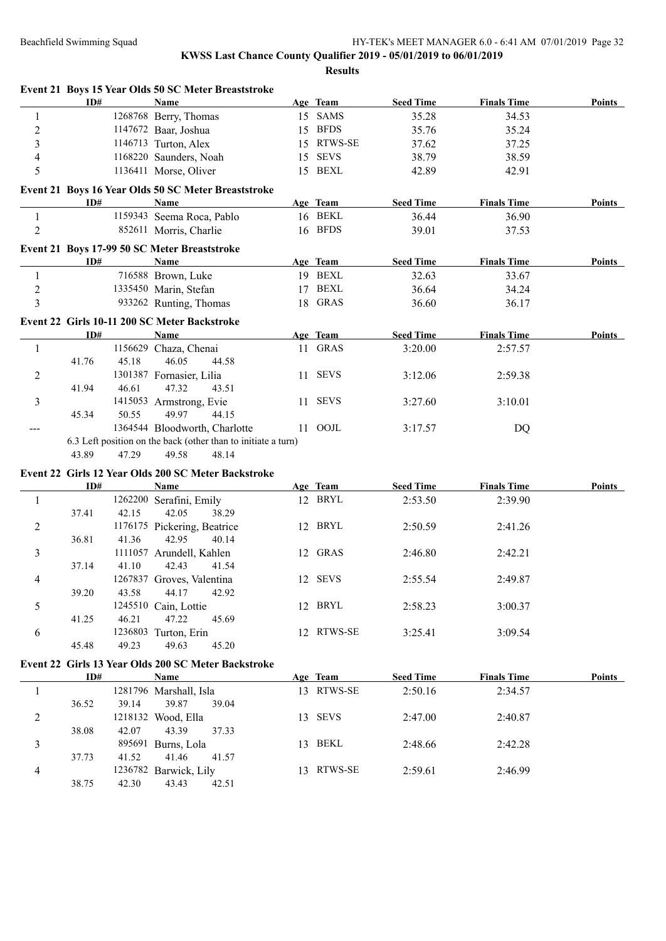**Event 21 Boys 15 Year Olds 50 SC Meter Breaststroke**

#### Beachfield Swimming Squad HY-TEK's MEET MANAGER 6.0 - 6:41 AM 07/01/2019 Page 32

|                         | ID#            | <b>Name</b>                                                   |    | Age Team    | <b>Seed Time</b> | <b>Finals Time</b> | <b>Points</b> |
|-------------------------|----------------|---------------------------------------------------------------|----|-------------|------------------|--------------------|---------------|
| $\mathbf{1}$            |                | 1268768 Berry, Thomas                                         |    | 15 SAMS     | 35.28            | 34.53              |               |
| $\overline{c}$          |                | 1147672 Baar, Joshua                                          |    | 15 BFDS     | 35.76            | 35.24              |               |
| $\overline{\mathbf{3}}$ |                | 1146713 Turton, Alex                                          |    | 15 RTWS-SE  | 37.62            | 37.25              |               |
| 4                       |                | 1168220 Saunders, Noah                                        | 15 | <b>SEVS</b> | 38.79            | 38.59              |               |
| 5                       |                | 1136411 Morse, Oliver                                         |    | 15 BEXL     | 42.89            | 42.91              |               |
|                         |                | Event 21 Boys 16 Year Olds 50 SC Meter Breaststroke           |    |             |                  |                    |               |
|                         | ID#            | Name                                                          |    | Age Team    | <b>Seed Time</b> | <b>Finals Time</b> | Points        |
| 1                       |                | 1159343 Seema Roca, Pablo                                     |    | 16 BEKL     | 36.44            | 36.90              |               |
| 2                       |                | 852611 Morris, Charlie                                        |    | 16 BFDS     | 39.01            | 37.53              |               |
|                         |                | Event 21 Boys 17-99 50 SC Meter Breaststroke                  |    |             |                  |                    |               |
|                         | ID#            | Name                                                          |    | Age Team    | <b>Seed Time</b> | <b>Finals Time</b> | Points        |
| 1                       |                | 716588 Brown, Luke                                            |    | 19 BEXL     | 32.63            | 33.67              |               |
| $\overline{c}$          |                | 1335450 Marin, Stefan                                         |    | 17 BEXL     | 36.64            | 34.24              |               |
| 3                       |                | 933262 Runting, Thomas                                        |    | 18 GRAS     | 36.60            | 36.17              |               |
|                         |                | Event 22 Girls 10-11 200 SC Meter Backstroke                  |    |             |                  |                    |               |
|                         | ID#            | Name                                                          |    | Age Team    | <b>Seed Time</b> | <b>Finals Time</b> | <b>Points</b> |
| 1                       |                | 1156629 Chaza, Chenai                                         |    | 11 GRAS     | 3:20.00          | 2:57.57            |               |
|                         | 45.18<br>41.76 | 46.05<br>44.58                                                |    |             |                  |                    |               |
| 2                       |                | 1301387 Fornasier, Lilia                                      |    | 11 SEVS     | 3:12.06          | 2:59.38            |               |
|                         | 46.61<br>41.94 | 47.32<br>43.51                                                |    |             |                  |                    |               |
| 3                       |                | 1415053 Armstrong, Evie                                       |    | 11 SEVS     | 3:27.60          | 3:10.01            |               |
|                         | 45.34<br>50.55 | 49.97<br>44.15                                                |    |             |                  |                    |               |
| $\qquad \qquad -$       |                | 1364544 Bloodworth, Charlotte                                 |    | 11 OOJL     | 3:17.57          | DQ                 |               |
|                         |                | 6.3 Left position on the back (other than to initiate a turn) |    |             |                  |                    |               |
|                         | 43.89<br>47.29 | 49.58<br>48.14                                                |    |             |                  |                    |               |
|                         |                | Event 22 Girls 12 Year Olds 200 SC Meter Backstroke           |    |             |                  |                    |               |
|                         | ID#            | Name                                                          |    | Age Team    | <b>Seed Time</b> | <b>Finals Time</b> | Points        |
| $\mathbf{1}$            |                | 1262200 Serafini, Emily                                       |    | 12 BRYL     | 2:53.50          | 2:39.90            |               |
|                         | 37.41<br>42.15 | 42.05<br>38.29                                                |    |             |                  |                    |               |
| 2                       |                | 1176175 Pickering, Beatrice                                   |    | 12 BRYL     | 2:50.59          | 2:41.26            |               |
|                         | 36.81<br>41.36 | 42.95<br>40.14                                                |    |             |                  |                    |               |
| 3                       |                | 1111057 Arundell, Kahlen                                      |    | 12 GRAS     | 2:46.80          | 2:42.21            |               |
|                         | 37.14<br>41.10 | 42.43<br>41.54                                                |    |             |                  |                    |               |
| 4                       |                | 1267837 Groves, Valentina                                     |    | 12 SEVS     | 2:55.54          | 2:49.87            |               |
|                         | 39.20<br>43.58 | 44.17<br>42.92                                                |    | 12 BRYL     |                  |                    |               |
| 5                       | 46.21<br>41.25 | 1245510 Cain, Lottie<br>47.22<br>45.69                        |    |             | 2:58.23          | 3:00.37            |               |
|                         |                | 1236803 Turton, Erin                                          |    | 12 RTWS-SE  | 3:25.41          | 3:09.54            |               |
| 6                       | 45.48<br>49.23 | 49.63<br>45.20                                                |    |             |                  |                    |               |
|                         |                | Event 22 Girls 13 Year Olds 200 SC Meter Backstroke           |    |             |                  |                    |               |
|                         | ID#            | <b>Name</b>                                                   |    | Age Team    | <b>Seed Time</b> | <b>Finals Time</b> | <b>Points</b> |
| 1                       |                | 1281796 Marshall, Isla                                        |    | 13 RTWS-SE  | 2:50.16          | 2:34.57            |               |
|                         | 39.14<br>36.52 | 39.87<br>39.04                                                |    |             |                  |                    |               |
| 2                       |                | 1218132 Wood, Ella                                            |    | 13 SEVS     | 2:47.00          | 2:40.87            |               |
|                         | 42.07<br>38.08 | 43.39<br>37.33                                                |    |             |                  |                    |               |
| 3                       |                | 895691 Burns, Lola                                            |    | 13 BEKL     | 2:48.66          | 2:42.28            |               |
|                         | 41.52<br>37.73 | 41.46<br>41.57                                                |    |             |                  |                    |               |
| 4                       |                | 1236782 Barwick, Lily                                         |    | 13 RTWS-SE  | 2:59.61          | 2:46.99            |               |
|                         | 38.75<br>42.30 | 43.43<br>42.51                                                |    |             |                  |                    |               |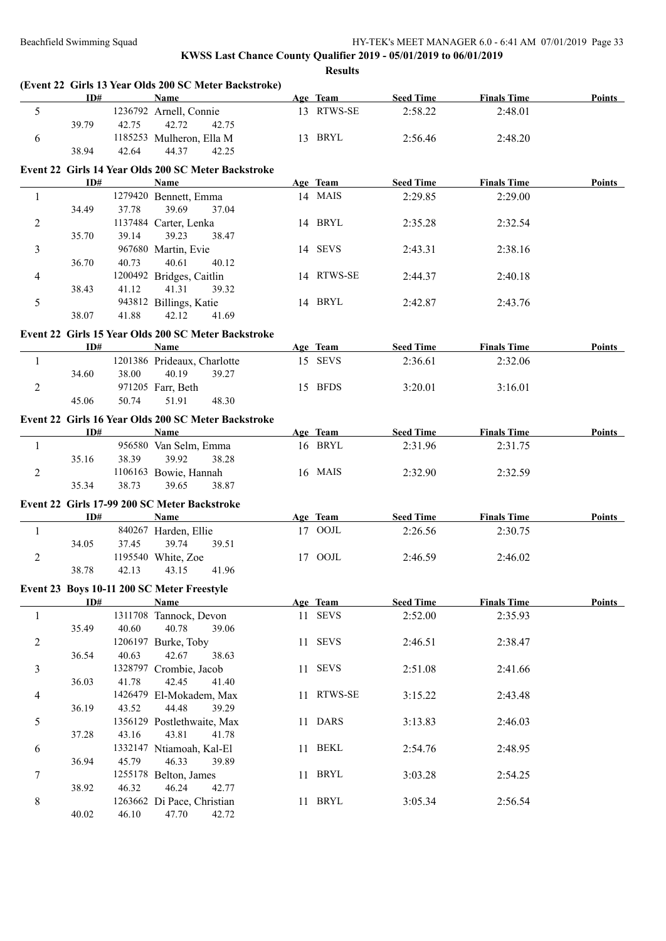|                | ID#   |       | (Event 22 Girls 13 Year Olds 200 SC Meter Backstroke)<br><b>Name</b> | Age Team            | <b>Seed Time</b>            | <b>Finals Time</b>            | Points        |
|----------------|-------|-------|----------------------------------------------------------------------|---------------------|-----------------------------|-------------------------------|---------------|
| 5              |       |       | 1236792 Arnell, Connie                                               | 13 RTWS-SE          | 2:58.22                     | 2:48.01                       |               |
|                | 39.79 | 42.75 | 42.72<br>42.75                                                       |                     |                             |                               |               |
| 6              |       |       | 1185253 Mulheron, Ella M                                             | 13 BRYL             | 2:56.46                     | 2:48.20                       |               |
|                | 38.94 | 42.64 | 44.37<br>42.25                                                       |                     |                             |                               |               |
|                |       |       | Event 22 Girls 14 Year Olds 200 SC Meter Backstroke                  |                     |                             |                               |               |
|                | ID#   |       | <b>Name</b>                                                          | Age Team            | <b>Seed Time</b>            | <b>Finals Time</b>            | Points        |
| $\mathbf{1}$   |       |       | 1279420 Bennett, Emma                                                | 14 MAIS             | 2:29.85                     | 2:29.00                       |               |
|                | 34.49 | 37.78 | 39.69<br>37.04                                                       |                     |                             |                               |               |
| $\overline{c}$ |       |       | 1137484 Carter, Lenka                                                | 14 BRYL             | 2:35.28                     | 2:32.54                       |               |
|                | 35.70 | 39.14 | 39.23<br>38.47                                                       |                     |                             |                               |               |
| 3              |       |       | 967680 Martin, Evie                                                  | 14 SEVS             | 2:43.31                     | 2:38.16                       |               |
|                | 36.70 | 40.73 | 40.61<br>40.12                                                       |                     |                             |                               |               |
| $\overline{4}$ | 38.43 | 41.12 | 1200492 Bridges, Caitlin<br>41.31<br>39.32                           | 14 RTWS-SE          | 2:44.37                     | 2:40.18                       |               |
| 5              |       |       | 943812 Billings, Katie                                               | 14 BRYL             | 2:42.87                     | 2:43.76                       |               |
|                | 38.07 | 41.88 | 42.12<br>41.69                                                       |                     |                             |                               |               |
|                |       |       |                                                                      |                     |                             |                               |               |
|                | ID#   |       | Event 22 Girls 15 Year Olds 200 SC Meter Backstroke<br>Name          |                     |                             |                               | Points        |
| -1             |       |       | 1201386 Prideaux, Charlotte                                          | Age Team<br>15 SEVS | <b>Seed Time</b><br>2:36.61 | <b>Finals Time</b><br>2:32.06 |               |
|                | 34.60 | 38.00 | 40.19<br>39.27                                                       |                     |                             |                               |               |
| $\overline{2}$ |       |       | 971205 Farr, Beth                                                    | 15 BFDS             | 3:20.01                     | 3:16.01                       |               |
|                | 45.06 | 50.74 | 51.91<br>48.30                                                       |                     |                             |                               |               |
|                |       |       |                                                                      |                     |                             |                               |               |
|                | ID#   |       | Event 22 Girls 16 Year Olds 200 SC Meter Backstroke<br><b>Name</b>   | Age Team            | <b>Seed Time</b>            | <b>Finals Time</b>            | Points        |
| 1              |       |       | 956580 Van Selm, Emma                                                | 16 BRYL             | 2:31.96                     | 2:31.75                       |               |
|                | 35.16 | 38.39 | 39.92<br>38.28                                                       |                     |                             |                               |               |
| 2              |       |       | 1106163 Bowie, Hannah                                                | 16 MAIS             | 2:32.90                     | 2:32.59                       |               |
|                | 35.34 | 38.73 | 39.65<br>38.87                                                       |                     |                             |                               |               |
|                |       |       | Event 22 Girls 17-99 200 SC Meter Backstroke                         |                     |                             |                               |               |
|                | ID#   |       | <b>Name</b>                                                          | Age Team            | <b>Seed Time</b>            | <b>Finals Time</b>            | Points        |
| $\mathbf{1}$   |       |       | 840267 Harden, Ellie                                                 | 17 OOJL             | 2:26.56                     | 2:30.75                       |               |
|                | 34.05 | 37.45 | 39.74<br>39.51                                                       |                     |                             |                               |               |
| 2              |       |       | 1195540 White, Zoe                                                   | 17 OOJL             | 2:46.59                     | 2:46.02                       |               |
|                | 38.78 | 42.13 | 43.15<br>41.96                                                       |                     |                             |                               |               |
|                |       |       | Event 23 Boys 10-11 200 SC Meter Freestyle                           |                     |                             |                               |               |
|                | ID#   |       | Name                                                                 | Age Team            | <b>Seed Time</b>            | <b>Finals Time</b>            | <b>Points</b> |
| 1              |       |       | 1311708 Tannock, Devon                                               | 11 SEVS             | 2:52.00                     | 2:35.93                       |               |
|                | 35.49 | 40.60 | 40.78<br>39.06                                                       |                     |                             |                               |               |
| 2              |       |       | 1206197 Burke, Toby                                                  | 11 SEVS             | 2:46.51                     | 2:38.47                       |               |
|                | 36.54 | 40.63 | 42.67<br>38.63                                                       |                     |                             |                               |               |
| $\mathfrak{Z}$ |       |       | 1328797 Crombie, Jacob                                               | 11 SEVS             | 2:51.08                     | 2:41.66                       |               |
|                | 36.03 | 41.78 | 42.45<br>41.40                                                       |                     |                             |                               |               |
| 4              |       |       | 1426479 El-Mokadem, Max                                              | 11 RTWS-SE          | 3:15.22                     | 2:43.48                       |               |
|                | 36.19 | 43.52 | 44.48<br>39.29                                                       |                     |                             |                               |               |
| 5              | 37.28 | 43.16 | 1356129 Postlethwaite, Max<br>43.81<br>41.78                         | 11 DARS             | 3:13.83                     | 2:46.03                       |               |
| 6              |       |       | 1332147 Ntiamoah, Kal-El                                             | 11 BEKL             | 2:54.76                     | 2:48.95                       |               |
|                | 36.94 | 45.79 | 46.33<br>39.89                                                       |                     |                             |                               |               |
| 7              |       |       | 1255178 Belton, James                                                | 11 BRYL             | 3:03.28                     | 2:54.25                       |               |
|                | 38.92 | 46.32 | 46.24<br>42.77                                                       |                     |                             |                               |               |
| 8              |       |       | 1263662 Di Pace, Christian                                           | 11 BRYL             | 3:05.34                     | 2:56.54                       |               |
|                | 40.02 | 46.10 | 47.70<br>42.72                                                       |                     |                             |                               |               |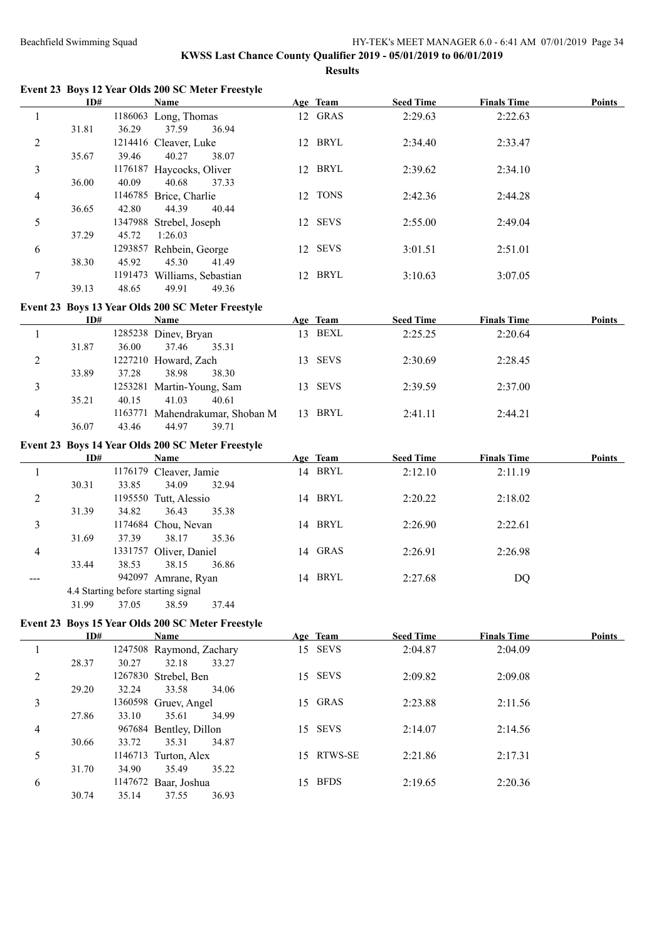#### **KWSS Last Chance County Qualifier 2019 - 05/01/2019 to 06/01/2019 Results**

**Event 23 Boys 12 Year Olds 200 SC Meter Freestyle**

|                | ID#   |         | Name                     |    | Age Team | <b>Seed Time</b> | <b>Finals Time</b> | <b>Points</b> |
|----------------|-------|---------|--------------------------|----|----------|------------------|--------------------|---------------|
|                |       |         | 1186063 Long, Thomas     |    | 12 GRAS  | 2:29.63          | 2:22.63            |               |
|                | 31.81 | 36.29   | 36.94<br>37.59           |    |          |                  |                    |               |
| 2              |       |         | 1214416 Cleaver, Luke    |    | 12 BRYL  | 2:34.40          | 2:33.47            |               |
|                | 35.67 | 39.46   | 40.27<br>38.07           |    |          |                  |                    |               |
| 3              |       |         | 1176187 Haycocks, Oliver |    | 12 BRYL  | 2:39.62          | 2:34.10            |               |
|                | 36.00 | 40.09   | 37.33<br>40.68           |    |          |                  |                    |               |
| $\overline{4}$ |       |         | 1146785 Brice, Charlie   |    | 12 TONS  | 2:42.36          | 2:44.28            |               |
|                | 36.65 | 42.80   | 44.39<br>40.44           |    |          |                  |                    |               |
| 5              |       | 1347988 | Strebel, Joseph          |    | 12 SEVS  | 2:55.00          | 2:49.04            |               |
|                | 37.29 | 45.72   | 1:26.03                  |    |          |                  |                    |               |
| 6              |       | 1293857 | Rehbein, George          |    | 12 SEVS  | 3:01.51          | 2:51.01            |               |
|                | 38.30 | 45.92   | 45.30<br>41.49           |    |          |                  |                    |               |
|                |       | 1191473 | Williams, Sebastian      | 12 | BRYL     | 3:10.63          | 3:07.05            |               |
|                | 39.13 | 48.65   | 49.91<br>49.36           |    |          |                  |                    |               |

## **Event 23 Boys 13 Year Olds 200 SC Meter Freestyle**

|   | ID#   |         | <b>Name</b>               |     | Age Team    | <b>Seed Time</b> | <b>Finals Time</b> | Points |
|---|-------|---------|---------------------------|-----|-------------|------------------|--------------------|--------|
|   |       |         | 1285238 Diney, Bryan      | 13. | BEXL        | 2:25.25          | 2:20.64            |        |
|   | 31.87 | 36.00   | 37.46<br>35.31            |     |             |                  |                    |        |
| 2 |       |         | 1227210 Howard, Zach      | 13. | <b>SEVS</b> | 2:30.69          | 2:28.45            |        |
|   | 33.89 | 37.28   | 38.30<br>38.98            |     |             |                  |                    |        |
|   |       |         | 1253281 Martin-Young, Sam |     | 13 SEVS     | 2:39.59          | 2:37.00            |        |
|   | 35.21 | 40.15   | 41.03<br>40.61            |     |             |                  |                    |        |
| 4 |       | 1163771 | Mahendrakumar, Shoban M   | 13  | BRYL        | 2:41.11          | 2:44.21            |        |
|   | 36.07 | 43.46   | 44.97<br>39.71            |     |             |                  |                    |        |

#### **Event 23 Boys 14 Year Olds 200 SC Meter Freestyle**

|                | ID#   |        | Name                                |       |    | Age Team | <b>Seed Time</b> | <b>Finals Time</b> | Points |
|----------------|-------|--------|-------------------------------------|-------|----|----------|------------------|--------------------|--------|
|                |       |        | 1176179 Cleaver, Jamie              |       | 14 | BRYL     | 2:12.10          | 2:11.19            |        |
|                | 30.31 | 33.85  | 34.09                               | 32.94 |    |          |                  |                    |        |
| 2              |       |        | 1195550 Tutt, Alessio               |       | 14 | BRYL     | 2:20.22          | 2:18.02            |        |
|                | 31.39 | 34.82  | 36.43                               | 35.38 |    |          |                  |                    |        |
| 3              |       |        | 1174684 Chou, Nevan                 |       | 14 | BRYL     | 2:26.90          | 2:22.61            |        |
|                | 31.69 | 37.39  | 38.17                               | 35.36 |    |          |                  |                    |        |
| $\overline{4}$ |       |        | 1331757 Oliver, Daniel              |       |    | 14 GRAS  | 2:26.91          | 2:26.98            |        |
|                | 33.44 | 38.53  | 38.15                               | 36.86 |    |          |                  |                    |        |
|                |       | 942097 | Amrane, Ryan                        |       | 14 | BRYL     | 2:27.68          | DQ                 |        |
|                |       |        | 4.4 Starting before starting signal |       |    |          |                  |                    |        |
|                |       |        |                                     |       |    |          |                  |                    |        |

31.99 37.05 38.59 37.44

# **Event 23 Boys 15 Year Olds 200 SC Meter Freestyle**

|   | ID#   |         | <b>Name</b>          |       |     | Age Team    | <b>Seed Time</b> | <b>Finals Time</b> | Points |
|---|-------|---------|----------------------|-------|-----|-------------|------------------|--------------------|--------|
|   |       | 1247508 | Raymond, Zachary     |       |     | 15 SEVS     | 2:04.87          | 2:04.09            |        |
|   | 28.37 | 30.27   | 32.18                | 33.27 |     |             |                  |                    |        |
| 2 |       |         | 1267830 Strebel, Ben |       |     | 15 SEVS     | 2:09.82          | 2:09.08            |        |
|   | 29.20 | 32.24   | 33.58                | 34.06 |     |             |                  |                    |        |
| 3 |       |         | 1360598 Gruev, Angel |       |     | 15 GRAS     | 2:23.88          | 2:11.56            |        |
|   | 27.86 | 33.10   | 35.61                | 34.99 |     |             |                  |                    |        |
| 4 |       | 967684  | Bentley, Dillon      |       | 15. | <b>SEVS</b> | 2:14.07          | 2:14.56            |        |
|   | 30.66 | 33.72   | 35.31                | 34.87 |     |             |                  |                    |        |
| 5 |       |         | 1146713 Turton, Alex |       | 15. | RTWS-SE     | 2:21.86          | 2:17.31            |        |
|   | 31.70 | 34.90   | 35.49                | 35.22 |     |             |                  |                    |        |
| 6 |       | 1147672 | Baar, Joshua         |       | 15. | <b>BFDS</b> | 2:19.65          | 2:20.36            |        |
|   | 30.74 | 35.14   | 37.55                | 36.93 |     |             |                  |                    |        |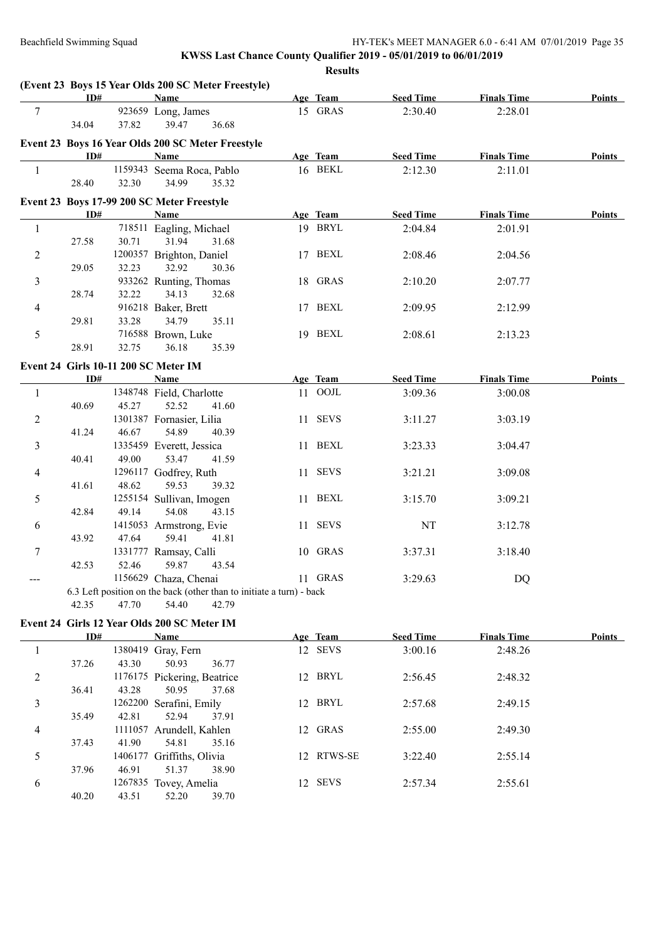|                | ID#   |       | (Event 23 Boys 15 Year Olds 200 SC Meter Freestyle)<br><b>Name</b>   | Age Team   | <b>Seed Time</b> | <b>Finals Time</b> | <b>Points</b> |
|----------------|-------|-------|----------------------------------------------------------------------|------------|------------------|--------------------|---------------|
| 7              |       |       | 923659 Long, James                                                   | 15 GRAS    | 2:30.40          | 2:28.01            |               |
|                | 34.04 | 37.82 | 39.47<br>36.68                                                       |            |                  |                    |               |
|                |       |       |                                                                      |            |                  |                    |               |
|                | ID#   |       | Event 23 Boys 16 Year Olds 200 SC Meter Freestyle<br>Name            | Age Team   | <b>Seed Time</b> | <b>Finals Time</b> | <b>Points</b> |
|                |       |       | 1159343 Seema Roca, Pablo                                            | 16 BEKL    | 2:12.30          | 2:11.01            |               |
| $\mathbf{1}$   |       |       | 35.32                                                                |            |                  |                    |               |
|                | 28.40 | 32.30 | 34.99                                                                |            |                  |                    |               |
|                |       |       | Event 23 Boys 17-99 200 SC Meter Freestyle                           |            |                  |                    |               |
|                | ID#   |       | Name                                                                 | Age Team   | <b>Seed Time</b> | <b>Finals Time</b> | <b>Points</b> |
| $\mathbf{1}$   |       |       | 718511 Eagling, Michael                                              | 19 BRYL    | 2:04.84          | 2:01.91            |               |
|                | 27.58 | 30.71 | 31.94<br>31.68                                                       |            |                  |                    |               |
| $\overline{c}$ |       |       | 1200357 Brighton, Daniel                                             | 17 BEXL    | 2:08.46          | 2:04.56            |               |
|                | 29.05 | 32.23 | 32.92<br>30.36                                                       |            |                  |                    |               |
| 3              |       |       | 933262 Runting, Thomas                                               | 18 GRAS    | 2:10.20          | 2:07.77            |               |
|                | 28.74 | 32.22 | 34.13<br>32.68                                                       |            |                  |                    |               |
| 4              |       |       | 916218 Baker, Brett                                                  | 17 BEXL    | 2:09.95          | 2:12.99            |               |
|                | 29.81 | 33.28 | 34.79<br>35.11                                                       |            |                  |                    |               |
| 5              |       |       | 716588 Brown, Luke                                                   | 19 BEXL    | 2:08.61          | 2:13.23            |               |
|                | 28.91 | 32.75 | 36.18<br>35.39                                                       |            |                  |                    |               |
|                |       |       | Event 24 Girls 10-11 200 SC Meter IM                                 |            |                  |                    |               |
|                | ID#   |       | <b>Name</b>                                                          | Age Team   | <b>Seed Time</b> | <b>Finals Time</b> | <b>Points</b> |
| $\mathbf{1}$   |       |       | 1348748 Field, Charlotte                                             | 11 OOJL    | 3:09.36          | 3:00.08            |               |
|                | 40.69 | 45.27 | 52.52<br>41.60                                                       |            |                  |                    |               |
| 2              |       |       | 1301387 Fornasier, Lilia                                             | 11 SEVS    | 3:11.27          | 3:03.19            |               |
|                | 41.24 | 46.67 | 54.89<br>40.39                                                       |            |                  |                    |               |
| 3              |       |       | 1335459 Everett, Jessica                                             | 11 BEXL    | 3:23.33          | 3:04.47            |               |
|                | 40.41 | 49.00 | 53.47<br>41.59                                                       |            |                  |                    |               |
| 4              |       |       | 1296117 Godfrey, Ruth                                                | 11 SEVS    | 3:21.21          | 3:09.08            |               |
|                | 41.61 | 48.62 | 59.53<br>39.32                                                       |            |                  |                    |               |
| 5              |       |       | 1255154 Sullivan, Imogen                                             | 11 BEXL    | 3:15.70          | 3:09.21            |               |
|                | 42.84 | 49.14 | 54.08<br>43.15                                                       |            |                  |                    |               |
| 6              |       |       | 1415053 Armstrong, Evie                                              | 11 SEVS    | NT               | 3:12.78            |               |
|                | 43.92 | 47.64 | 59.41<br>41.81                                                       |            |                  |                    |               |
| 7              |       |       | 1331777 Ramsay, Calli                                                | 10 GRAS    | 3:37.31          | 3:18.40            |               |
|                | 42.53 | 52.46 | 59.87<br>43.54                                                       |            |                  |                    |               |
|                |       |       | 1156629 Chaza, Chenai                                                | 11 GRAS    | 3:29.63          | DQ                 |               |
|                |       |       | 6.3 Left position on the back (other than to initiate a turn) - back |            |                  |                    |               |
|                | 42.35 | 47.70 | 42.79<br>54.40                                                       |            |                  |                    |               |
|                |       |       | Event 24 Girls 12 Year Olds 200 SC Meter IM                          |            |                  |                    |               |
|                | ID#   |       | <b>Name</b>                                                          | Age Team   | <b>Seed Time</b> | <b>Finals Time</b> | <b>Points</b> |
| $\mathbf{1}$   |       |       | 1380419 Gray, Fern                                                   | 12 SEVS    | 3:00.16          | 2:48.26            |               |
|                | 37.26 | 43.30 | 50.93<br>36.77                                                       |            |                  |                    |               |
| $\overline{c}$ |       |       | 1176175 Pickering, Beatrice                                          | 12 BRYL    | 2:56.45          | 2:48.32            |               |
|                | 36.41 | 43.28 | 50.95<br>37.68                                                       |            |                  |                    |               |
| 3              |       |       | 1262200 Serafini, Emily                                              | 12 BRYL    | 2:57.68          | 2:49.15            |               |
|                | 35.49 | 42.81 | 52.94<br>37.91                                                       |            |                  |                    |               |
| 4              |       |       | 1111057 Arundell, Kahlen                                             | 12 GRAS    | 2:55.00          | 2:49.30            |               |
|                | 37.43 | 41.90 | 54.81<br>35.16                                                       |            |                  |                    |               |
| 5              |       |       | 1406177 Griffiths, Olivia                                            | 12 RTWS-SE | 3:22.40          | 2:55.14            |               |
|                | 37.96 | 46.91 | 51.37<br>38.90                                                       |            |                  |                    |               |
| 6              |       |       | 1267835 Tovey, Amelia                                                | 12 SEVS    | 2:57.34          | 2:55.61            |               |
|                | 40.20 | 43.51 | 52.20<br>39.70                                                       |            |                  |                    |               |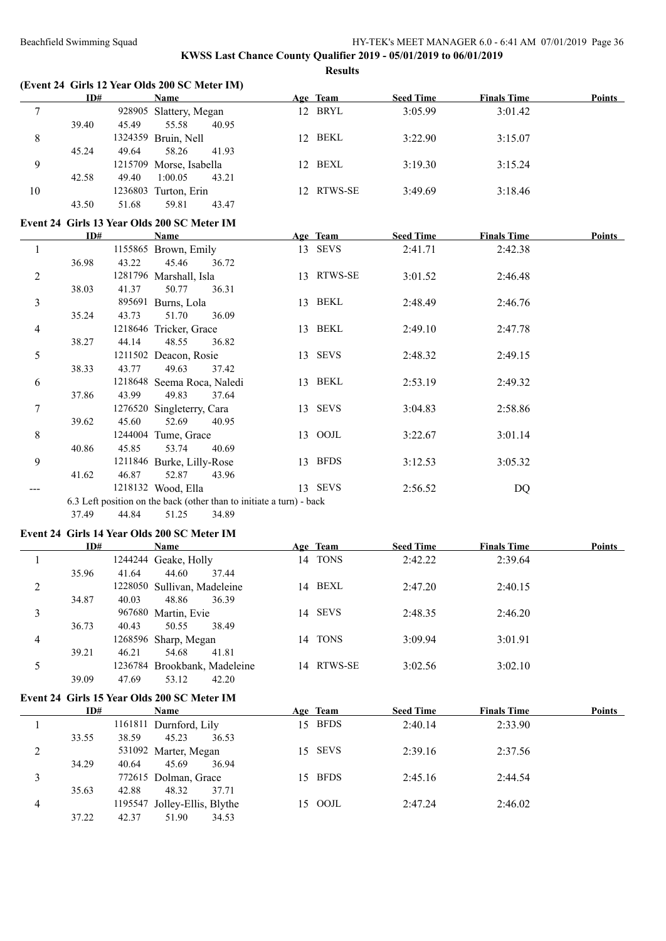#### **KWSS Last Chance County Qualifier 2019 - 05/01/2019 to 06/01/2019 Results**

|                          |       |       | (Event 24 Girls 12 Year Olds 200 SC Meter IM)                        |            |                  |                    |               |
|--------------------------|-------|-------|----------------------------------------------------------------------|------------|------------------|--------------------|---------------|
|                          | ID#   |       | <b>Name</b>                                                          | Age Team   | <b>Seed Time</b> | <b>Finals Time</b> | <b>Points</b> |
| $\tau$                   |       |       | 928905 Slattery, Megan                                               | 12 BRYL    | 3:05.99          | 3:01.42            |               |
|                          | 39.40 | 45.49 | 55.58<br>40.95                                                       |            |                  |                    |               |
| 8                        |       |       | 1324359 Bruin, Nell                                                  | 12 BEKL    | 3:22.90          | 3:15.07            |               |
|                          | 45.24 | 49.64 | 58.26<br>41.93                                                       |            |                  |                    |               |
| $\boldsymbol{9}$         |       |       | 1215709 Morse, Isabella                                              | 12 BEXL    | 3:19.30          | 3:15.24            |               |
|                          | 42.58 | 49.40 | 1:00.05<br>43.21                                                     |            |                  |                    |               |
| 10                       |       |       | 1236803 Turton, Erin                                                 | 12 RTWS-SE | 3:49.69          | 3:18.46            |               |
|                          | 43.50 | 51.68 | 59.81<br>43.47                                                       |            |                  |                    |               |
|                          |       |       | Event 24 Girls 13 Year Olds 200 SC Meter IM                          |            |                  |                    |               |
|                          | ID#   |       | Name                                                                 | Age Team   | <b>Seed Time</b> | <b>Finals Time</b> | Points        |
| $\mathbf{1}$             |       |       | 1155865 Brown, Emily                                                 | 13 SEVS    | 2:41.71          | 2:42.38            |               |
|                          | 36.98 | 43.22 | 45.46<br>36.72                                                       |            |                  |                    |               |
| $\overline{c}$           |       |       | 1281796 Marshall, Isla                                               | 13 RTWS-SE | 3:01.52          | 2:46.48            |               |
|                          | 38.03 | 41.37 | 50.77<br>36.31                                                       |            |                  |                    |               |
| 3                        |       |       | 895691 Burns, Lola                                                   | 13 BEKL    | 2:48.49          | 2:46.76            |               |
|                          | 35.24 | 43.73 | 51.70<br>36.09                                                       |            |                  |                    |               |
| 4                        |       |       | 1218646 Tricker, Grace                                               | 13 BEKL    | 2:49.10          | 2:47.78            |               |
|                          | 38.27 | 44.14 | 48.55<br>36.82                                                       |            |                  |                    |               |
| 5                        |       |       | 1211502 Deacon, Rosie                                                | 13 SEVS    | 2:48.32          | 2:49.15            |               |
|                          | 38.33 | 43.77 | 49.63<br>37.42                                                       |            |                  |                    |               |
| 6                        |       |       | 1218648 Seema Roca, Naledi                                           | 13 BEKL    | 2:53.19          | 2:49.32            |               |
|                          | 37.86 | 43.99 | 49.83<br>37.64                                                       |            |                  |                    |               |
| 7                        |       |       | 1276520 Singleterry, Cara                                            | 13 SEVS    | 3:04.83          | 2:58.86            |               |
|                          | 39.62 | 45.60 | 52.69<br>40.95                                                       |            |                  |                    |               |
| 8                        |       |       | 1244004 Tume, Grace                                                  | 13 OOJL    | 3:22.67          | 3:01.14            |               |
|                          | 40.86 | 45.85 | 53.74<br>40.69                                                       |            |                  |                    |               |
| 9                        |       |       | 1211846 Burke, Lilly-Rose                                            | 13 BFDS    | 3:12.53          | 3:05.32            |               |
|                          | 41.62 | 46.87 | 52.87<br>43.96                                                       |            |                  |                    |               |
| ---                      |       |       | 1218132 Wood, Ella                                                   | 13 SEVS    | 2:56.52          | DQ                 |               |
|                          |       |       | 6.3 Left position on the back (other than to initiate a turn) - back |            |                  |                    |               |
|                          | 37.49 | 44.84 | 51.25<br>34.89                                                       |            |                  |                    |               |
|                          |       |       |                                                                      |            |                  |                    |               |
|                          |       |       | Event 24 Girls 14 Year Olds 200 SC Meter IM                          |            |                  |                    |               |
|                          | ID#   |       | Name                                                                 | Age Team   | <b>Seed Time</b> | <b>Finals Time</b> | Points        |
| $\mathbf{1}$             |       |       | 1244244 Geake, Holly                                                 | 14 TONS    | 2:42.22          | 2:39.64            |               |
|                          | 35.96 | 41.64 | 44.60<br>37.44                                                       |            |                  |                    |               |
| $\boldsymbol{2}$         |       |       | 1228050 Sullivan, Madeleine                                          | 14 BEXL    | 2:47.20          | 2:40.15            |               |
|                          | 34.87 | 40.03 | 48.86<br>36.39                                                       |            |                  |                    |               |
| 3                        |       |       | 967680 Martin, Evie                                                  | 14 SEVS    | 2:48.35          | 2:46.20            |               |
|                          | 36.73 | 40.43 | 50.55<br>38.49                                                       |            |                  |                    |               |
| $\overline{\mathcal{A}}$ |       |       | 1268596 Sharp, Megan                                                 | 14 TONS    | 3:09.94          | 3:01.91            |               |
|                          | 39.21 | 46.21 | 41.81<br>54.68                                                       |            |                  |                    |               |
| 5                        |       |       | 1236784 Brookbank, Madeleine                                         | 14 RTWS-SE | 3:02.56          | 3:02.10            |               |
|                          | 39.09 | 47.69 | 53.12<br>42.20                                                       |            |                  |                    |               |
|                          |       |       | Event 24 Girls 15 Year Olds 200 SC Meter IM                          |            |                  |                    |               |
|                          | ID#   |       | <b>Name</b>                                                          | Age Team   | <b>Seed Time</b> | <b>Finals Time</b> | <b>Points</b> |
| $\mathbf{1}$             |       |       | 1161811 Durnford, Lily                                               | 15 BFDS    | 2:40.14          | 2:33.90            |               |
|                          | 33.55 | 38.59 | 45.23<br>36.53                                                       |            |                  |                    |               |

2 531092 Marter, Megan 15 SEVS 2:39.16 2:37.56

3 772615 Dolman, Grace 15 BFDS 2:45.16 2:44.54

4 1195547 Jolley-Ellis, Blythe 15 OOJL 2:47.24 2:46.02<br>37.22 42.37 51.90 34.53

34.29 40.64 45.69 36.94

35.63 42.88 48.32 37.71

 $37.22$   $42.37$   $51.90$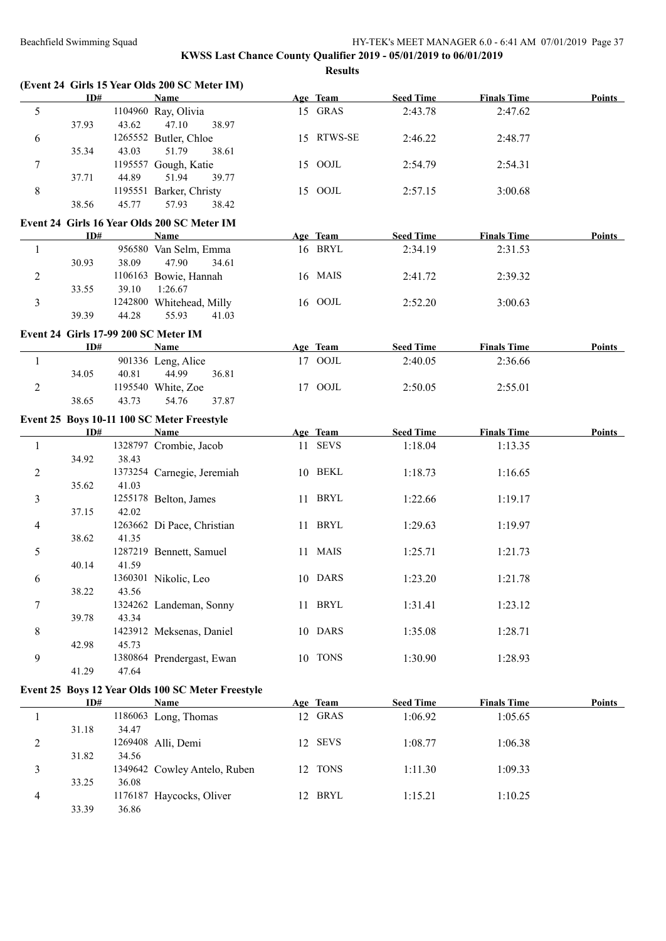**(Event 24 Girls 15 Year Olds 200 SC Meter IM)**

#### Beachfield Swimming Squad HY-TEK's MEET MANAGER 6.0 - 6:41 AM 07/01/2019 Page 37

|                | ID#   |       | <b>Name</b>                                       | Age Team   | <b>Seed Time</b> | <b>Finals Time</b> | <b>Points</b> |
|----------------|-------|-------|---------------------------------------------------|------------|------------------|--------------------|---------------|
| 5              |       |       | 1104960 Ray, Olivia                               | 15 GRAS    | 2:43.78          | 2:47.62            |               |
|                | 37.93 | 43.62 | 47.10<br>38.97                                    |            |                  |                    |               |
| 6              |       |       | 1265552 Butler, Chloe                             | 15 RTWS-SE | 2:46.22          | 2:48.77            |               |
|                | 35.34 | 43.03 | 51.79<br>38.61                                    |            |                  |                    |               |
| 7              |       |       | 1195557 Gough, Katie                              | 15 OOJL    | 2:54.79          | 2:54.31            |               |
|                | 37.71 | 44.89 | 51.94<br>39.77                                    |            |                  |                    |               |
| $\,8\,$        |       |       | 1195551 Barker, Christy                           | 15 OOJL    | 2:57.15          | 3:00.68            |               |
|                | 38.56 | 45.77 | 57.93<br>38.42                                    |            |                  |                    |               |
|                |       |       |                                                   |            |                  |                    |               |
|                |       |       | Event 24 Girls 16 Year Olds 200 SC Meter IM       |            |                  |                    |               |
|                | ID#   |       | <b>Name</b>                                       | Age Team   | <b>Seed Time</b> | <b>Finals Time</b> | <b>Points</b> |
| 1              |       |       | 956580 Van Selm, Emma                             | 16 BRYL    | 2:34.19          | 2:31.53            |               |
|                | 30.93 | 38.09 | 47.90<br>34.61                                    |            |                  |                    |               |
| $\overline{2}$ |       |       | 1106163 Bowie, Hannah                             | 16 MAIS    | 2:41.72          | 2:39.32            |               |
|                | 33.55 | 39.10 | 1:26.67                                           |            |                  |                    |               |
| $\overline{3}$ |       |       | 1242800 Whitehead, Milly                          | 16 OOJL    | 2:52.20          | 3:00.63            |               |
|                | 39.39 | 44.28 | 55.93<br>41.03                                    |            |                  |                    |               |
|                |       |       | Event 24 Girls 17-99 200 SC Meter IM              |            |                  |                    |               |
|                | ID#   |       | <b>Name</b>                                       | Age Team   | <b>Seed Time</b> | <b>Finals Time</b> | Points        |
| 1              |       |       | 901336 Leng, Alice                                | 17 OOJL    | 2:40.05          | 2:36.66            |               |
|                | 34.05 | 40.81 | 44.99<br>36.81                                    |            |                  |                    |               |
| $\overline{2}$ |       |       | 1195540 White, Zoe                                | 17 OOJL    | 2:50.05          | 2:55.01            |               |
|                | 38.65 | 43.73 | 37.87<br>54.76                                    |            |                  |                    |               |
|                |       |       |                                                   |            |                  |                    |               |
|                |       |       | Event 25 Boys 10-11 100 SC Meter Freestyle        |            |                  |                    |               |
|                | ID#   |       | Name                                              | Age Team   | <b>Seed Time</b> | <b>Finals Time</b> | <b>Points</b> |
| -1             |       |       | 1328797 Crombie, Jacob                            | 11 SEVS    | 1:18.04          | 1:13.35            |               |
|                | 34.92 | 38.43 |                                                   |            |                  |                    |               |
| $\overline{2}$ |       |       | 1373254 Carnegie, Jeremiah                        | 10 BEKL    | 1:18.73          | 1:16.65            |               |
|                | 35.62 | 41.03 |                                                   |            |                  |                    |               |
| 3              |       |       | 1255178 Belton, James                             | 11 BRYL    | 1:22.66          | 1:19.17            |               |
|                | 37.15 | 42.02 |                                                   |            |                  |                    |               |
| 4              |       |       | 1263662 Di Pace, Christian                        | 11 BRYL    | 1:29.63          | 1:19.97            |               |
|                | 38.62 | 41.35 |                                                   |            |                  |                    |               |
| 5              |       |       | 1287219 Bennett, Samuel                           | 11 MAIS    | 1:25.71          | 1:21.73            |               |
|                | 40.14 | 41.59 |                                                   |            |                  |                    |               |
| 6              |       |       | 1360301 Nikolic, Leo                              | 10 DARS    | 1:23.20          | 1:21.78            |               |
|                | 38.22 | 43.56 |                                                   |            |                  |                    |               |
| 7              |       |       | 1324262 Landeman, Sonny                           | 11 BRYL    | 1:31.41          | 1:23.12            |               |
|                | 39.78 | 43.34 |                                                   |            |                  |                    |               |
| 8              |       |       | 1423912 Meksenas, Daniel                          | 10 DARS    | 1:35.08          | 1:28.71            |               |
|                | 42.98 | 45.73 |                                                   |            |                  |                    |               |
| 9              |       |       | 1380864 Prendergast, Ewan                         | 10 TONS    | 1:30.90          | 1:28.93            |               |
|                | 41.29 | 47.64 |                                                   |            |                  |                    |               |
|                |       |       | Event 25 Boys 12 Year Olds 100 SC Meter Freestyle |            |                  |                    |               |
|                | ID#   |       | <b>Name</b>                                       | Age Team   | <b>Seed Time</b> | <b>Finals Time</b> | <b>Points</b> |
| 1              |       |       | 1186063 Long, Thomas                              | 12 GRAS    | 1:06.92          | 1:05.65            |               |
|                | 31.18 | 34.47 |                                                   |            |                  |                    |               |
| $\overline{c}$ |       |       | 1269408 Alli, Demi                                | 12 SEVS    | 1:08.77          | 1:06.38            |               |
|                | 31.82 | 34.56 |                                                   |            |                  |                    |               |
|                |       |       |                                                   |            |                  |                    |               |
| 3              |       |       | 1349642 Cowley Antelo, Ruben                      | 12 TONS    | 1:11.30          | 1:09.33            |               |
|                | 33.25 | 36.08 |                                                   |            |                  |                    |               |
| 4              |       |       | 1176187 Haycocks, Oliver                          | 12 BRYL    | 1:15.21          | 1:10.25            |               |
|                | 33.39 | 36.86 |                                                   |            |                  |                    |               |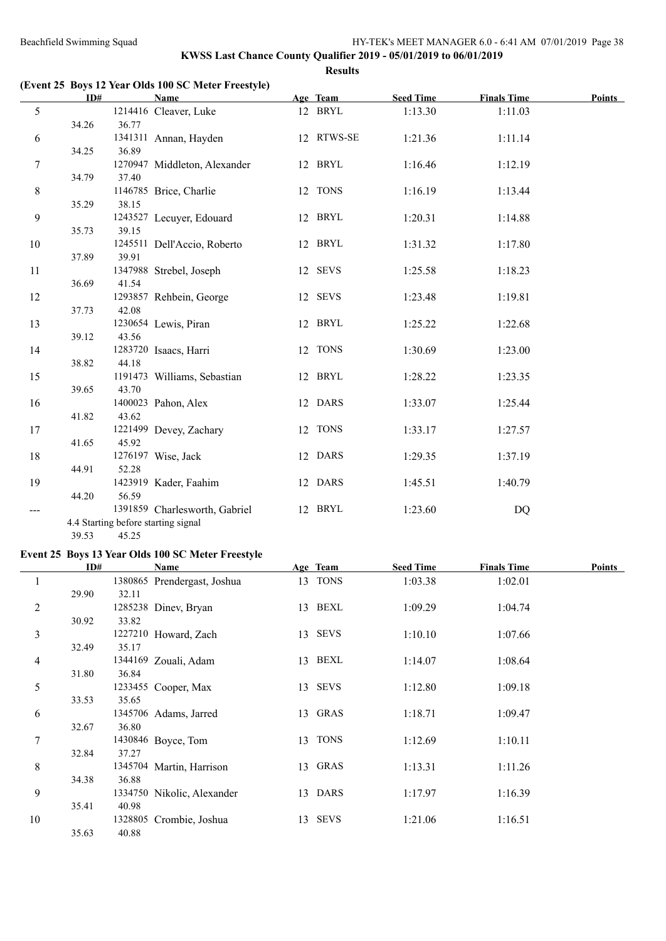|                              | ID#   |       | <b>Name</b>                                       | Age Team   | <b>Seed Time</b> | <b>Finals Time</b> | <b>Points</b> |
|------------------------------|-------|-------|---------------------------------------------------|------------|------------------|--------------------|---------------|
| 5                            |       |       | 1214416 Cleaver, Luke                             | 12 BRYL    | 1:13.30          | 1:11.03            |               |
|                              | 34.26 | 36.77 |                                                   |            |                  |                    |               |
| 6                            |       |       | 1341311 Annan, Hayden                             | 12 RTWS-SE | 1:21.36          | 1:11.14            |               |
|                              | 34.25 | 36.89 |                                                   |            |                  |                    |               |
| $\tau$                       |       |       | 1270947 Middleton, Alexander                      | 12 BRYL    | 1:16.46          | 1:12.19            |               |
|                              | 34.79 | 37.40 |                                                   |            |                  |                    |               |
| 8                            |       |       | 1146785 Brice, Charlie                            | 12 TONS    | 1:16.19          | 1:13.44            |               |
|                              | 35.29 | 38.15 |                                                   |            |                  |                    |               |
| 9                            |       |       | 1243527 Lecuyer, Edouard                          | 12 BRYL    | 1:20.31          | 1:14.88            |               |
|                              | 35.73 | 39.15 |                                                   |            |                  |                    |               |
| 10                           |       |       | 1245511 Dell'Accio, Roberto                       | 12 BRYL    | 1:31.32          | 1:17.80            |               |
|                              | 37.89 | 39.91 |                                                   |            |                  |                    |               |
| 11                           |       |       | 1347988 Strebel, Joseph                           | 12 SEVS    | 1:25.58          | 1:18.23            |               |
|                              | 36.69 | 41.54 |                                                   |            |                  |                    |               |
| 12                           |       |       | 1293857 Rehbein, George                           | 12 SEVS    | 1:23.48          | 1:19.81            |               |
|                              | 37.73 | 42.08 |                                                   |            |                  |                    |               |
| 13                           |       |       | 1230654 Lewis, Piran                              | 12 BRYL    | 1:25.22          | 1:22.68            |               |
|                              | 39.12 | 43.56 |                                                   |            |                  |                    |               |
| 14                           | 38.82 | 44.18 | 1283720 Isaacs, Harri                             | 12 TONS    | 1:30.69          | 1:23.00            |               |
|                              |       |       |                                                   | 12 BRYL    |                  |                    |               |
| 15                           | 39.65 | 43.70 | 1191473 Williams, Sebastian                       |            | 1:28.22          | 1:23.35            |               |
| 16                           |       |       | 1400023 Pahon, Alex                               | 12 DARS    | 1:33.07          | 1:25.44            |               |
|                              | 41.82 | 43.62 |                                                   |            |                  |                    |               |
| 17                           |       |       | 1221499 Devey, Zachary                            | 12 TONS    | 1:33.17          | 1:27.57            |               |
|                              | 41.65 | 45.92 |                                                   |            |                  |                    |               |
| 18                           |       |       | 1276197 Wise, Jack                                | 12 DARS    | 1:29.35          | 1:37.19            |               |
|                              | 44.91 | 52.28 |                                                   |            |                  |                    |               |
| 19                           |       |       | 1423919 Kader, Faahim                             | 12 DARS    | 1:45.51          | 1:40.79            |               |
|                              | 44.20 | 56.59 |                                                   |            |                  |                    |               |
| $\qquad \qquad \textbf{---}$ |       |       | 1391859 Charlesworth, Gabriel                     | 12 BRYL    | 1:23.60          | <b>DQ</b>          |               |
|                              |       |       | 4.4 Starting before starting signal               |            |                  |                    |               |
|                              | 39.53 | 45.25 |                                                   |            |                  |                    |               |
|                              |       |       | Event 25 Boys 13 Year Olds 100 SC Meter Freestyle |            |                  |                    |               |
|                              | ID#   |       | <b>Name</b>                                       | Age Team   | Seed Time        | <b>Finals Time</b> | Points        |
|                              |       |       |                                                   |            |                  |                    |               |

|                | ID#   |         | Name                        |    | Age Team    | <b>Seed Time</b> | <b>Finals Time</b> | <b>Points</b> |
|----------------|-------|---------|-----------------------------|----|-------------|------------------|--------------------|---------------|
|                |       |         | 1380865 Prendergast, Joshua | 13 | <b>TONS</b> | 1:03.38          | 1:02.01            |               |
|                | 29.90 | 32.11   |                             |    |             |                  |                    |               |
| $\overline{2}$ |       |         | 1285238 Diney, Bryan        |    | 13 BEXL     | 1:09.29          | 1:04.74            |               |
|                | 30.92 | 33.82   |                             |    |             |                  |                    |               |
| 3              |       |         | 1227210 Howard, Zach        |    | 13 SEVS     | 1:10.10          | 1:07.66            |               |
|                | 32.49 | 35.17   |                             |    |             |                  |                    |               |
| 4              |       |         | 1344169 Zouali, Adam        | 13 | BEXL        | 1:14.07          | 1:08.64            |               |
|                | 31.80 | 36.84   |                             |    |             |                  |                    |               |
| 5              |       |         | 1233455 Cooper, Max         | 13 | <b>SEVS</b> | 1:12.80          | 1:09.18            |               |
|                | 33.53 | 35.65   |                             |    |             |                  |                    |               |
| 6              |       |         | 1345706 Adams, Jarred       | 13 | GRAS        | 1:18.71          | 1:09.47            |               |
|                | 32.67 | 36.80   |                             |    |             |                  |                    |               |
| 7              |       |         | 1430846 Boyce, Tom          | 13 | <b>TONS</b> | 1:12.69          | 1:10.11            |               |
|                | 32.84 | 37.27   |                             |    |             |                  |                    |               |
| 8              |       |         | 1345704 Martin, Harrison    |    | 13 GRAS     | 1:13.31          | 1:11.26            |               |
|                | 34.38 | 36.88   |                             |    |             |                  |                    |               |
| 9              |       |         | 1334750 Nikolic, Alexander  | 13 | <b>DARS</b> | 1:17.97          | 1:16.39            |               |
|                | 35.41 | 40.98   |                             |    |             |                  |                    |               |
| 10             |       | 1328805 | Crombie, Joshua             | 13 | <b>SEVS</b> | 1:21.06          | 1:16.51            |               |
|                | 35.63 | 40.88   |                             |    |             |                  |                    |               |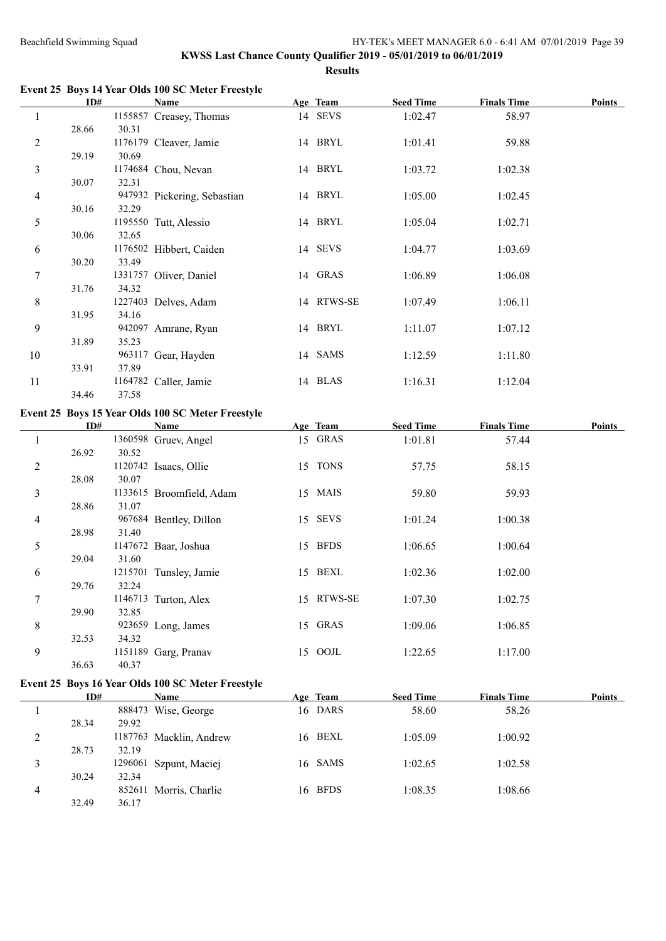**Event 25 Boys 14 Year Olds 100 SC Meter Freestyle**

|                  | ID#   |       | <b>Name</b>                                       | Age Team   | <b>Seed Time</b> | <b>Finals Time</b> | <b>Points</b> |
|------------------|-------|-------|---------------------------------------------------|------------|------------------|--------------------|---------------|
| $\mathbf{1}$     |       |       | 1155857 Creasey, Thomas                           | 14 SEVS    | 1:02.47          | 58.97              |               |
|                  | 28.66 | 30.31 |                                                   |            |                  |                    |               |
| $\overline{2}$   |       |       | 1176179 Cleaver, Jamie                            | 14 BRYL    | 1:01.41          | 59.88              |               |
|                  | 29.19 | 30.69 |                                                   |            |                  |                    |               |
| $\mathfrak{Z}$   |       |       | 1174684 Chou, Nevan                               | 14 BRYL    | 1:03.72          | 1:02.38            |               |
|                  | 30.07 | 32.31 |                                                   |            |                  |                    |               |
| $\overline{4}$   |       |       | 947932 Pickering, Sebastian                       | 14 BRYL    | 1:05.00          | 1:02.45            |               |
|                  | 30.16 | 32.29 |                                                   |            |                  |                    |               |
| 5                |       |       | 1195550 Tutt, Alessio                             | 14 BRYL    | 1:05.04          | 1:02.71            |               |
|                  | 30.06 | 32.65 |                                                   |            |                  |                    |               |
| $\sqrt{6}$       |       |       | 1176502 Hibbert, Caiden                           | 14 SEVS    | 1:04.77          | 1:03.69            |               |
|                  | 30.20 | 33.49 |                                                   |            |                  |                    |               |
| $\boldsymbol{7}$ |       |       | 1331757 Oliver, Daniel                            | 14 GRAS    | 1:06.89          | 1:06.08            |               |
|                  | 31.76 | 34.32 |                                                   |            |                  |                    |               |
| $8\,$            |       |       | 1227403 Delves, Adam                              | 14 RTWS-SE | 1:07.49          | 1:06.11            |               |
|                  | 31.95 | 34.16 |                                                   |            |                  |                    |               |
| $\mathbf{9}$     |       |       | 942097 Amrane, Ryan                               | 14 BRYL    | 1:11.07          | 1:07.12            |               |
|                  | 31.89 | 35.23 |                                                   |            |                  |                    |               |
| $10\,$           |       |       | 963117 Gear, Hayden                               | 14 SAMS    | 1:12.59          | 1:11.80            |               |
|                  | 33.91 | 37.89 |                                                   |            |                  |                    |               |
| 11               | 34.46 | 37.58 | 1164782 Caller, Jamie                             | 14 BLAS    | 1:16.31          | 1:12.04            |               |
|                  |       |       |                                                   |            |                  |                    |               |
|                  |       |       | Event 25 Boys 15 Year Olds 100 SC Meter Freestyle |            |                  |                    |               |
|                  | ID#   |       | <b>Name</b>                                       | Age Team   | <b>Seed Time</b> | <b>Finals Time</b> | Points        |
| $\mathbf{1}$     |       |       | 1360598 Gruev, Angel                              | 15 GRAS    | 1:01.81          | 57.44              |               |
|                  | 26.92 | 30.52 |                                                   |            |                  |                    |               |
| $\overline{c}$   |       |       | 1120742 Isaacs, Ollie                             | 15 TONS    | 57.75            | 58.15              |               |
|                  | 28.08 | 30.07 |                                                   |            |                  |                    |               |
| $\mathfrak{Z}$   |       |       | 1133615 Broomfield, Adam                          | 15 MAIS    | 59.80            | 59.93              |               |
|                  | 28.86 | 31.07 |                                                   |            |                  |                    |               |
| $\overline{4}$   |       | 31.40 | 967684 Bentley, Dillon                            | 15 SEVS    | 1:01.24          | 1:00.38            |               |
|                  | 28.98 |       |                                                   | 15 BFDS    |                  |                    |               |
| $\sqrt{5}$       | 29.04 | 31.60 | 1147672 Baar, Joshua                              |            | 1:06.65          | 1:00.64            |               |
| 6                |       |       | 1215701 Tunsley, Jamie                            | 15 BEXL    | 1:02.36          | 1:02.00            |               |
|                  | 29.76 | 32.24 |                                                   |            |                  |                    |               |
| $\boldsymbol{7}$ |       |       | 1146713 Turton, Alex                              | 15 RTWS-SE | 1:07.30          | 1:02.75            |               |
|                  | 29.90 | 32.85 |                                                   |            |                  |                    |               |
| $8\,$            |       |       | 923659 Long, James                                | 15 GRAS    | 1:09.06          | 1:06.85            |               |
|                  | 32.53 | 34.32 |                                                   |            |                  |                    |               |
| 9                |       |       | 1151189 Garg, Pranav                              | 15 OOJL    | 1:22.65          | 1:17.00            |               |
|                  | 36.63 | 40.37 |                                                   |            |                  |                    |               |

## **Event 25 Boys 16 Year Olds 100 SC Meter Freestyle**

|         | ID#   |       | <b>Name</b>             | Age Team | <b>Seed Time</b> | <b>Finals Time</b> | Points |
|---------|-------|-------|-------------------------|----------|------------------|--------------------|--------|
|         |       |       | 888473 Wise, George     | 16 DARS  | 58.60            | 58.26              |        |
|         | 28.34 | 29.92 |                         |          |                  |                    |        |
| C.<br>∠ |       |       | 1187763 Macklin, Andrew | 16 BEXL  | 1:05.09          | 1:00.92            |        |
|         | 28.73 | 32.19 |                         |          |                  |                    |        |
|         |       |       | 1296061 Szpunt, Maciej  | 16 SAMS  | 1:02.65          | 1:02.58            |        |
|         | 30.24 | 32.34 |                         |          |                  |                    |        |
|         |       |       | 852611 Morris, Charlie  | 16 BFDS  | 1:08.35          | 1:08.66            |        |
|         | 32.49 | 36.17 |                         |          |                  |                    |        |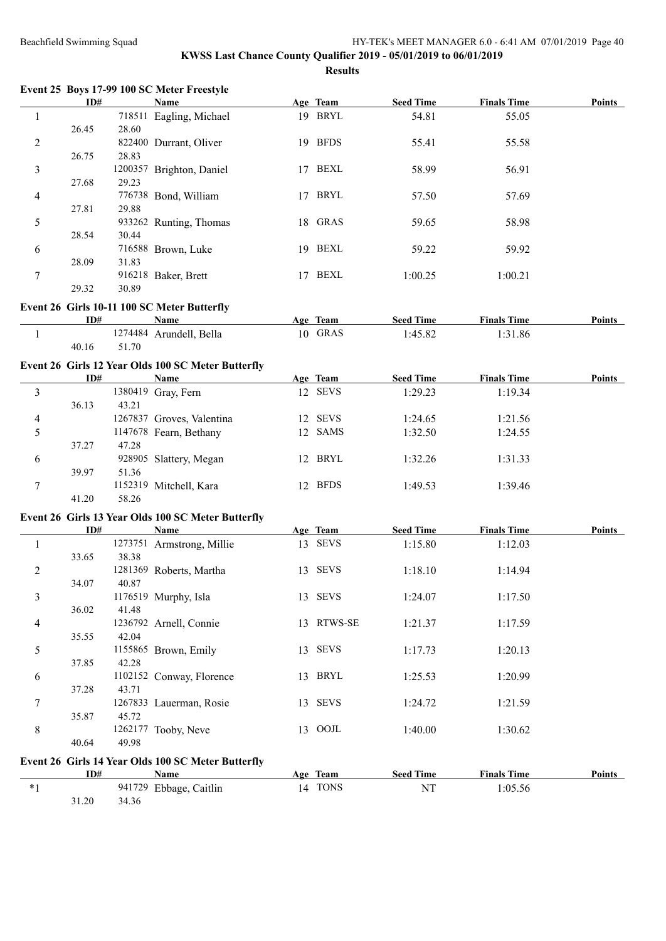| Event 25 Boys 17-99 100 SC Meter Freestyle |  |  |  |  |
|--------------------------------------------|--|--|--|--|
|--------------------------------------------|--|--|--|--|

|   | ID#   |       | Name                     |     | Age Team    | <b>Seed Time</b> | <b>Finals Time</b> | <b>Points</b> |
|---|-------|-------|--------------------------|-----|-------------|------------------|--------------------|---------------|
|   |       |       | 718511 Eagling, Michael  | 19  | BRYL        | 54.81            | 55.05              |               |
|   | 26.45 | 28.60 |                          |     |             |                  |                    |               |
| 2 |       |       | 822400 Durrant, Oliver   | 19  | <b>BFDS</b> | 55.41            | 55.58              |               |
|   | 26.75 | 28.83 |                          |     |             |                  |                    |               |
| 3 |       |       | 1200357 Brighton, Daniel | 17  | <b>BEXL</b> | 58.99            | 56.91              |               |
|   | 27.68 | 29.23 |                          |     |             |                  |                    |               |
| 4 |       |       | 776738 Bond, William     | 17  | <b>BRYL</b> | 57.50            | 57.69              |               |
|   | 27.81 | 29.88 |                          |     |             |                  |                    |               |
| 5 |       |       | 933262 Runting, Thomas   |     | 18 GRAS     | 59.65            | 58.98              |               |
|   | 28.54 | 30.44 |                          |     |             |                  |                    |               |
| 6 |       |       | 716588 Brown, Luke       | 19. | <b>BEXL</b> | 59.22            | 59.92              |               |
|   | 28.09 | 31.83 |                          |     |             |                  |                    |               |
| 7 |       |       | 916218 Baker, Brett      | 17  | <b>BEXL</b> | 1:00.25          | 1:00.21            |               |
|   | 29.32 | 30.89 |                          |     |             |                  |                    |               |

## **Event 26 Girls 10-11 100 SC Meter Butterfly**

| ID#   | Name                    | Age | <b>Team</b> | <b>Seed Time</b> | <b>Finals Time</b> | <b>Points</b> |
|-------|-------------------------|-----|-------------|------------------|--------------------|---------------|
|       | 1274484 Arundell, Bella |     | 10 GRAS     | 1.45.82          | 1:31.86            |               |
| 40.16 | 51.70                   |     |             |                  |                    |               |

# **Event 26 Girls 12 Year Olds 100 SC Meter Butterfly**

|   | ID#   |       | <b>Name</b>               |                | Age Team    | <b>Seed Time</b> | <b>Finals Time</b> | <b>Points</b> |
|---|-------|-------|---------------------------|----------------|-------------|------------------|--------------------|---------------|
|   |       |       | 1380419 Gray, Fern        |                | 12 SEVS     | 1:29.23          | 1:19.34            |               |
|   | 36.13 | 43.21 |                           |                |             |                  |                    |               |
| 4 |       |       | 1267837 Groves, Valentina |                | 12 SEVS     | 1:24.65          | 1:21.56            |               |
|   |       |       | 1147678 Fearn, Bethany    |                | 12 SAMS     | 1:32.50          | 1:24.55            |               |
|   | 37.27 | 47.28 |                           |                |             |                  |                    |               |
| 6 |       |       | 928905 Slattery, Megan    | $\overline{2}$ | BRYL        | 1:32.26          | 1:31.33            |               |
|   | 39.97 | 51.36 |                           |                |             |                  |                    |               |
|   |       |       | 1152319 Mitchell, Kara    | $12 -$         | <b>BFDS</b> | 1:49.53          | 1:39.46            |               |
|   | 41.20 | 58.26 |                           |                |             |                  |                    |               |

#### **Event 26 Girls 13 Year Olds 100 SC Meter Butterfly**

|                         | ID#   |         | Name                                               |    | Age Team    | <b>Seed Time</b> | <b>Finals Time</b> | <b>Points</b> |
|-------------------------|-------|---------|----------------------------------------------------|----|-------------|------------------|--------------------|---------------|
|                         |       | 1273751 | Armstrong, Millie                                  | 13 | <b>SEVS</b> | 1:15.80          | 1:12.03            |               |
|                         | 33.65 | 38.38   |                                                    |    |             |                  |                    |               |
| $\overline{c}$          |       |         | 1281369 Roberts, Martha                            | 13 | <b>SEVS</b> | 1:18.10          | 1:14.94            |               |
|                         | 34.07 | 40.87   |                                                    |    |             |                  |                    |               |
| $\overline{\mathbf{3}}$ |       |         | 1176519 Murphy, Isla                               | 13 | <b>SEVS</b> | 1:24.07          | 1:17.50            |               |
|                         | 36.02 | 41.48   |                                                    |    |             |                  |                    |               |
| $\overline{4}$          |       |         | 1236792 Arnell, Connie                             | 13 | RTWS-SE     | 1:21.37          | 1:17.59            |               |
|                         | 35.55 | 42.04   |                                                    |    |             |                  |                    |               |
| 5                       |       |         | 1155865 Brown, Emily                               | 13 | <b>SEVS</b> | 1:17.73          | 1:20.13            |               |
|                         | 37.85 | 42.28   |                                                    |    |             |                  |                    |               |
| 6                       |       | 1102152 | Conway, Florence                                   | 13 | BRYL        | 1:25.53          | 1:20.99            |               |
|                         | 37.28 | 43.71   |                                                    |    |             |                  |                    |               |
| 7                       |       | 1267833 | Lauerman, Rosie                                    | 13 | <b>SEVS</b> | 1:24.72          | 1:21.59            |               |
|                         | 35.87 | 45.72   |                                                    |    |             |                  |                    |               |
| 8                       |       |         | 1262177 Tooby, Neve                                | 13 | OOJL        | 1:40.00          | 1:30.62            |               |
|                         | 40.64 | 49.98   |                                                    |    |             |                  |                    |               |
|                         |       |         | Event 26 Girls 14 Year Olds 100 SC Meter Butterfly |    |             |                  |                    |               |
|                         | ID#   |         | Name                                               |    | Age Team    | <b>Seed Time</b> | <b>Finals Time</b> | <b>Points</b> |
| $*1$                    |       |         | 941729 Ebbage, Caitlin                             |    | 14 TONS     | NT               | 1:05.56            |               |

31.20 34.36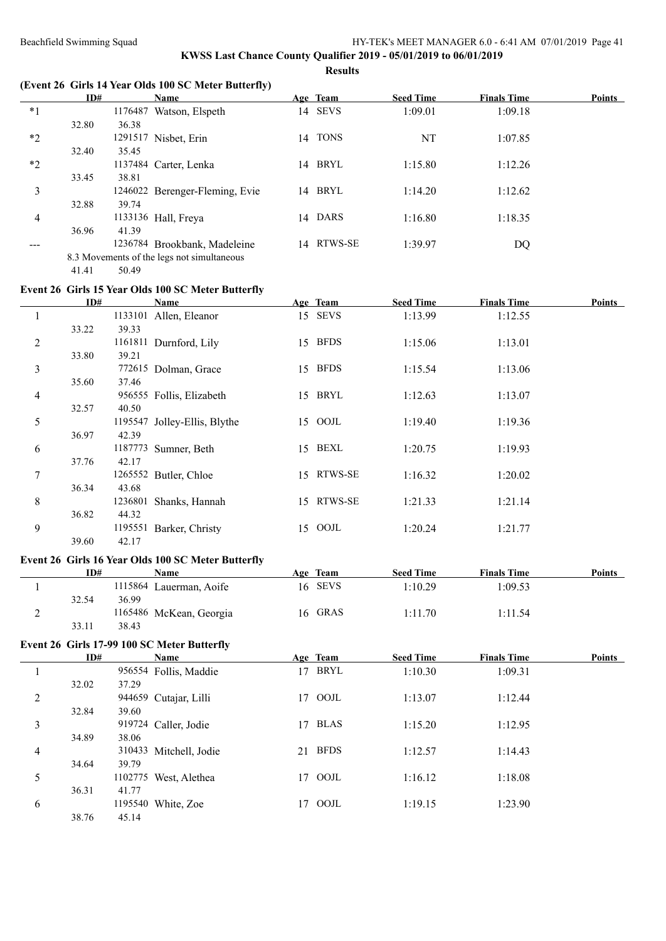## **KWSS Last Chance County Qualifier 2019 - 05/01/2019 to 06/01/2019 Results**

**(Event 26 Girls 14 Year Olds 100 SC Meter Butterfly)**

|      | ID#   |         | Name                                       |    | Age Team    | <b>Seed Time</b> | <b>Finals Time</b> | <b>Points</b> |
|------|-------|---------|--------------------------------------------|----|-------------|------------------|--------------------|---------------|
| $*1$ |       | 1176487 | Watson, Elspeth                            |    | 14 SEVS     | 1:09.01          | 1:09.18            |               |
|      | 32.80 | 36.38   |                                            |    |             |                  |                    |               |
| $*2$ |       |         | 1291517 Nisbet, Erin                       | 14 | <b>TONS</b> | NT               | 1:07.85            |               |
|      | 32.40 | 35.45   |                                            |    |             |                  |                    |               |
| $*2$ |       |         | 1137484 Carter, Lenka                      | 14 | BRYL        | 1:15.80          | 1:12.26            |               |
|      | 33.45 | 38.81   |                                            |    |             |                  |                    |               |
| 3    |       |         | 1246022 Berenger-Fleming, Evie             | 14 | <b>BRYL</b> | 1:14.20          | 1:12.62            |               |
|      | 32.88 | 39.74   |                                            |    |             |                  |                    |               |
| 4    |       |         | 1133136 Hall, Freya                        |    | 14 DARS     | 1:16.80          | 1:18.35            |               |
|      | 36.96 | 41.39   |                                            |    |             |                  |                    |               |
|      |       |         | 1236784 Brookbank, Madeleine               | 14 | RTWS-SE     | 1:39.97          | DQ                 |               |
|      |       |         | 8.3 Movements of the legs not simultaneous |    |             |                  |                    |               |

41.41 50.49

#### **Event 26 Girls 15 Year Olds 100 SC Meter Butterfly**

|   | ID#   |         | Name                         |    | Age Team    | <b>Seed Time</b> | <b>Finals Time</b> | Points |
|---|-------|---------|------------------------------|----|-------------|------------------|--------------------|--------|
|   |       | 1133101 | Allen, Eleanor               |    | 15 SEVS     | 1:13.99          | 1:12.55            |        |
|   | 33.22 | 39.33   |                              |    |             |                  |                    |        |
| 2 |       | 1161811 | Durnford, Lily               | 15 | <b>BFDS</b> | 1:15.06          | 1:13.01            |        |
|   | 33.80 | 39.21   |                              |    |             |                  |                    |        |
| 3 |       |         | 772615 Dolman, Grace         | 15 | <b>BFDS</b> | 1:15.54          | 1:13.06            |        |
|   | 35.60 | 37.46   |                              |    |             |                  |                    |        |
| 4 |       |         | 956555 Follis, Elizabeth     |    | 15 BRYL     | 1:12.63          | 1:13.07            |        |
|   | 32.57 | 40.50   |                              |    |             |                  |                    |        |
| 5 |       |         | 1195547 Jolley-Ellis, Blythe |    | 15 OOJL     | 1:19.40          | 1:19.36            |        |
|   | 36.97 | 42.39   |                              |    |             |                  |                    |        |
| 6 |       |         | 1187773 Sumner, Beth         |    | 15 BEXL     | 1:20.75          | 1:19.93            |        |
|   | 37.76 | 42.17   |                              |    |             |                  |                    |        |
| 7 |       |         | 1265552 Butler, Chloe        |    | 15 RTWS-SE  | 1:16.32          | 1:20.02            |        |
|   | 36.34 | 43.68   |                              |    |             |                  |                    |        |
| 8 |       | 1236801 | Shanks, Hannah               |    | 15 RTWS-SE  | 1:21.33          | 1:21.14            |        |
|   | 36.82 | 44.32   |                              |    |             |                  |                    |        |
| 9 |       | 1195551 | Barker, Christy              |    | 15 OOJL     | 1:20.24          | 1:21.77            |        |
|   | 39.60 | 42.17   |                              |    |             |                  |                    |        |

#### **Event 26 Girls 16 Year Olds 100 SC Meter Butterfly**

|   | ID#   | <b>Name</b>             | Age | <b>Team</b> | <b>Seed Time</b> | <b>Finals Time</b> | <b>Points</b> |
|---|-------|-------------------------|-----|-------------|------------------|--------------------|---------------|
|   |       | 1115864 Lauerman, Aoife | 16. | <b>SEVS</b> | l:10.29          | 1:09.53            |               |
|   | 32.54 | 36.99                   |     |             |                  |                    |               |
| ∼ |       | 1165486 McKean, Georgia |     | 16 GRAS     | 1:11.70          | l:11.54            |               |
|   | 33.11 | 38.43                   |     |             |                  |                    |               |

## **Event 26 Girls 17-99 100 SC Meter Butterfly**

|   | ID#   |         | Name                   |    | Age Team    | <b>Seed Time</b> | <b>Finals Time</b> | <b>Points</b> |
|---|-------|---------|------------------------|----|-------------|------------------|--------------------|---------------|
|   |       |         | 956554 Follis, Maddie  | 17 | BRYL        | 1:10.30          | 1:09.31            |               |
|   | 32.02 | 37.29   |                        |    |             |                  |                    |               |
| 2 |       |         | 944659 Cutajar, Lilli  | 17 | OOJL        | 1:13.07          | 1:12.44            |               |
|   | 32.84 | 39.60   |                        |    |             |                  |                    |               |
| 3 |       |         | 919724 Caller, Jodie   | 17 | <b>BLAS</b> | 1:15.20          | 1:12.95            |               |
|   | 34.89 | 38.06   |                        |    |             |                  |                    |               |
| 4 |       |         | 310433 Mitchell, Jodie | 21 | <b>BFDS</b> | 1:12.57          | 1:14.43            |               |
|   | 34.64 | 39.79   |                        |    |             |                  |                    |               |
| 5 |       | 1102775 | West, Alethea          | 17 | OOJL        | 1:16.12          | 1:18.08            |               |
|   | 36.31 | 41.77   |                        |    |             |                  |                    |               |
| 6 |       | 1195540 | White, Zoe             |    | 17 OOJL     | 1:19.15          | 1:23.90            |               |
|   | 38.76 | 45.14   |                        |    |             |                  |                    |               |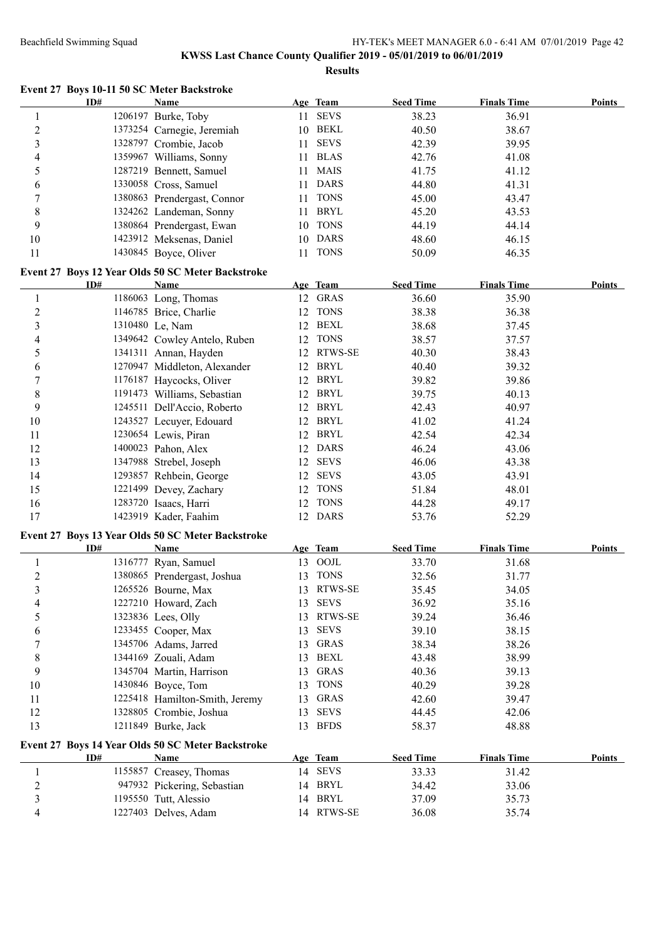#### **KWSS Last Chance County Qualifier 2019 - 05/01/2019 to 06/01/2019 Results**

**Event 27 Boys 10-11 50 SC Meter Backstroke ID# Name Age Team Seed Time Finals Time Points** 1 1206197 Burke, Toby 11 SEVS 38.23 36.91 2 1373254 Carnegie, Jeremiah 10 BEKL 40.50 38.67 3 1328797 Crombie, Jacob 11 SEVS 42.39 39.95 4 1359967 Williams, Sonny 11 BLAS 42.76 41.08 5 1287219 Bennett, Samuel 11 MAIS 41.75 41.12 6 1330058 Cross, Samuel 11 DARS 44.80 41.31 7 1380863 Prendergast, Connor 11 TONS 45.00 43.47 8 1324262 Landeman, Sonny 11 BRYL 45.20 43.53 9 1380864 Prendergast, Ewan 10 TONS 44.19 44.14 10 1423912 Meksenas, Daniel 10 DARS 48.60 46.15 11 1430845 Boyce, Oliver 11 TONS 50.09 46.35 **Event 27 Boys 12 Year Olds 50 SC Meter Backstroke ID# Name Age Team Seed Time Finals Time Points** 1 1186063 Long, Thomas 12 GRAS 36.60 35.90 2 1146785 Brice, Charlie 12 TONS 38.38 36.38 3 1310480 Le, Nam 12 BEXL 38.68 37.45 4 1349642 Cowley Antelo, Ruben 12 TONS 38.57 37.57 5 1341311 Annan, Hayden 12 RTWS-SE 40.30 38.43 6 1270947 Middleton, Alexander 12 BRYL 40.40 39.32 7 1176187 Haycocks, Oliver 12 BRYL 39.82 39.86 8 1191473 Williams, Sebastian 12 BRYL 39.75 40.13 9 1245511 Dell'Accio, Roberto 12 BRYL 42.43 40.97 10 1243527 Lecuyer, Edouard 12 BRYL 41.02 41.24 11 1230654 Lewis, Piran 12 BRYL 42.54 42.34 12 1400023 Pahon, Alex 12 DARS 46.24 43.06 13 1347988 Strebel, Joseph 12 SEVS 46.06 43.38 14 1293857 Rehbein, George 12 SEVS 43.05 43.91 15 1221499 Devey, Zachary 12 TONS 51.84 48.01 16 1283720 Isaacs, Harri 12 TONS 44.28 49.17 17 1423919 Kader, Faahim 12 DARS 53.76 52.29 **Event 27 Boys 13 Year Olds 50 SC Meter Backstroke ID# Name Age Team Seed Time Finals Time Points** 1 1316777 Ryan, Samuel 13 OOJL 33.70 31.68 2 1380865 Prendergast, Joshua 13 TONS 32.56 31.77 3 1265526 Bourne, Max 13 RTWS-SE 35.45 34.05 4 1227210 Howard, Zach 13 SEVS 36.92 35.16 5 1323836 Lees, Olly 13 RTWS-SE 39.24 36.46 6 1233455 Cooper, Max 13 SEVS 39.10 38.15 7 1345706 Adams, Jarred 13 GRAS 38.34 38.26 8 1344169 Zouali, Adam 13 BEXL 43.48 38.99 9 1345704 Martin, Harrison 13 GRAS 40.36 39.13 10 1430846 Boyce, Tom 13 TONS 40.29 39.28 11 1225418 Hamilton-Smith, Jeremy 13 GRAS 42.60 39.47 12 1328805 Crombie, Joshua 13 SEVS 44.45 42.06 13 1211849 Burke, Jack 13 BFDS 58.37 48.88 **Event 27 Boys 14 Year Olds 50 SC Meter Backstroke ID# Name Age Team Seed Time Finals Time Points** 1 1155857 Creasey, Thomas 14 SEVS 33.33 31.42 2 947932 Pickering, Sebastian 14 BRYL 34.42 33.06 3 1195550 Tutt, Alessio 14 BRYL 37.09 35.73 4 1227403 Delves, Adam 14 RTWS-SE 36.08 35.74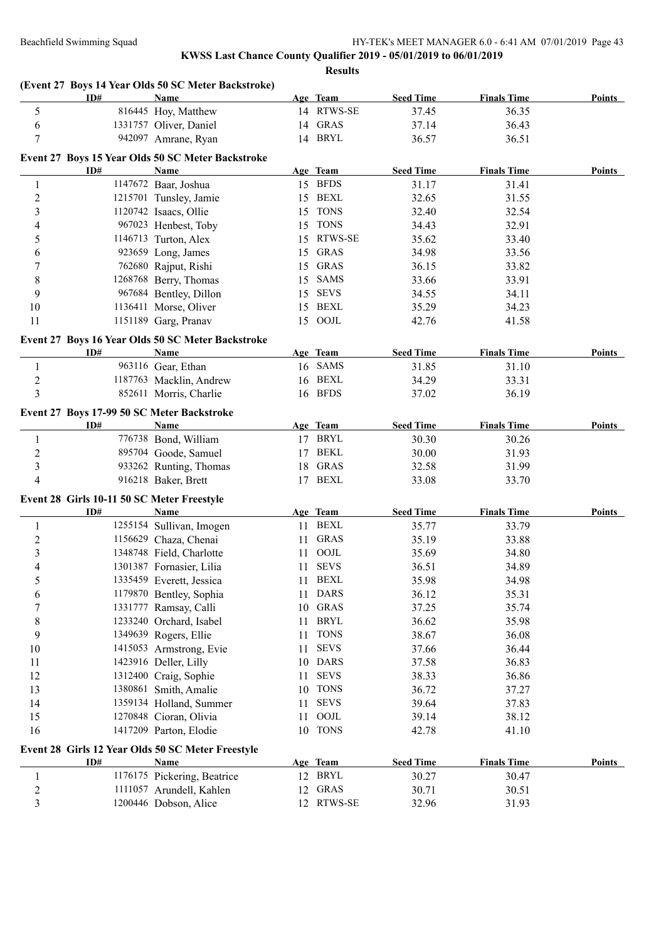|                         | ID#                                        | (Event 27 Boys 14 Year Olds 50 SC Meter Backstroke)<br><b>Name</b> |    | Age Team    | <b>Seed Time</b> | <b>Finals Time</b> | Points        |
|-------------------------|--------------------------------------------|--------------------------------------------------------------------|----|-------------|------------------|--------------------|---------------|
| 5                       |                                            | 816445 Hoy, Matthew                                                |    | 14 RTWS-SE  | 37.45            | 36.35              |               |
| 6                       |                                            | 1331757 Oliver, Daniel                                             |    | 14 GRAS     | 37.14            | 36.43              |               |
| 7                       |                                            | 942097 Amrane, Ryan                                                |    | 14 BRYL     | 36.57            | 36.51              |               |
|                         |                                            | Event 27 Boys 15 Year Olds 50 SC Meter Backstroke                  |    |             |                  |                    |               |
|                         | ID#                                        | <b>Name</b>                                                        |    | Age Team    | <b>Seed Time</b> | <b>Finals Time</b> | <b>Points</b> |
| 1                       |                                            | 1147672 Baar, Joshua                                               |    | 15 BFDS     | 31.17            | 31.41              |               |
| $\overline{c}$          |                                            | 1215701 Tunsley, Jamie                                             |    | 15 BEXL     | 32.65            | 31.55              |               |
| 3                       |                                            | 1120742 Isaacs, Ollie                                              |    | 15 TONS     | 32.40            | 32.54              |               |
| 4                       |                                            | 967023 Henbest, Toby                                               |    | 15 TONS     | 34.43            | 32.91              |               |
| 5                       |                                            | 1146713 Turton, Alex                                               | 15 | RTWS-SE     | 35.62            | 33.40              |               |
| 6                       |                                            | 923659 Long, James                                                 | 15 | <b>GRAS</b> | 34.98            | 33.56              |               |
| 7                       |                                            | 762680 Rajput, Rishi                                               | 15 | <b>GRAS</b> | 36.15            | 33.82              |               |
| 8                       |                                            | 1268768 Berry, Thomas                                              |    | 15 SAMS     | 33.66            | 33.91              |               |
| 9                       |                                            | 967684 Bentley, Dillon                                             | 15 | <b>SEVS</b> | 34.55            | 34.11              |               |
| 10                      |                                            | 1136411 Morse, Oliver                                              |    | 15 BEXL     | 35.29            | 34.23              |               |
| 11                      |                                            | 1151189 Garg, Pranav                                               |    | 15 OOJL     | 42.76            | 41.58              |               |
|                         |                                            | Event 27 Boys 16 Year Olds 50 SC Meter Backstroke                  |    |             |                  |                    |               |
|                         | ID#                                        | <b>Name</b>                                                        |    | Age Team    | <b>Seed Time</b> | <b>Finals Time</b> | <b>Points</b> |
| 1                       |                                            | 963116 Gear, Ethan                                                 |    | 16 SAMS     | 31.85            | 31.10              |               |
| $\overline{c}$          |                                            | 1187763 Macklin, Andrew                                            | 16 | <b>BEXL</b> | 34.29            | 33.31              |               |
| 3                       |                                            | 852611 Morris, Charlie                                             |    | 16 BFDS     | 37.02            | 36.19              |               |
|                         | Event 27 Boys 17-99 50 SC Meter Backstroke |                                                                    |    |             |                  |                    |               |
|                         | ID#                                        | Name                                                               |    | Age Team    | <b>Seed Time</b> | <b>Finals Time</b> | Points        |
| 1                       |                                            | 776738 Bond, William                                               |    | 17 BRYL     | 30.30            | 30.26              |               |
| $\overline{2}$          |                                            | 895704 Goode, Samuel                                               | 17 | <b>BEKL</b> | 30.00            | 31.93              |               |
| 3                       |                                            | 933262 Runting, Thomas                                             |    | 18 GRAS     | 32.58            | 31.99              |               |
| 4                       |                                            | 916218 Baker, Brett                                                |    | 17 BEXL     | 33.08            | 33.70              |               |
|                         | Event 28 Girls 10-11 50 SC Meter Freestyle |                                                                    |    |             |                  |                    |               |
|                         | ID#                                        | <b>Name</b>                                                        |    | Age Team    | <b>Seed Time</b> | <b>Finals Time</b> | <b>Points</b> |
| 1                       |                                            | 1255154 Sullivan, Imogen                                           |    | 11 BEXL     | 35.77            | 33.79              |               |
| $\overline{c}$          |                                            | 1156629 Chaza, Chenai                                              | 11 | <b>GRAS</b> | 35.19            | 33.88              |               |
| 3                       |                                            | 1348748 Field, Charlotte                                           | 11 | OOJL        | 35.69            | 34.80              |               |
| 4                       |                                            | 1301387 Fornasier, Lilia                                           |    | 11 SEVS     | 36.51            | 34.89              |               |
|                         |                                            | 1335459 Everett, Jessica                                           |    | 11 BEXL     | 35.98            | 34.98              |               |
| 6                       |                                            | 1179870 Bentley, Sophia                                            |    | 11 DARS     | 36.12            | 35.31              |               |
| 7                       |                                            | 1331777 Ramsay, Calli                                              | 10 | GRAS        | 37.25            | 35.74              |               |
| 8                       |                                            | 1233240 Orchard, Isabel                                            | 11 | <b>BRYL</b> | 36.62            | 35.98              |               |
| 9                       |                                            | 1349639 Rogers, Ellie                                              | 11 | <b>TONS</b> | 38.67            | 36.08              |               |
| 10                      |                                            | 1415053 Armstrong, Evie                                            | 11 | <b>SEVS</b> | 37.66            | 36.44              |               |
| 11                      |                                            | 1423916 Deller, Lilly                                              | 10 | <b>DARS</b> | 37.58            | 36.83              |               |
| 12                      |                                            | 1312400 Craig, Sophie                                              | 11 | <b>SEVS</b> | 38.33            | 36.86              |               |
| 13                      |                                            | 1380861 Smith, Amalie                                              | 10 | <b>TONS</b> | 36.72            | 37.27              |               |
| 14                      |                                            | 1359134 Holland, Summer                                            | 11 | <b>SEVS</b> | 39.64            | 37.83              |               |
| 15                      |                                            | 1270848 Cioran, Olivia                                             | 11 | OOJL        | 39.14            | 38.12              |               |
| 16                      |                                            | 1417209 Parton, Elodie                                             | 10 | <b>TONS</b> | 42.78            | 41.10              |               |
|                         |                                            | Event 28 Girls 12 Year Olds 50 SC Meter Freestyle                  |    |             |                  |                    |               |
|                         | ID#                                        | <b>Name</b>                                                        |    | Age Team    | <b>Seed Time</b> | <b>Finals Time</b> | <b>Points</b> |
| 1                       |                                            | 1176175 Pickering, Beatrice                                        |    | 12 BRYL     | 30.27            | 30.47              |               |
| $\overline{\mathbf{c}}$ |                                            | 1111057 Arundell, Kahlen                                           | 12 | <b>GRAS</b> | 30.71            | 30.51              |               |
| 3                       |                                            | 1200446 Dobson, Alice                                              |    | 12 RTWS-SE  | 32.96            | 31.93              |               |
|                         |                                            |                                                                    |    |             |                  |                    |               |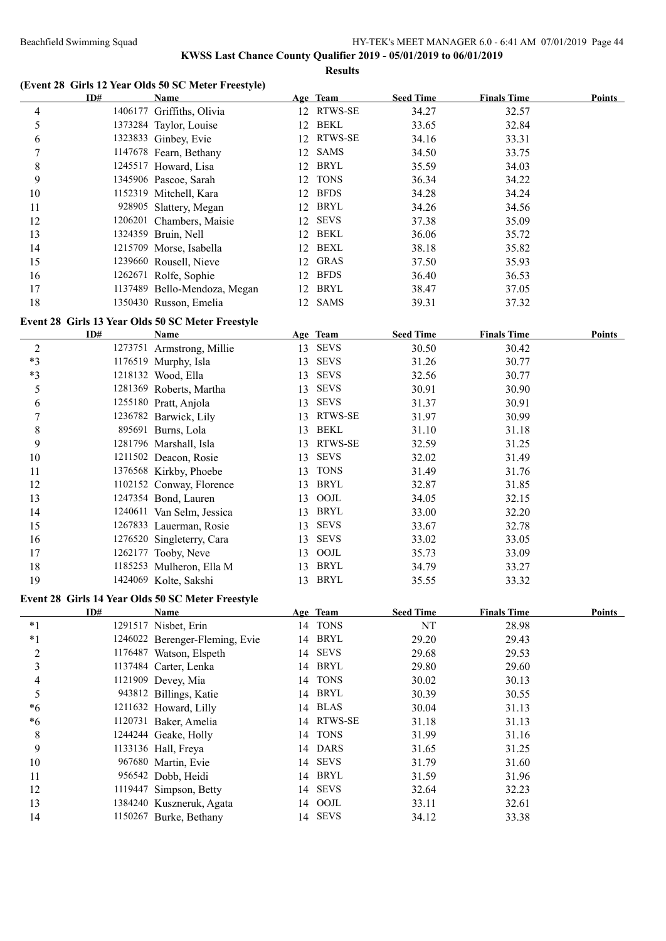# **KWSS Last Chance County Qualifier 2019 - 05/01/2019 to 06/01/2019**

**Results**

|                  |     | (Event 28 Girls 12 Year Olds 50 SC Meter Freestyle) |    |                |                  |                    |               |
|------------------|-----|-----------------------------------------------------|----|----------------|------------------|--------------------|---------------|
|                  | ID# | <b>Name</b>                                         |    | Age Team       | <b>Seed Time</b> | <b>Finals Time</b> | <b>Points</b> |
| 4                |     | 1406177 Griffiths, Olivia                           |    | 12 RTWS-SE     | 34.27            | 32.57              |               |
| 5                |     | 1373284 Taylor, Louise                              | 12 | <b>BEKL</b>    | 33.65            | 32.84              |               |
| 6                |     | 1323833 Ginbey, Evie                                | 12 | RTWS-SE        | 34.16            | 33.31              |               |
| 7                |     | 1147678 Fearn, Bethany                              | 12 | <b>SAMS</b>    | 34.50            | 33.75              |               |
| $\,$ $\,$        |     | 1245517 Howard, Lisa                                | 12 | <b>BRYL</b>    | 35.59            | 34.03              |               |
| 9                |     | 1345906 Pascoe, Sarah                               | 12 | <b>TONS</b>    | 36.34            | 34.22              |               |
| 10               |     | 1152319 Mitchell, Kara                              | 12 | <b>BFDS</b>    | 34.28            | 34.24              |               |
| 11               |     | 928905 Slattery, Megan                              |    | 12 BRYL        | 34.26            | 34.56              |               |
| 12               |     | 1206201 Chambers, Maisie                            |    | 12 SEVS        | 37.38            | 35.09              |               |
| 13               |     | 1324359 Bruin, Nell                                 |    | 12 BEKL        | 36.06            | 35.72              |               |
| 14               |     | 1215709 Morse, Isabella                             |    | 12 BEXL        | 38.18            | 35.82              |               |
| 15               |     | 1239660 Rousell, Nieve                              | 12 | <b>GRAS</b>    | 37.50            | 35.93              |               |
| 16               |     | 1262671 Rolfe, Sophie                               |    | 12 BFDS        | 36.40            | 36.53              |               |
| 17               |     | 1137489 Bello-Mendoza, Megan                        |    | 12 BRYL        | 38.47            | 37.05              |               |
| 18               |     | 1350430 Russon, Emelia                              |    | 12 SAMS        | 39.31            | 37.32              |               |
|                  |     | Event 28 Girls 13 Year Olds 50 SC Meter Freestyle   |    |                |                  |                    |               |
|                  | ID# | Name                                                |    | Age Team       | <b>Seed Time</b> | <b>Finals Time</b> | <b>Points</b> |
| $\overline{2}$   |     | 1273751 Armstrong, Millie                           |    | 13 SEVS        | 30.50            | 30.42              |               |
| $*3$             |     | 1176519 Murphy, Isla                                | 13 | <b>SEVS</b>    | 31.26            | 30.77              |               |
| $*3$             |     | 1218132 Wood, Ella                                  | 13 | <b>SEVS</b>    | 32.56            | 30.77              |               |
| 5                |     | 1281369 Roberts, Martha                             | 13 | <b>SEVS</b>    | 30.91            | 30.90              |               |
| 6                |     | 1255180 Pratt, Anjola                               | 13 | <b>SEVS</b>    | 31.37            | 30.91              |               |
|                  |     |                                                     |    | <b>RTWS-SE</b> | 31.97            |                    |               |
| 7                |     | 1236782 Barwick, Lily                               | 13 | BEKL           |                  | 30.99              |               |
| 8                |     | 895691 Burns, Lola                                  | 13 |                | 31.10            | 31.18              |               |
| 9                |     | 1281796 Marshall, Isla                              | 13 | <b>RTWS-SE</b> | 32.59            | 31.25              |               |
| 10               |     | 1211502 Deacon, Rosie                               | 13 | <b>SEVS</b>    | 32.02            | 31.49              |               |
| 11               |     | 1376568 Kirkby, Phoebe                              | 13 | <b>TONS</b>    | 31.49            | 31.76              |               |
| 12               |     | 1102152 Conway, Florence                            | 13 | <b>BRYL</b>    | 32.87            | 31.85              |               |
| 13               |     | 1247354 Bond, Lauren                                | 13 | OOJL           | 34.05            | 32.15              |               |
| 14               |     | 1240611 Van Selm, Jessica                           | 13 | <b>BRYL</b>    | 33.00            | 32.20              |               |
| 15               |     | 1267833 Lauerman, Rosie                             | 13 | <b>SEVS</b>    | 33.67            | 32.78              |               |
| 16               |     | 1276520 Singleterry, Cara                           | 13 | <b>SEVS</b>    | 33.02            | 33.05              |               |
| 17               |     | 1262177 Tooby, Neve                                 | 13 | OOJL           | 35.73            | 33.09              |               |
| 18               |     | 1185253 Mulheron, Ella M                            |    | 13 BRYL        | 34.79            | 33.27              |               |
| 19               |     | 1424069 Kolte, Sakshi                               |    | 13 BRYL        | 35.55            | 33.32              |               |
|                  |     | Event 28 Girls 14 Year Olds 50 SC Meter Freestyle   |    |                |                  |                    |               |
|                  | ID# | <b>Name</b>                                         |    | Age Team       | <b>Seed Time</b> | <b>Finals Time</b> | <b>Points</b> |
| $*1$             |     | 1291517 Nisbet, Erin                                |    | 14 TONS        | NT               | 28.98              |               |
| $*1$             |     | 1246022 Berenger-Fleming, Evie                      | 14 | <b>BRYL</b>    | 29.20            | 29.43              |               |
| $\boldsymbol{2}$ |     | 1176487 Watson, Elspeth                             | 14 | <b>SEVS</b>    | 29.68            | 29.53              |               |
| 3                |     | 1137484 Carter, Lenka                               | 14 | <b>BRYL</b>    | 29.80            | 29.60              |               |
| 4                |     | 1121909 Devey, Mia                                  | 14 | <b>TONS</b>    | 30.02            | 30.13              |               |
| 5                |     | 943812 Billings, Katie                              |    | 14 BRYL        | 30.39            | 30.55              |               |
| $*6$             |     | 1211632 Howard, Lilly                               |    | 14 BLAS        | 30.04            | 31.13              |               |
| $*6$             |     | 1120731 Baker, Amelia                               |    | 14 RTWS-SE     | 31.18            | 31.13              |               |
| 8                |     | 1244244 Geake, Holly                                | 14 | <b>TONS</b>    | 31.99            | 31.16              |               |
| 9                |     | 1133136 Hall, Freya                                 | 14 | <b>DARS</b>    | 31.65            | 31.25              |               |
| $10\,$           |     | 967680 Martin, Evie                                 | 14 | <b>SEVS</b>    | 31.79            | 31.60              |               |
| 11               |     | 956542 Dobb, Heidi                                  |    | 14 BRYL        | 31.59            | 31.96              |               |
| 12               |     | 1119447 Simpson, Betty                              | 14 | <b>SEVS</b>    | 32.64            | 32.23              |               |
| 13               |     | 1384240 Kuszneruk, Agata                            | 14 | OOJL           | 33.11            | 32.61              |               |
| 14               |     | 1150267 Burke, Bethany                              |    | 14 SEVS        | 34.12            | 33.38              |               |
|                  |     |                                                     |    |                |                  |                    |               |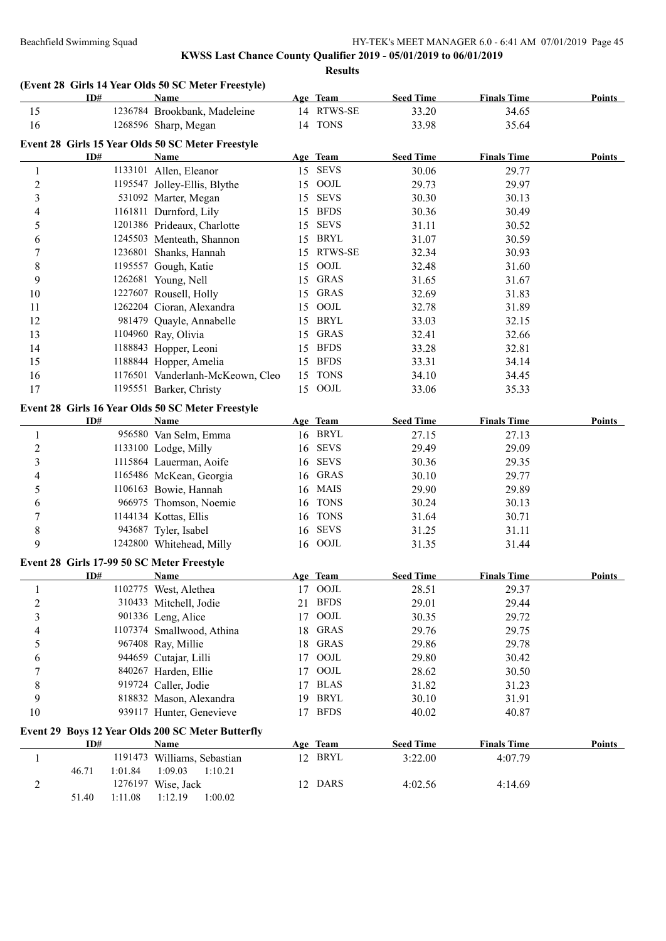|                  | ID#                                        | Name                                              |    | Age Team    | <b>Seed Time</b> | <b>Finals Time</b> | <b>Points</b> |
|------------------|--------------------------------------------|---------------------------------------------------|----|-------------|------------------|--------------------|---------------|
| 15               |                                            | 1236784 Brookbank, Madeleine                      |    | 14 RTWS-SE  | 33.20            | 34.65              |               |
| 16               |                                            | 1268596 Sharp, Megan                              |    | 14 TONS     | 33.98            | 35.64              |               |
|                  |                                            | Event 28 Girls 15 Year Olds 50 SC Meter Freestyle |    |             |                  |                    |               |
|                  | ID#                                        | Name                                              |    | Age Team    | <b>Seed Time</b> | <b>Finals Time</b> | Points        |
| 1                |                                            | 1133101 Allen, Eleanor                            |    | 15 SEVS     | 30.06            | 29.77              |               |
| $\boldsymbol{2}$ |                                            | 1195547 Jolley-Ellis, Blythe                      |    | 15 OOJL     | 29.73            | 29.97              |               |
| $\mathfrak{Z}$   |                                            | 531092 Marter, Megan                              |    | 15 SEVS     | 30.30            | 30.13              |               |
| 4                |                                            | 1161811 Durnford, Lily                            | 15 | <b>BFDS</b> | 30.36            | 30.49              |               |
| 5                |                                            | 1201386 Prideaux, Charlotte                       | 15 | SEVS        | 31.11            | 30.52              |               |
| 6                |                                            | 1245503 Menteath, Shannon                         |    | 15 BRYL     | 31.07            | 30.59              |               |
| 7                |                                            | 1236801 Shanks, Hannah                            | 15 | RTWS-SE     | 32.34            | 30.93              |               |
| 8                |                                            | 1195557 Gough, Katie                              | 15 | OOJL        | 32.48            | 31.60              |               |
| 9                |                                            | 1262681 Young, Nell                               |    | 15 GRAS     | 31.65            | 31.67              |               |
| 10               |                                            | 1227607 Rousell, Holly                            |    | 15 GRAS     | 32.69            | 31.83              |               |
| 11               |                                            | 1262204 Cioran, Alexandra                         | 15 | OOJL        | 32.78            | 31.89              |               |
| 12               |                                            | 981479 Quayle, Annabelle                          |    | 15 BRYL     | 33.03            | 32.15              |               |
| 13               |                                            | 1104960 Ray, Olivia                               | 15 | <b>GRAS</b> | 32.41            | 32.66              |               |
| 14               |                                            | 1188843 Hopper, Leoni                             |    | 15 BFDS     | 33.28            | 32.81              |               |
| 15               |                                            | 1188844 Hopper, Amelia                            |    | 15 BFDS     | 33.31            | 34.14              |               |
| 16               |                                            | 1176501 Vanderlanh-McKeown, Cleo                  | 15 | <b>TONS</b> | 34.10            | 34.45              |               |
| 17               |                                            | 1195551 Barker, Christy                           |    | 15 OOJL     | 33.06            | 35.33              |               |
|                  |                                            |                                                   |    |             |                  |                    |               |
|                  |                                            | Event 28 Girls 16 Year Olds 50 SC Meter Freestyle |    |             |                  |                    |               |
|                  | ID#                                        | <b>Name</b>                                       |    | Age Team    | <b>Seed Time</b> | <b>Finals Time</b> | <b>Points</b> |
| 1                |                                            | 956580 Van Selm, Emma                             |    | 16 BRYL     | 27.15            | 27.13              |               |
| $\boldsymbol{2}$ |                                            | 1133100 Lodge, Milly                              |    | 16 SEVS     | 29.49            | 29.09              |               |
| 3                |                                            | 1115864 Lauerman, Aoife                           |    | 16 SEVS     | 30.36            | 29.35              |               |
| 4                |                                            | 1165486 McKean, Georgia                           | 16 | <b>GRAS</b> | 30.10            | 29.77              |               |
| 5                |                                            | 1106163 Bowie, Hannah                             | 16 | MAIS        | 29.90            | 29.89              |               |
| 6                |                                            | 966975 Thomson, Noemie                            | 16 | <b>TONS</b> | 30.24            | 30.13              |               |
| 7                |                                            | 1144134 Kottas, Ellis                             | 16 | <b>TONS</b> | 31.64            | 30.71              |               |
| $\,8\,$          |                                            | 943687 Tyler, Isabel                              | 16 | <b>SEVS</b> | 31.25            | 31.11              |               |
| 9                |                                            | 1242800 Whitehead, Milly                          |    | 16 OOJL     | 31.35            | 31.44              |               |
|                  | Event 28 Girls 17-99 50 SC Meter Freestyle |                                                   |    |             |                  |                    |               |
|                  | ID#                                        | Name                                              |    | Age Team    | <b>Seed Time</b> | <b>Finals Time</b> | Points        |
| $\mathbf{1}$     |                                            | 1102775 West, Alethea                             |    | 17 OOJL     | 28.51            | 29.37              |               |
| $\overline{c}$   |                                            | 310433 Mitchell, Jodie                            |    | 21 BFDS     | 29.01            | 29.44              |               |
| 3                |                                            | 901336 Leng, Alice                                | 17 | $\rm{OOL}$  | 30.35            | 29.72              |               |
| 4                |                                            | 1107374 Smallwood, Athina                         | 18 | <b>GRAS</b> | 29.76            | 29.75              |               |
| 5                |                                            | 967408 Ray, Millie                                |    | 18 GRAS     | 29.86            | 29.78              |               |
| 6                |                                            | 944659 Cutajar, Lilli                             | 17 | OOJL        | 29.80            | 30.42              |               |
| 7                |                                            | 840267 Harden, Ellie                              | 17 | OOJL        | 28.62            | 30.50              |               |
| 8                |                                            | 919724 Caller, Jodie                              | 17 | <b>BLAS</b> | 31.82            | 31.23              |               |
| 9                |                                            | 818832 Mason, Alexandra                           | 19 | <b>BRYL</b> | 30.10            | 31.91              |               |
| 10               |                                            | 939117 Hunter, Genevieve                          |    | 17 BFDS     | 40.02            | 40.87              |               |
|                  |                                            | Event 29 Boys 12 Year Olds 200 SC Meter Butterfly |    |             |                  |                    |               |
|                  | ID#                                        | <b>Name</b>                                       |    | Age Team    | <b>Seed Time</b> | <b>Finals Time</b> | <b>Points</b> |
| $\mathbf{1}$     |                                            | 1191473 Williams, Sebastian                       |    | 12 BRYL     | 3:22.00          | 4:07.79            |               |
|                  | 1:01.84<br>46.71                           | 1:09.03<br>1:10.21                                |    |             |                  |                    |               |
| 2                |                                            | 1276197 Wise, Jack                                |    | 12 DARS     | 4:02.56          | 4:14.69            |               |
|                  | 51.40<br>1:11.08                           | 1:12.19<br>1:00.02                                |    |             |                  |                    |               |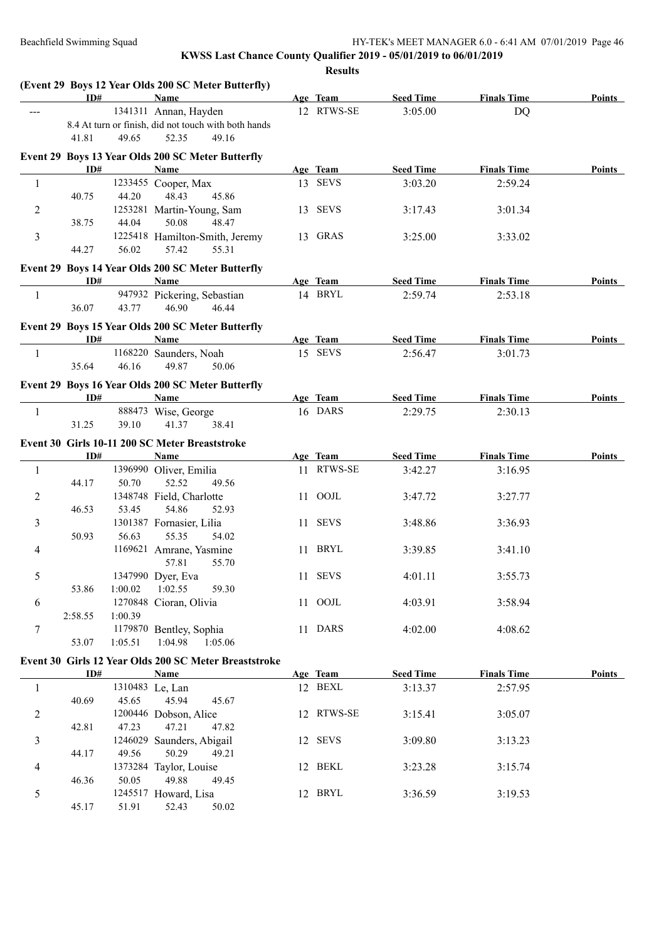|                | ID#     |         | (Event 29 Boys 12 Year Olds 200 SC Meter Butterfly)<br><b>Name</b> | Age Team            | <b>Seed Time</b> | <b>Finals Time</b> | <b>Points</b> |
|----------------|---------|---------|--------------------------------------------------------------------|---------------------|------------------|--------------------|---------------|
|                |         |         | 1341311 Annan, Hayden                                              | 12 RTWS-SE          | 3:05.00          | <b>DQ</b>          |               |
|                |         |         | 8.4 At turn or finish, did not touch with both hands               |                     |                  |                    |               |
|                | 41.81   | 49.65   | 52.35<br>49.16                                                     |                     |                  |                    |               |
|                |         |         | Event 29 Boys 13 Year Olds 200 SC Meter Butterfly                  |                     |                  |                    |               |
|                | ID#     |         | Name                                                               | Age Team            | <b>Seed Time</b> | <b>Finals Time</b> | Points        |
| 1              |         |         | 1233455 Cooper, Max                                                | 13 SEVS             | 3:03.20          | 2:59.24            |               |
|                | 40.75   | 44.20   | 48.43<br>45.86                                                     |                     |                  |                    |               |
| $\overline{2}$ |         |         | 1253281 Martin-Young, Sam                                          | 13 SEVS             | 3:17.43          | 3:01.34            |               |
|                | 38.75   | 44.04   | 50.08<br>48.47                                                     |                     |                  |                    |               |
| 3              |         |         | 1225418 Hamilton-Smith, Jeremy                                     | 13 GRAS             | 3:25.00          | 3:33.02            |               |
|                | 44.27   | 56.02   | 57.42<br>55.31                                                     |                     |                  |                    |               |
|                |         |         | Event 29 Boys 14 Year Olds 200 SC Meter Butterfly                  |                     |                  |                    |               |
|                | ID#     |         | Name                                                               | Age Team            | <b>Seed Time</b> | <b>Finals Time</b> | Points        |
| $\mathbf{1}$   |         |         | 947932 Pickering, Sebastian                                        | 14 BRYL             | 2:59.74          | 2:53.18            |               |
|                | 36.07   | 43.77   | 46.90<br>46.44                                                     |                     |                  |                    |               |
|                |         |         | Event 29 Boys 15 Year Olds 200 SC Meter Butterfly                  |                     |                  |                    |               |
|                | ID#     |         | <b>Name</b>                                                        | Age Team            | <b>Seed Time</b> | <b>Finals Time</b> | <b>Points</b> |
| 1              |         |         | 1168220 Saunders, Noah                                             | 15 SEVS             | 2:56.47          | 3:01.73            |               |
|                | 35.64   | 46.16   | 49.87<br>50.06                                                     |                     |                  |                    |               |
|                |         |         |                                                                    |                     |                  |                    |               |
|                |         |         | Event 29 Boys 16 Year Olds 200 SC Meter Butterfly                  |                     |                  |                    |               |
|                | ID#     |         | Name                                                               | Age Team<br>16 DARS | <b>Seed Time</b> | <b>Finals Time</b> | <b>Points</b> |
| -1             | 31.25   | 39.10   | 888473 Wise, George<br>41.37<br>38.41                              |                     | 2:29.75          | 2:30.13            |               |
|                |         |         |                                                                    |                     |                  |                    |               |
|                |         |         | Event 30 Girls 10-11 200 SC Meter Breaststroke                     |                     |                  |                    |               |
|                | ID#     |         | <b>Name</b>                                                        | Age Team            | <b>Seed Time</b> | <b>Finals Time</b> | Points        |
| 1              |         |         | 1396990 Oliver, Emilia                                             | 11 RTWS-SE          | 3:42.27          | 3:16.95            |               |
|                | 44.17   | 50.70   | 52.52<br>49.56                                                     |                     |                  |                    |               |
| 2              |         |         | 1348748 Field, Charlotte<br>54.86                                  | 11 OOJL             | 3:47.72          | 3:27.77            |               |
| 3              | 46.53   | 53.45   | 52.93<br>1301387 Fornasier, Lilia                                  | 11 SEVS             | 3:48.86          | 3:36.93            |               |
|                | 50.93   | 56.63   | 55.35<br>54.02                                                     |                     |                  |                    |               |
| 4              |         |         | 1169621 Amrane, Yasmine                                            | 11 BRYL             | 3:39.85          | 3:41.10            |               |
|                |         |         | 57.81<br>55.70                                                     |                     |                  |                    |               |
| 5              |         |         | 1347990 Dyer, Eva                                                  | 11 SEVS             | 4:01.11          | 3:55.73            |               |
|                | 53.86   | 1:00.02 | 1:02.55<br>59.30                                                   |                     |                  |                    |               |
| 6              |         | 1270848 | Cioran, Olivia                                                     | 11 OOJL             | 4:03.91          | 3:58.94            |               |
|                | 2:58.55 | 1:00.39 |                                                                    |                     |                  |                    |               |
| $\tau$         |         |         | 1179870 Bentley, Sophia                                            | 11 DARS             | 4:02.00          | 4:08.62            |               |
|                | 53.07   | 1:05.51 | 1:04.98<br>1:05.06                                                 |                     |                  |                    |               |
|                |         |         | Event 30 Girls 12 Year Olds 200 SC Meter Breaststroke              |                     |                  |                    |               |
|                | ID#     |         | <b>Name</b>                                                        | Age Team            | <b>Seed Time</b> | <b>Finals Time</b> | Points        |
| 1              |         |         | 1310483 Le, Lan                                                    | 12 BEXL             | 3:13.37          | 2:57.95            |               |
|                | 40.69   | 45.65   | 45.94<br>45.67                                                     |                     |                  |                    |               |
| $\overline{c}$ |         |         | 1200446 Dobson, Alice                                              | 12 RTWS-SE          | 3:15.41          | 3:05.07            |               |
|                | 42.81   | 47.23   | 47.21<br>47.82                                                     |                     |                  |                    |               |
| 3              |         | 1246029 | Saunders, Abigail                                                  | 12 SEVS             | 3:09.80          | 3:13.23            |               |
|                | 44.17   | 49.56   | 50.29<br>49.21                                                     |                     |                  |                    |               |
| 4              |         |         | 1373284 Taylor, Louise                                             | 12 BEKL             | 3:23.28          | 3:15.74            |               |
|                | 46.36   | 50.05   | 49.88<br>49.45                                                     |                     |                  |                    |               |
| 5              |         |         | 1245517 Howard, Lisa                                               | 12 BRYL             | 3:36.59          | 3:19.53            |               |
|                | 45.17   | 51.91   | 52.43<br>50.02                                                     |                     |                  |                    |               |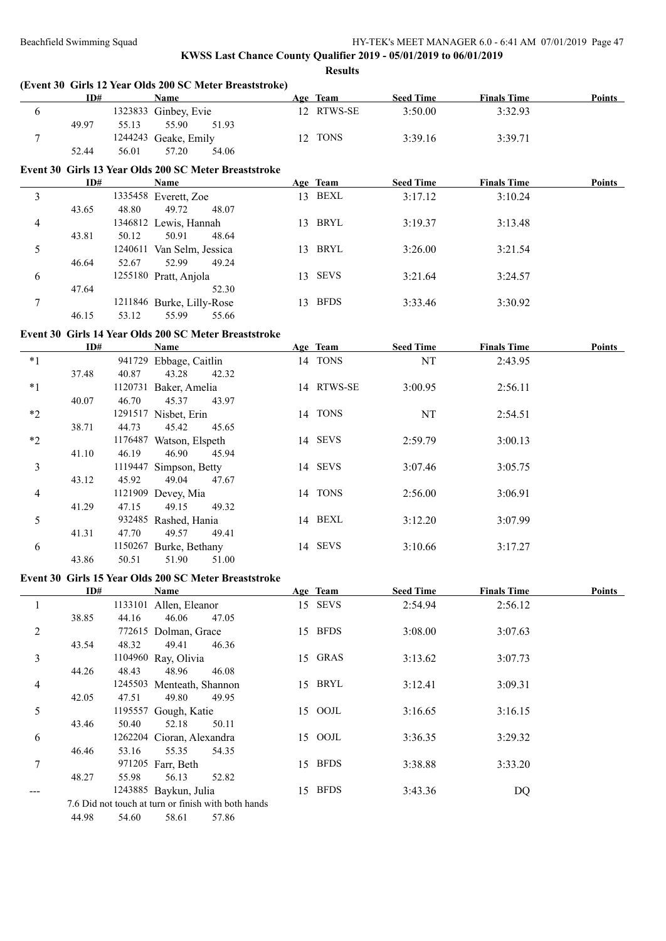|                | ID#   |       | (Event 30 Girls 12 Year Olds 200 SC Meter Breaststroke)<br><b>Name</b> | Age Team   | Seed Time        | <b>Finals Time</b> | Points        |
|----------------|-------|-------|------------------------------------------------------------------------|------------|------------------|--------------------|---------------|
| 6              |       |       | 1323833 Ginbey, Evie                                                   | 12 RTWS-SE | 3:50.00          | 3:32.93            |               |
|                | 49.97 | 55.13 | 55.90<br>51.93                                                         |            |                  |                    |               |
| $\tau$         |       |       | 1244243 Geake, Emily                                                   | 12 TONS    | 3:39.16          | 3:39.71            |               |
|                | 52.44 | 56.01 | 57.20<br>54.06                                                         |            |                  |                    |               |
|                |       |       | Event 30 Girls 13 Year Olds 200 SC Meter Breaststroke                  |            |                  |                    |               |
|                | ID#   |       | <b>Name</b>                                                            | Age Team   | <b>Seed Time</b> | <b>Finals Time</b> | <b>Points</b> |
| $\overline{3}$ |       |       | 1335458 Everett, Zoe                                                   | 13 BEXL    | 3:17.12          | 3:10.24            |               |
|                | 43.65 | 48.80 | 49.72<br>48.07                                                         |            |                  |                    |               |
| $\overline{4}$ |       |       | 1346812 Lewis, Hannah                                                  | 13 BRYL    | 3:19.37          | 3:13.48            |               |
|                | 43.81 | 50.12 | 50.91<br>48.64                                                         |            |                  |                    |               |
| 5              |       |       | 1240611 Van Selm, Jessica                                              | 13 BRYL    | 3:26.00          | 3:21.54            |               |
|                | 46.64 | 52.67 | 52.99<br>49.24                                                         |            |                  |                    |               |
| 6              |       |       | 1255180 Pratt, Anjola                                                  | 13 SEVS    | 3:21.64          | 3:24.57            |               |
|                | 47.64 |       | 52.30                                                                  |            |                  |                    |               |
| $\tau$         |       |       | 1211846 Burke, Lilly-Rose                                              | 13 BFDS    | 3:33.46          | 3:30.92            |               |
|                | 46.15 | 53.12 | 55.99<br>55.66                                                         |            |                  |                    |               |
|                |       |       |                                                                        |            |                  |                    |               |
|                |       |       | Event 30 Girls 14 Year Olds 200 SC Meter Breaststroke                  |            |                  |                    |               |
|                | ID#   |       | <b>Name</b>                                                            | Age Team   | <b>Seed Time</b> | <b>Finals Time</b> | <b>Points</b> |
| $*1$           |       |       | 941729 Ebbage, Caitlin                                                 | 14 TONS    | NT               | 2:43.95            |               |
|                | 37.48 | 40.87 | 43.28<br>42.32                                                         |            |                  |                    |               |
| $*1$           |       |       | 1120731 Baker, Amelia                                                  | 14 RTWS-SE | 3:00.95          | 2:56.11            |               |
|                | 40.07 | 46.70 | 45.37<br>43.97                                                         |            |                  |                    |               |
| $*2$           |       |       | 1291517 Nisbet, Erin                                                   | 14 TONS    | NT               | 2:54.51            |               |
|                | 38.71 | 44.73 | 45.42<br>45.65                                                         |            |                  |                    |               |
| $*2$           |       |       | 1176487 Watson, Elspeth                                                | 14 SEVS    | 2:59.79          | 3:00.13            |               |
|                | 41.10 | 46.19 | 46.90<br>45.94                                                         |            |                  |                    |               |
| $\mathfrak{Z}$ |       |       | 1119447 Simpson, Betty                                                 | 14 SEVS    | 3:07.46          | 3:05.75            |               |
|                | 43.12 | 45.92 | 49.04<br>47.67                                                         |            |                  |                    |               |
| $\overline{4}$ |       |       | 1121909 Devey, Mia                                                     | 14 TONS    | 2:56.00          | 3:06.91            |               |
|                | 41.29 | 47.15 | 49.15<br>49.32                                                         |            |                  |                    |               |
| 5              |       |       | 932485 Rashed, Hania                                                   | 14 BEXL    | 3:12.20          | 3:07.99            |               |
|                | 41.31 | 47.70 | 49.57<br>49.41                                                         |            |                  |                    |               |
| 6              |       |       | 1150267 Burke, Bethany                                                 | 14 SEVS    | 3:10.66          | 3:17.27            |               |
|                | 43.86 | 50.51 | 51.90<br>51.00                                                         |            |                  |                    |               |
|                |       |       | Event 30 Girls 15 Year Olds 200 SC Meter Breaststroke                  |            |                  |                    |               |
|                | ID#   |       | Name                                                                   | Age Team   | <b>Seed Time</b> | <b>Finals Time</b> | <b>Points</b> |
| 1              |       |       | 1133101 Allen, Eleanor                                                 | 15 SEVS    | 2:54.94          | 2:56.12            |               |
|                | 38.85 | 44.16 | 46.06<br>47.05                                                         |            |                  |                    |               |
| $\overline{c}$ |       |       | 772615 Dolman, Grace                                                   | 15 BFDS    | 3:08.00          | 3:07.63            |               |
|                | 43.54 | 48.32 | 49.41<br>46.36                                                         |            |                  |                    |               |
| 3              |       |       | 1104960 Ray, Olivia                                                    | 15 GRAS    | 3:13.62          | 3:07.73            |               |
|                | 44.26 | 48.43 | 48.96<br>46.08                                                         |            |                  |                    |               |
| 4              |       |       | 1245503 Menteath, Shannon                                              | 15 BRYL    | 3:12.41          | 3:09.31            |               |
|                | 42.05 | 47.51 | 49.80<br>49.95                                                         |            |                  |                    |               |
| 5              |       |       | 1195557 Gough, Katie                                                   | 15 OOJL    | 3:16.65          | 3:16.15            |               |
|                | 43.46 | 50.40 | 52.18<br>50.11                                                         |            |                  |                    |               |
| 6              |       |       | 1262204 Cioran, Alexandra                                              | 15 OOJL    | 3:36.35          | 3:29.32            |               |
|                | 46.46 | 53.16 | 55.35<br>54.35                                                         |            |                  |                    |               |
| 7              |       |       | 971205 Farr, Beth                                                      | 15 BFDS    | 3:38.88          | 3:33.20            |               |
|                | 48.27 | 55.98 | 56.13<br>52.82                                                         |            |                  |                    |               |
| ---            |       |       | 1243885 Baykun, Julia                                                  | 15 BFDS    | 3:43.36          | DQ                 |               |
|                |       |       | 7.6 Did not touch at turn or finish with both hands                    |            |                  |                    |               |
|                | 44.98 | 54.60 | 57.86<br>58.61                                                         |            |                  |                    |               |
|                |       |       |                                                                        |            |                  |                    |               |